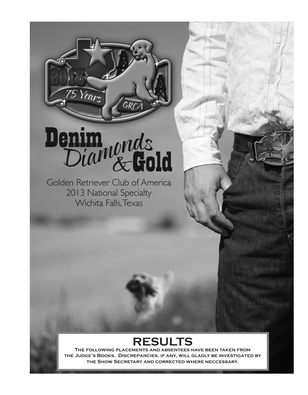# Denim<sub>nonds</sub>

 $\overline{\mathit{GRC}}$ 

75 Years

Golden Retriever Club of America 2013 National Specialty Wichita Falls, Texas

# **RESULTS**

**The following placements and absentees have been taken from the Judge's Books. Discrepancies, if any, will gladly be investigated by the Show Secretary and corrected where neccessary.**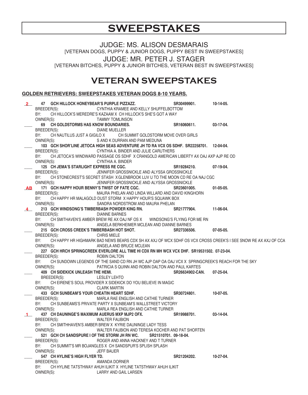# **SWEEPSTAKES**

JUDGE: MS. ALISON DESMARAIS [VETERAN DOGS, PUPPY & JUNIOR DOGS, PUPPY BEST IN SWEEPSTAKES] JUDGE: MR. PETER J. STAGER [VETERAN BITCHES, PUPPY & JUNIOR BITCHES, VETERAN BEST IN SWEEPSTAKES]

## **VETERAN SWEEPSTAKES**

#### **GOLDEN RETRIEVERS: SWEEPSTAKES VETERAN DOGS 8-10 YEARS.**

| 2              | 47 GCH HILLOCK HONEYBEAR'S PURPLE PIZZAZZ.                                                                         | SR30499901.           | 10-14-05.   |
|----------------|--------------------------------------------------------------------------------------------------------------------|-----------------------|-------------|
|                | BREEDER(S): CYNTHIA KRAMEE AND KELLY SHUFFELBOTTOM                                                                 |                       |             |
|                | CH HILLOCK'S MEREDRE'S KAZAAM X CH HILLOCK'S SHE'S GOT A WAY<br>BY:                                                |                       |             |
|                | OWNER(S):<br>TAMMY TOMLINSON                                                                                       |                       |             |
|                | 69 CH GOLDSTORMS HAS KNOW BOUNDARIES.                                                                              | SR16060611.           | 03-17-04.   |
|                | BREEDER(S):<br>DIANE MUELLER                                                                                       |                       |             |
|                | BY: CH NAUTILUS JUST A GIGILO X CH SUMMIT GOLDSTORM MOVE OVER GIRLS                                                |                       |             |
|                | OWNER(S):<br>S AND K DURRAN AND PAM MEDUNA                                                                         |                       |             |
|                | 103 GCH SHOR'LINE JETOCA HIGH SEAS ADVENTURE JH TD RA VCX OS SDHF. SR22258701. 12-04-04.                           |                       |             |
|                | BREEDER(S):<br>CYNTHIA A. BINDER AND JULIE CARUTHERS                                                               |                       |             |
|                | BY: CH JETOCA'S WINDWARD PASSAGE OS SDHF X CRANGOLD AMERICAN LIBERTY AX OAJ AXP AJP RE OD                          |                       |             |
|                | OWNER(S):<br>CYNTHIA A. BINDER                                                                                     |                       |             |
|                | 125 CH JEMA'S STARLIGHT EXPRESS RE CGC.                                                                            | SR19284210.           | 07-19-04.   |
|                | BREEDER(S):<br>JENNIFER GROSSNICKLE AND ALYSSA GROSSNICKLE                                                         |                       |             |
|                | CH STONECREST'S SECRET STASH X GLENBROOK LUV U TO THE MOON CD RE OA NAJ CGC<br>BY:                                 |                       |             |
|                | OWNER(S): JENNIFER GROSSNICKLE AND ALYSSA GROSSNICKLE                                                              |                       |             |
|                | AB 171 GCH HAPPY HOUR BENNY'S TWIST OF FATE CGC.                                                                   | SR23601005.           | $01-05-05.$ |
|                | BREEDER(S):<br>MAURA PHELAN AND LINDA WILLARD AND DAVID KINGHORN                                                   |                       |             |
|                | CH HAPPY HR MALAGOLD DUST STORM X HAPPY HOUR'S SQUAWK BOX<br>BY:                                                   |                       |             |
|                | OWNER(S):<br>SANDRA NORDSTROM AND MAURA PHELAN                                                                     |                       |             |
| $\overline{4}$ | 213 GCH WINDSONG'S TIMBERBASH POWDER KING RN. SR21777904.                                                          |                       | 11-06-04.   |
|                | BREEDER(S):<br><b>DIANNE BARNES</b>                                                                                |                       |             |
|                | CH SMITHAVEN'S AMBER BREW RE AX OAJ NF OS X WINDSONG'S FLYING FOR ME RN<br>BY:                                     |                       |             |
|                | OWNER(S): ANGELA BERKHEIMER MCLEAN AND DIANNE BARNES                                                               |                       |             |
|                | 215 GCH CROSS CREEK'S TIMBERBASH HOT SHOT. SR27336506.                                                             |                       | 07-05-05.   |
|                | BREEDER(S): CHRIS MIELE                                                                                            |                       |             |
|                | BY: CH HAPPY HR HIGHMARK BAD NEWS BEARS CDX SH AX AXJ OF WCX SDHF OS VCX CROSS CREEK'S I SEE SNOW RE AX AXJ OF CCA |                       |             |
|                | OWNER(S): ANGELA AND BRUCE MCLEAN                                                                                  |                       |             |
|                | 227 GCH HRCH SPRINGCREEK EVERLORE ALL TIME HI CDX RN MH WCX VCX DHF. SR19531502. 07-23-04.                         |                       |             |
|                | ROBIN DALTON<br>BREEDER(S):                                                                                        |                       |             |
|                | BY: CH SUNDOWN LEGENDS OF THE SAND CD RN JH WC AJP OAP OA OAJ VCX X SPRINGCREEK'S REACH FOR THE SKY                |                       |             |
|                | OWNER(S):<br>PATRICIA S QUINN AND ROBIN DALTON AND PAUL KARTES                                                     |                       |             |
|                | 409 CH SIDEKICK UNLEASH THE HEMI.                                                                                  | SR26634902-CAN.       | 07-25-04.   |
|                | BREEDER(S): LESLEY LEHTO                                                                                           |                       |             |
|                | CH EIRENE'S SOUL PROVIDER X SIDEKICK DO YOU BELIEVE IN MAGIC<br>BY:                                                |                       |             |
|                | OWNER(S):<br><b>CLARK MARTIN</b>                                                                                   |                       |             |
|                | 433 GCH SUNBEAM'S YOUR CHEATIN HEART SDHF.                                                                         | SR30724801.           | 10-07-05.   |
|                | BREEDER(S):<br>MARLA RAE ENGLISH AND CATHIE TURNER                                                                 |                       |             |
|                | CH SUNBEAMS'S PRIVATE PARTY X SUNBEAM'S WALLSTREET VICTORY<br>BY:                                                  |                       |             |
|                | OWNER(S):<br>MARLA REA ENGLISH AND CATHIE TURNER                                                                   |                       |             |
|                | 437 CH DAUNINGE'S MAXIMUM AUERUS MXP MJP2 OFX. SR19988701.                                                         |                       | 03-14-04.   |
|                | BREEDER(S):<br><b>WALTER FAUBION</b>                                                                               |                       |             |
|                | BY:<br>CH SMITHHAVEN'S AMBER BREW X KYRIE DAUNINGE LADY TESS                                                       |                       |             |
|                | WALTER FAUBION AND TERESA KOCHER AND PAT SHORTEN<br>OWNER(S):                                                      |                       |             |
|                | 521 GCH CH SANDSPURE I OF THE STORM JH RN WC.                                                                      | SR21510701, 09-18-04. |             |
|                | BREEDER(S):<br>ROGER AND ANNA HACKNEY AND T TURNER                                                                 |                       |             |
|                | BY:<br>CH SUMMIT'S MR BOJANGLES X CH SANDSPUR'S SPLISH SPLASH                                                      |                       |             |
|                | OWNER(S):<br><b>JEFF BAUER</b>                                                                                     |                       |             |
|                | 547 CH HYLINE'S HIGH FLYER TD.                                                                                     | SR21204202.           | 10-27-04.   |
|                | BREEDER(S):<br>AMANDA DORNER                                                                                       |                       |             |
|                | BY:<br>CH HYLINE TATSTHWAY AHUH ILIKIT X HYLINE TATSTHWAY AHUH ILIKIT                                              |                       |             |
|                | OWNER(S):<br>LARRY AND GAIL LARSEN                                                                                 |                       |             |
|                |                                                                                                                    |                       |             |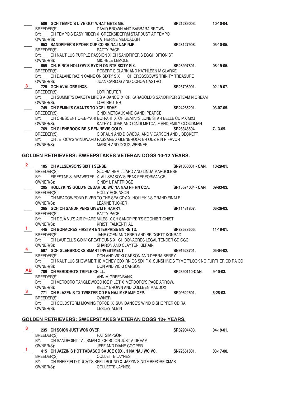|                |                  | 589 GCH TEMPO'S U'VE GOT WHAT GETS ME.       |                                                                                                                           | SR21289003.                 | 10-10-04.       |
|----------------|------------------|----------------------------------------------|---------------------------------------------------------------------------------------------------------------------------|-----------------------------|-----------------|
|                | BREEDER(S):      |                                              | DAVID BROWN AND BARBARA BROWN                                                                                             |                             |                 |
|                | BY:              |                                              | CH TEMPO'S EASY RIDER X CREEKSIDEFRM STARDUST AT TEMPO                                                                    |                             |                 |
|                | OWNER(S):        |                                              | <b>CATHERINE MEDDAUGH</b>                                                                                                 |                             |                 |
|                |                  | 653 SANDPIPER'S RYDER CUP CD RE NAJ NAP NJP. |                                                                                                                           | SR28127908.                 | $05-10-05.$     |
|                |                  | BREEDER(S): PATTY PACE                       |                                                                                                                           |                             |                 |
|                |                  | OWNER(S):                                    | BY: CH NAUTILUS PURPLE PASSION X CH SANDPIPER'S EGGHIBITIONIST<br><b>MICHELE LEMOLE</b>                                   |                             |                 |
|                |                  |                                              | 659 CH. BIRCH HOLLOW'S RYD'N ON RTE SIXTY SIX. SR28997801.                                                                |                             | $08-19-05.$     |
|                | BREEDER(S):      |                                              | ROBERT C CLARK AND KATHLEEN M CLARKE                                                                                      |                             |                 |
|                |                  |                                              | BY: CH DALANE RAZIN CAINE ON SIXTY SIX CH CROSSBOW'S TRINITY TREASURE                                                     |                             |                 |
|                | OWNER(S):        |                                              | JUAN CARLOS AND OCHOA CASTRO                                                                                              |                             |                 |
| 3              |                  | 725 GCH AVALORS INXS.                        |                                                                                                                           | SR23708901.                 | 02-19-07.       |
|                | BREEDER(S):      | <b>EXAMPLE IN THE LORI REUTER</b>            |                                                                                                                           |                             |                 |
|                | BY:              |                                              | CH SUMMIT'S DAKOTA LIFE'S A DANCE X CH KARAGOLD'S SANDPIPER STEAM N CREAM                                                 |                             |                 |
|                |                  | OWNER(S):                                    | <b>LORI REUTER</b>                                                                                                        |                             |                 |
|                |                  | 749 CH GEMINI'S CHANTS TO XCEL SDHF.         |                                                                                                                           | SR24285201.                 | 03-07-05.       |
|                |                  |                                              | BREEDER(S): CINDI METCALK AND CANDI PEARCE                                                                                |                             |                 |
|                | BY:              |                                              | CH CRESCENT O-EE-YAH! EOH-AH! X CH GEMINI'S LONE STAR BELLE CD MX MXJ                                                     |                             |                 |
|                | OWNER(S):        |                                              | KATHY CUDAK AND CINDI METCALF AND EMILY CLOUDMAN                                                                          |                             |                 |
|                |                  | 769 CH GLENBROOK BR'S BEN NEVIS GOLD.        |                                                                                                                           | SR28348604.                 | $7-13-05.$      |
|                | BY:              |                                              | BREEDER(S): C BRAUN AND D SWEDA AND V CARSON AND J BECKETT<br>CH JETOCA'S WINDWARD PASSAGE X GLENBROOK BR ODZ R N R FAVOR |                             |                 |
|                | OWNER(S):        |                                              | <b>MARCH AND DOUG WERNER</b>                                                                                              |                             |                 |
|                |                  |                                              |                                                                                                                           |                             |                 |
|                |                  |                                              | <u>GOLDEN RETRIEVERS: SWEEPSTAKES VETERAN DOGS 10-12 YEARS.</u>                                                           |                             |                 |
|                |                  |                                              |                                                                                                                           |                             |                 |
| $\mathbf{2}^-$ |                  | 105 CH ALLSEASONS SIXTH SENSE.               |                                                                                                                           | SN91050001 - CAN. 10-29-01. |                 |
|                |                  |                                              | BREEDER(S): GLORIA REMILLIARD AND LINDA MARGOLESE                                                                         |                             |                 |
|                | BY:              |                                              | FIRESTAR'S IMPAWSTER X ALLSEASON'S PEAK PERFORMANCE                                                                       |                             |                 |
|                | OWNER(S):        |                                              | <b>CINDY L PARTRIDGE</b>                                                                                                  |                             |                 |
|                |                  |                                              | 205 HOLLYKINS GOLD'N CEDAR UD WC NA NAJ NF RN CCA. SR15574004 - CAN                                                       |                             | 09-03-03.       |
|                | BREEDER(S):      |                                              | <b>HOLLY ROBINSON</b>                                                                                                     |                             |                 |
|                | BY:<br>OWNER(S): | LEANNE TUCKER                                | CH MEADOWPOND RIVER TO THE SEA CDX X HOLLYKINS GRAND FINALE                                                               |                             |                 |
|                |                  | 365 GCH CH SANDPIPERS GIVE'M H HARRY.        |                                                                                                                           | SR11431807.                 | 06-26-03.       |
|                | BREEDER(S):      | <b>PATTY PACE</b>                            |                                                                                                                           |                             |                 |
|                |                  |                                              | BY: CH DÉJÀ VU'S AIR PHARE MILES X CH SANDPIPER'S EGGHIBITIONIST                                                          |                             |                 |
|                |                  | OWNER(S):                                    | <b>KRISTI FALKENTHAL</b>                                                                                                  |                             |                 |
| 1.             |                  | 445 CH BONACRES FIRSTAR ENTERPRISE BN RE TD. |                                                                                                                           | SR88533505.                 | $11-19-01.$     |
|                | BREEDER(S):      |                                              | JANE COEN AND FRED AND BRIDGETT KONRAD                                                                                    |                             |                 |
|                |                  |                                              | BY: CH LAURELL'S GOIN' GREAT GUNS X CH BONACRES LEGAL TENDER CD CGC                                                       |                             |                 |
|                | OWNER(S):        |                                              | SHARON AND CLAYTEN KILRAIN                                                                                                |                             |                 |
|                |                  | 567 GCH GLENBROOKS SMART INVESTMENT.         |                                                                                                                           | SN91523701.                 | 05-04-02.       |
|                | BREEDER(S):      |                                              | DON AND VICKI CARSON AND DEBRA BERRY                                                                                      |                             |                 |
|                | BY:<br>OWNER(S): |                                              | CH NAUTILUS SHOW ME THE MONEY CDX RN OS SDHF X SUNSHINE'S TYME T'LOOK NO FURTHER CD RA OD<br>DON AND VICKI CARSON         |                             |                 |
| AB             |                  | 709 CH VERDORO'S TRIPLE CHILL.               |                                                                                                                           | SR2390110-CAN.              | $9-10-03.$      |
|                | BREEDER(S):      |                                              | ANN M GREENBANK                                                                                                           |                             |                 |
|                | BY:              |                                              | CH VERDORO TANGLEWOOD ICE PILOT X VERDORO'S PACE ARROW.                                                                   |                             |                 |
|                | OWNER(S):        |                                              | KELLY BROWN AND COLLEEN MADDOX                                                                                            |                             |                 |
| З.             |                  |                                              | 771 CH BLAZEN'S TX TWISTER CD RA NAJ MXP MJP OFP.                                                                         | SR09522601.                 | $6 - 28 - 03$ . |
|                | BREEDER(S):      |                                              | <b>OWNER</b>                                                                                                              |                             |                 |
|                | BY:              |                                              | CH GOLDSTORM MOVING FORCE X SUN DANCE'S WIND O SHOPPER CD RA                                                              |                             |                 |
|                | OWNER(S):        |                                              | LESLEY ALBIN                                                                                                              |                             |                 |
|                |                  |                                              |                                                                                                                           |                             |                 |
|                |                  |                                              | <u> GOLDEN RETRIEVERS: SWEEPSTAKES VETERAN DOGS 12+ YEARS.</u>                                                            |                             |                 |
| З.             |                  | 235 CH SCION JUST WON OVER.                  |                                                                                                                           | SR82904403.                 | $04-19-01.$     |
|                | BREEDER(S):      |                                              | <b>PAT SIMPSON</b>                                                                                                        |                             |                 |
|                | BY:              |                                              | CH SANDPOINT TALISMAN X CH SCION JUST A DREAM                                                                             |                             |                 |
|                | OWNER(S):        |                                              | JEFF AND DIANE COOPER                                                                                                     |                             |                 |
| 1.             |                  |                                              | 415 CH JAZZIN'S HOT TABASCO SAUCE CDX JH NA NAJ WC VC.                                                                    | SN72661801.                 | $03-17-00.$     |
|                | BREEDER(S):      |                                              | <b>COLLETTE JAYNES</b>                                                                                                    |                             |                 |
|                | BY:              |                                              | CH SHEFFIELD-DUCAT'S SPELLBOUND X JAZZIN'S NITE BEFORE XMAS                                                               |                             |                 |
|                |                  | OWNER(S):                                    | <b>COLLETTE JAYNES</b>                                                                                                    |                             |                 |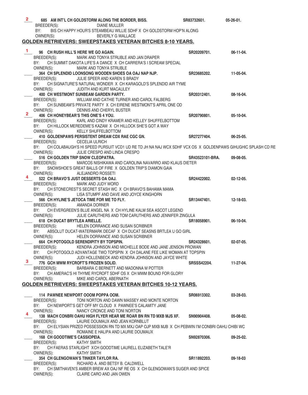|              | BREEDER(S):                   | 685 AM INT'L CH GOLDSTORM ALONG THE BORDER, BISS.<br>DIANE MULLER                                                                           | SR83732601.        | $05-26-01.$      |
|--------------|-------------------------------|---------------------------------------------------------------------------------------------------------------------------------------------|--------------------|------------------|
|              | BY:                           | BIS CH HAPPY HOUR'S STEAMBEAU WILLIE SDHF X CH GOLDSTORM HOP'N ALONG                                                                        |                    |                  |
|              | OWNER(S):                     | BEVERLY G WALLACE                                                                                                                           |                    |                  |
|              |                               | <b>GOLDEN RETRIEVERS: SWEEPSTAKES VETERAN BITCHES 8-10 YEARS.</b>                                                                           |                    |                  |
| 1.           |                               | 96 CH RUSH HILL'S HERE WE GO AGAIN.                                                                                                         | SR20209701.        | 06-11-04.        |
|              | BREEDER(S):                   | MARK AND TONYA STRUBLE AND JAN DRAPER                                                                                                       |                    |                  |
|              | BY:                           | CH SUMMIT DAKOTA LIFE'S A DANCE X CH CARRERA'S I SCREAM SPECIAL                                                                             |                    |                  |
|              | OWNER(S):                     | MARK AND TONYA STRUBLE<br>364 CH SPLENDID LOONSONG WOODEN SHOES OA OAJ NAP NJP.                                                             | SR23685202.        | 11-05-04.        |
|              | BREEDER(S):                   | JULIE SPEER AND KAREN S BRADY                                                                                                               |                    |                  |
|              |                               | BY: CH SIGNATURE'S NATURAL WONDER X CH KARAGOLD'S SPLENDID AIR TYME                                                                         |                    |                  |
|              | OWNER(S):                     | JUDITH AND KURT MACAULEY                                                                                                                    |                    |                  |
|              | BREEDER(S):                   | 400 CH WESTMONT SUNBEAM GARDEN PARTY.<br>WILLIAM AND CATHIE TURNER AND CAROL FALBERG                                                        | SR20312401.        | $08-16-04.$      |
|              |                               | BY: CH SUNBEAM'S PRIVATE PARTY X CH EIRENE WESTMONT'S APRIL ONE OD                                                                          |                    |                  |
|              | OWNER(S):                     | DENNIS AND CHERYL BUSTER                                                                                                                    |                    |                  |
| $\mathbf{2}$ |                               | 406 CH HONEYBEAR'S THIS ONE'S 4 YOU.                                                                                                        | SR20790801.        | 05-10-04.        |
|              | BREEDER(S):                   | KARL AND CINDY KRAMER AND KELLEY SHUFFELBOTTOM<br>BY: CH HILLOCK MEREDEME'S KAZAM X CH HILLOCK SHE'S GOT A WAY                              |                    |                  |
|              | OWNER(S):                     | <b>KELLY SHUFFELBOTTOM</b>                                                                                                                  |                    |                  |
|              |                               | 410 GOLDENPAWS PERSISTENT DREAM CDX RAE CGC GN.                                                                                             | SR27277404.        | $06 - 25 - 05$ . |
|              | BREEDER(S):                   | <b>CECELIA ULRICH</b>                                                                                                                       |                    |                  |
|              | BY:<br>OWNER(S):              | CH COLABAUGH'S HI SPEED PURSUIT VCD1 UD RE TD JH NA NAJ WCX SDHF VCX OS X GOLDENPAWS GIHUGHIC SPLASH CD RE<br>JULIE CRESPO AND LINDA CRESPO |                    |                  |
|              |                               | 516 CH GOLDEN TRIP SNOW CLEOPATRA.                                                                                                          | SR43523101-BRA.    | 09-08-05.        |
|              | BREEDER(S):                   | MARCOS NISHIKAWA AND CAROLINA NAVARRO AND KLAUS DIETER                                                                                      |                    |                  |
|              | BY:                           | SNOWSHOE'S GREAT BALLS OF FIRE X GOLDEN TRIP'S DIAMON GAIA                                                                                  |                    |                  |
|              | OWNER(S): ALEJANDRO ROSSETI   | 522 CH BRAVO'S JUST DESSERTS OA OAJ.                                                                                                        | SR24422002.        | $02 - 12 - 05$ . |
|              | BREEDER(S):                   | MARK AND JUDY WORD                                                                                                                          |                    |                  |
|              | BY:                           | CH STONECREST'S SECRET STASH WC X CH BRAVO'S BAHAMA MAMA                                                                                    |                    |                  |
|              | OWNER(S):                     | LISA STUMPF AND DAVE AND JOYCE KINGHORN                                                                                                     |                    |                  |
|              | BREEDER(S):                   | 566 CH HYLINE'S JETOCA TIME FOR ME TO FLY.<br>AMANDA DORNER                                                                                 | SR13447401.        | $12-18-03.$      |
|              |                               | BY: CH EVERGREEN'S BLUE ANGEL NA X CH HYLINE KALM SEA ASCOT LEGEND                                                                          |                    |                  |
|              | OWNER(S):                     | JULIE CARUTHERS AND TOM CARUTHERS AND JENNIFER ZINGULA                                                                                      |                    |                  |
|              | 618 CH DUCAT BRYTLEA ARIELLE. |                                                                                                                                             | SR18058901.        | 06-10-04.        |
|              | BREEDER(S):<br>BY:            | HELEN DORRANCE AND SUSAN SCRIBNER<br>ABSOLUT DUCAT-WATERMARK DECAF X CH DUCAT SEASNS BRTLEA U GO GIRL                                       |                    |                  |
|              | OWNER(S):                     | HELEN DORRANCE AND SUSAN SCRIBNER                                                                                                           |                    |                  |
|              |                               | 664 CH POTOGOLD SERENDIPITY BY TOPSPIN.                                                                                                     | SR24328601.        | $02 - 07 - 05$ . |
|              | BREEDER(S):<br>BY:            | KENDRA JOHNSON AND MICHELLE BODE AND JANE JENSON PROWAN<br>CH POTOGOLD ADVANTAGE TWO TOPSPIN X CH DALANE FEE LIKE WOMAN AT TOPSPIN          |                    |                  |
|              | OWNER(S):                     | JUDI HOLLENBECK AND KENDRA JOHNSON AND JAYCE WHITE                                                                                          |                    |                  |
| 3.           |                               | 776 GCH MWM RYCROFT'S FROZEN SOLID.                                                                                                         | <b>SRSSS42204.</b> | 11-27-04.        |
|              | BREEDER(S):                   | BARBARA C BERNETT AND MADONNA M POTTER                                                                                                      |                    |                  |
|              | BY:<br>OWNER(S):              | CH AMERAC'S HI THYME RYCROFT SDHF OS X CH MWM BOUND FOR GLORY<br>MIKE AND CAROL ABERNATH                                                    |                    |                  |
|              |                               | <b>GOLDEN RETRIEVERS: SWEEPSTAKES VETERAN BITCHES 10-12 YEARS.</b>                                                                          |                    |                  |
|              |                               |                                                                                                                                             |                    |                  |
|              |                               | 114 PAWNEE NEWPORT OOOM POPPA OOM.                                                                                                          | SR06913302.        | $03 - 28 - 03$ . |
|              | BREEDER(S):<br>BY:            | TONI NORTON AND DAWN MASSEY AND MONTE NORTON<br>CH NEWPORT'S GET OFF MY CLOUD X PAWNEE'S CALAMITY JANE                                      |                    |                  |
|              | OWNER(S):                     | NANCY CRONCE AND TONI NORTON                                                                                                                |                    |                  |
|              |                               | 138 MACH CONBRI OAHU HIGH FLYER HEAR ME ROAR BN RN TD MXB MJS XF.                                                                           | SN90904408.        | $05-08-02.$      |
|              | BREEDER(S):                   | LAURIE DOUMAUX AND JEAN KORNBLUT                                                                                                            |                    |                  |
|              | BY:<br>OWNER(S):              | CH ELYSIAN PRIZED POSSESSION RN TD MX MXJ OAP OJP MXB MJB X CH PEBWIN I'M CONBRI OAHU CHIBI WC<br>ROMAINE E HALIPA AND LAURIE DOUMAUX       |                    |                  |
|              | 168 CH GOODTIME'S CASSIOPEIA. |                                                                                                                                             | SN92870306.        | $09 - 25 - 02$ . |
|              | BREEDER(S):                   | <b>KATHY SMITH</b>                                                                                                                          |                    |                  |
|              | BY:                           | CH FAERAS STARLIGHT XCH GOODTIME LAURELL ELIZABETH TALE'R                                                                                   |                    |                  |
|              | OWNER(S):                     | KATHY SMITH<br>354 CH GLENGOWAN'S TINKER TAYLOR RA.                                                                                         | SR11892203.        | 09-18-03         |
|              | BREEDER(S):                   | RICHARD A. AND BETSY B. CALDWELL                                                                                                            |                    |                  |
|              | BY:                           | CH SMITHAVEN'S AMBER BREW AX OAJ NF RE OS X CH GLENGOWAN'S SUGER AND SPICE                                                                  |                    |                  |
|              | OWNER(S):                     | CLAIRE CARO AND JAN OWEN                                                                                                                    |                    |                  |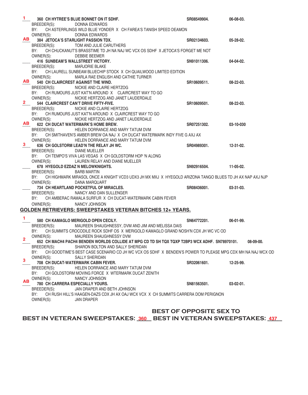| 1.                      | 360 CH HYTREE'S BLUE BONNET ON IT SDHF.                                                                          | SR08549904.                    | 06-08-03.        |
|-------------------------|------------------------------------------------------------------------------------------------------------------|--------------------------------|------------------|
|                         | BREEDER(S):<br>DONNA EDWARDS                                                                                     |                                |                  |
|                         | CH ASTERRLINGS WILD BLUE YONDER X CH FAREA'S TANISH SPEED DEAMON<br>BY:                                          |                                |                  |
|                         | OWNER(S):<br>DONNA EDWARDS                                                                                       |                                |                  |
| AB                      | 384 JETOCA'S STARLIGHT PASSION TDX.                                                                              | SR02134603.                    | 05-28-02.        |
|                         | BREEDER(S):<br>TOM AND JULIE CARUTHERS                                                                           |                                |                  |
|                         | BY:<br>CH CHUCKANUT'S BRASSTIME TD JH NA NAJ WC VCX OS SDHF X JETOCA'S FORGET ME NOT                             |                                |                  |
|                         | OWNER(S):<br>DEBBIE BEEMER                                                                                       |                                |                  |
|                         | 416 SUNBEAM'S WALLSTREET VICTORY.                                                                                | SN91011306.                    | 04-04-02.        |
|                         | BREEDER(S):<br><b>MARJORIE BLAKE</b>                                                                             |                                |                  |
|                         | BY:<br>CH LAURELL SUNBEAM BLUECHIP STOCK X CH QUAILWOOD LIMITED EDITION                                          |                                |                  |
| AB                      | OWNER(S):<br>MARLA RAE ENGLISH AND CATHIE TURNER                                                                 |                                |                  |
|                         | 540 CH CLAIRCREST AGAINST THE WIND.                                                                              | SR10609511.                    | $08 - 22 - 03$ . |
|                         | BREEDER(S):<br>NICKIE AND CLAIRE HERTZOG                                                                         |                                |                  |
|                         | CH RUMOURS JUST KAT'N AROUND X CLAIRCREST WAY TO GO<br>BY:                                                       |                                |                  |
| $\overline{\mathbf{2}}$ | OWNER(S):<br>NICKIE HERTZOG AND JANET LAUDERDALE                                                                 |                                |                  |
|                         | 544 CLAIRCREST CAN'T DRIVE FIFTY-FIVE.<br>BREEDER(S):<br>NICKIE AND CLAIRE HERTZOG                               | SR10609501.                    | $08 - 22 - 03$ . |
|                         | BY: CH RUMOURS JUST KAT'N AROUND X CLAIRCREST WAY TO GO                                                          |                                |                  |
|                         | OWNER(S):<br>NICKIE HERTZOG AND JANET LAUDERDALE                                                                 |                                |                  |
| <b>AB</b>               | <b>622 CH DUCAT WATERMARK'S HOME BREW.</b>                                                                       | SR07251302.                    | 03-10-030        |
|                         | BREEDER(S):<br>HELEN DORRANCE AND MARY TATUM DVM                                                                 |                                |                  |
|                         | BY: CH SMITHAVEN'S AMBER BREW OA NAJ X CH DUCAT WATERMARK INDY FIVE G AXJ AX                                     |                                |                  |
|                         | OWNER(S):<br>HELEN DORRANCE AND MARY TATUM DVM                                                                   |                                |                  |
|                         | 636 CH GOLSTORM LEAD'N THE RELAY JH WC.                                                                          | SR04989301.                    | 12-31-02.        |
|                         | BREEDER(S):<br><b>DIANE MUELLER</b>                                                                              |                                |                  |
|                         | BY:<br>CH TEMPO'S VIVA LAS VEGAS X CH GOLDSTORM HOP 'N ALONG                                                     |                                |                  |
|                         | OWNER(S):<br>LAUREN RELAY AND DIANE MUELLER                                                                      |                                |                  |
|                         | 678 HYEGOLD EZDAZ N MELOWKNIGHTS.                                                                                | SN92916504.                    | 11-05-02.        |
|                         | BREEDER(S):<br><b>BARB MARTIN</b>                                                                                |                                |                  |
|                         | CH HIGHMARK MIRASOL ONCE A KNIGHT VCD3 UDX3 JH MX MXJ X HYEGOLD ARIZONA TANGO BLUES TD JH AX NAP AXJ NJP<br>BY:  |                                |                  |
|                         | OWNER(S):<br>DANA MARQUART                                                                                       |                                |                  |
|                         | 734 CH HEARTLAND POCKETFUL OF MIRACLES.                                                                          | SR08436001.                    | $03-31-03.$      |
|                         | BREEDER(S):<br>NANCY AND DAN SULLENGER                                                                           |                                |                  |
|                         | CH AMBERAC RAMALA SURFUR X CH DUCAT-WATERMARK CABIN FEVER<br>BY:                                                 |                                |                  |
|                         | OWNER(S):<br>NANCY JOHNSON                                                                                       |                                |                  |
|                         | GOLDEN RETRIEVERS: SWEEPSTAKES VETERAN BITCHES 12+ YEARS.                                                        |                                |                  |
|                         |                                                                                                                  |                                |                  |
| 1.                      | 580 CH KAMAGLO MERIGOLD OPEN CECILY.                                                                             | SN64772201.                    | $06-01-99.$      |
|                         | BREEDER(S): MAUREEN SHAUGHNESSY, DVM AND JIM AND MELISSA DAIS                                                    |                                |                  |
|                         | BY:<br>CH SUMMITS CROCODILE ROCK SDHF OS X MERIGOLD KAMAGLO GRAND NOSH'N CDX JH WC VC OD                         |                                |                  |
| 2                       | OWNER(S):<br>MAUREEN SHAUGHNESSY DVM                                                                             |                                |                  |
|                         | 652 CH MACH4 PACH4 BENDEN WORLDS COLLIDE AT MPG CD TD SH TQX TQXP T2BP3 WCX ADHF. SN78970101.                    |                                | $08-09-00.$      |
|                         | BREEDER(S):<br>SHARON BOLTON AND SALLY SHERIDAN                                                                  |                                |                  |
|                         | CH GOODTIME'S BEST CASE SCENARIO CD JH WC VCX OS SDHF X BENDEN'S POWER TO PLEASE MPG CDX MH NA NAJ WCX OD<br>BY: |                                |                  |
| 3                       | OWNER(S):<br><b>SALLY SHERIDAN</b>                                                                               |                                |                  |
|                         | <b>708 CH DUCAT-WATERMARK CABIN FEVER.</b>                                                                       | SR32061601.                    | 12-25-99.        |
|                         | BREEDER(S):<br>HELEN DORRANCE AND MARY TATUM DVM                                                                 |                                |                  |
|                         | BY:<br>CH GOLDSTORM MOVING FORCE X WTERMARK DUCAT ZENITH<br><b>NANCY JOHNSON</b>                                 |                                |                  |
| <b>AB</b>               | OWNER(S):                                                                                                        |                                | $03-02-01.$      |
|                         | 780 CH CARRERA ESPECIALLY YOURS.<br>BREEDER(S):<br>JAN DRAPER AND BETH JOHNSON                                   | SN81563501.                    |                  |
|                         | BY:<br>CH RUSH HILL'S HAAGEN-DAZS CDX JH AX OAJ WCX VCX X CH SUMMITS CARRERA DOM PERIGNON                        |                                |                  |
|                         | OWNER(S):<br><b>JAN DRAPER</b>                                                                                   |                                |                  |
|                         |                                                                                                                  |                                |                  |
|                         |                                                                                                                  | <b>BEST OF OPPOSITE SEX TO</b> |                  |
|                         |                                                                                                                  |                                |                  |

BEST IN VETERAN SWEEPSTAKES: 360 BEST IN VETERAN SWEEPSTAKES: 437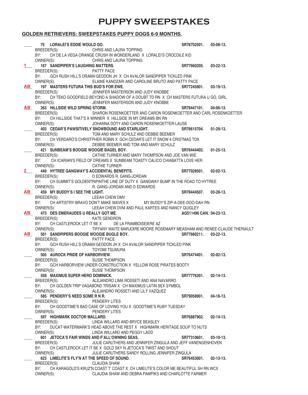## **PUPPY SWEEPSTAKES**

## **GOLDEN RETRIEVERS: SWEEPSTAKES PUPPY DOGS 6-9 MONTHS.**

|                                                                                                                                                                                                                                | 75 LORALEI'S EDDIE WOULD GO.<br>BREEDER(S): CHRIS AND LAURA TOPPING                     | SR76702501.             | $03-08-13.$      |
|--------------------------------------------------------------------------------------------------------------------------------------------------------------------------------------------------------------------------------|-----------------------------------------------------------------------------------------|-------------------------|------------------|
|                                                                                                                                                                                                                                |                                                                                         |                         |                  |
|                                                                                                                                                                                                                                | CH DE LA VEGA ORANGE CRUSH IN WONDERLAND X LORALEI'S CROCDILE KID<br>BY:                |                         |                  |
|                                                                                                                                                                                                                                | CHRIS AND LAURA TOPPING<br>OWNER(S):                                                    |                         |                  |
|                                                                                                                                                                                                                                | 167 SANDPIPER'S LAUGHING MATTERS.                                                       | SR77660205.             | $03 - 22 - 13$ . |
|                                                                                                                                                                                                                                | BREEDER(S): PATTY PACE                                                                  |                         |                  |
|                                                                                                                                                                                                                                | BY: GCH RUSH HILL'S DRAMA'GEDDON JH X CH AVALOR SANDPIPER TICKLED PINK                  |                         |                  |
|                                                                                                                                                                                                                                | OWNER(S):<br>ELAINE KANDZARI AND CAROLINE BRUTO AND PATTY PACE                          |                         |                  |
| AB and the set of the set of the set of the set of the set of the set of the set of the set of the set of the set of the set of the set of the set of the set of the set of the set of the set of the set of the set of the se | 197 MASTERS FUTURA THIS BUD'S FOR EWE.                                                  | SR77245901. 03-19-13.   |                  |
|                                                                                                                                                                                                                                | JENNIFER MASTERSON AND JUDY KNOBBE<br>BREEDER(S):                                       |                         |                  |
|                                                                                                                                                                                                                                | BY: CH TEKO GOODFIELD BEYOND A SHADOW OF A DOUBT TD RN X CH MASTERS FUTURA U GO, GIRL   |                         |                  |
|                                                                                                                                                                                                                                | OWNER(S):<br>JENNIFER MASTERSON AND JUDY KNOBBE                                         |                         |                  |
| AB_                                                                                                                                                                                                                            | 263 HILLSIDE WILD SPRING STORM.                                                         | SR78447101.             | $04 - 06 - 13$ . |
|                                                                                                                                                                                                                                | SHARON ROSENKOETTER AND CARON ROSENKOETTER AND CARL ROSENKOETTER<br>BREEDER(S):         |                         |                  |
|                                                                                                                                                                                                                                | CH HILLSIDE THAT'S A WINNER X HILLSIDE IN MY DREAMS BN RN<br>BY:                        |                         |                  |
|                                                                                                                                                                                                                                | OWNER(S): JOHANNA DOTY AND CARON ROSENKOETTER-LAUSE                                     |                         |                  |
|                                                                                                                                                                                                                                | 403 CEDAR'S PAWSITIVELY SNOWBOUND AND STARLIGHT.                                        | SR76615704. 01-29-13.   |                  |
|                                                                                                                                                                                                                                | BREEDER(S):<br>TOM AND MARY SCHULZ AND DEBBIE BEEMER                                    |                         |                  |
|                                                                                                                                                                                                                                | CH VERDARO'S CHRISTPHER ROBIN X GCH CEDAR'S LET IT SNOW 4 CRISTMAS TDX<br>BY:           |                         |                  |
|                                                                                                                                                                                                                                | DEBBIE BEEMER AND TOM AND MARY SCHULZ<br>OWNER(S):                                      |                         |                  |
|                                                                                                                                                                                                                                | 421 SUNBEAM'S BOOGIE WOOGIE BAGEL BOY.                                                  | SR76444402.             | $01 - 25 - 13$ . |
|                                                                                                                                                                                                                                | CATHIE TURNER AND MARY THOMPSON AND JOE VAN WIE<br>BREEDER(S):                          |                         |                  |
|                                                                                                                                                                                                                                | CH ICARIAN'S FIELD OF DREAMS X SUNBEAM TOASTY CALICO CHIABATTA LOVE HER<br>BY:          |                         |                  |
|                                                                                                                                                                                                                                | OWNER(S): CATHIE TURNER                                                                 |                         |                  |
| $\mathbf{2}$                                                                                                                                                                                                                   | 449 HYTREE GANGWAY'S ACCIDENTAL BENEFITS.                                               | SR77028501.             | $02 - 02 - 13$ . |
|                                                                                                                                                                                                                                | BREEDER(S): DEDWARDS R. GANG-JORDAN                                                     |                         |                  |
|                                                                                                                                                                                                                                | BY: CH SUMMIT'S GOLDENTRIPINTHE LINE OF DUTY X GANGWAY BUMP IN THE ROAD TO HYTREE       |                         |                  |
|                                                                                                                                                                                                                                | OWNER(S): R. GANG-JORDAN AND D EDWARDS                                                  |                         |                  |
| AB_                                                                                                                                                                                                                            | 459 MY BUDDY'S I SEE THE LIGHT.                                                         | SR78444507. 03-28-13.   |                  |
|                                                                                                                                                                                                                                | <b>LEEAH CHEW DMV</b><br>BREEDER(S):                                                    |                         |                  |
|                                                                                                                                                                                                                                | BY: CH ARTISTRY-BRAVO DON'T MAKE WAVES X MY BUDDY'S ZIP-A-DEE-DOO-DAH RN                |                         |                  |
|                                                                                                                                                                                                                                | OWNER(S):<br>LEEAH CHEW DVM AND PAUL KARTES AND NANCY QUIGLEY                           |                         |                  |
| AB_                                                                                                                                                                                                                            | 473 DES EMERAUDES U REALLY GOT ME.                                                      | AG511490 CAN. 04-23-13. |                  |
|                                                                                                                                                                                                                                | BREEDER(S): KATE GENDRON                                                                |                         |                  |
|                                                                                                                                                                                                                                | CH CASTLEROCK LET IT BE X DE LA FRAMBOISEIERE AZ<br>BY:                                 |                         |                  |
|                                                                                                                                                                                                                                | OWNER(S): TIFFANY WAITE MARJOIRE MOORE ROSEMARY MEASHAM AND RENEE-CLAUDE THERIAULT      |                         |                  |
| <u>AB</u>                                                                                                                                                                                                                      | 501 SANDPIPERS BOOGIE WOOGIE BUGLE BOY.                                                 | SR77660211. 03-22-13.   |                  |
|                                                                                                                                                                                                                                | BREEDER(S): PATTY PACE                                                                  |                         |                  |
|                                                                                                                                                                                                                                | GCH RUSH HILL'S DRAMA'GEDDON JH X CH AVALOR SANDPIPER TICKLED PINK<br>BY:               |                         |                  |
|                                                                                                                                                                                                                                | OWNER(S):<br>TOYOMI TSUMURA                                                             |                         |                  |
|                                                                                                                                                                                                                                | 505 AUROCK PRIDE OF HARBORVIEW.                                                         | SR76474401. 02-02-13.   |                  |
|                                                                                                                                                                                                                                | BREEDER(S):<br><b>SUSIE THOMPSON</b>                                                    |                         |                  |
|                                                                                                                                                                                                                                | GCH HARBORVIEW UNDER CONSTRUCTION X YELLOW ROSE PIRATES BOOTY<br>BY:                    |                         |                  |
|                                                                                                                                                                                                                                | OWNER(S):<br><b>SUSIE THOMPSON</b>                                                      |                         |                  |
|                                                                                                                                                                                                                                | 559 MAXIMUS SUPER HERO DOMINICK.                                                        | SR77776301.             | $02 - 14 - 13$ . |
|                                                                                                                                                                                                                                | ALEJANDRO LIMA ROSSETI AND ANA NAVARRO<br>BREEDER(S):                                   |                         |                  |
|                                                                                                                                                                                                                                | CH GOLDEN TRIP VAGABOND TRISAN X CH MAXIMUS LATIN SEX SYMBOL<br>BY:                     |                         |                  |
|                                                                                                                                                                                                                                | ALEJANDRO ROSSETI AND LILY VAZQUEZ<br>OWNER(S):                                         |                         |                  |
|                                                                                                                                                                                                                                | 585 PENDERY'S NEED SOME R N R.                                                          | SR79058901.             | 04-16-13.        |
|                                                                                                                                                                                                                                | BREEDER(S):<br>PENDERY LITES                                                            |                         |                  |
|                                                                                                                                                                                                                                | CH GOODTIME'S BAD CASE OF LOVING YOU X GOODTIME'S RUBY TUESDAY<br>BY:                   |                         |                  |
|                                                                                                                                                                                                                                | OWNER(S):<br>PENDERY LITES                                                              |                         |                  |
|                                                                                                                                                                                                                                | 597 HIGHMARK DOCTOR MALLARD.                                                            | SR76887902.             | $02 - 14 - 13$ . |
|                                                                                                                                                                                                                                | LINDA WILLARD AND BRYCE BEASLEY<br>BREEDER(S):                                          |                         |                  |
|                                                                                                                                                                                                                                | BY:<br>DUCAT-WATERMARK'S HEAD ABOVE THE REST X HIGHMARK HERITAGE SOUP TO NUTS           |                         |                  |
|                                                                                                                                                                                                                                | OWNER(S):<br>LINDA WILLARD AND PEGGY LADD                                               |                         |                  |
|                                                                                                                                                                                                                                | 601 JETOCA'S FAIR WINDS AND F'ALL'OWNING SEAS.                                          | SR77310601.             | $03-10-13.$      |
|                                                                                                                                                                                                                                | JULIE CARUTHERS AND JENNIFER ZINGULA AND JEFF VANENGENHOVEN<br>BREEDER(S):              |                         |                  |
|                                                                                                                                                                                                                                | CH CASTLEROCK LET IT BE X GOLD SKY N JETOCA'S TWIST AND SHOUT<br>BY:                    |                         |                  |
|                                                                                                                                                                                                                                | JULIE CARUTHERS SANDY ROLLING JENNIFER ZINGULA<br>OWNER(S):                             |                         |                  |
|                                                                                                                                                                                                                                | 623 LIMELITE'S FLY'N AT THE SPEED OF SOUND.                                             | SR76453001.             | $02 - 13 - 13$ . |
|                                                                                                                                                                                                                                | <b>CLAUDIA SHAW</b><br>BREEDER(S):                                                      |                         |                  |
|                                                                                                                                                                                                                                | BY:<br>CH KARAGOLD'S KRUZ'N COAST T' COAST X CH LIMELITE'S COLOR ME BEAUTIFUL SH RN WCX |                         |                  |
|                                                                                                                                                                                                                                | CLAUDIA SHAW AND DEBRA PAMPIKS AND CHARLOTTE FARMER<br>OWNER(S):                        |                         |                  |
|                                                                                                                                                                                                                                |                                                                                         |                         |                  |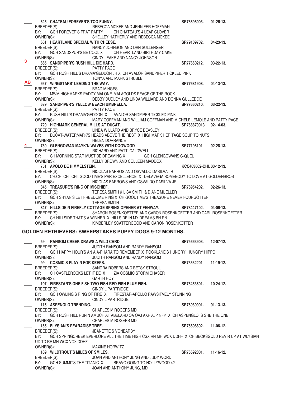|     | 625 CHATEAU FOREVER'S TOO FUNNY.                                                                        | SR76696003.              | $01 - 26 - 13$ . |
|-----|---------------------------------------------------------------------------------------------------------|--------------------------|------------------|
|     | BREEDER(S): REBECCA MCKEE AND JENNIFER HOFFMAN                                                          |                          |                  |
|     | GCH FOREVER'S FRAT PARTY CH CHATEAU'S 4 LEAF CLOVER<br>BY:                                              |                          |                  |
|     | OWNER(S): SHELLEY HATHERLY AND REBECCA MCKEE                                                            |                          |                  |
|     | 651 HEARTLAND SPECIAL WITH CHEESE.                                                                      | SR79109702.              | $04 - 23 - 13$ . |
|     | BREEDER(S): NANCY JOHNSON AND DAN SULLENGER                                                             |                          |                  |
|     | GCH SANDSPUR'S BE COOL X CH HEARTLAND BIRTHDAY CAKE<br>BY:                                              |                          |                  |
|     | CINDY LEAKE AND NANCY JOHNSON<br>OWNER(S):                                                              |                          |                  |
| 3.  | 665 SANDPIPER'S RUSH HILL DIE HARD.                                                                     | SR77660212.              | $03 - 22 - 13$ . |
|     | PATTY PACE<br>BREEDER(S):                                                                               |                          |                  |
|     | BY:<br>GCH RUSH HILL'S DRAMA'GEDDON JH X CH AVALOR SANDPIPER TICKLED PINK                               |                          |                  |
|     | OWNER(S): TONYA AND MARK STRUBLE                                                                        |                          |                  |
| AB. | 667 WINGSTARS' LEADING THE WAY.                                                                         | SR77681908.              | $04-13-13.$      |
|     | BREEDER(S):<br>BRAD MINGES                                                                              |                          |                  |
|     | MWM HIGHMARKS PADDY MALONE MALAGOLDS PEACE OF THE ROCK<br>BY:                                           |                          |                  |
|     | OWNER(S):<br>DEBBY DUDLEY AND LINDA WILLIARD AND DONNA GULLEDGE                                         |                          |                  |
|     | 689 SANDPIPER'S YELLOW BEACH UMBRELLA.                                                                  | SR77660210.              | $03 - 22 - 13$ . |
|     | PATTY PACE<br>BREEDER(S):                                                                               |                          |                  |
|     | RUSH HILL'S DRAMA'GEDDON X AVALOR SANDPIPER TICKLED PINK<br>BY:                                         |                          |                  |
|     | OWNER(S):<br>MARY COFFMAN AND WILLIAM COFFMAN AND MICHELE LEMOLE AND PATTY PACE                         |                          |                  |
|     | 729 HIGHMARK GENERAL MILLS AT DUCAT.                                                                    | SR768879013 02-14-03.    |                  |
|     | BREEDER(S): LINDA WILLARD AND BRYCE BEASLEY                                                             |                          |                  |
|     | BY: DUCAT-WATERMARK'S HEADS ABOVE THE REST X HIGHMARK HERITAGE SOUP TO NUTS                             |                          |                  |
|     | OWNER(S):<br><b>HELEN DORRANCE</b><br><b>SR77196101</b>                                                 |                          |                  |
|     | 739 GLENGOWAN MAYK'N WAVES WITH DOGWOOD                                                                 |                          | $02 - 28 - 13$ . |
|     | RICHARD AND PATTI CALDWELL<br>BREEDER(S):                                                               |                          |                  |
|     | BY: CH MORNING STAR MUST BE DREAMING X GCH GLENGOWANS C-QUEL                                            |                          |                  |
|     | OWNER(S):<br>KELLY BROWN AND COLLEEN MADDOX                                                             |                          |                  |
|     | 751 APOLO DE HIMMELSTEIN.                                                                               | KCC403662-CHI, 03-12-13. |                  |
|     | BREEDER(S): NICOLAS BARROS AND OSVALDO DASILVA JR                                                       |                          |                  |
|     | BY: CH.CHI.CH.JCHI. GOOD'TIME'S PAR EXCELLENCE X DELAVEGA SOMEBODY TO LOVE AT GOLDENBROS                |                          |                  |
|     | OWNER(S):<br>NICOLAS BARROWS AND OSVALDO DASILVA JR                                                     |                          |                  |
|     | 845 TREASURE'S RING OF MISCHIEF.                                                                        | SR76954202.              | $02 - 26 - 13$ . |
|     | TERESA SMITH & LISA SMITH & DIANE MUELLER<br>BREEDER(S):                                                |                          |                  |
|     | GCH SHYAN'S LET FREEDOME RING X CH GOODTIME'S TREASURE NEVER FOURGOTTEN<br>BY:                          |                          |                  |
|     | OWNER(S):<br><b>TERESA SMITH</b>                                                                        |                          |                  |
|     | 847 HILLSIDE'N FIREFLY COTTAGE SPRING OPENER AT FENWAY.                                                 | SR78447102.              | $04 - 06 - 13$ . |
|     | BREEDER(S): SHARON ROSENKOETTER AND CARON ROSENKOETTER AND CARL ROSENKOETTER                            |                          |                  |
|     | BY:<br>CH HILLSIDE THAT'S A WINNER X HILLSIDE IN MY DREAMS BN RN                                        |                          |                  |
|     | OWNER(S):<br>KIMBERLEY SCATTERGOOD AND CARON ROSENKOTTER                                                |                          |                  |
|     | GOLDEN RETRIEVERS: SWEEPSTAKES PUPPY DOGS 9-12 MONTHS.                                                  |                          |                  |
|     |                                                                                                         |                          |                  |
|     | <b>RANSOM CREEK DRAWS A WILD CARD.</b><br>59                                                            | SR75663903.              | $12 - 07 - 12$ . |
|     | JUDITH RANSOM AND RANDY RANSOM<br>BREEDER(S):                                                           |                          |                  |
|     | GCH HAPPY HOUR'S AN A A-PHARA TO REMEMBER X ROCKLANE'S HUNGRY, HUNGRY HIPPO<br>BY:                      |                          |                  |
|     | OWNER(S):<br>JUDITH RANSOM AND RANDY RANSOM                                                             |                          |                  |
|     | 99 COSMIC'S PLAYIN FOR KEEPS.                                                                           | SR75532201               | $11-19-12.$      |
|     | BREEDER(S):<br>SANDRA ROBERS AND BETSY STROUL                                                           |                          |                  |
|     | CH CASTLEROCKS LET IT BE X ZIA COSMIC STORM CHASER<br>BY:                                               |                          |                  |
|     | OWNER(S):<br><b>GARTH HOY</b>                                                                           |                          |                  |
|     | 107 FIRESTAR'S ONE FISH TWO FISH RED FISH BLUE FISH.                                                    | SR75453801.              | 10-24-12.        |
|     | <b>CINDY L PARTRIDGE</b><br>BREEDER(S):                                                                 |                          |                  |
|     | BY:<br>GCH OWLING'S RING OF FIRE X FIRESTAR-APOLLO PAWSITVELY STUNNING                                  |                          |                  |
|     | OWNER(S):<br><b>CINDY L PARTRIDGE</b>                                                                   |                          |                  |
|     | 115 ASPENGLO TRENDING.                                                                                  | SR76939901.              | $01-13-13.$      |
|     | BREEDER(S):<br>CHARLES M ROGERS MD                                                                      |                          |                  |
|     | GCH RUSH HILL RUN'N AMUCH AT ABELARD OA OAJ AXP AJP NFP X CH ASPENGLO IS SHE THE ONE<br>BY:             |                          |                  |
|     | OWNER(S):<br><b>CHARLES M ROGERS MD</b>                                                                 |                          |                  |
|     | 155 ELYSIAN'S PEARADISE TREE.                                                                           | SR75608802.              | $11-06-12.$      |
|     | BREEDER(S):<br>JEANETTE S VONBARBY                                                                      |                          |                  |
|     | GCH SPRINGCREEK EVERLORE ALL THE TIME HIGH CSX RN MH WCX DDHF X CH BECKSGOLD REV R UP AT WLYSIAN<br>BY: |                          |                  |
|     | UD TD RE MH WCX VCX DDHF                                                                                |                          |                  |
|     | OWNER(S):<br><b>MAXINE HORWITZ</b>                                                                      |                          |                  |
|     | 169 WILDTROUT'S MILES OF SMILES.                                                                        | SR75592001.              | $11 - 16 - 12$ . |
|     | JOAN AND ANTHONY JUNG AND JUDY WORD<br>BREEDER(S):                                                      |                          |                  |
|     | BY:<br>GCH SUMMITS THE TITANIC X<br>BRAVO GOING TO HOLLYWOOD 42                                         |                          |                  |
|     | JOAN AND ANTHONY JUNG, MD<br>OWNER(S):                                                                  |                          |                  |
|     |                                                                                                         |                          |                  |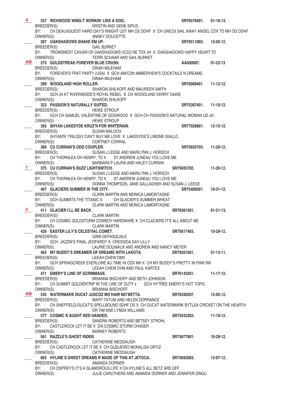| 4         | 257 RICHWOOD WING-T WORKIN' LIKE A DOG.                                                             | SR76576401.           | $01-16-13.$ |
|-----------|-----------------------------------------------------------------------------------------------------|-----------------------|-------------|
|           | BREEDER(S): KRISTIN AND GENE SIPUS                                                                  |                       |             |
|           | CH DEAUXGUEST HARD DAY'S KNIGHT UDT MH OS DDHF X CH UNICOI SAIL AWAY ANGEL CDX TD MH OD DDHF<br>BY: |                       |             |
|           | OWNER(S): ANNEY DOUCETTE                                                                            |                       |             |
|           | 267 OAKSHADOWS SHAKE EM UP.                                                                         | SR76511003.           | 12-05-12.   |
|           | ⊏™ UP.<br>GAIL BURKET<br>BREEDER(S):                                                                |                       |             |
|           | BY: TROWSNEST CAVIAR OF OAKSHADOWS VCD2 RE TDX JH X OAKSHADOWS HAPPY HEART TD                       |                       |             |
|           | OWNER(S):<br>TERRI SCHAAR AND GAIL BURKET                                                           |                       |             |
| AB        | 275 GOLDSTREAK FOREVER BLUE CRUSH.                                                                  | AA500087. 01-22-13    |             |
|           | BREEDER(S):<br>DINAH MILEHAM                                                                        |                       |             |
|           | BY: FOREVER'S FRAT PARTY (USA) X GCH AM/CDN AMBERVIEW'S COCKTAILS N DREAMS                          |                       |             |
|           | OWNER(S):<br><b>DINAH MILEHAM</b>                                                                   |                       |             |
|           | 299 WOODLAND HIGH ROLLER.                                                                           | SR76089401 11-12-12.  |             |
|           | BREEDER(S):<br>SHARON SHILKOFF AND MAUREEN SMITH                                                    |                       |             |
|           | GCH 24 KT RIVERWOOD'S ROYAL REBEL X CH WOODLAND KERRY OAKIE<br>BY:                                  |                       |             |
|           | OWNER(S): SHARON SHILKOFF                                                                           |                       |             |
|           | 323 PASSION'S NATURALLY SUITED.                                                                     | SR75397401. 11-10-12. |             |
|           | BREEDER(S): HEIKE STROUP                                                                            |                       |             |
|           | BY: GCH CH SAMUEL VALENTINE OF DOGWOOD X GCH CH PASSION'S NATURAL WOMAN UD JH                       |                       |             |
|           | OWNER(S):<br><b>HEIKE STROUP</b>                                                                    |                       |             |
|           | 355 SHYAN LAKESYDE KRUZ'N FOR WHITERAIN.                                                            | SR77028801. 12-15-12. |             |
|           | <b>SUSAN MALOCH</b><br>BREEDER(S):                                                                  |                       |             |
|           | BY:<br>SHYAN'N' TRILOGY CAN'T BUY ME LOVE X LAKESYDE'S LIMONE GIALLO                                |                       |             |
|           | OWNER(S):<br>CORTNEY CORRAL                                                                         |                       |             |
|           | 369 CU CURRAN'S ODD COUPLER.                                                                        | SR75935703. 11-20-12. |             |
|           | BREEDER(S): SUSAN J LEESE AND MARILYNN J. HORSCH                                                    |                       |             |
|           | BY: CH THORNLEA OH HENRY, TD X ST ANDREW JUNEAU YOU LOVE ME                                         |                       |             |
|           | OWNER(S): BARBARA P LAURA AND HALEY CURRAN                                                          |                       |             |
| $1 -$     | 375 CU CURRAN'S BUZZ LIGHTSWITCH.                                                                   | SR75935702. 11-20-12. |             |
|           | SUSAN J LEESE AND MARILYNN J. HORSCH<br>BREEDER(S):                                                 |                       |             |
|           | BY: CH THORNLEA OH HENRY, TD X ST ANDREW JUNEAU YOU LOVE ME                                         |                       |             |
|           | OWNER(S):<br>DONNA THOMPSON, JANE GALLAGHER AND SUSAN J. LEESE                                      |                       |             |
|           | 407 GLACIERS SUMMER IN THE CITY.                                                                    | SR75406501. 10-31-12. |             |
|           | BREEDER(S): CLARK MARTIN AND MONICA LAMONTAGNE                                                      |                       |             |
|           | GCH SUMMITS THE TITANIC X CH GLACIER'S SUMMER WHEAT<br>BY:                                          |                       |             |
|           | OWNER(S): CLARK MARTIN AND MONICA LAMONTAGNE                                                        |                       |             |
| 3         | 411 GLACIER I'LL BE BACK.                                                                           | SR76381501. 01-21-13. |             |
|           | BREEDER(S): CLARK MARTIN                                                                            |                       |             |
|           | CH COSMIC GOLDSTORM COWBOY HARDWARE X CH CLACIERS IT'S ALL ABOUT ME<br>BY:                          |                       |             |
|           | OWNER(S):<br><b>CLARK MARTIN</b>                                                                    |                       |             |
|           | 429 EASTER LILY'S CELESTIAL COMET.                                                                  | SR75617403.           | 10-29-12.   |
|           | BREEDER(S):<br><b>GINN DEPASQUALE</b><br>GCH JAZZIN'S FINAL JEOPARDY X CRESSIDA DAY LILLY           |                       |             |
|           | BY:<br>OWNER(S):<br>LAURIE DOUMAUX AND ANDREW AND NANCY MEYER                                       |                       |             |
|           | 463 MY BUDDY'S DREAMER OF DREAMS WITH LAKOTA.                                                       | SR78201601.           | $01-13-11.$ |
|           | BREEDER(S):<br>LEEAH CHEW DMV                                                                       |                       |             |
|           | BY:<br>GCH SPRINGCREEK EVERLORE AU TIME HI CDX MH X CH MY BUDDY'S PRETTY IN PINK RN                 |                       |             |
|           | OWNER(S): LEEAH CHEW DVM AND PAUL KARTES                                                            |                       |             |
|           | 471 EMERY'S LINE OF SCRIMMAGE.                                                                      | SR76142501.           | $11-17-12.$ |
|           | BREEDER(S):<br>BRIANNA BISCHOFF AND BETH JOHNSON                                                    |                       |             |
|           | CH SUMMIT GOLDENTRIP IN THE LINE OF DUTY x GCH HYTREE EMERY'S HOT TOPIC<br>BY:                      |                       |             |
|           | OWNER(S):<br><b>BRIANNA BISCHOFF</b>                                                                |                       |             |
| <b>AB</b> | 535 WATERMARK DUCAT JUSCOZ MO'HAIR MO'BETTA.                                                        | SR76340207.           | $12-05-12.$ |
|           | MARY TATUM AND HELEN DORRANCE<br>BREEDER(S):                                                        |                       |             |
|           | CH SHEFFIELD-DUCAT'S SPELLBOUND SDHF OS X CH DUCAT WATERMARK BYTLEA CRICKET ON THE HEARTH<br>BY:    |                       |             |
|           | OWNER(S):<br>DR TIM AND LYNDA WILLIAMS                                                              |                       |             |
|           | 577 COSMIC K'AUGHT RED HANDED.                                                                      | SR75532203. 11-19-12. |             |
|           | BREEDER(S):<br>SANDRA ROBERTS AND BETSEY STROHL                                                     |                       |             |
|           | CASTLEROCK LET IT BE X ZIA COSMIC STORM CHASER<br>BY:                                               |                       |             |
|           | OWNER(S):<br><b>BARNEY ROBERTS</b>                                                                  |                       |             |
|           | 591 RAZZLE'S GHOST RIDER.                                                                           | SR75877801.           | 10-29-12.   |
|           | BREEDER(S):<br>CATHERINE MEDDAUGH                                                                   |                       |             |
|           | BY:<br>CH CASTLEROCK LET IT BE X CH QUEIJEIRO MONALISA ORTIZ                                        |                       |             |
|           | CATHERINE MEDDAUGH<br>OWNER(S):                                                                     |                       |             |
|           | 603 HYLINE'S SWEET DREAMS R MADE OF THIS AT JETOCA.                                                 | SR75693003.           | $12-07-12.$ |
|           | BREEDER(S):<br>AMANDA DORNER                                                                        |                       |             |
|           | BY:<br>CH OSPREY'S IT'S A GLAMOROUS LIFE X CH HYLINE'S ALL BETZ ARE OFF                             |                       |             |
|           | OWNER(S):<br>JULIE CARUTHERS AND AMANDA DORNER AND JENNIFER ZINGU                                   |                       |             |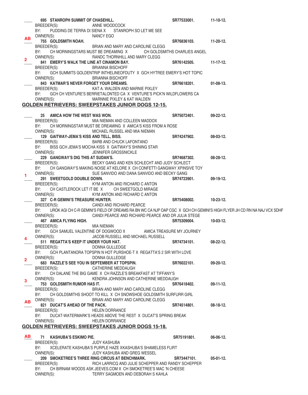|                         | 695 STANROPH SUMMIT OF CHASEHILL.                    |                                                                                                                        | SR77533001. | 11-10-12.        |
|-------------------------|------------------------------------------------------|------------------------------------------------------------------------------------------------------------------------|-------------|------------------|
|                         | BREEDER(S):                                          | ANNE WOODCOCK                                                                                                          |             |                  |
|                         | BY:                                                  | PUDDING DE TERRA DI SIENA X STANROPH SO LET ME SEE                                                                     |             |                  |
| ΑВ                      | OWNER(S):                                            | NANCY EGO                                                                                                              |             |                  |
|                         | 755 GOLDSMITH NOAH.                                  |                                                                                                                        | SR76836103. | 11-20-12.        |
|                         | BREEDER(S):                                          | BRIAN AND MARY AND CAROLINE CLEGG                                                                                      |             |                  |
|                         | BY:<br>OWNER(S):                                     | CH MORNINGSTARS MUST BE DREAMING X CH GOLDSMITHS CHARLIES ANGEL                                                        |             |                  |
| $\overline{\mathbf{2}}$ | 841 EMERY'S WALK THE LINE AT CINAMON BAY.            | RANDC THORNHILL AND MARY CLEGG                                                                                         | SR76142505. | $11 - 17 - 12.$  |
|                         | BREEDER(S):                                          | <b>BRIANNA BISCHOFF</b>                                                                                                |             |                  |
|                         | BY:                                                  | GCH SUMMITS GOLDENTRIP INTHELINEOFDUTY X GCH HYTREE EMERY'S HOT TOPIC                                                  |             |                  |
|                         | OWNER(S):                                            | <b>BRIANNA BISCHOFF</b>                                                                                                |             |                  |
|                         | 843 KATMAR'S NEVER FORGET YOUR DREAMS.               |                                                                                                                        | SR76618201. | $01-08-13.$      |
|                         | BREEDER(S):                                          | KAT A. WALDEN AND MARNIE PIXLEY                                                                                        |             |                  |
|                         | BY:                                                  | GCH CH VENTURE'S BERRIETALONTED CA X VENTURE'S PICK'N WILDFLOWERS CA                                                   |             |                  |
|                         | OWNER(S):                                            | MARNNIE PIXLEY & KAT WALDEN                                                                                            |             |                  |
|                         |                                                      | GOLDEN RETRIEVERS: SWEEPSTAKES JUNIOR DOGS 12-15.                                                                      |             |                  |
|                         |                                                      |                                                                                                                        |             |                  |
|                         | 25 AMICA HOW THE WEST WAS WON.                       | MIA NIEMAN AND COLLEEN MADDOX                                                                                          | SR75072401. | $09-22-12.$      |
|                         | BREEDER(S):<br>BY:                                   | CH MORNINGSTAR MUST BE DREAMING X AMICA'S KISS FROM A ROSE                                                             |             |                  |
|                         | OWNER(S):                                            | MICHAEL RUSSEL AND MIA NIEMAN                                                                                          |             |                  |
|                         | 129 GAITWAY-JEMA'S KISS AND TELL, BISS.              |                                                                                                                        | SR74247902. | $08-03-12.$      |
|                         | BREEDER(S):                                          | <b>BARB AND CHUCK LAFONTANO</b>                                                                                        |             |                  |
|                         | BY:                                                  | BISS GCH JEMA'S MOCHA KISS X GAITWAY'S SHINING STAR                                                                    |             |                  |
|                         | OWNER(S):                                            | <b>JENNIFER GROSSNICKLE</b>                                                                                            |             |                  |
|                         | 229 GANGWAY'S DIG THIS AT SUDAN'S.                   |                                                                                                                        | SR74687302. | $08 - 28 - 12$ . |
|                         | BREEDER(S):                                          | BECKY GANG AND KEN SCHLECHT AND JUDY SCHLECT                                                                           |             |                  |
|                         | BY:                                                  | CH GANGWAY'S MAKING NOISE AT KELORE X CH CONFETTI GANGWAY XPINSIVE TOY                                                 |             |                  |
| 1                       | OWNER(S):                                            | SUE SANVIDO AND DANA SANVIDO AND BECKY GANG                                                                            |             |                  |
|                         | 291 SWEETGOLD DOUBLE DOWN.                           |                                                                                                                        | SR74723901. | $09-19-12.$      |
|                         | BREEDER(S):                                          | KYM ANTON AND RICHARD C ANTON                                                                                          |             |                  |
|                         | CH CASTLEROCK LET IT BE X<br>BY:<br>OWNER(S):        | CH SWEETGOLD MIRAGE<br>KYM ANTON AND RICHARD C ANTON                                                                   |             |                  |
|                         | 327 C-R GEMINI'S TREASURE HUNTER.                    |                                                                                                                        | SR75408002. | $10 - 23 - 12$ . |
|                         | BREEDER(S):                                          | CANDI AND RICHARD PEARCE                                                                                               |             |                  |
|                         | BY:                                                  | UROK AGI CH C-R GEMINI'S FIELD OF DREAMS RA BN WC CA NJP OAP CGC X GCH CH GEMINI'S HIGH FLYER JH CD RN NA NAJ VCX SDHF |             |                  |
|                         | OWNER(S):                                            | CANDI PEARCE AND RICHARD PEARCE AND DR JULIA STEGE                                                                     |             |                  |
|                         | 467 AMICA FLYING HIGH.                               |                                                                                                                        | SR75309004. | $10-03-12.$      |
|                         | BREEDER(S):                                          | MIA NIEMAN                                                                                                             |             |                  |
|                         | BY:<br>GCH SAMUEL VALENTINE OF DOGWOOD X             | AMICA TREASURE MY JOURNEY                                                                                              |             |                  |
| 4                       | OWNER(S):                                            | JACOB RUSSELL AND MICHAEL RUSSELL                                                                                      |             |                  |
|                         | 511 REGATTA'S KEEP IT UNDER YOUR HAT.<br>BREEDER(S): | DONNA GULLEDGE                                                                                                         | SR74734101. | $08-22-12.$      |
|                         | BY:                                                  |                                                                                                                        |             |                  |
|                         |                                                      |                                                                                                                        |             |                  |
|                         |                                                      | GCH PLANTANORA TOPSPIN N HOT PURSHOE-T X REGATTA'S 2 SIR WITH LOVE                                                     |             |                  |
| $\overline{2}$          | OWNER(S):                                            | DONNA GULLEDGE                                                                                                         |             |                  |
|                         |                                                      | 683 RAZZLE'S SEE YOU IN SEPTEMBER AT TOPSPIN.                                                                          | SR76022101. | $09-20-12.$      |
|                         | BREEDER(S):<br>BY:                                   | CATHERINE MEDDAUGH<br>CH DALANE THE BIG GAME X CH RAZZLE'S BREAKFAST AT TIFFANY'S                                      |             |                  |
|                         | OWNER(S):                                            | KENDRA JOHNSON AND CATHERINE MEDDAUGH                                                                                  |             |                  |
| 3                       | 753 GOLDSMITH RUMOR HAS IT.                          |                                                                                                                        | SR76418402. | $09-11-12.$      |
|                         | BREEDER(S):                                          | BRIAN AND MARY AND CAROLINE CLEGG                                                                                      |             |                  |
|                         | BY:                                                  | CH GOLDSMITHS SHOOT TO KILL X CH SNOWSHOE GOLDSMITH SURFURR GIRL                                                       |             |                  |
| <b>AB</b>               | OWNER(S):                                            | BRIAN AND MARY AND CAROLINE CLEGG                                                                                      |             |                  |
|                         | 821 DUCAT'S AHEAD OF THE PACK.                       |                                                                                                                        | SR74514801. | $08-18-12.$      |
|                         | BREEDER(S):                                          | <b>HELEN DORRANCE</b>                                                                                                  |             |                  |
|                         | BY:                                                  | DUCAT-WATERMARK'S HEADS ABOVE THE REST X DUCAT'S SPRING BREAK                                                          |             |                  |
|                         | OWNER(S):                                            | <b>HELEN DORRANCE</b>                                                                                                  |             |                  |
|                         |                                                      | GOLDEN RETRIEVERS: SWEEPSTAKES JUNIOR DOGS 15-18.                                                                      |             |                  |
| AB .                    | 71 KASHUBA'S ESKIMO PIE.                             |                                                                                                                        | SR75191801. | 06-06-12.        |
|                         | BREEDER(S):                                          | JUDY KASHUBA                                                                                                           |             |                  |
|                         | BY:                                                  | XCELERATE KASHUBA'S PURPLE HAZE XKASHUBA'S SHAMELESS FLIRT                                                             |             |                  |
|                         | OWNER(S):                                            | JUDY KASHUBA AND GREG WESSEL                                                                                           |             |                  |
|                         |                                                      | 209 SMOKETREE'S THREE RING CIRCUS AT BENCHMARK.                                                                        | SR73447101. | $05-01-12.$      |
|                         | BREEDER(S):                                          | RICH LARRICQ AND JULIE SCHEPPER AND RANDY SCHEPPER                                                                     |             |                  |
|                         | BY:<br>OWNER(S):                                     | CH BIRNAM WOODS ASK JEEVES.COM X CH SMOKETREE'S MAC 'N CHEESE<br>TERRY SAGMOEN AND DEBORAH S KAHLA                     |             |                  |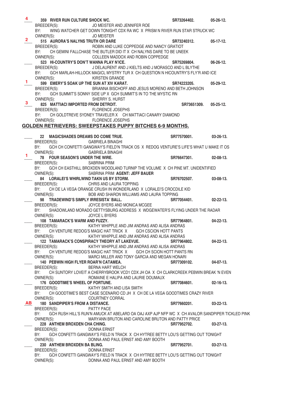|                | 359 RIVER RUN CULTURE SHOCK WC.                                                                        | SR73264402. | $05 - 26 - 12.$  |
|----------------|--------------------------------------------------------------------------------------------------------|-------------|------------------|
|                | JO MEISTER AND JENNIFER ROE<br>BREEDER(S):                                                             |             |                  |
|                | BY:<br>WING WATCHER GET DOWN TONIGHT CDX RA WC X PRISM N RIVER RUN STAR STRUCK WC                      |             |                  |
|                | OWNER(S):<br><b>JO MEISTER</b>                                                                         |             |                  |
| $\mathbf{2}^-$ |                                                                                                        | SR73240312. | $05-17-12.$      |
|                | ROBIN AND LUKE COPPEDGE AND NANCY GRATIOT<br>BREEDER(S):                                               |             |                  |
|                | CH GEMINI FALLCHASE THE BUTLER DID IT X CH NALYNS DARE TO BE UNEEK<br>BY:                              |             |                  |
|                | COLLEEN MADDOX AND ROBIN COPPEDGE<br>OWNER(S):                                                         |             |                  |
|                | 523 HI-COUNTRY'S DON'T WANNA PLAY N'ICE.                                                               | SR75269804. | $06 - 26 - 12$ . |
|                | J DELAURENT AND J KIELTS AND J MORASCO AND L BLYTHE<br>BREEDER(S):                                     |             |                  |
|                | BY: GCH MARLAH-HILLOCK MAGICL MYSTRY TUR X CH QUESTION N HICOUNTRY'S FLY'R AND ICE                     |             |                  |
|                | KIRSTEN GRANDE                                                                                         |             |                  |
| 1.             | OWNER(S):                                                                                              |             |                  |
|                | 599 EMERY'S SOAK UP THE SUN AT XIV KARAT.                                                              | SR74223205. | $05 - 29 - 12.$  |
|                | BRIANNA BISCHOFF AND JESUS MORENO AND BETH JOHNSON<br>BREEDER(S):                                      |             |                  |
|                | BY:<br>GCH SUMMIT'S SONNY SIDE UP X GCH SUMMIT'S IN TO THE MYSTIC RN                                   |             |                  |
|                | OWNER(S):<br>SHERRY S. HURST                                                                           |             |                  |
| 3 <sup>1</sup> | 825 MATTIACI IMPORTED FROM DETROIT.                                                                    | SR73651309. | 05-25-12.        |
|                | FLORENCE JOSEPHS<br>BREEDER(S):                                                                        |             |                  |
|                | BY: CH GOLDTREVE SYDNEY TRAVELER X CH MATTIACI CANARY DIAMOND                                          |             |                  |
|                | OWNER(S): FLORENCE JOSEPHS                                                                             |             |                  |
|                | GOLDEN RETRIEVERS: SWEEPSTAKES PUPPY BITCHES 6-9 MONTHS.                                               |             |                  |
|                |                                                                                                        |             |                  |
|                | 22 MAGICSHADES DREAMS DO COME TRUE.                                                                    | SR77570001. | $03-26-13.$      |
|                | BREEDER(S):<br><b>GABRIELA BINAGHI</b>                                                                 |             |                  |
|                | BY:<br>GCH CH CONFETTI GANGWAY'S FIELD'N TRACK OS X REDOG VENTURE'S LIFE'S WHAT U MAKE IT OS           |             |                  |
|                | OWNER(S):<br><b>GABRIELA BINAGHI</b>                                                                   |             |                  |
| 1.             | 78 FOUR SEASON'S UNDER THE WIRE.                                                                       | SR76647301. | $02 - 08 - 13$ . |
|                |                                                                                                        |             |                  |
|                | BREEDER(S):<br>SABRINA PRIM                                                                            |             |                  |
|                | GCH CH EASTHILL BROXDEN WOODLAND TURNIP THE VOLUME X CH PINE MT. UNIDENTIFIED<br>BY:                   |             |                  |
|                | SABRINA PRIM AGENT: JEFF BAUER<br>OWNER(S):                                                            |             |                  |
|                | 84 LORALEI'S WHIRLWIND TAKN US BY STORM.                                                               | SR76702507. | 03-08-13.        |
|                | BREEDER(S): CHRIS AND LAURA TOPPING                                                                    |             |                  |
|                | CH DE LA VEGA ORANGE CRUSH IN WONDERLAND X LORALEI'S CROCDILE KID<br>BY:                               |             |                  |
|                | BOB AND SHARON WILLIAMS AND LAURA TOPPING<br>OWNER(S):                                                 |             |                  |
|                | 98 TRADEWIND'S SIMPLY IRRESISTA' BALL.                                                                 | SR77054401. | $02-22-13.$      |
|                | JOYCE BYERS AND MONICA MCGEE<br>BREEDER(S):                                                            |             |                  |
|                | BY:<br>SHADOWLAND MORADO GETTYSBURG ADDRESS X WDGEWATER'S FLYING UNDER THE RADAR                       |             |                  |
|                | JOYCE L BYERS<br>OWNER(S):                                                                             |             |                  |
|                | 108 TAMARACK'S WARM AND FUZZY.                                                                         | SR77964801. | $04 - 22 - 13$ . |
|                | BREEDER(S):<br>KATHY WHIPPLE AND JIM ANDRAS AND ALISA ANDRAS                                           |             |                  |
|                | CH VENTURE REDOG'S MAGIC HAT TRICK X GCH CSCION HOTT PANTS<br>BY:                                      |             |                  |
|                | KATHY WHIPPLE AND JIM ANDRAS AND ALISA ANDRAS<br>OWNER(S):                                             |             |                  |
|                | 122 TAMARACK'S CONSPIRACY THEORY AT LAKEVUE.                                                           | SR77964802. | $04 - 22 - 13$ . |
|                | KATHY WHIPPLE AND JIM ANDRAS AND ALISA ANDRAS<br>BREEDER(S):                                           |             |                  |
|                | BY:<br>CH VENTURE REDOG'S MAGIC HAT TRICK X GCH CH SCION HOTT PANTS RN                                 |             |                  |
|                | OWNER(S):<br>MARCI MILLER AND TONY GARCIA AND MEGAN HONARI                                             |             |                  |
|                | 140 PEBWIN HIGH FLYER ROAR'N CATAMEA.                                                                  | SR77309102. | $04-07-13.$      |
|                | BERNA HART WELCH<br>BREEDER(S):                                                                        |             |                  |
|                | CH SUNTORY LOVEIT A CHERRYBROOK VCD1 CDX JH OA X CH CLARKCREEK PEBWIN BREAK 'N EVEN<br>BY:             |             |                  |
|                | OWNER(S):<br>ROMAINE E HALIPA AND LAURIE DOUMAUX                                                       |             |                  |
|                | 176 GOODTIME'S WHEEL OF FORTUNE.                                                                       | SR77084601. | $02 - 16 - 13$ . |
|                | KATHY SMITH AND LISA SMITH<br>BREEDER(S):                                                              |             |                  |
|                | CH GOODTIME'S BEST CASE SCENARIO CD JH X CH DE LA VEGA GOODTIMES CRAZY RIVER<br>BY:                    |             |                  |
|                | OWNER(S):<br>COURTNEY CORRAL                                                                           |             |                  |
| AB .           | 180 SANDPIPER'S FROM A DISTANCE.                                                                       | SR77660201. | $03 - 22 - 13$ . |
|                | BREEDER(S):<br><b>PATTY PACE</b>                                                                       |             |                  |
|                | BY:<br>GCH RUSH HILL'S RUN'N AMUCK AT ABELARD OA OAJ AXP AJP NFP WC X CH AVALOR SANDPIPER TICKLED PINK |             |                  |
|                | OWNER(S):<br>MARYANN BRUTON AND CAROLINE BRUTON AND PATTY PRICE                                        |             |                  |
|                | 228 ANTHEM BROXDEN CHA CHING.                                                                          | SR77952702. | $03-27-13.$      |
|                | <b>DONNA ERNST</b>                                                                                     |             |                  |
|                | BREEDER(S):                                                                                            |             |                  |
|                | BY:<br>GCH CONFETTI GANGWAY'S FIELD N TRACK X CH HYTREE BETTY LOU'S GETTING OUT TONIGHT                |             |                  |
|                | OWNER(S):<br>DONNA AND PAUL ERNST AND AMY BOOTH                                                        |             |                  |
|                | 230 ANTHEM BROXDEN BA BLING.                                                                           | SR77952701. | $03-27-13.$      |
|                | BREEDER(S):<br>DONNA ERNST                                                                             |             |                  |
|                | GCH CONFETTI GANGWAY'S FIELD N TRACK X CH HYTREE BETTY LOU'S GETTING OUT TONIGHT<br>BY:                |             |                  |
|                | DONNA AND PAUL ERNST AND AMY BOOTH<br>OWNER(S):                                                        |             |                  |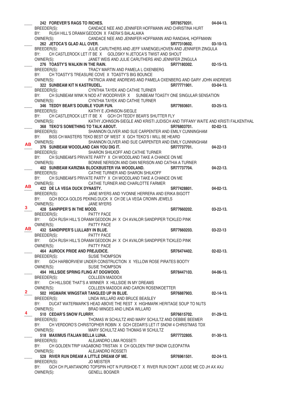242 **FOREVER'S RAGS TO RICHES.**<br>BREEDER(S): CANDACE NEE AND JENNIFER HOFFMANN AND CHRISTINA HURT CANDACE NEE AND JENNIFER HOFFMANN AND CHRISTINA HURT BY: RUSH HILL'S DRAMA'GEDDON X FAERA'S BALALAIKA OWNER(S): CANDACE NEE AND JENNIFER HOFFMANN AND RANDAHL HOFFMANN \_\_\_\_ **262 JETOCA'S GLAD ALL OVER. SR77310602. 03-10-13.**  BREEDER(S): JULIE CARUTHERS AND JEFF VANENGELHOVEN AND JENNIFER ZINGULA BY: CH CASTLEROCK LET IT BE X GOLDSKY N JETOCA'S TWIST AND SHOUT OWNER(S): JANET WEIS AND JULIE CARUTHERS AND JENNIFER ZINGULA 276 TOASTY'S WALKIN IN THE RAIN. SHEEDER(S): 02-15-13.<br>BREEDER(S): TRACY MARTIN AND PAMELA LOXENBERG TRACY MARTIN AND PAMELA L OXENBERG BY: CH TOASTY'S TREASURE COVE X TOASTY'S BIG BOUNCE OWNER(S): PATRICIA ANNE ANDREWS AND PAMELA OXENBERG AND GARY JOHN ANDREWS 322 SUNBEAM KIT N KASTRUDEL.<br>BREEDER(S): CYNTHIA TAYEK AND CATHIE TURNER<br>**BREEDER(S):** CYNTHIA TAYEK AND CATHIE TURNER CYNTHIA TAYEK AND CATHIE TURNER BY: CH SUNBEAM WINK N NOD AT WOODRIVER X SUNBEAM TOASTY ONE SINGULAR SENSATION<br>OWNER(S): CYNTHIA TAYEK AND CATHIE TURNER CYNTHIA TAYEK AND CATHIE TURNER \_\_\_\_ **346 TEDDY BEAR'S DOUBLE YOUR FUN. SR77693601. 03-25-13.**  BREEDER(S): KATHY E JOHNSON-SIEGLE BY: CH CASTLEROCK LET IT BE X GCH CH TEDDY BEAR'S SHUTTER FLY OWNER(S): KATHY JOHNSON-SIEGLE AND KRISTI JUDISCH AND TIFFANY WAITE AND KRISTI FALKENTHAL 368 TEKO'S SOMETHING TO TALK ABOUT. SALIGNAL SAME SHANNON OLIVER AND SUE CARPENTER AND EMILY CUNNINGHAM SHATEDER(S): SHANNON OLIVER AND SUE CARPENTER AND EMILY CUNNINGHAM BY: BISS CH MASTERS TEKO BEST OF WEST X GCH TEKO'S I WILL BE HEARD OWNER(S): SHANNON OLIVER AND SUE CARPENTER AND EMILY CUNNINGHAM 376 SUNBEAM WOODLAND CAN YOU DIG IT. **BEEF AND SEXTY STATES SR77737701.** 04-22-13 BREEDER(S): SHARON SHILKOFF AND CATHIE TURNER BY: CH SUNBEAM'S PRIVATE PARTY X CH WOODLAND TAKE A CHANCE ON ME OWNER(S): BONNIE NERISON AND DAN NERISON AND CATHIA A TURNER \_\_\_\_ **402 SUNBEAM KARIZMA BLOCKBUSTER VIA WOODLAND. SR77737704. 04-22-13.**  BREEDER(S): CATHIE TURNER AND SHARON SHILKOFF BY: CH SUNBEAM'S PRIVATE PARTY X CH WOODLAND TAKE A CHANCE ON ME OWNER(S): CATHIE TURNER AND CHARLOTTE FARMER **422 DE LA VEGA DUCK DYNASTY. 1201 12011 SR77428801.** 04-02-13. BREEDER(S): JANE MYERS AND YVONNE HERRERA AND ERIKA BIGOTT BY: GCH BOCA GOLDS PEKING DUCK X CH DE LA VEGA CROWN JEWELS OWNER(S): JANE MYERS **428 SANPIPER'S IN THE MOOD. 828 SANPIPER'S IN THE MOOD. 847660202. 03-22-13.** BREEDER(S): PATTY PACE BY: GCH RUSH HILL'S DRAMA'GEDDON JH X CH AVALOR SANDPIPER TICKLED PINK OWNER(S): PATTY PACE \_\_\_\_ **432 SANDPIPER'S LULLABY IN BLUE. SR77660203. 03-22-13**  BREEDER(S): PATTY PACE BY: GCH RUSH HILL'S DRAMA'GEDDON JH X CH AVALOR SANDPIPER TICKLED PINK OWNER(S): PATTY PACE \_\_\_\_ **464 AUROCK PRIDE AND PREJUDICE. SR76474402. 02-02-13.**  BREEDER(S): SUSIE THOMPSON BY: GCH HARBORVIEW UNDER CONSTRUCTION X YELLOW ROSE PIRATES BOOTY OWNER(S): SUSIE THOMPSON \_\_\_\_ **494 HILLSIDE SPRING FLING AT DOGWOOD. SR78447103. 04-06-13.**  BREEDER(S): COLLEEN MADDOX BY: CH HILLSIDE THAT'S A WINNER X HILLSIDE IN MY DREAMS OWNER(S): COLLEEN MADDOX AND CARON ROSENKOETTER \_\_\_\_ **502 HIGMARK WINGSTAR TANGLED UP IN BLUE. SR76887903. 02-14-13.**  LINDA WILLARD AND BRUCE BEASLEY BY: DUCAT WATERMARK'S HEAD ABOVE THE REST X HIGHMARK HERITAGE SOUP TO NUTS OWNER(S): BRAD MINGES AND LINDA WILLARD \_\_\_\_ **510 CEDAR'S SNOW FLURRY. SR76615702. 01-29-12.**  BREEDER(S): THOMAS W SCHULTZ AND MARY SCHULTZ AND DEBBIE BEEMER BY: CH VERDORO'S CHRISTOPHER ROBIN X GCH CEDAR'S LET IT SNOW 4 CHRISTMAS TDX OWNER(S): MARY SCHULTZ AND THOMAS W SCHULTZ \_\_\_\_ **518 MAXIMUS ITALIAN BELLA LUNA. SR77732805. 01-30-13.**  BREEDER(S): ALEJANDRO LIMA ROSSETI BY: CH GOLDEN TRIP VAGABOND TRISTAN X CH GOLDEN TRIP SNOW CLEOPATRA OWNER(S): ALEJANDRO ROSSETI \_\_\_\_ **528 RIVER RUN DREAM A LITTLE DREAM OF ME. SR76961501. 02-24-13.**  BREEDER(S): JO MEISTER BY: GCH CH PLANTANORO TOPSPIN HOT N PURSHOE-T X RIVER RUN DON'T JUDGE ME CD JH AX AXJ OWNER(S): GENELL BOGNER **AB AB 3 AB 2 4**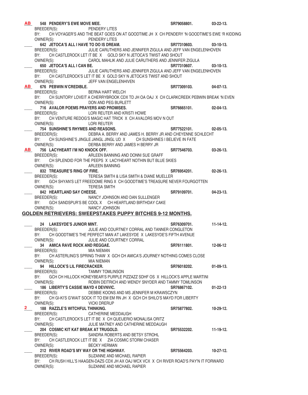| <b>AB</b>      |                    | 548 PENDERY'S EWE MOVE MEE.             | VE MEE.<br>PENDERY LITES<br>THE THE STATES                                                 | SR79058801.           | 03-22-13.        |
|----------------|--------------------|-----------------------------------------|--------------------------------------------------------------------------------------------|-----------------------|------------------|
|                | BREEDER(S):        |                                         |                                                                                            |                       |                  |
|                | BY:                |                                         | CH VOYAGER'S AND THE BEAT GOES ON AT GOODTIME JH X CH PENDERY 'N GOODTIME'S EWE 'R KIDDING |                       |                  |
|                | OWNER(S):          |                                         | PENDERY LITES                                                                              |                       |                  |
|                |                    | 642 JETOCA'S ALL I HAVE TO DO IS DREAM. |                                                                                            | SR77310603.           | $03-10-13.$      |
|                |                    |                                         | BREEDER(S): JULIE CARUTHERS AND JENNIFER ZIGULA AND JEFF VAN ENGELENHOVEN                  |                       |                  |
|                |                    |                                         | BY: CH CASTLEROCK LET IT BE X GOLD SKY N JETOCA'S TWIST AND SHOUT                          |                       |                  |
|                |                    |                                         | OWNER(S): CAROL MAHLIK AND JULIE CARUTHERS AND JENNIFER ZIGULA                             |                       |                  |
|                |                    | 650 JETOCA'S ALL I CAN BE.              |                                                                                            | SR77310607.           | $03-10-13.$      |
|                |                    | BREEDER(S):                             | JULIE CARUTHERS AND JENNIFER ZIGULA AND JEFF VAN ENGELENHOVEN                              |                       |                  |
|                | BY:                |                                         | CH CASTLEROCK'S LET IT BE X GOLD SKY N JETOCA'S TWIST AND SHOUT                            |                       |                  |
|                |                    |                                         | OWNER(S): JEFF VAN ENGELENHIVEN                                                            |                       |                  |
|                |                    | AB 676 PEBWIN N'CREDIBLE.               |                                                                                            | SR77309103.           | $04-07-13.$      |
|                |                    | BREEDER(S):                             | BERNA HART WELCH                                                                           |                       |                  |
|                | BY:                |                                         | CH SUNTORY LOVEIT A CHERRYBROOK CDX TD JH OA OAJ X CH CLARKCREEK PEBWIN BREAK 'N EVEN      |                       |                  |
|                |                    |                                         | OWNER(S): DON AND PEG BURLETT                                                              |                       |                  |
|                |                    |                                         | 716 AVALOR POEMS PRAYERS AND PROMISES.<br>BREEDER(S): LORI REUTER AND KRISTI HOWE          | SR76665101.           | $02 - 04 - 13$ . |
|                |                    |                                         | BY: CH VENTURE REDOG'S MAGIC HAT TRICK X CH AVALORS MOV NOUT                               |                       |                  |
|                |                    | OWNER(S):                               | <b>LORI REUTER</b>                                                                         |                       |                  |
|                |                    | 754 SUNSHINE'S RHYMES AND REASONS.      |                                                                                            | SR77522101.           | $02 - 05 - 13$ . |
|                | BREEDER(S):        |                                         | DEBRA A. BERRY AND JAMES H. BERRY JR AND CHEYENNE SCHLECHT                                 |                       |                  |
|                | BY:                |                                         | CH SUNSHINE'S JINGLE JANGL JINGL UD X CH SUNSHINES I BELIEVE IN FATE                       |                       |                  |
|                |                    | OWNER(S):                               | DERBA BERRY AND JAMES H BERRY JR                                                           |                       |                  |
| AB —           |                    | 756 LACYHEART I'M NO KNOCK OFF.         |                                                                                            | SR77546703.           | $03-26-13.$      |
|                |                    |                                         | BREEDER(S): ARLEEN BANNING AND DONNI SUE GRAFF                                             |                       |                  |
|                |                    |                                         | BY: CH SPLENDID FOR THE PEEPS X LACYHEART NOTHIN BUT BLUE SKIES                            |                       |                  |
|                |                    | OWNER(S):                               | ARLEEN BANNING                                                                             |                       |                  |
|                |                    | 832 TREASURE'S RING OF FIRE.            |                                                                                            | SR76954201. 02-26-13. |                  |
|                |                    | BREEDER(S):                             | TERESA SMITH & LISA SMITH & DIANE MUELLER                                                  |                       |                  |
|                | BY:                |                                         | GCH SHYAN'S LET FREEDOME RING X CH GOODTIME'S TREASURE NEVER FOURGOTTEN                    |                       |                  |
|                | OWNER(S):          |                                         | <b>TERESA SMITH</b>                                                                        |                       |                  |
|                |                    | 842 HEARTLAND SAY CHEESE.               |                                                                                            | SR79109701.           | $04 - 23 - 13$ . |
|                |                    | BREEDER(S):                             | NANCY JOHNSON AND DAN SULLENGER                                                            |                       |                  |
|                | BY:                |                                         | GCH SANDSPUR'S BE COOL X CH HEARTLAND BIRTHDAY CAKE                                        |                       |                  |
|                |                    | OWNER(S): NANCY JOHNSON                 |                                                                                            |                       |                  |
|                |                    |                                         | <b>GOLDEN RETRIEVERS: SWEEPSTAKES PUPPY BITCHES 9-12 MONTHS.</b>                           |                       |                  |
|                |                    | 24 LAKESYDE'S JUNIOR MINT.              |                                                                                            | SR76309701.           | $11 - 14 - 12$ . |
|                |                    | BREEDER(S):                             | JULIE AND COURTNEY CORRAL AND TANNER CONGLETON                                             |                       |                  |
|                | BY:                |                                         | CH GOODTIME'S THE PERFECT MAN AT LAKESYDE X LAKESYDE'S FIFTH AVENUE                        |                       |                  |
|                | OWNER(S):          |                                         | JULIE AND COURTNEY CORRAL                                                                  |                       |                  |
|                |                    | 34 AMICA RAVE ROCK AND REGGAE.          |                                                                                            | SR76111801.           | 12-06-12         |
|                | BREEDER(S):        |                                         | MIA NIEMAN                                                                                 |                       |                  |
|                | BY:                |                                         | CH ASTERLING'S SPRING THAW X GCH CH AMICA'S JOURNEY NOTHING COMES CLOSE                    |                       |                  |
|                | OWNER(S):          |                                         | MIA NIEMAN                                                                                 |                       |                  |
|                |                    | 94 HILLOCK'S LIL FIRECRACKER.           |                                                                                            | SR76018202.           | $01-09-13.$      |
|                | BREEDER(S):        |                                         | <b>TAMMY TOMLINSON</b>                                                                     |                       |                  |
|                | BY:                |                                         | GCH CH HILLOCK HONEYBEAR'S PURPLE PIZZAZZ SDHF OS X HILLOCK'S APPLE MARTINI                |                       |                  |
|                | OWNER(S):          |                                         | ROBIN DEITRICH AND WENDY SNYDER AND TAMMY TOMLINSON                                        |                       |                  |
|                |                    | 186 LIBERTY'S CASSIE MAYD 4 DEVNVIC.    |                                                                                            | SR76867102.           | $01 - 22 - 13$   |
|                | BREEDER(S):        |                                         | DEBBIE KOONS AND MS JENNIFER M KRAWSCZYN                                                   |                       |                  |
|                | BY:                |                                         | CH GI-KI'S G'WAIT SOCK IT TO EM EM RN JH X GCH CH SHILO'S MAYD FOR LIBERTY                 |                       |                  |
|                | OWNER(S):          |                                         | <b>VICKI DRERUP</b>                                                                        |                       |                  |
| $\mathbf{2}^-$ |                    | 188 RAZZLE'S WITCHFUL THINKING.         |                                                                                            | SR75877802.           | $10 - 29 - 12$ . |
|                | BREEDER(S):<br>BY: |                                         | CATHERINE MEDDAUGH<br>CH CASTLEROCK'S LET IT BE X CH QUEIJERIO MONALISA ORITZ              |                       |                  |
|                |                    |                                         |                                                                                            |                       |                  |
|                | OWNER(S):          | 204 COSMIC KIT KAT BREAK AT TRUGOLD.    | JULIE MATNEY AND CATHERINE MEDDAUGH                                                        | SR75532202.           | $11-19-12.$      |
|                | BREEDER(S):        |                                         | SANDRA ROBERTS AND BETSY STROHL                                                            |                       |                  |
|                |                    |                                         | CH CASTLEROCK LET IT BE X ZIA COSMIC STORM CHASER                                          |                       |                  |
|                |                    |                                         |                                                                                            |                       |                  |
|                | BY:                |                                         |                                                                                            |                       |                  |
|                | OWNER(S):          |                                         | <b>BECKY HERMAN</b>                                                                        |                       | $10 - 27 - 12$ . |
|                |                    |                                         | 212 RIVER ROAD'S MY WAY OR THE HIGHWAY.<br>SUZANNE AND MICHAEL RAPIER                      | SR75564203.           |                  |
|                | BREEDER(S):<br>BY: |                                         | CH RUSH HILL'S HAAGEN-DAZS CDX JH AX OAJ WCX VCX X CH RIVER ROAD'S PAY'N IT FORWARD        |                       |                  |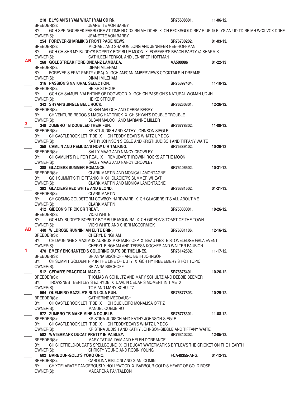|              | 218 ELYSIAN'S I YAM WHAT I YAM CD RN.             |                                                                                                               | SR75608801.          | 11-06-12.        |
|--------------|---------------------------------------------------|---------------------------------------------------------------------------------------------------------------|----------------------|------------------|
|              | BREEDER(S):                                       | JEANETTE VON BARBY                                                                                            |                      |                  |
|              | BY:                                               | GCH SPRINGCREEK EVERLORE AT TIME HI CDX RN MH DDHF X CH BECKSGOLD REV R UP @ ELYSIAN UD TD RE MH WCX VCX DDHF |                      |                  |
|              | OWNER(S):                                         | JEANETTE VON BARBY                                                                                            |                      |                  |
|              |                                                   | 254 FOREVER-SHARMIK'S FRONT PAGE NEWS.                                                                        | SR76780202.          | $01-03-13.$      |
|              | BREEDER(S):                                       | MICHAEL AND SHARON LONG AND JENNIFER NEE-HOFFMAN                                                              |                      |                  |
|              | BY:                                               | GCH CH SHR MY BUDDY'S BOPPITY-BOP BLUE MOON X FOREVER'S BEACH PARTY @ SHARMIK                                 |                      |                  |
| AB           | OWNER(S):                                         | CATHLEEN FERKOL AND JENNIFER HOFFMAN                                                                          |                      |                  |
|              | 268 GOLDSTREAK FORBIDNDANZ LAMBADA.               |                                                                                                               | AA500086             | $01 - 22 - 13$   |
|              | BREEDER(S):                                       | <b>DINAH MILEHAM</b>                                                                                          |                      |                  |
|              | BY:                                               | FOREVER'S FRAT PARTY (USA) X GCH AM/CAN AMBERVIEWS COCKTAILS N DREAMS                                         |                      |                  |
|              | OWNER(S):<br>316 PASSION'S NATURAL SELECTION.     | DINAH MILEHAM                                                                                                 | SR75397404.          | $11 - 10 - 12$ . |
|              | BREEDER(S): HEIKE STROUP                          |                                                                                                               |                      |                  |
|              | BY:                                               | GCH CH SAMUEL VALENTINE OF DOGWOOD X GCH CH PASSION'S NATURAL WOMAN UD JH                                     |                      |                  |
|              | OWNER(S):                                         | <b>HEIKE STROUP</b>                                                                                           |                      |                  |
|              | 342 SHYAN'S JINGLE BELL ROCK.                     |                                                                                                               | SR76260301.          | 12-26-12.        |
|              | BREEDER(S):                                       | SUSAN MALOCH AND DEBRA BERRY                                                                                  |                      |                  |
|              | BY:                                               | CH VENTURE REDOG'S MAGIC HAT TRICK X CH SHYAN'S DOUBLE TROUBLE                                                |                      |                  |
|              | OWNER(S):                                         | SUSAN MALOCH AND MARIANNE MILLER                                                                              |                      |                  |
| 3.           | 348 ZUMBRO TB DOUBLED THEIR FUN.                  |                                                                                                               | SR76778302.          | $11-08-12.$      |
|              | BREEDER(S):                                       | KRISTI JUDISH AND KATHY JOHNSON SIEGLE                                                                        |                      |                  |
|              | BY:                                               | CH CASTLEROCK LET IT BE X CH TEDDY BEAR'S WHATZ UP DOC                                                        |                      |                  |
|              | OWNER(S):                                         | KATHY JOHNSON SIEGLE AND KRISTI JUDISCH AND TIFFANY WAITE                                                     |                      |                  |
|              | 358 CAMLIN AND REMUDA'S NOW U'R TALKING.          |                                                                                                               | SR75389402.          | 10-26-12         |
|              | BREEDER(S):                                       | SALLY MAAG AND NANCY CROWLEY                                                                                  |                      |                  |
|              | BY:                                               | CH CAMLIN'S R U FOR REAL X REMUDA'S THROWIN' ROCKS AT THE MOON                                                |                      |                  |
|              | OWNER(S):                                         | SALLY MAAG AND NANCY CROWLEY                                                                                  |                      |                  |
|              | 388 GLACIERS SUMMER ROMANCE.                      | CLARK MARTIN AND MONICA LAMONTAGNE                                                                            | SR75406502.          | $10-31-12.$      |
|              | BREEDER(S):<br>BY:                                | GCH SUMMIT'S THE TITANIC X CH GLACIER'S SUMMER WHEAT                                                          |                      |                  |
|              | OWNER(S):                                         | CLARK MARTIN AND MONICA LAMONTAGNE                                                                            |                      |                  |
|              | 392 GLACIERS RED WHITE AND BLOND.                 |                                                                                                               | SR76381502.          | $01-21-13.$      |
|              | BREEDER(S):                                       | <b>CLARK MARTIN</b>                                                                                           |                      |                  |
|              | BY:                                               | CH COSMIC GOLDSTORM COWBOY HARDWARE X CH GLACIERS IT'S ALL ABOUT ME                                           |                      |                  |
|              | OWNER(S):                                         | <b>CLARK MARTIN</b>                                                                                           |                      |                  |
|              | 412 GIDEON'S TRICK OR TREAT.                      |                                                                                                               | SR75383001.          | $10 - 26 - 12.$  |
|              | BREEDER(S):                                       | <b>VICKI WHITE</b>                                                                                            |                      |                  |
|              | BY:                                               | GCH MY BUDDY'S BOPPITY-BOP BLUE MOON RA X CH GIDEON'S TOAST OF THE TOWN                                       |                      |                  |
| AB           | OWNER(S):<br>440 WILDROSE RUNNIN' AN ELITE ERIN.  | VICKI WHITE AND SHERI MCCORMICK                                                                               | SR76381106.          | $12 - 16 - 12$ . |
|              | BREEDER(S):                                       | CHERYL BINGHAM                                                                                                |                      |                  |
|              | BY:                                               | CH DAUNINGE'S MAXIMUS AUREUS MXP MJP2 OFP X BEAU GESTE STONELEDGE GALA EVENT                                  |                      |                  |
|              | OWNER(S):                                         | CHERYL BINGHAM AND TERESA KOCHER AND WALTER FAUBION                                                           |                      |                  |
| $\mathbf{1}$ |                                                   | 470 EMERY ENCHANTED'S COLORING OUTSIDE THE LINES.                                                             | SR76142502.          | $11 - 17 - 12$ . |
|              | BREEDER(S):                                       | BRIANNA BISCHOFF AND BETH JOHNSON                                                                             |                      |                  |
|              | BY:                                               | CH SUMMIT GOLDENTRIP IN THE LINE OF DUTY X GCH HYTREE EMERY'S HOT TOPIC                                       |                      |                  |
|              | OWNER(S):                                         | <b>BRIANNA BISCHOFF</b>                                                                                       |                      |                  |
|              | 512 CEDAR'S PRACTICAL MAGIC.                      |                                                                                                               | SR76875401.          | 10-26-12.        |
|              | BREEDER(S):                                       | THOMAS W SCHULTZ AND MARY SCHULTZ AND DEBBIE BEEMER                                                           |                      |                  |
|              | BY:                                               | TROWSNEST BENTLEY'S EZ RYDE X DAVLIN CEDAR'S MOMENT IN TIME X                                                 |                      |                  |
|              | OWNER(S):<br>564 QUEIJEIRO RAZZLE'S RUN LOLA RUN. | TOM AND MARY SCHULTZ                                                                                          | SR75877803.          | 10-29-12.        |
|              | BREEDER(S):                                       | CATHERINE MEDDAUGH                                                                                            |                      |                  |
|              | BY:                                               | CH CASTLEROCK LET IT BE X CH QUEIJEIRO MONALISA ORTIZ                                                         |                      |                  |
|              | OWNER(S):                                         | <b>MANUEL QUEIJEIRO</b>                                                                                       |                      |                  |
|              | 572 ZUMBRO TB MAKE MINE A DOUBLE.                 |                                                                                                               | SR76778301.          | $11-08-12.$      |
|              |                                                   | BREEDER(S): KRISTINA JUDISCH AND KATHY JOHNSON-SIEGLE                                                         |                      |                  |
|              | BY:                                               | CH CASTLEROCK LET IT BE X CH TEDDYBEAR'S WHATZ UP DOC                                                         |                      |                  |
|              | OWNER(S):                                         | KRISTINA JUDISH AND KATHY JOHNSON-SIEGLE AND TIFFANY WAITE                                                    |                      |                  |
|              | 582 WATERMARK DUCAT PRETTY IN PAISLEY.            |                                                                                                               | SR76340202.          | 12-05-12.        |
|              | BREEDER(S):                                       | MARY TATUM, DVM AND HELEN DORRANCE                                                                            |                      |                  |
|              | BY:                                               | CH SHEFFIELD-DUCAT'S SPELLBOUND X CH DUCAT WATERMARK'S BRTLEA'S THE CRICKET ON THE HEARTH                     |                      |                  |
|              | OWNER(S):                                         | CHRISTY YOUNG AND ROBIN YOUNG                                                                                 |                      |                  |
|              | 602 BARBOUR-GOLD'S YOKO ONO.                      |                                                                                                               | <b>FCA49355-ARG.</b> | $01-12-13.$      |
|              | BREEDER(S):<br>BY:                                | CAROLINA BIBILONI AND GIANI COMINI<br>CH XCELARATE DANGEROUSLY HOLLYWOOD X BARBOUR-GOLD'S HEART OF GOLD ROSE  |                      |                  |
|              | OWNER(S):                                         | <b>MACARENA PANTALEON</b>                                                                                     |                      |                  |
|              |                                                   |                                                                                                               |                      |                  |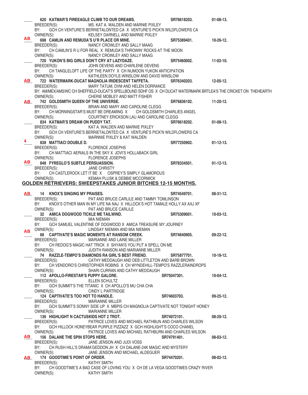|           | 620 KATMAR'S FIREEAGLE CLIMB TO OUR DREAMS.                                                                     | SR76618203.           | $01-08-13.$      |
|-----------|-----------------------------------------------------------------------------------------------------------------|-----------------------|------------------|
|           | BREEDER(S):<br>MS. KAT A. WALDEN AND MARNIE PIXLEY                                                              |                       |                  |
|           | GCH CH VENTURE'S BERRIETALONTED CA X VENTURE'S PICK'N WILDFLOWERS CA<br>BY:                                     |                       |                  |
|           | OWNER(S):<br>KELSEY DARNELL AND MARNIE PIXLEY                                                                   |                       |                  |
| AB.       | 698 CAMLIN AND REMUDA'S U'R PLACE OR MINE.                                                                      | SR75389401.           | $10-26-12.$      |
|           | BREEDER(S):<br>NANCY CROWLEY AND SALLY MAAG                                                                     |                       |                  |
|           | CH CAMLIN'S R U FOR REAL X REMUDA'S THROWIN' ROCKS AT THE MOON<br>BY:                                           |                       |                  |
|           | OWNER(S):<br>NANCY CROWLEY AND SALLY MAAG                                                                       |                       |                  |
|           | 720 YUKON'S BIG GIRLS DON'T CRY AT LAZYDAZE.                                                                    | SR75460002. 11-02-10. |                  |
|           | BREEDER(S):<br>JOHN DEVENS AND CHARLENE DEVENS                                                                  |                       |                  |
|           | CH TANGLELOFT LIFE OF THE PARTY X CH NUMOON YUKON ANTICIPATION<br>BY:                                           |                       |                  |
|           | OWNER(S):<br>KATHLEEN DOYLE-WINSLOW AND DAVID WINSLOW                                                           |                       |                  |
| <b>AB</b> | 722 WATERMARK-DUCAT MAGNOLIA IRIDESCENT TAFFETA.                                                                | SR76340203. 12-05-12. |                  |
|           | BREEDER(S):<br>MARY TATUM, DVM AND HELEN DORRANCE                                                               |                       |                  |
|           | BY: AMMEX/AMS/WC CH SHEFFIELD-DUCAT'S SPELLBOUND SDHF OS X CH DUCAT WATERMARK BRTLEA'S THE CRICKET ON THEHEARTH |                       |                  |
|           | CHERIE MOBLEY AND MATT FISHER<br>OWNER(S):                                                                      |                       |                  |
|           | AB 742 GOLDSMITH QUEEN OF THE UNIVERSE.                                                                         | SR76836102. 11-20-12. |                  |
|           | BRIAN AND MARY AND CAROLINE CLEGG<br>BREEDER(S):                                                                |                       |                  |
|           | CH MORNINGSTAR'S MUST BE DREAMING X CH GOLDSMITH CHARLIES ANGEL<br>BY:                                          |                       |                  |
|           | OWNER(S):<br>COURTNEY ERICKSON LAU AND CAROLINE CLEGG                                                           |                       |                  |
|           | 834 KATMAR'S DREAM ON PUDDY TAT.                                                                                | SR76618202. 01-08-13. |                  |
|           | BREEDER(S):<br>KAT A. WALDEN AND MARNIE PIXLEY                                                                  |                       |                  |
|           | BY:<br>GCH CH VENTURE'S BERRIETALONTED CA X VENTURE'S PICK'N WILDFLOWERS CA                                     |                       |                  |
| 4         | OWNER(S):<br>MARNNIE PIXLEY & KAT WALDEN                                                                        |                       |                  |
|           | 838 MATTIACI DOUBLE D.                                                                                          | SR77250902. 01-12-13. |                  |
|           | <b>FLORENCE JOSEPHS</b><br>BREEDER(S):                                                                          |                       |                  |
|           | CH MATTIACI AERIALS IN THE SKY X JOVI'S HOLLABACK GIRL<br>BY:                                                   |                       |                  |
| AB .      | OWNER(S):<br><b>FLORENCE JOSEPHS</b>                                                                            |                       |                  |
|           | 848 FYREGLO'S SUBTLE PERSUASSION.                                                                               | SR78334501. 01-12-13. |                  |
|           | BREEDER(S):<br><b>JANE CHRISTY</b>                                                                              |                       |                  |
|           | CH CASTLEROCK LET IT BE X OSPREY'S SIMPLY GLAMOROUS<br>BY:                                                      |                       |                  |
|           | OWNER(S):<br>KEMAH PLUSK & DEBBIE MCCORMICK                                                                     |                       |                  |
|           | <b>GOLDEN RETRIEVERS: SWEEPSTAKES JUNIOR BITCHES 12-15 MONTHS.</b>                                              |                       |                  |
|           | AB 14 KNOX'S SINGING MY PRAISES.                                                                                | SR74549701. 08-31-12. |                  |
|           | BREEDER(S):<br>PAT AND BRUCE CARLILE AND TAMMY TOMLINSON                                                        |                       |                  |
|           | KNOX'S OTHER MAN IN MY LIFE NA NAJ X HILLOCK'S HOT TAMALE HOLLY AX AXJ XF<br>BY:                                |                       |                  |
|           | OWNER(S):<br>PAT AND BRUCE CARLILE                                                                              |                       |                  |
|           | 32 AMICA DOGWOOD TICKLE ME TAILWIND.                                                                            | <b>SR75309001.</b>    | $10-03-12.$      |
|           | BREEDER(S):<br>MIA NIEMAN                                                                                       |                       |                  |
|           | GCH SAMUEL VALENTINE OF DOGWOOD X AMICA TREASURE MY JOURNEY<br>BY:                                              |                       |                  |
| AВ        | OWNER(S):<br>LINDSAY NIEMAN AND MIA NIEMAN                                                                      |                       |                  |
|           | 68 CAPTIVATE'S MAGIC MOMENTS AT RANSOM CREEK.                                                                   | SR74640905.           | $09-22-12$       |
|           | BREEDER(S):<br>MARIANNE AND LAINE MILLER                                                                        |                       |                  |
|           | CH REDOG'S MAGIC HAT TRICK X SHYAN'S YOU PUT A SPELL ON ME<br>BY:                                               |                       |                  |
|           | OWNER(S):<br>JUDITH RANSON AND MARIANNE MILLER                                                                  |                       |                  |
|           | 74 RAZZLE-TEMPO'S DIAMONDS RA GIRL'S BEST FRIEND.                                                               | SR75877701.           | $10-18-12.$      |
|           | CATHY MEDDAUGH AND DEB LITTLETON AND BARB BROWN<br>BREEDER(S):                                                  |                       |                  |
|           | CH VENDORO'S CHRISTOPHER ROBINS X CH WYNDEHILL-TEMPO'S RAZZLERAINDROPS<br>BY:                                   |                       |                  |
|           | SHARI CURRAN AND CATHY MEDDAUGH<br>OWNER(S):                                                                    |                       |                  |
|           | 112 APOLLO-FIRESTAR'S PUPPY GALORE.                                                                             | SR75047301.           | 10-04-12.        |
|           | ELLEN SCHULTZ<br>BREEDER(S):                                                                                    |                       |                  |
|           | GCH SUMMIT'S THE TITANIC X CH APOLLO'S MU CHA CHA<br>BY:                                                        |                       |                  |
|           | OWNER(S):<br>CINDY L PARTRIDGE                                                                                  |                       |                  |
|           | 124 CAPTIVATE'S TOO HOT TO HANDLE.                                                                              | SR74603703.           | $09 - 25 - 12$ . |
|           | BREEDER(S):<br><b>MARIANNE MILLER</b>                                                                           |                       |                  |
|           | GCH SUMMIT'S SONNY SIDE UP X MBPIS CH MAGNOLIA CAPTIVATE NOT TONIGHT HONEY<br>BY:                               |                       |                  |
|           | OWNER(S):<br><b>MARIANNE MILLER</b>                                                                             |                       |                  |
|           | 136 HIGHLIGHT N CACTUSKIDS HOT 2 TROT.                                                                          | SR74072101.           | $08 - 20 - 12$ . |
|           | PATRICE LOVES AND MICHAEL RATHBUN AND CHARLES WILSON<br>BREEDER(S):                                             |                       |                  |
|           | GCH HILLOCK HONEYBEAR PURPLE PIZZAZZ X GCH HIGHLIGHT'S COCO CHANEL<br>BY:                                       |                       |                  |
|           | OWNER(S):<br>PATRICE LOVES AND MICHAEL RATHBURN AND CHARLES WILSON                                              |                       |                  |
| <b>AB</b> | 156 DALANE THE SPIN STOPS HERE.                                                                                 | SR74791401.           | $08-03-12.$      |
|           | JANE JENSON AND JUDI VOSS<br>BREEDER(S):                                                                        |                       |                  |
|           | BY:<br>CH RUSH HILL'S DRAMA'GEDDON JH X CH DALANE-24K MAGIC AND MYSTERY                                         |                       |                  |
|           | OWNER(S):<br>JANE JENSON AND MICHAEL ALDEGUER<br>174 GOODTIME'S POINT OF ORDER.                                 | SR74470201.           | $08-02-12.$      |
| AB DA     | <b>KATHY SMITH</b><br>BREEDER(S):                                                                               |                       |                  |
|           | CH GOODTIME'S A BAD CASE OF LOVING YOU X CH DE LA VEGA GOODTIMES CRAZY RIVER<br>BY:                             |                       |                  |
|           | OWNER(S):<br><b>KATHY SMITH</b>                                                                                 |                       |                  |
|           |                                                                                                                 |                       |                  |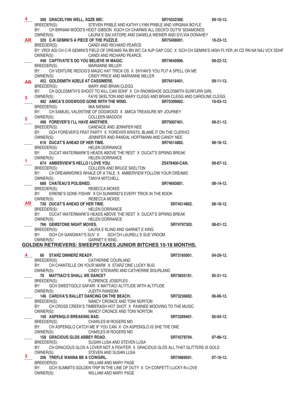| 4              | 300 GRACELYNN WELL, XQZE ME!.             |                                                                                  | SR74332308.   | 09-10-12.                                                                                                                  |
|----------------|-------------------------------------------|----------------------------------------------------------------------------------|---------------|----------------------------------------------------------------------------------------------------------------------------|
|                | BREEDER(S):                               | STEVEN PRIBLE AND KATHY LYNN PRIBLE AND VIRGINIA BOYLE                           |               |                                                                                                                            |
|                | BY:                                       | CH BIRNAM WOOD'S HOOT GIBSON XGCH CH CHARMS ALL DECK'D OUT'N' SDIAMONDS          |               |                                                                                                                            |
|                | OWNER(S):                                 | LAURA E SALVATORE AND DANIELA WEINER AND SYLVIA DONAHEY                          |               |                                                                                                                            |
| AB             |                                           | 320 C-R GEMINI'S A PIECE OF THE PUZZLE.                                          | SR75408001.   | $10 - 23 - 12$ .                                                                                                           |
|                | BREEDER(S):                               | CANDI AND RICHARD PEARCE                                                         |               |                                                                                                                            |
|                |                                           |                                                                                  |               | BY: VROI AGI CH C-R GEMINI'S FIELD OF DREAMS RA BN WC CA NJP OAP CGC X GCH CH GEMINI'S HIGH FLYER JH CD RN NA NAJ VCX SDHF |
|                | OWNER(S):                                 | CANDI AND RICHARD PEARCE                                                         |               |                                                                                                                            |
|                | 448 CAPTIVATE'S DO YOU BELIEVE IN MAGIC.  |                                                                                  | SR74640906.   | $09-22-12.$                                                                                                                |
|                | BREEDER(S):                               | MARIANNE MILLER                                                                  |               |                                                                                                                            |
|                | BY:                                       | CH VENTURE REDOG'S MAGIC HAT TRICK OS X SHYAN'S YOU PUT A SPELL ON ME            |               |                                                                                                                            |
|                | OWNER(S):                                 | CINDY PRICE AND MARIANNE MILLER                                                  |               |                                                                                                                            |
|                | 452 GOLDSMITH ADELE AT CASSIMERE.         |                                                                                  | SR76418401.   | $09-11-12.$                                                                                                                |
| AB             | BREEDER(S):                               | MARY AND BRIAN CLEGG                                                             |               |                                                                                                                            |
|                | BY:                                       | CH GOLDSMITH'S SHOOT TO KILL CAN SDHF X CH SNOWSHOE GOLDSMITH SURFURR GIRL       |               |                                                                                                                            |
|                | OWNER(S):                                 | FAYE SKELTON AND MARY CLEGG AND BRIAN CLEGG AND CAROLINE CLEGG                   |               |                                                                                                                            |
| 3              | 492 AMICA'S DOGWOOD GONE WITH THE WIND.   |                                                                                  | SR75309002.   | $10-03-12.$                                                                                                                |
|                |                                           | MIA NIEMAN                                                                       |               |                                                                                                                            |
|                | BREEDER(S):                               | CH SAMUEL VALENTINE OF DOGWOOD X AMICA TREASURE MY JOURNEY                       |               |                                                                                                                            |
|                | BY:                                       |                                                                                  |               |                                                                                                                            |
| $\overline{2}$ | OWNER(S):                                 | <b>COLLEEN MADDOX</b>                                                            |               |                                                                                                                            |
|                | 496 FOREVER'S I'LL HAVE ANOTHER.          |                                                                                  | SR75007401.   | 09-21-12.                                                                                                                  |
|                | BREEDER(S):                               | CANDACE AND JENNIFER NEE                                                         |               |                                                                                                                            |
|                | BY:                                       | GCH FOREVER'S FRAT PARTY X FOREVER KRISTIL BLAME IT ON THE CUERVO                |               |                                                                                                                            |
|                | OWNER(S):                                 | JENNIFER AND RANDAL HOFFMANN AND CANDY NEE                                       |               |                                                                                                                            |
|                | 616 DUCAT'S AHEAD OF HER TIME.            |                                                                                  | SR74514802.   | $08-18-12.$                                                                                                                |
|                | BREEDER(S):                               | <b>HELEN DORRANCE</b>                                                            |               |                                                                                                                            |
|                | BY:                                       | DUCAT-WATERMARK'S HEADS ABOVE THE REST X DUCAT'S SPRING BREAK                    |               |                                                                                                                            |
| 1.             | OWNER(S):                                 | <b>HELEN DORRANCE</b>                                                            |               |                                                                                                                            |
|                | 674 AMBERVIEW'S HELLO I LOVE YOU.         |                                                                                  | ZS478400-CAN. | $09-07-12.$                                                                                                                |
|                | BREEDER(S):                               | COLLEEN AND BRUCE SKELTON                                                        |               |                                                                                                                            |
|                | BY:                                       | CH DREAMWORKS WHALE OF A TALE X AMBERVIEW FOLLOW YOUR DREAMS                     |               |                                                                                                                            |
|                | OWNER(S):                                 | <b>TANYA MITCHELL</b>                                                            |               |                                                                                                                            |
|                | <b>688 CHATEAU'S POLISHED.</b>            |                                                                                  | SR74693001.   | $08-14-12.$                                                                                                                |
|                | BREEDER(S):                               | REBECCA MCKEE                                                                    |               |                                                                                                                            |
|                | BY:                                       | EIRENE'S GONE FISHIN' X CH SUNWIND'S EVERY TRICK IN THE BOOK                     |               |                                                                                                                            |
|                | OWNER(S):                                 | REBECCA MCKEE                                                                    |               |                                                                                                                            |
| AB             | 730 DUCAT'S AHEAD OF HER TIME.            |                                                                                  | SR74514802.   | $08-18-12.$                                                                                                                |
|                | BREEDER(S):                               | <b>HELEN DORRANCE</b>                                                            |               |                                                                                                                            |
|                | BY:                                       | DUCAT-WATERMARK'S HEADS ABOVE THE REST X DUCAT'S SPRING BREAK                    |               |                                                                                                                            |
|                | OWNER(S):                                 | <b>HELEN DORRANCE</b>                                                            |               |                                                                                                                            |
|                | <b>766 GEMSTONE NIGHT MOVES.</b>          |                                                                                  | SR74797303.   | $08-01-12.$                                                                                                                |
|                | BREEDER(S):                               | LAURA E KLING AND GARNET E KING                                                  |               |                                                                                                                            |
|                |                                           | BY: GCH CH GANGWAY'S SUV X GCH CH LAURELL'S SUE VROOM                            |               |                                                                                                                            |
|                | OWNER(S):                                 | <b>GARNET E KING</b>                                                             |               |                                                                                                                            |
|                |                                           | GOLDEN RETRIEVERS: SWEEPSTAKES JUNIOR BITCHES 15-18 MONTHS.                      |               |                                                                                                                            |
|                |                                           |                                                                                  |               |                                                                                                                            |
| 4              | 60 STARZ DINNERZ READY.                   |                                                                                  | SR73185001.   | $04 - 29 - 12$ .                                                                                                           |
|                | BREEDER(S):                               | CATHERINE COURLAND                                                               |               |                                                                                                                            |
|                | BY:                                       | CH CHANTELLE ON YOUR MARK X STARZ ONE LUCKY BUG                                  |               |                                                                                                                            |
|                | OWNER(S):                                 | CINDY STEWARD AND CATHERINE BOURLAND                                             |               |                                                                                                                            |
|                | 70 MATTIACI'S SHALL WE DANCE?             |                                                                                  | SR73655101.   | $05-31-12.$                                                                                                                |
|                | BREEDER(S):                               | <b>FLORENCE JOSEPLES</b>                                                         |               |                                                                                                                            |
|                | BY:                                       | GCH SWEETGOLD SAFARI X MATTIACI ALTITUDE WITH ALTITUDE                           |               |                                                                                                                            |
|                | OWNER(S):                                 | <b>JUDITH RANSOM</b>                                                             |               |                                                                                                                            |
|                | 146 CAROVA'S BALLET DANCING ON THE BEACH. |                                                                                  | SR73236802.   | 06-06-12.                                                                                                                  |
|                | BREEDER(S):                               | NANCY CRONCE AND TONI NORTON                                                     |               |                                                                                                                            |
|                | BY:                                       | CH CROSS CREEK'S TIMBERASH HOT SHOT X PAWNEE MOOVING TO THE MUSIC                |               |                                                                                                                            |
|                | OWNER(S):                                 | NANCY CRONCE AND TONI NORTON                                                     |               |                                                                                                                            |
|                | 150 ASPENGLO BREAKING BAD.                |                                                                                  | SR73269401.   | $05-04-12.$                                                                                                                |
|                | BREEDER(S):                               | <b>CHARLES M ROGERS MD</b>                                                       |               |                                                                                                                            |
|                | BY:                                       | CH ASPENGLO CATCH ME IF YOU CAN X CH ASPENGLO IS SHE THE ONE                     |               |                                                                                                                            |
|                | OWNER(S):                                 | <b>CHARLES M ROGERS MD</b>                                                       |               |                                                                                                                            |
|                | 158 GRACIOUS GLDS ABBEY ROAD.             |                                                                                  | SR74278704.   | $07-06-12.$                                                                                                                |
|                | BREEDER(S):                               | SUSAN LUSA AND STEVEN LUSA                                                       |               |                                                                                                                            |
|                | BY:                                       | CH GRACIOUS GLDS A LOVER NOT A FIGHTER X GRACIOUS GLDS ALL THAT GLITTERS IS GOLD |               |                                                                                                                            |
|                | OWNER(S):                                 | STEVEN AND SUSAN LUSA                                                            |               |                                                                                                                            |
| 3.             | 206 TREFLE WANNA BE A COWGIRL.            |                                                                                  | SR74069501.   | $07-10-12.$                                                                                                                |
|                | BREEDER(S):                               | WILLIAM AND MARY PAGE                                                            |               |                                                                                                                            |
|                | BY:                                       | GCH SUMMITS GOLDEN TRIP IN THE LINE OF DUTY X CH CONFETTI LUCKY-N-LOVE           |               |                                                                                                                            |
|                | OWNER(S):                                 | WILLIAM AND MARY PAGE                                                            |               |                                                                                                                            |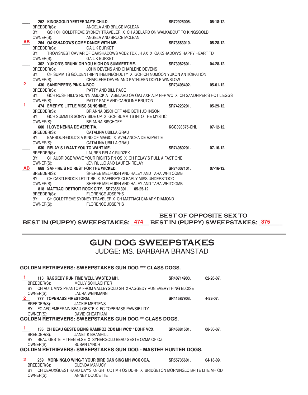|                   |                                       | 252 KINGSGOLD YESTERDAY'S CHILD.                                                             | SR72926005.           | $05-18-12.$      |
|-------------------|---------------------------------------|----------------------------------------------------------------------------------------------|-----------------------|------------------|
|                   |                                       | BREEDER(S): ANGELA AND BRUCE MCLEAN                                                          |                       |                  |
|                   |                                       | BY: GCH CH GOLDTREVE SYDNEY TRAVELER X CH ABELARD ON WALKABOUT TO KINGSGOLD                  |                       |                  |
|                   |                                       | OWNER(S): ANGELA AND BRUCE MCLEAN                                                            |                       |                  |
| <b>AB</b>         | 264 OAKSHADOWS COME DANCE WITH ME.    |                                                                                              | SR73883010.           | 05-28-12.        |
|                   | BREEDER(S): GAIL K BURKET             |                                                                                              |                       |                  |
|                   |                                       | BY: TROWSNEST CAVIAR OF OAKSHADOWS VCD2 TDX JH AX X OAKSHADOW'S HAPPY HEART TD               |                       |                  |
|                   | OWNER(S): GAIL K BURKET               |                                                                                              |                       |                  |
|                   |                                       | 302 YUKON'S DRUNK ON YOU HIGH ON SUMMERTIME. SR73082801.                                     |                       | $04 - 28 - 12$ . |
|                   |                                       | BREEDER(S): JOHN DEVENS AND CHARLENE DEVENS                                                  |                       |                  |
|                   | BY:                                   | CH SUMMITS GOLDENTRIPINTHELINEOFDUTY X GCH CH NUMOON YUKON ANTICIPATION                      |                       |                  |
|                   |                                       | OWNER(S): CHARLENE DEVEN AND KATHLEEN DOYLE WINSLOW                                          |                       |                  |
| $2 \qquad \qquad$ | 430 SANDPIPER'S PINK-A-BOO.           |                                                                                              | SR73408402.           | $05-01-12.$      |
|                   | BREEDER(S): PATTY AND BILL PACE       |                                                                                              |                       |                  |
|                   |                                       | BY: GCH RUSH HILL'S RUN'N AMUCK AT ABELARD OA OAJ AXP AJP NFP WC X CH SANDPIPER'S HOT L'EGGS |                       |                  |
|                   | OWNER(S):                             | PATTY PACE AND CAROLINE BRUTON                                                               |                       |                  |
|                   | 474 EMERY'S LITTLE MISS SUNSHINE.     |                                                                                              | SR74223201.           | $05-29-12.$      |
|                   | BREEDER(S):                           | BRIANNA BISCHOFF AND BETH JOHNSON                                                            |                       |                  |
|                   | BY:                                   | GCH SUMMITS SONNY SIDE UP X GCH SUMMITS INTO THE MYSTIC                                      |                       |                  |
|                   | OWNER(S):                             | BRIANNA BISCHOFF                                                                             |                       |                  |
|                   | 600 I LOVE NENNA DE AZPEITIA.         |                                                                                              | <b>KCC393875-CHI.</b> | $07-12-12.$      |
|                   |                                       | BREEDER(S): CATALINA UBILLA GRAU                                                             |                       |                  |
|                   | BY:                                   | BARBOUR-GOLD'S A KIND OF MAGIC X AVALANCHA DE AZPEITIE                                       |                       |                  |
|                   | OWNER(S):                             | CATALINA UBILLA GRAU                                                                         |                       |                  |
|                   | 630 RELAY'S I WANT YOU TO WANT ME.    |                                                                                              | SR74080201.           | $07-16-12.$      |
|                   |                                       | BREEDER(S): LAUREN RELAY-RUDZEK                                                              |                       |                  |
|                   |                                       | BY: CH AUBRIDGE WAVE YOUR RIGHTS RN OS X CH RELAY'S PULL A FAST ONE                          |                       |                  |
|                   | OWNER(S):                             | JEN RULLO AND LAUREN RELAY                                                                   |                       |                  |
| <b>AB</b>         | 668 SAFFIRE'S NO REST FOR THE WICKED. |                                                                                              | SR74007101.           | $07-16-12.$      |
|                   |                                       | BREEDER(S): SHEREE MELHUISH AND HALEY AND TARA WHITCOMB                                      |                       |                  |
|                   |                                       | BY: CH CASTLEROCK LET IT BE X SAFFIRE'S CLEARLY MISS UNDERSTOOD                              |                       |                  |
|                   | OWNER(S):                             | SHEREE MELHUISH AND HALEY AND TARA WHITCOMB                                                  |                       |                  |
|                   |                                       | 818 MATTIACI DETROIT ROCK CITY, SR73651301, 05-25-12,                                        |                       |                  |
|                   | BREEDER(S): FLORENCE JOSEPHS          | BY: CH GOLDTREVE SYDNEY TRAVELER X CH MATTIACI CANARY DIAMOND                                |                       |                  |
|                   | OWNER(S):                             | <b>FLORENCE JOSEPHS</b>                                                                      |                       |                  |
|                   |                                       |                                                                                              |                       |                  |

 **BEST OF OPPOSITE SEX TO**  BEST IN (PUPPY) SWEEPSTAKES: \_<del>474</del> \_\_ BEST IN (PUPPY) SWEEPSTAKES: \_<del>375</del> \_\_\_\_

## **GUN DOG SWEEPSTAKES** JUDGE: MS. BARBARA BRANSTAD

#### **GOLDEN RETRIEVERS: SWEEPSTAKES GUN DOG \*\*\* CLASS DOGS.**

| 1 113 RAGGEDY RUN TIME WELL WASTED MH.<br>SR40714903. 02-26-07.                                   |  |
|---------------------------------------------------------------------------------------------------|--|
| BREEDER(S): MOLLY SCHLACHTER                                                                      |  |
| BY: CH AUTUMN'S PHANTOM FROM VALLEYGOLD SH XRAGGEDY RUN EVERYTHING ELOISE                         |  |
| OWNER(S): LAURA WEINMANN                                                                          |  |
| 2 777 TOPBRASS FIRESTORM. 2008 120 120 120 121 122 123 124 124 125 126 127 128 129 120 121 122 12 |  |
| BREEDER(S): JACKIE MERTENS                                                                        |  |
| BY: FC AFC EMBERAIN BEAU GESTE X FC TOPBRASS PAWSIBILITY                                          |  |
| OWNER(S): DAVID CHEATHAM                                                                          |  |
| <b>GOLDEN RETRIEVERS: SWEEPSTAKES GUN DOG ** CLASS DOGS.</b>                                      |  |
|                                                                                                   |  |
| <sup>1</sup> 135 CH BEAU GESTE BEING RAMIROZ CDX MH WCX** DDHF VCX. SR45881501. 08-30-07.         |  |
| BREEDER(S): JANET K BRAMHILL                                                                      |  |
| BY: BEAU GESTE IF THEN ELSE X SYNERGOLD BEAU GESTE OZMA OF OZ                                     |  |
| OWNER(S): SUSAN LYNCH                                                                             |  |
| GOLDEN RETRIEVERS: SWEEPSTAKES GUN DOG - MASTER HUNTER DOGS.                                      |  |
|                                                                                                   |  |
| 2 259 MORNINGLO WING-T YOUR BIRD CAN SING MH WCX CCA. SR55735601. 04-18-09.                       |  |
| BREEDER(S): GLENDA MANUCY                                                                         |  |
| BY: CH DEAUXGUEST HARD DAY'S KNIGHT UDT MH OS DDHF X BRIDGETON MORNINGLO BRITE LITE MH OD         |  |
| OWNER(S): ANNEY DOUCETTE                                                                          |  |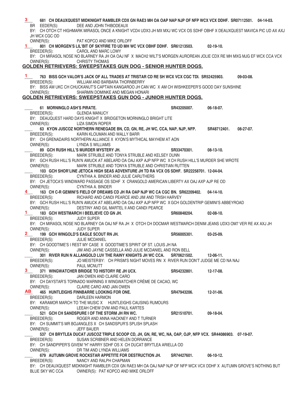#### \_\_ 681 CH DEAUXQUEST MIDKNIGHT RAMBLER CDX GN RAE3 MH OA OAP NAP NJP OF NFP WCX VCX DDHF. SR07112501. 04-14-03.<br>BR EEDER(S): DEE AND JOHN THIBODEAUX DEE AND JOHN THIBODEAUX BY: CH OTCH CT HIGHMARK MIRASOL ONCE A KNIGHT VCD4 UDX3 JH MX MXJ WC VCX OS SDHF OBHF X DEAUXQUEST MAVICA PIC UD AX AXJ JH WCX CGC OD OWNER(S): PAT KOPCO AND MIKE ORLOFF \_\_\_\_ **801 CH MORGEN'S LIL'BIT OF SKYFIRE TD UD MH WC VCX OBHF DDHF. SR61213503. 02-19-10.**  BREEDER(S): CAROL AND MARC LOWY BY: CH MIRASOL NOSE NO BLARNEY RA JH OA OAJ NF X MACH2 WILT'S MORGEN AUROREAN JOLIE CDX RE MH MXG MJG EF WCX CCA VCX OWNER(S): CHRISTY THOMAS **GOLDEN RETRIEVERS: SWEEPSTAKES GUN DOG - SENIOR HUNTER DOGS.** \_\_\_\_ **763 BISS GCH VALOR'S JACK OF ALL TRADES AT TRISTAR CD RE SH WCX VCX CGC TDI. SR52425903. 09-03-08.**  BREEDER(S): WILLIAM AND BARBARA THORNBERRY BY: BISS AM UKC CH CHUCKANUT'S CAPTAIN KANGAROO JH CAN WC X AM CH WISHKEEPER'S GOOD DAY SUNSHINE OWNER(S): SHARMIN DOMINKE AND MEGAN HONARI **GOLDEN RETRIEVERS: SWEEPSTAKES GUN DOG - JUNIOR HUNTER DOGS.** \_\_\_\_ **61 MORNINGLO ASH'S PIRATE. SR43205007. 06-18-07.**  BREEDER(S): GLENDA MANUCY BY: DEAUQUEST HARD DAYS KNIGHT X BRIDGETON MORNINGLO BRIGHT LITE OWNER(S): LIZA SIMON ROPER \_\_\_\_ **63 KYON JUSCOZ NORTHERN RENEGADE BN, CD, GN, RE, JH WC, CCA, NAP, NJP, NFP. SR48712401. 08-27-07.**  BREEDER(S): KARIN KLOUMAN AND WALLY BARR BY: CH GRENADAIRS NORTHERN ALLIANCE X KYON'S MYTHICAL MAYHEM AT AON OWNER(S): LYNDA S WILLIAMS LYNDA S WILLIAMS \_\_\_\_ **89 GCH RUSH HILL'S MURDER MYSTERY JH. SR33470301. 08-13-10.**  BREEDER(S): MARK STRUBLE AND TONYA STRUBLE AND KELSEY DUNN BY: GCH RUSH HILL'S RUN'N AMUCK AT ABELARD OA OAJ AXP AJP NFP WC X CH RUSH HILL'S MURDER SHE WROTE OWNER(S): MARK STRUBLE AND TONYA STRUBLE AND CHRISTIAN RUTTEN \_\_\_\_ **103 GCH SHOR'LINE JETOCA HIGH SEAS ADVENTURE JH TD RA VCX OS SDHF. SR22258701. 12-04-04.**  BREEDER(S): CYNTHIA A. BINDER AND JULIE CARUTHERS BY: CH JETOCA'S WINDWARD PASSAGE OS SDHF X CRANGOLD AMERICAN LIBERTY AX OAJ AXP AJP RE OD OWNER(S): CYNTHIA A. BINDER \_\_\_\_ **163 CH C-R GEMINI'S FIELD OF DREAMS CD JH RA OAP NJP WC CA CGC BN. SR62209402. 04-14-10.**  BREEDER(S): RICHARD AND CANDI PEARCE AND JIM AND TRISH HARVEY BY: GCH RUSH HILL'S RUN'N AMUCK AT ABELARD OA OAJ AXP AJP NFP WC X GCH GOLDENTRIP GEMINI'S ABBEYROAD OWNER(S): DESTINY AND GIL MARTEL II AND CANDI PEARCE \_\_\_\_ **183 GCH WESTMARCH I BEELIEVE CD GN JH. SR60848204. 02-08-10.**  BREEDER(S): JUDY SUPER BY: CH MIRASOL NOSE NO BLARNEY OA OAJ NF RA JH X OTCH CH DOCMAR WESTMARCH DENIM JEANS UDX3 OM7 VER RE AX AXJ JH OWNER(S): JUDY SUPER \_\_\_\_ **199 GCH WINGOLD'S EAGLE SCOUT RN JH. SR56005301. 03-25-09.**  BREEDER(S): JULIE MCDANIEL BY: CH GOODTIME'S I REST MY CASE X GOODTIME'S SPIRIT OF ST. LOUIS JH NA OWNER(S): JIM AND JAYNE CASSELLA AND JULIE MCDANIEL AND RON BELL \_\_\_\_ **301 RIVER RUN N ALLANGOLD LUV THE RAINY KNIGHTS JH WC CCA. SR70621502. 12-06-11.**  BREEDER(S): JO MEISTER BY: CH PRISM'S NIGHT MOVES RN X RIVER RUN DON'T JUDGE ME CD NA NAJ OWNER(S): PAUL MCNUTT \_\_\_\_ **371 WINGWATCHER BRIDGE TO HISTORY RE JH UCX. SR54232801. 12-17-08.**  BREEDER(S): JAN OWEN AND CLAIRE CARO BY: CH DAYSTAR'S TORNADO WARNING X WINGWATCHER CRÈME DE CACAO, WC OWNER(S): CLAIRE CARO AND JAN OWEN \_\_\_\_ **465 HUNTLEIGHS FINNBARRE LOOKING FOR ONE. SR47943206. 12-31-06.**  BREEDER(S): DARLEEN HARMON BY: KARAMOR MARCH TO THE MUSIC X HUNTLEIGHS CAUSING RUMOURS<br>OWNER(S): LEEAH CHEW DVM AND PAUL KARTES LEEAH CHEW DVM AND PAUL KARTES \_\_\_\_ **521 GCH CH SANDSPURE I OF THE STORM JH RN WC. SR21510701. 09-18-04.**  BREEDER(S): ROGER AND ANNA HACKNEY AND T TURNER BY: CH SUMMIT'S MR BOJANGLES X CH SANDSPUR'S SPLISH SPLASH OWNER(S): JEFF BAUER 537 CH BRYTLEA DUCAT JUSCOZ TRIPLE SCOOP CD, JH, GN, RE, WC, NA, OAP, OJP, NFP VCX. SR44086903. 07-19-07. BREEDER(S): SUSAN SCRIBNER AND HELEN DORRANCE BY: CH SANDPIPER'S GIVEM "H" HARRY SDHF OS X CH DUCAT BRYTLEA ARIELLA OD OWNER(S): DR TIM AND LYNDA WILLIAMS \_\_\_\_ **679 AUTUMN GROVE ROCKSTAR APPETITE FOR DESTRUCTION JH. SR74427601. 06-10-12.**  BREEDER(S): NANCY AND RALPH CHAPMAN BY: CH DEAUXQUEST MIDKNIGHT RAMBLER CDX GN RAE3 MH OA OAJ NAP NJP OF NFP WCX VCX DDHF X AUTUMN GROVE'S NOTHING BUT BLUE SKY WC CCA OWNER(S): PAT KOPCO AND MIKE ORLOFF **3 1 1 4 1 2 3 AB**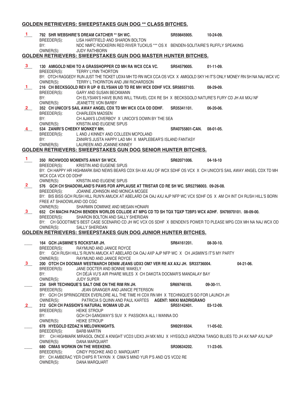## **GOLDEN RETRIEVERS: SWEEPSTAKES GUN DOG \*\* CLASS BITCHES.**

| $\mathbf{1}$   | BREEDER(S):                                 | 792 SHR WEBSHIRE'S DREAM CATCHER ** SH WC.<br>LISA HARTFIELD AND SHARON BOLTON                                                                                                     | SR59845905.            | 10-24-09.        |
|----------------|---------------------------------------------|------------------------------------------------------------------------------------------------------------------------------------------------------------------------------------|------------------------|------------------|
|                | BY:<br>OWNER(S):                            | NDC NMFC ROCKERIN RED RIVER TUCKUS *** OS X BENDEN-SOLITAIRE'S RUFFLY SPEAKING<br><b>JUDY RATHBORN</b>                                                                             |                        |                  |
|                |                                             | <b>GOLDEN RETRIEVERS: SWEEPSTAKES GUN DOG MASTER HUNTER BITCHES.</b>                                                                                                               |                        |                  |
| 3 <sub>1</sub> | BREEDER(S):                                 | 130 AMIGOLD NEHI TO A GRASSHOPPER CD MH RA WCX CCA VC.<br>TERRY LYNN THORTON                                                                                                       | SR54579005.            | $01-11-09.$      |
|                | OWNER(S):                                   | BY: OTCH RAGGEDY RUN JUST THE TICKET UDX4 MH TD RN WCX CCA OS VCX X AMIGOLD SKY HI IT'S ONLY MONEY RN SH NA NAJ WCX VC<br>TERRY L THORNTON AND JIM RICHARDSON                      |                        |                  |
| $\mathbf{1}$   | BREEDER(S):                                 | 216 CH BECKSGOLD REV R UP @ ELYSIAN UD TD RE MH WCX DDHF VCX. SR58557103.<br>GARY AND SUSAN BECKMANN                                                                               |                        | 08-29-09.        |
|                | BY:<br>OWNER(S):                            | CH ELYSIAN'S HAVE BUNS WILL TRAVEL CDX RE SH X BECKSGOLD NATURE'S FURY CD JH AX MXJ NF<br><b>JEANETTE VON BARBY</b>                                                                |                        |                  |
| <u>2</u>       | BY:                                         | 352 CH UNICOI'S SAIL AWAY ANGEL CDX TD MH WCX CCA OD DDHF.<br>BREEDER(S): CHARLEEN MADSEN<br>CH AJAN'S LOVERBOY X UNICOI'S DOWN BY THE SEA                                         | SR35341101.            | 06-20-06.        |
|                | OWNER(S):<br>534 ZANIRI'S CHEEKY MONKEY MH. | <b>KRISTIN AND EUGENE SIPUS</b><br>BREEDER(S): L AND J KINNEY AND COLLEEN MCPOLAND                                                                                                 | <b>SR40755801-CAN.</b> | 08-01-05.        |
|                | BY:<br>OWNER(S):                            | ZANIRI'S JUSTA HAPPY LAD MH X MAPLEBEAR'S ISLAND FANTASY<br>LAUREEN AND JOANNE KINNEY                                                                                              |                        |                  |
|                |                                             | <b>GOLDEN RETRIEVERS: SWEEPSTAKES GUN DOG SENIOR HUNTER BITCHES.</b>                                                                                                               |                        |                  |
| $\mathbf{1}$   | BREEDER(S):                                 | 350 RICHWOOD MOMENTS AWAY SH WCX.<br>KRISTIN AND EUGENE SIPUS                                                                                                                      | SR62071006.            | 04-18-10         |
|                | WCX CCA VCX OD DDHF                         | BY: CH HAPPY HR HIGHMARK BAD NEWS BEARS CDX SH AX AXJ OF WCX SDHF OS VCX X CH UNICOI'S SAIL AWAY ANGEL CDX TD MH                                                                   |                        |                  |
| 2 <sub>1</sub> | OWNER(S):<br>BREEDER(S):                    | <b>KRISTIN AND EUGENE SIPUS</b><br>576 GCH CH SHADOWLAND'S PAWS FOR APPLAUSE AT TRISTAR CD RE SH WC. SR52798003. 09-26-08.<br>JOANNE JOHNSON AND MONICA MCGEE                      |                        |                  |
|                | FREE AT SHADOWLAND OD CGC                   | BY: BIS BISS GCH RUSH HILL RUN'N AMUCK AT ABELARD OA OAJ AXJ AJP NFP WC VCX SDHF OS X AM CH INT CH RUSH HILL'S BORN                                                                |                        |                  |
| $3_{-}$        | OWNER(S):<br>BREEDER(S):                    | SHARMIN DOMINKE AND MEGAN HONARI<br>652 CH MACH4 PACH4 BENDEN WORLDS COLLIDE AT MPG CD TD SH TQX TQXP T2BP3 WCX ADHF. SN78970101. 08-09-00.<br>SHARON BOLTON AND SALLY SHERIDAN    |                        |                  |
|                | OWNER(S):                                   | BY: CH GOODTIME'S BEST CASE SCENARIO CD JH WC VCX OS SDHF X BENDEN'S POWER TO PLEASE MPG CDX MH NA NAJ WCX OD<br><b>SALLY SHERIDAN</b>                                             |                        |                  |
|                |                                             | <b>GOLDEN RETRIEVERS: SWEEPSTAKES GUN DOG JUNIOR HUNTER BITCHES.</b>                                                                                                               |                        |                  |
|                | 164 GCH JASMINE'S ROCKSTAR JH.              |                                                                                                                                                                                    | SR64161201.            | 08-30-10.        |
|                | OWNER(S):                                   | BREEDER(S): RAYMUND AND JANICE ROYCE<br>BY: GCH RUSH HILL'S RUN'N AMUCK AT ABELARD OA OAJ AXP AJP NFP WC X CH JASMIN'S IT'S MY PARTY<br>RAYMUND AND JANICE ROYCE                   |                        |                  |
| 3              | BREEDER(S):<br>BY:                          | 200 OTCH CH DOCMAR WESTMARCH DENIM JEANS UDX3 OM7 VER RE AX AXJ JH. SR33736004.<br>JANE DOCTER AND BONNIE WAKELY<br>CH DÉJÀ VU'S AIR PHARE MILES X CH DAKOTA DOCMAR'S MANDALAY BAY |                        | $04-21-06.$      |
|                | OWNER(S):                                   | <b>JUDY SUPER</b>                                                                                                                                                                  |                        |                  |
|                | BREEDER(S):                                 | 234 SHR TECHNIQUE'S SALT ONE ON THE RIM RN JH.<br>JEAN GRANGER AND JANICE PETERSON<br>BY: GCH CH SPRINGCREEK EVERLORE ALL THE TIME HI CDX RN MH X TECHNIQUE'S GO FOR LAUNCH JH     | SR69746105.            | $09-30-11.$      |
|                | OWNER(S):                                   | PATRICIA S QUINN AND PAUL KARTES AGENT: NIKKI MADRIGRANO                                                                                                                           |                        |                  |
| 2 <sup>2</sup> | BREEDER(S):                                 | 312 GCH CH PASSION'S NATURAL WOMAN UD JH.<br><b>HEIKE STROUP</b>                                                                                                                   | SR55142401.            | $03-12-09.$      |
|                | BY:<br>OWNER(S):                            | GCH CH GANGWAY'S SUV X PASSION'A ALL I WANNA DO<br><b>HEIKE STROUP</b>                                                                                                             |                        |                  |
|                | BREEDER(S):                                 | 678 HYEGOLD EZDAZ N MELOWKNIGHTS.<br><b>BARB MARTIN</b>                                                                                                                            | SN92916504.            | $11-05-02.$      |
|                | OWNER(S):                                   | BY: CH HIGHMARK MIRASOL ONCE A KNIGHT VCD3 UDX3 JH MX MXJ X HYEGOLD ARIZONA TANGO BLUES TD JH AX NAP AXJ NJP<br>DANA MARQUART                                                      |                        |                  |
|                | BREEDER(S):                                 | <b>680 CIMAS WORKIN ON THE WEEKEND.</b><br>CINDY PISCHKE AND D. MARQUART                                                                                                           | SR30634202.            | $11 - 23 - 05$ . |
|                | OWNER(S):                                   | BY: CH AMBERAC YER CHIPS R TAYKIN X CIMA'S MIND YUR P'S AND Q'S VCD2 RE<br>DANA MARQUART                                                                                           |                        |                  |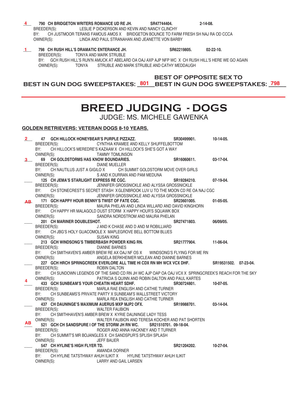|              | 790 CH BRIDGETON WRITERS ROMANCE UD RE JH.                                                             | SR47744404.                                       | $2 - 14 - 08$ .       |  |
|--------------|--------------------------------------------------------------------------------------------------------|---------------------------------------------------|-----------------------|--|
|              | BREEDER(S): LESLIE P DICKERSON AND KEVIN AND NANCY CLINCHY                                             |                                                   |                       |  |
|              | CH JUSTMOOR TERANS FAMOUS AMOS X BRIDGETON BOUNCE TO FARM FRESH SH NAJ RA OD CCCA<br>BY:               |                                                   |                       |  |
|              | OWNER(S): LINDA AND PAUL STRANAHAN AND JEANETTE VON BARBY                                              |                                                   |                       |  |
|              |                                                                                                        |                                                   |                       |  |
| $\mathbf{1}$ | 798 CH RUSH HILL'S DRAMATIC ENTERANCE JH.                                                              | SR62219805.                                       | $02 - 22 - 10$ .      |  |
|              | BREEDER(S): TONYA AND MARK STRUBLE                                                                     |                                                   |                       |  |
|              | BY: GCH RUSH HILL'S RUN'N AMUCK AT ABELARD OA OAJ AXP AJP NFP WC X CH RUSH HILL'S HERE WE GO AGAIN     |                                                   |                       |  |
|              | OWNER(S): TONYA                                                                                        | STRUBLE AND MARK STRUBLE AND CATHY MEDDAUGH       |                       |  |
|              |                                                                                                        |                                                   |                       |  |
|              |                                                                                                        | <b>BEST OF OPPOSITE SEX TO</b>                    |                       |  |
|              | BEST IN GUN DOG SWEEPSTAKES: 801 BEST IN GUN DOG SWEEPSTAKES: 798                                      |                                                   |                       |  |
|              |                                                                                                        |                                                   |                       |  |
|              |                                                                                                        |                                                   |                       |  |
|              |                                                                                                        |                                                   |                       |  |
|              |                                                                                                        | <b>BREED JUDGING - DOGS</b>                       |                       |  |
|              |                                                                                                        |                                                   |                       |  |
|              |                                                                                                        | <b>JUDGE: MS. MICHELE GAWENKA</b>                 |                       |  |
|              |                                                                                                        |                                                   |                       |  |
|              | <b>GOLDEN RETRIEVERS: VETERAN DOGS 8-10 YEARS.</b>                                                     |                                                   |                       |  |
| $\mathbf{2}$ | 47 GCH HILLOCK HONEYBEAR'S PURPLE PIZZAZZ.                                                             | SR30499901. 10-14-05.                             |                       |  |
|              | CYNTHIA KRAMEE AND KELLY SHUFFELBOTTOM<br>BREEDER(S):                                                  |                                                   |                       |  |
|              | BY: CH HILLOCK'S MEREDRE'S KAZAAM X CH HILLOCK'S SHE'S GOT A WAY                                       |                                                   |                       |  |
|              | OWNER(S):<br><b>TAMMY TOMLINSON</b>                                                                    |                                                   |                       |  |
| 3            | 69 CH GOLDSTORMS HAS KNOW BOUNDARIES.                                                                  | SR16060611.                                       | 03-17-04.             |  |
|              | BREEDER(S):<br>DIANE MUELLER                                                                           |                                                   |                       |  |
|              | BY: CH NAUTILUS JUST A GIGILO X CH SUMMIT GOLDSTORM MOVE OVER GIRLS                                    |                                                   |                       |  |
|              | OWNER(S):<br>S AND K DURRAN AND PAM MEDUNA                                                             |                                                   |                       |  |
|              | 125 CH JEMA'S STARLIGHT EXPRESS RE CGC.                                                                | SR19284210.                                       | 07-19-04.             |  |
|              | BREEDER(S):                                                                                            | JENNIFER GROSSNICKLE AND ALYSSA GROSSNICKLE       |                       |  |
|              | BY: CH STONECREST'S SECRET STASH X GLENBROOK LUV U TO THE MOON CD RE OA NAJ CGC                        |                                                   |                       |  |
|              | OWNER(S):                                                                                              | JENNIFER GROSSNICKLE AND ALYSSA GROSSNICKLE       |                       |  |
|              | AB 171 GCH HAPPY HOUR BENNY'S TWIST OF FATE CGC.<br>BREEDER(S):                                        | SR23601005.                                       | $01-05-05.$           |  |
|              | BY: CH HAPPY HR MALAGOLD DUST STORM X HAPPY HOUR'S SQUAWK BOX                                          | MAURA PHELAN AND LINDA WILLARD AND DAVID KINGHORN |                       |  |
|              | OWNER(S):<br>SANDRA NORDSTROM AND MAURA PHELAN                                                         |                                                   |                       |  |
|              | 201 CH MARINER DOUBLESHOT.                                                                             | SR27471803.                                       | 06/09/05.             |  |
|              | J AND K CHASE AND D AND M ROBILLIARD<br>BREEDER(S):                                                    |                                                   |                       |  |
|              | CH JBG'S HOLY GUACOMOLE X MAPLEGROVE BELL BOTTOM BLUES<br>BY:                                          |                                                   |                       |  |
|              | OWNER(S):<br><b>SUSAN KING</b>                                                                         |                                                   |                       |  |
|              | 213 GCH WINDSONG'S TIMBERBASH POWDER KING RN.                                                          | SR21777904.                                       | 11-06-04.             |  |
|              | BREEDER(S):<br><b>DIANNE BARNES</b>                                                                    |                                                   |                       |  |
|              | CH SMITHAVEN'S AMBER BREW RE AX OAJ NF OS X WINDSONG'S FLYING FOR ME RN<br>BY:                         |                                                   |                       |  |
|              | OWNER(S):<br>227 GCH HRCH SPRINGCREEK EVERLORE ALL TIME HI CDX RN MH WCX VCX DHF.                      | ANGELA BERKHEIMER MCLEAN AND DIANNE BARNES        |                       |  |
|              | ROBIN DALTON<br>BREEDER(S):                                                                            |                                                   | SR19531502, 07-23-04. |  |
|              | CH SUNDOWN LEGENDS OF THE SAND CD RN JH WC AJP OAP OA OAJ VCX X SPRINGCREEK'S REACH FOR THE SKY<br>BY: |                                                   |                       |  |
|              | OWNER(S):                                                                                              | PATRICIA S QUINN AND ROBIN DALTON AND PAUL KARTES |                       |  |
| 4            | 433 GCH SUNBEAM'S YOUR CHEATIN HEART SDHF.                                                             | SR30724801.                                       | 10-07-05.             |  |
|              | BREEDER(S):<br>MARLA RAE ENGLISH AND CATHIE TURNER                                                     |                                                   |                       |  |
|              | CH SUNBEAMS'S PRIVATE PARTY X SUNBEAM'S WALLSTREET VICTORY<br>BY:                                      |                                                   |                       |  |
|              | OWNER(S):<br>MARLA REA ENGLISH AND CATHIE TURNER                                                       |                                                   |                       |  |
|              | 437 CH DAUNINGE'S MAXIMUM AUERUS MXP MJP2 OFX.                                                         | SR19988701.                                       | $03-14-04.$           |  |
|              | BREEDER(S):<br><b>WALTER FAUBION</b>                                                                   |                                                   |                       |  |
|              | BY:<br>CH SMITHHAVEN'S AMBER BREW X KYRIE DAUNINGE LADY TESS                                           |                                                   |                       |  |
| AB.          | OWNER(S):                                                                                              | WALTER FAUBION AND TERESA KOCHER AND PAT SHORTEN  |                       |  |
|              | 521 GCH CH SANDSPURE I OF THE STORM JH RN WC. SR21510701. 09-18-04.<br>BREEDER(S):                     | ROGER AND ANNA HACKNEY AND T TURNER               |                       |  |
|              | CH SUMMIT'S MR BOJANGLES X CH SANDSPUR'S SPLISH SPLASH<br>BY:                                          |                                                   |                       |  |
|              | OWNER(S):<br>JEFF BAUER                                                                                |                                                   |                       |  |
|              | 547 CH HYLINE'S HIGH FLYER TD.                                                                         | SR21204202.                                       | 10-27-04.             |  |
|              | AMANDA DORNER<br>BREEDER(S):                                                                           |                                                   |                       |  |
|              | BY:<br>CH HYLINE TATSTHWAY AHUH ILIKIT X HYLINE TATSTHWAY AHUH ILIKIT                                  |                                                   |                       |  |
|              | OWNER(S):<br>LARRY AND GAIL LARSEN                                                                     |                                                   |                       |  |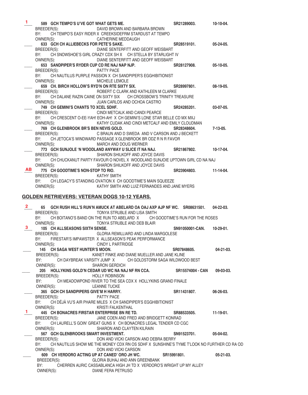| 1            |                    | 589 GCH TEMPO'S U'VE GOT WHAT GETS ME.         |                                                                                                       | SR21289003.     | 10-10-04.        |
|--------------|--------------------|------------------------------------------------|-------------------------------------------------------------------------------------------------------|-----------------|------------------|
|              | BREEDER(S):        |                                                | DAVID BROWN AND BARBARA BROWN                                                                         |                 |                  |
|              | BY:                |                                                | CH TEMPO'S EASY RIDER X CREEKSIDEFRM STARDUST AT TEMPO                                                |                 |                  |
|              | OWNER(S):          |                                                | <b>CATHERINE MEDDAUGH</b>                                                                             |                 |                  |
|              |                    | 633 GCH CH ALLIEBECKS FOR PETE'S SAKE.         |                                                                                                       | SR28519101.     | 05-24-05.        |
|              |                    |                                                | BREEDER(S): DIANE SENTERFITT AND GEOFF WEISBART                                                       |                 |                  |
|              |                    |                                                | BY: CH SNOWSHOE'S GIRL CRAZY CDX SH X CH STELLA BY STARLIGHT IV                                       |                 |                  |
|              |                    |                                                | OWNER(S): DIANE SENTERFITT AND GEOFF WEISBART                                                         |                 |                  |
|              |                    | 653 SANDPIPER'S RYDER CUP CD RE NAJ NAP NJP.   |                                                                                                       | SR28127908.     | $05-10-05.$      |
|              | BREEDER(S):        |                                                | PATTY PACE<br>BY: CH NAUTILUS PURPLE PASSION X CH SANDPIPER'S EGGHIBITIONIST                          |                 |                  |
|              | OWNER(S):          |                                                | MICHELE LEMOLE                                                                                        |                 |                  |
|              |                    | 659 CH. BIRCH HOLLOW'S RYD'N ON RTE SIXTY SIX. |                                                                                                       | SR28997801.     | 08-19-05.        |
|              |                    |                                                | BREEDER(S): ROBERT C CLARK AND KATHLEEN M CLARKE                                                      |                 |                  |
|              | BY:                |                                                | CH DALANE RAZIN CAINE ON SIXTY SIX CH CROSSBOW'S TRINITY TREASURE                                     |                 |                  |
|              |                    |                                                | OWNER(S): JUAN CARLOS AND OCHOA CASTRO                                                                |                 |                  |
|              |                    | 749 CH GEMINI'S CHANTS TO XCEL SDHF.           |                                                                                                       | SR24285201.     | 03-07-05.        |
|              |                    | BREEDER(S):                                    | CINDI METCALK AND CANDI PEARCE                                                                        |                 |                  |
|              |                    |                                                | BY: CH CRESCENT O-EE-YAH! EOH-AH! X CH GEMINI'S LONE STAR BELLE CD MX MXJ                             |                 |                  |
|              |                    | OWNER(S):                                      | KATHY CUDAK AND CINDI METCALF AND EMILY CLOUDMAN                                                      |                 |                  |
|              |                    | 769 CH GLENBROOK BR'S BEN NEVIS GOLD.          |                                                                                                       | SR28348604.     | $7-13-05.$       |
|              | BREEDER(S):        |                                                | C BRAUN AND D SWEDA AND V CARSON AND J BECKETT                                                        |                 |                  |
|              |                    |                                                | BY: CH JETOCA'S WINDWARD PASSAGE X GLENBROOK BR ODZ R N R FAVOR                                       |                 |                  |
|              |                    | OWNER(S):                                      | MARCH AND DOUG WERNER                                                                                 |                 |                  |
|              |                    |                                                | 773 GCH SUNJOLE 'N WOODLAND ANYWAY U SLICE IT NA NAJ. SR21867802.                                     |                 | 10-17-04.        |
|              |                    |                                                | BREEDER(S): SHARON SHILKOFF AND JOYCE DAVIS                                                           |                 |                  |
|              |                    |                                                | BY: CH CHUCKANUT PARTY FAVOUR O NOVEL X WOODLAND SUNJOIE UPTOWN GIRL CD NA NAJ                        |                 |                  |
| AB a         |                    |                                                | OWNER(S): SHARON SHILKOFF AND JOYCE DAVIS                                                             |                 |                  |
|              |                    | 775 CH GOODTIME'S NON-STOP TO RIO.             | <b>KATHY SMITH</b>                                                                                    | SR23904803.     | 11-14-04.        |
|              | BREEDER(S):<br>BY: |                                                | CH LEGACY'S STANDING OVATION X CH GOODTIME'S MAIN SQUEEZE                                             |                 |                  |
|              | OWNER(S):          |                                                | KATHY SMITH AND LUIZ FERNANDES AND JANE MYERS                                                         |                 |                  |
|              |                    |                                                |                                                                                                       |                 |                  |
|              |                    |                                                | GOLDEN RETRIEVERS: VETERAN DOGS 10-12 YEARS.                                                          |                 |                  |
|              |                    |                                                |                                                                                                       |                 |                  |
|              |                    |                                                |                                                                                                       |                 |                  |
| $2^{\circ}$  |                    |                                                | 65 GCH RUSH HILL'S RUN'N AMUCK AT ABELARD OA OAJ AXP AJP NF WC. SR08631501.                           |                 | $04 - 22 - 03$ . |
|              | BREEDER(S):        |                                                | TONYA STRUBLE AND LISA SMITH                                                                          |                 |                  |
|              |                    |                                                | BY: CH BOITANO'S BAND ON THE RUN TO ABELARD X CH GOODTIME'S RUN FOR THE ROSES                         |                 |                  |
|              | OWNER(S):          |                                                | TONYA STRUBLE AND DEB BLAIR                                                                           |                 |                  |
| 3            |                    | 105 CH ALLSEASONS SIXTH SENSE.                 |                                                                                                       | SN91050001-CAN. | $10-29-01.$      |
|              | BREEDER(S):        |                                                | GLORIA REMILLIARD AND LINDA MARGOLESE                                                                 |                 |                  |
|              |                    |                                                | BY: FIRESTAR'S IMPAWSTER X ALLSEASON'S PEAK PERFORMANCE                                               |                 |                  |
|              | OWNER(S):          |                                                | CINDY L PARTRIDGE                                                                                     |                 |                  |
|              |                    | 145 CH SAGA WEST HUNTER'S MOON.                |                                                                                                       | SR07848605.     | 04-21-03.        |
|              | BREEDER(S):        |                                                | KANET FINKE AND DIANE MUELLER AND JANE KLINE                                                          |                 |                  |
|              | BY:                |                                                | CH DAYBREAK VARSITY JUMP X CH GOLDSTORM SAGA WILDWOOD BEST                                            |                 |                  |
|              | OWNER(S):          |                                                | SHARON GERDICH                                                                                        |                 | $09-03-03.$      |
|              |                    |                                                | 205 HOLLYKINS GOLD'N CEDAR UD WC NA NAJ NF RN CCA. SR15574004 - CAN<br><b>HOLLY ROBINSON</b>          |                 |                  |
|              | BREEDER(S):<br>BY: |                                                | CH MEADOWPOND RIVER TO THE SEA CDX X HOLLYKINS GRAND FINALE                                           |                 |                  |
|              | OWNER(S):          |                                                | <b>LEANNE TUCKE</b>                                                                                   |                 |                  |
|              |                    | 365 GCH CH SANDPIPERS GIVE'M H HARRY.          |                                                                                                       | SR11431807.     | 06-26-03.        |
|              | BREEDER(S):        |                                                | PATTY PACE                                                                                            |                 |                  |
|              | BY:                |                                                | CH DÉJÀ VU'S AIR PHARE MILES X CH SANDPIPER'S EGGHIBITIONIST                                          |                 |                  |
|              | OWNER(S):          |                                                | KRISTI FALKENTHAL                                                                                     |                 |                  |
| $\mathbf{1}$ |                    | 445 CH BONACRES FIRSTAR ENTERPRISE BN RE TD.   |                                                                                                       | SR88533505.     | $11-19-01.$      |
|              | BREEDER(S):        |                                                | JANE COEN AND FRED AND BRIDGETT KONRAD                                                                |                 |                  |
|              | BY:                |                                                | CH LAURELL'S GOIN' GREAT GUNS X CH BONACRES LEGAL TENDER CD CGC                                       |                 |                  |
|              | OWNER(S):          |                                                | SHARON AND CLAYTEN KILRAIN                                                                            |                 |                  |
|              |                    | 567 GCH GLENBROOKS SMART INVESTMENT.           |                                                                                                       | SN91523701.     | 05-04-02.        |
|              | BREEDER(S):        |                                                | DON AND VICKI CARSON AND DEBRA BERRY                                                                  |                 |                  |
|              | BY:                |                                                | CH NAUTILUS SHOW ME THE MONEY CDX RN OS SDHF X SUNSHINE'S TYME T'LOOK NO FURTHER CD RA OD             |                 |                  |
|              |                    | OWNER(S):                                      | DON AND VICKI CARSON                                                                                  |                 |                  |
|              |                    |                                                | 609 CH VERDORO ACTING UP AT CANED' ORO JH WC.                                                         | SR15991801.     | $05 - 21 - 03$ . |
|              | BREEDER(S):<br>BY: |                                                | GLORIA BUHAJ AND ANN GREENBANK<br>CHERREN AURIC CASSABLANCA HIGH JH TD X VERDORO'S WRIGHT UP MY ALLEY |                 |                  |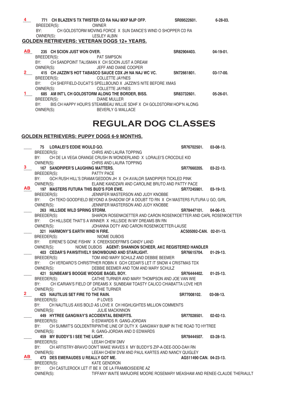| 4            |                                                   | 771 CH BLAZEN'S TX TWISTER CD RA NAJ MXP MJP OFP.                        | SR09522601. | $6 - 28 - 03$ . |
|--------------|---------------------------------------------------|--------------------------------------------------------------------------|-------------|-----------------|
|              | BREEDER(S):                                       | <b>OWNER</b>                                                             |             |                 |
|              | BY:                                               | CH GOLDSTORM MOVING FORCE X SUN DANCE'S WIND O SHOPPER CD RA             |             |                 |
|              | OWNER(S):                                         | <b>LESLEY ALBIN</b>                                                      |             |                 |
|              | <b>GOLDEN RETRIEVERS: VETERAN DOGS 12+ YEARS.</b> |                                                                          |             |                 |
|              |                                                   |                                                                          |             |                 |
| AB.          | 235 CH SCION JUST WON OVER.                       |                                                                          | SR82904403. | $04-19-01.$     |
|              | BREEDER(S):                                       | <b>PAT SIMPSON</b>                                                       |             |                 |
|              | BY: CH SANDPOINT TALISMAN X CH SCION JUST A DREAM |                                                                          |             |                 |
|              | OWNER(S):                                         | JEFF AND DIANE COOPER                                                    |             |                 |
| $\mathbf{2}$ |                                                   | 415 CH JAZZIN'S HOT TABASCO SAUCE CDX JH NA NAJ WC VC.                   | SN72661801. | $03-17-00.$     |
|              | BREEDER(S):                                       | <b>COLLETTE JAYNES</b>                                                   |             |                 |
|              |                                                   | BY: CH SHEFFIELD-DUCAT'S SPELLBOUND X JAZZIN'S NITE BEFORE XMAS          |             |                 |
|              | OWNER(S):                                         | <b>COLLETTE JAYNES</b>                                                   |             |                 |
|              |                                                   | 685 AM INT'L CH GOLDSTORM ALONG THE BORDER, BISS.                        | SR83732601. | $05-26-01.$     |
|              | BREEDER(S):                                       | <b>DIANE MULLER</b>                                                      |             |                 |
|              |                                                   | BY: BIS CH HAPPY HOUR'S STEAMBEAU WILLIE SDHF X CH GOLDSTORM HOP'N ALONG |             |                 |
|              | OWNER(S):                                         | <b>BEVERLY G WALLACE</b>                                                 |             |                 |
|              |                                                   |                                                                          |             |                 |

# **regULAR DOG CLASSES**

## **GOLDEN RETRIEVERS: PUPPY DOGS 6-9 MONTHS.**

|                | 75 LORALEI'S EDDIE WOULD GO.                           |                                                                                       | SR76702501.             | $03-08-13.$      |
|----------------|--------------------------------------------------------|---------------------------------------------------------------------------------------|-------------------------|------------------|
|                | BREEDER(S): CHRIS AND LAURA TOPPING                    |                                                                                       |                         |                  |
|                | BY:                                                    | CH DE LA VEGA ORANGE CRUSH IN WONDERLAND X LORALEI'S CROCDILE KID                     |                         |                  |
|                | OWNER(S):                                              | <b>CHRIS AND LAURA TOPPING</b>                                                        |                         |                  |
| 3.             | 167 SANDPIPER'S LAUGHING MATTERS.                      |                                                                                       | SR77660205. 03-22-13.   |                  |
|                | BREEDER(S):                                            | PATTY PACE                                                                            |                         |                  |
|                | BY:                                                    | GCH RUSH HILL'S DRAMA'GEDDON JH X CH AVALOR SANDPIPER TICKLED PINK                    |                         |                  |
|                | OWNER(S):                                              | ELAINE KANDZARI AND CAROLINE BRUTO AND PATTY PACE                                     |                         |                  |
| ABI            | 197 MASTERS FUTURA THIS BUD'S FOR EWE.                 |                                                                                       | SR77245901.             | $03-19-13.$      |
|                |                                                        | BREEDER(S): JENNIFER MASTERSON AND JUDY KNOBBE                                        |                         |                  |
|                |                                                        | BY: CH TEKO GOODFIELD BEYOND A SHADOW OF A DOUBT TD RN X CH MASTERS FUTURA U GO, GIRL |                         |                  |
|                | OWNER(S):                                              | JENNIFER MASTERSON AND JUDY KNOBBE                                                    |                         |                  |
|                | 263 HILLSIDE WILD SPRING STORM.                        |                                                                                       | SR78447101.             | 04-06-13.        |
|                | BREEDER(S):                                            | SHARON ROSENKOETTER AND CARON ROSENKOETTER AND CARL ROSENKOETTER                      |                         |                  |
|                | BY:                                                    | CH HILLSIDE THAT'S A WINNER X HILLSIDE IN MY DREAMS BN RN                             |                         |                  |
|                | OWNER(S):                                              | JOHANNA DOTY AND CARON ROSENKOETTER-LAUSE                                             |                         |                  |
|                | 321 HARMONY'S EARTH WIND N FIRE.                       |                                                                                       | AC505092-CAN. 02-01-13. |                  |
|                | BREEDER(S):                                            | <b>NIOME DUBOIS</b>                                                                   |                         |                  |
|                | BY:                                                    | EIRENE'S GONE FISHIN' X CREEKSIDEFRM'S CANDY LAND                                     |                         |                  |
|                | OWNER(S):                                              | NIOME DUBOIS AGENT: SHANNON SCHEER, AKC REGISTERED HANDLER                            |                         |                  |
|                |                                                        | 403 CEDAR'S PAWSITIVELY SNOWBOUND AND STARLIGHT. SR76615704. 01-29-13.                |                         |                  |
|                | BREEDER(S):                                            | TOM AND MARY SCHULZ AND DEBBIE BEEMER                                                 |                         |                  |
|                | BY:                                                    | CH VERDARO'S CHRISTPHER ROBIN X GCH CEDAR'S LET IT SNOW 4 CRISTMAS TDX                |                         |                  |
|                |                                                        | OWNER(S): DEBBIE BEEMER AND TOM AND MARY SCHULZ                                       |                         |                  |
|                | 421 SUNBEAM'S BOOGIE WOOGIE BAGEL BOY.                 |                                                                                       | SR76444402.             | $01 - 25 - 13$ . |
|                | BREEDER(S):                                            | CATHIE TURNER AND MARY THOMPSON AND JOE VAN WIE                                       |                         |                  |
|                | BY:                                                    | CH ICARIAN'S FIELD OF DREAMS X SUNBEAM TOASTY CALICO CHIABATTA LOVE HER               |                         |                  |
| $\mathbf{2}^-$ | OWNER(S):                                              | <b>CATHIE TURNER</b>                                                                  |                         |                  |
|                | 425 NAUTILUS SET FIRE TO THE RAIN.                     |                                                                                       | SR77008102.             | $03-08-13.$      |
|                | BREEDER(S): PLOVES<br>BY:                              |                                                                                       |                         |                  |
|                |                                                        | CH NAUTILUS AXIS BOLD AS LOVE X CH HIGHLIGHTES MILLION COMMENTS<br>JULIE MACKINNON    |                         |                  |
|                | OWNER(S):<br>449 HYTREE GANGWAY'S ACCIDENTAL BENEFITS. |                                                                                       | SR77028501.             | $02 - 02 - 13$ . |
|                | BREEDER(S):                                            | D EDWARDS R. GANG-JORDAN                                                              |                         |                  |
|                | BY:                                                    | CH SUMMIT'S GOLDENTRIPINTHE LINE OF DUTY X GANGWAY BUMP IN THE ROAD TO HYTREE         |                         |                  |
|                |                                                        | OWNER(S): R. GANG-JORDAN AND D EDWARDS                                                |                         |                  |
|                | 459 MY BUDDY'S I SEE THE LIGHT.                        |                                                                                       | SR78444507.             | $03 - 28 - 13$ . |
|                | BREEDER(S): LEEAH CHEW DMV                             |                                                                                       |                         |                  |
|                | BY:                                                    | CH ARTISTRY-BRAVO DON'T MAKE WAVES X MY BUDDY'S ZIP-A-DEE-DOO-DAH RN                  |                         |                  |
|                | OWNER(S):                                              | LEEAH CHEW DVM AND PAUL KARTES AND NANCY QUIGLEY                                      |                         |                  |
| ABI            | 473 DES EMERAUDES U REALLY GOT ME.                     |                                                                                       | AG511490 CAN. 04-23-13. |                  |
|                | BREEDER(S):                                            | KATE GENDRON                                                                          |                         |                  |
|                | BY:                                                    |                                                                                       |                         |                  |
|                | OWNER(S):                                              | TIFFANY WAITE MARJOIRE MOORE ROSEMARY MEASHAM AND RENEE-CLAUDE THERIAULT              |                         |                  |
|                |                                                        | CH CASTLEROCK LET IT BE X DE LA FRAMBOISEIERE AZ                                      |                         |                  |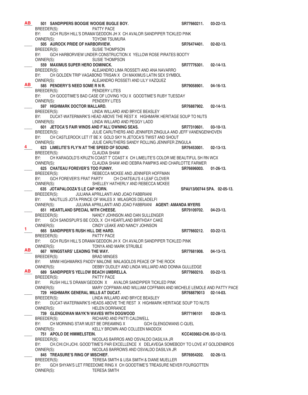\_\_\_\_ **501 SANDPIPERS BOOGIE WOOGIE BUGLE BOY. SR77660211. 03-22-13.**  BREEDER(S): PATTY PACE BY: GCH RUSH HILL'S DRAMA'GEDDON JH X CH AVALOR SANDPIPER TICKLED PINK OWNER(S): TOYOMI TSUMURA 505 AUROCK PRIDE OF HARBORVIEW. **<b>SR76474401.** 
02-02-13. BREEDER(S): SUSIE THOMPSON BY: GCH HARBORVIEW UNDER CONSTRUCTION X YELLOW ROSE PIRATES BOOTY OWNER(S): SUSIE THOMPSON \_\_\_\_ **559 MAXIMUS SUPER HERO DOMINICK. SR77776301. 02-14-13.**  BREEDER(S): ALEJANDRO LIMA ROSSETI AND ANA NAVARRO BY: CH GOLDEN TRIP VAGABOND TRISAN X CH MAXIMUS LATIN SEX SYMBOL OWNER(S): ALEJANDRO ROSSETI AND LILY VAZQUEZ ALEJANDRO ROSSETI AND LILY VAZQUEZ \_\_\_\_ **585 PENDERY'S NEED SOME R N R. SR79058901. 04-16-13.**  BREEDER(S): PENDERY LITES BY: CH GOODTIME'S BAD CASE OF LOVING YOU X GOODTIME'S RUBY TUESDAY OWNER(S): PENDERY LITES 597 HIGHMARK DOCTOR MALLARD.<br>BREEDER(S): LINDA WILLARD AND BRYCE BEASLEY **SR76887902.** 02-14-13. LINDA WILLARD AND BRYCE BEASLEY BY: DUCAT-WATERMARK'S HEAD ABOVE THE REST X HIGHMARK HERITAGE SOUP TO NUTS<br>
CUNDA WILLARD AND PEGGY LADD LINDA WILLARD AND PEGGY LADD \_\_\_\_ **601 JETOCA'S FAIR WINDS AND F'ALL'OWNING SEAS. SR77310601. 03-10-13.**  JULIE CARUTHERS AND JENNIFER ZINGULA AND JEFF VANENGENHOVEN BY: CH CASTLEROCK LET IT BE X GOLD SKY N JETOCA'S TWIST AND SHOUT OWNER(S): JULIE CARUTHERS SANDY ROLLING JENNIFER ZINGULA 623 LIMELITE'S FLY'N AT THE SPEED OF SOUND. SHOW SR76453001. 02-13-13.<br>BREEDER(S): CLAUDIA SHAW CLAUDIA SHAW BY: CH KARAGOLD'S KRUZ'N COAST T' COAST X CH LIMELITE'S COLOR ME BEAUTIFUL SH RN WCX OWNER(S): CLAUDIA SHAW AND DEBRA PAMPIKS AND CHARLOTTE FARMER \_\_\_\_ **625 CHATEAU FOREVER'S TOO FUNNY. SR76696003. 01-26-13.**  BREEDER(S): REBECCA MCKEE AND JENNIFER HOFFMAN BY: GCH FOREVER'S FRAT PARTY CH CHATEAU'S 4 LEAF CLOVER OWNER(S): SHELLEY HATHERLY AND REBECCA MCKEE **635 JOTAPALOOZA'S LE CAP HORN. SPAI/13/00744 SPA. 02-05-13.** BREEDER(S): JULIANA APRILLANTI AND JOAO FABBRIANI BY: NAUTILUS JOTA PRINCE OF WALES X MILAGROS DELADELFI OWNER(S): JULIANA APRILLANTI AND JOAO FABBRIANI **AGENT: AMANDA MYERS 651 HEARTLAND SPECIAL WITH CHEESE.**<br>BREEDER(S): *NANCY JOHNS* NANCY JOHNSON AND DAN SULLENGER BY: GCH SANDSPUR'S BE COOL X CH HEARTLAND BIRTHDAY CAKE OWNER(S): CINDY LEAKE AND NANCY JOHNSON **665** SANDPIPER'S RUSH HILL DIE HARD. **865** SR77660212. 03-22-13. BREEDER(S): PATTY PACE BY: GCH RUSH HILL'S DRAMA'GEDDON JH X CH AVALOR SANDPIPER TICKLED PINK OWNER(S): TONYA AND MARK STRUBLE \_\_\_\_ **667 WINGSTARS' LEADING THE WAY. SR77681908. 04-13-13.**  BREEDER(S): BRAD MINGES BY: MWM HIGHMARKS PADDY MALONE MALAGOLDS PEACE OF THE ROCK OWNER(S): DEBBY DUDLEY AND LINDA WILLIARD AND DONNA GULLEDGE \_\_\_\_ **689 SANDPIPER'S YELLOW BEACH UMBRELLA. SR77660210. 03-22-13.**  BREEDER(S): PATTY PACE BY: RUSH HILL'S DRAMA'GEDDON X AVALOR SANDPIPER TICKLED PINK<br>OWNER(S): MARY COFFMAN AND WILLIAM COFFMAN AND M MARY COFFMAN AND WILLIAM COFFMAN AND MICHELE LEMOLE AND PATTY PACE \_\_\_\_ **729 HIGHMARK GENERAL MILLS AT DUCAT. SR768879013 02-14-03.**  LINDA WILLARD AND BRYCE BEASLEY BY: DUCAT-WATERMARK'S HEADS ABOVE THE REST X HIGHMARK HERITAGE SOUP TO NUTS OWNER(S): HELEN DORRANCE \_\_\_\_ **739 GLENGOWAN MAYK'N WAVES WITH DOGWOOD SR77196101 02-28-13.**  BREEDER(S): RICHARD AND PATTI CALDWELL BY: CH MORNING STAR MUST BE DREAMING X GCH GLENGOWANS C-QUEL OWNER(S): KELLY BROWN AND COLLEEN MADDOX KELLY BROWN AND COLLEEN MADDOX \_\_\_\_ **751 APOLO DE HIMMELSTEIN. KCC403662-CHI. 03-12-13.**  BREEDER(S): NICOLAS BARROS AND OSVALDO DASILVA JR BY: CH.CHI.CH.JCHI. GOOD'TIME'S PAR EXCELLENCE X DELAVEGA SOMEBODY TO LOVE AT GOLDENBROS<br>OWNER(S): NICOLAS BARROWS AND OSVALDO DASILVA JR NICOLAS BARROWS AND OSVALDO DASILVA JR 845 TREASURE'S RING OF MISCHIEF. **845 TREASURE'S** RING OF MISCHIEF. BREEDER(S): TERESA SMITH & LISA SMITH & DIANE MUELLER BY: GCH SHYAN'S LET FREEDOME RING X CH GOODTIME'S TREASURE NEVER FOURGOTTEN OWNER(S): TERESA SMITH **AB AB 4 1 AB AB**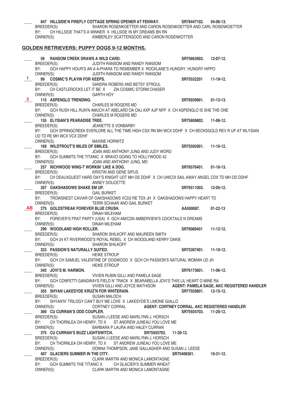\_\_\_\_ **847 HILLSIDE'N FIREFLY COTTAGE SPRING OPENER AT FENWAY. SR78447102. 04-06-13.**  SHARON ROSENKOETTER AND CARON ROSENKOETTER AND CARL ROSENKOETTER BY: CH HILLSIDE THAT'S A WINNER X HILLSIDE IN MY DREAMS BN RN OWNER(S): KIMBERLEY SCATTERGOOD AND CARON ROSENKOTTER **GOLDEN RETRIEVERS: PUPPY DOGS 9-12 MONTHS.** \_\_\_\_ **59 RANSOM CREEK DRAWS A WILD CARD. SR75663903. 12-07-12.**  BREEDER(S): JUDITH RANSOM AND RANDY RANSOM BY: GCH HAPPY HOUR'S AN A A-PHARA TO REMEMBER X ROCKLANE'S HUNGRY, HUNGRY HIPPO OWNER(S): JUDITH RANSOM AND RANDY RANSOM gg COSMIC'S PLAYIN FOR KEEPS.<br>BREEDER(S): SANDRA ROBERS AND BETSY STROUL BREEDER(S): SANDRA ROBERS AND BETSY STROUL BY: CH CASTLEROCKS LET IT BE X ZIA COSMIC STORM CHASER OWNER(S): GARTH HOY **115 ASPENGLO TRENDING.**<br> **BRFFDER(S):** CHARLES M ROGERS MD<br> **BRFFDER(S):** CHARLES M ROGERS MD CHARLES M ROGERS MD BY: GCH RUSH HILL RUN'N AMUCH AT ABELARD OA OAJ AXP AJP NFP X CH ASPENGLO IS SHE THE ONE OWNER(S): CHARLES M ROGERS MD \_\_\_\_ **155 ELYSIAN'S PEARADISE TREE. SR75608802. 11-06-12.**  JEANETTE S VONBARBY BY: GCH SPRINGCREEK EVERLORE ALL THE TIME HIGH CSX RN MH WCX DDHF X CH BECKSGOLD REV R UP AT WLYSIAN UD TD RE MH WCX VCX DDHF OWNER(S): MAXINE HORWITZ \_\_\_\_ **169 WILDTROUT'S MILES OF SMILES. SR75592001. 11-16-12.**  BREEDER(S): JOAN AND ANTHONY JUNG AND JUDY WORD BY: GCH SUMMITS THE TITANIC X BRAVO GOING TO HOLLYWOOD 42<br>OWNER(S): JOAN AND ANTHONY JUNG, MD JOAN AND ANTHONY JUNG, MD \_\_\_\_ **257 RICHWOOD WING-T WORKIN' LIKE A DOG. SR76576401. 01-16-13.**  BREEDER(S): KRISTIN AND GENE SIPUS<br>BY: CH DEAUXGUEST HARD DAY'S KNIGHT UDT MH OS BY: CH DEAUXGUEST HARD DAY'S KNIGHT UDT MH OS DDHF X CH UNICOI SAIL AWAY ANGEL CDX TD MH OD DDHF OWNER(S): ANNEY DOUCETTE ANNEY DOUCETTE \_\_\_\_ **267 OAKSHADOWS SHAKE EM UP. SR76511003. 12-05-12.**  BREEDER(S): GAIL BURKET BY: TROWSNEST CAVIAR OF OAKSHADOWS VCD2 RE TDX JH X OAKSHADOWS HAPPY HEART TD OWNER(S): TERRI SCHAAR AND GAIL BURKET 275 GOLDSTREAK FOREVER BLUE CRUSH. **ALL AUSTRIER ALSO ALL AUSTREAK** FOREVER BLUE CRUSH. **ALL AUSTRIER ACTES COLL ASSOCIATE CONTACT ACTES COLL ASSOCIATE CONTACT BUILDING BUILDING CONTACT CONTACT BUILDING CONTACT BUI** DINAH MILEHAM BY: FOREVER'S FRAT PARTY (USA) X GCH AM/CDN AMBERVIEW'S COCKTAILS N DREAMS<br>OWNER(S): DINAH MILEHAM DINAH MILEHAM 299 WOODLAND HIGH ROLLER.<br>BREEDER(S): SHARON SHILKOFF AND MAUREEN SMITH **SHAFOR** SHARON SHILKOFF AND MAUREEN SMITH SHARON SHILKOFF AND MAUREEN SMITH BY: GCH 24 KT RIVERWOOD'S ROYAL REBEL X CH WOODLAND KERRY OAKIE OWNER(S): SHARON SHILKOFF \_\_\_\_ **323 PASSION'S NATURALLY SUITED. SR75397401. 11-10-12.**  HEIKE STROUP BY: GCH CH SAMUEL VALENTINE OF DOGWOOD X GCH CH PASSION'S NATURAL WOMAN UD JH OWNER(S): HEIKE STROUP **\_\_\_\_ 345 JOVI'S M. HARMON. SR76173601. 11-06-12.** VIVIEN RUBIN GILLI AND PAMELA SAGE BY: GCH CONFETTI GANGWAYS FIELD N' TRACK X BEARABELLA JOVI'S THIS LIL HEART O MINE RA OWNER(S): VIVIEN GILLI AND JOYCE MATHISON **AGENT: PAMELA SAGE, AKC REGISTERED HANDLER \_\_\_\_ 355 SHYAN LAKESYDE KRUZ'N FOR WHITERAIN. SR77028801. 12-15-12.** BREEDER(S): SUSAN MALOCH BY: SHYAN'N' TRILOGY CAN'T BUY ME LOVE X LAKESYDE'S LIMONE GIALLO OWNER(S): CORTNEY CORRAL **AGENT: CORTNEY CORRAL, AKC REGISTERED HANDLER** \_\_\_\_ **369 CU CURRAN'S ODD COUPLER. SR75935703. 11-20-12.**  SUSAN J LEESE AND MARILYNN J. HORSCH BY: CH THORNLEA OH HENRY, TD X ST ANDREW JUNEAU YOU LOVE ME OWNER(S): BARBARA P LAURA AND HALEY CURRAN 375 CU CURRAN'S BUZZ LIGHTSWITCH. SR75935702. 11-20-12.<br>BREEDER(S): SUSAN J LEESE AND MARILYNN J. HORSCH SUSAN J LEESE AND MARILYNN J. HORSCH BY: CH THORNLEA OH HENRY, TD X ST ANDREW JUNEAU YOU LOVE ME OWNER(S): DONNA THOMPSON, JANE GALLAGHER AND SUSAN J. LEESE **407** GLACIERS SUMMER IN THE CITY.<br>BREEDER(S): CLARK MARTIN AND MONICA LAMONTAGNE<br>BREEDER(S): BREEDER(S): CLARK MARTIN AND MONICA LAMONTAGNE BY: GCH SUMMITS THE TITANIC X CH GLACIER'S SUMMER WHEAT OWNER(S): CLARK MARTIN AND MONICA LAMONTAGNE **1 3 AB**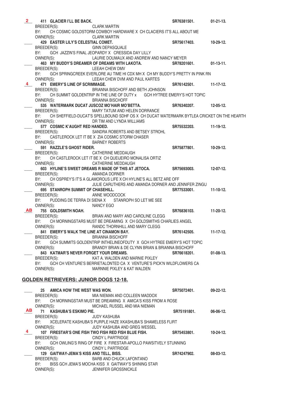| $2-$ | 411 GLACIER I'LL BE BACK.                           |                                                                                           | SR76381501.           | $01 - 21 - 13$ . |
|------|-----------------------------------------------------|-------------------------------------------------------------------------------------------|-----------------------|------------------|
|      | BREEDER(S):                                         | <b>CLARK MARTIN</b>                                                                       |                       |                  |
|      | BY:                                                 | CH COSMIC GOLDSTORM COWBOY HARDWARE X CH CLACIERS IT'S ALL ABOUT ME                       |                       |                  |
|      | OWNER(S):                                           | CLARK MARTIN                                                                              |                       |                  |
|      | 429 EASTER LILY'S CELESTIAL COMET.                  |                                                                                           | SR75617403.           | 10-29-12.        |
|      | BREEDER(S):                                         | GINN DEPASQUALE                                                                           |                       |                  |
|      | BY:                                                 | GCH JAZZIN'S FINAL JEOPARDY X CRESSIDA DAY LILLY                                          |                       |                  |
|      | OWNER(S):                                           | LAURIE DOUMAUX AND ANDREW AND NANCY MEYER                                                 |                       |                  |
|      |                                                     | 463 MY BUDDY'S DREAMER OF DREAMS WITH LAKOTA. SR78201601. 01-13-11.                       |                       |                  |
|      | BREEDER(S):                                         | LEEAH CHEW DMV                                                                            |                       |                  |
|      | BY:                                                 | GCH SPRINGCREEK EVERLORE AU TIME HI CDX MH X CH MY BUDDY'S PRETTY IN PINK RN              |                       |                  |
|      | OWNER(S):                                           | LEEAH CHEW DVM AND PAUL KARTES                                                            |                       |                  |
|      | 471 EMERY'S LINE OF SCRIMMAGE.                      |                                                                                           | SR76142501. 11-17-12. |                  |
|      | BREEDER(S):                                         | BRIANNA BISCHOFF AND BETH JOHNSON                                                         |                       |                  |
|      | BY:                                                 | CH SUMMIT GOLDENTRIP IN THE LINE OF DUTY x   GCH HYTREE EMERY'S HOT TOPIC                 |                       |                  |
|      | OWNER(S):                                           | BRIANNA BISCHOFF                                                                          |                       |                  |
|      |                                                     | 535 WATERMARK DUCAT JUSCOZ MO'HAIR MO'BETTA.<br>FEDER(S): MARY TATI IM AND HELEN DORRANCE | SR76340207. 12-05-12. |                  |
|      | BREEDER(S):                                         | MARY TATUM AND HELEN DORRANCE                                                             |                       |                  |
|      | BY:                                                 | CH SHEFFIELD-DUCAT'S SPELLBOUND SDHF OS X CH DUCAT WATERMARK BYTLEA CRICKET ON THE HEARTH |                       |                  |
|      | OWNER(S):                                           | DR TIM AND LYNDA WILLIAMS                                                                 |                       |                  |
|      | 577 COSMIC K'AUGHT RED HANDED.                      |                                                                                           | SR75532203. 11-19-12. |                  |
|      | BREEDER(S):                                         | SANDRA ROBERTS AND BETSEY STROHL                                                          |                       |                  |
|      | BY:                                                 | CASTLEROCK LET IT BE X ZIA COSMIC STORM CHASER                                            |                       |                  |
|      | OWNER(S):                                           | <b>BARNEY ROBERTS</b>                                                                     |                       |                  |
|      | 591 RAZZLE'S GHOST RIDER.                           |                                                                                           | SR75877801. 10-29-12. |                  |
|      | BREEDER(S): CATHERINE MEDDAUGH                      |                                                                                           |                       |                  |
|      | BY:                                                 | CH CASTLEROCK LET IT BE X CH QUEIJEIRO MONALISA ORTIZ                                     |                       |                  |
|      | OWNER(S):                                           | CATHERINE MEDDAUGH                                                                        |                       |                  |
|      |                                                     | 603 HYLINE'S SWEET DREAMS R MADE OF THIS AT JETOCA. SR75693003. 12-07-12.                 |                       |                  |
|      | BREEDER(S):                                         | AMANDA DORNER                                                                             |                       |                  |
|      |                                                     | BY: CH OSPREY'S IT'S A GLAMOROUS LIFE X CH HYLINE'S ALL BETZ ARE OFF                      |                       |                  |
|      | OWNER(S):                                           | JULIE CARUTHERS AND AMANDA DORNER AND JENNIFER ZINGU                                      |                       |                  |
|      | 695 STANROPH SUMMIT OF CHASEHILL.                   |                                                                                           | SR77533001.           | $11-10-12.$      |
|      | BREEDER(S):                                         | ANNE WOODCOCK                                                                             |                       |                  |
|      | BY:                                                 | PUDDING DE TERRA DI SIENA X STANROPH SO LET ME SEE                                        |                       |                  |
|      | OWNER(S):                                           | NANCY EGO                                                                                 |                       |                  |
| AB.  | 755 GOLDSMITH NOAH.                                 |                                                                                           | SR76836103.           | 11-20-12.        |
|      | BREEDER(S):                                         | BRIAN AND MARY AND CAROLINE CLEGG                                                         |                       |                  |
|      | BY:                                                 | CH MORNINGSTARS MUST BE DREAMING X CH GOLDSMITHS CHARLIES ANGEL                           |                       |                  |
|      | OWNER(S):                                           | RANDC THORNHILL AND MARY CLEGG                                                            |                       |                  |
|      | 841 EMERY'S WALK THE LINE AT CINAMON BAY.           |                                                                                           | SR76142505.           | $11-17-12.$      |
|      | BREEDER(S):                                         | <b>BRIANNA BISCHOFF</b>                                                                   |                       |                  |
|      | BY:                                                 | GCH SUMMITS GOLDENTRIP INTHELINEOFDUTY X GCH HYTREE EMERY'S HOT TOPIC                     |                       |                  |
|      | OWNER(S):<br>843 KATMAR'S NEVER FORGET YOUR DREAMS. | BRANDY BRIAN & DE CLYNN BRIAN & BRIANNA BISCHOFF                                          | SR76618201.           | $01-08-13.$      |
|      |                                                     | KAT A. WALDEN AND MARNIE PIXLEY                                                           |                       |                  |
|      | BREEDER(S):<br>BY:                                  | GCH CH VENTURE'S BERRIETALONTED CA X VENTURE'S PICK'N WILDFLOWERS CA                      |                       |                  |
|      | OWNER(S):                                           | MARNNIE PIXLEY & KAT WALDEN                                                               |                       |                  |
|      |                                                     |                                                                                           |                       |                  |
|      | <b>GOLDEN RETRIEVERS: JUNIOR DOGS 12-18.</b>        |                                                                                           |                       |                  |
|      |                                                     |                                                                                           |                       |                  |
|      | 25 AMICA HOW THE WEST WAS WON.                      |                                                                                           | SR75072401.           | $09-22-12.$      |
|      | BREEDER(S):                                         | MIA NIEMAN AND COLLEEN MADDOX                                                             |                       |                  |
|      | BY:                                                 | CH MORNINGSTAR MUST BE DREAMING X AMICA'S KISS FROM A ROSE                                |                       |                  |
|      | OWNER(S):                                           | MICHAEL RUSSEL AND MIA NIEMAN                                                             |                       |                  |
| AB.  | 71 KASHUBA'S ESKIMO PIE.                            |                                                                                           | SR75191801.           | $06-06-12.$      |
|      | BREEDER(S):                                         | <b>JUDY KASHUBA</b>                                                                       |                       |                  |
|      | BY:                                                 | XCELERATE KASHUBA'S PURPLE HAZE XKASHUBA'S SHAMELESS FLIRT                                |                       |                  |
|      | OWNER(S):                                           | JUDY KASHUBA AND GREG WESSEL                                                              |                       |                  |
|      |                                                     | 107 FIRESTAR'S ONE FISH TWO FISH RED FISH BLUE FISH.                                      | SR75453801.           | $10 - 24 - 12$ . |
|      | BREEDER(S):                                         | CINDY L PARTRIDGE                                                                         |                       |                  |
|      | BY:                                                 | GCH OWLING'S RING OF FIRE X FIRESTAR-APOLLO PAWSITVELY STUNNING                           |                       |                  |
|      | OWNER(S):                                           | CINDY L PARTRIDGE                                                                         |                       |                  |
|      | 129 GAITWAY-JEMA'S KISS AND TELL, BISS.             |                                                                                           | SR74247902.           | $08-03-12.$      |
|      | BREEDER(S):                                         | BARB AND CHUCK LAFONTANO                                                                  |                       |                  |
|      | BY:                                                 | BISS GCH JEMA'S MOCHA KISS X GAITWAY'S SHINING STAR                                       |                       |                  |
|      | OWNER(S):                                           | JENNIFER GROSSNICKLE                                                                      |                       |                  |
|      |                                                     |                                                                                           |                       |                  |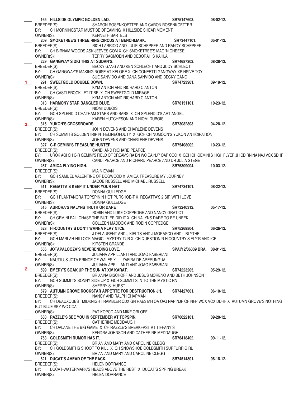|                | 165 HILLSIDE OLYMPIC GOLDEN LAD.                                                                                              | SR75147603.                  | $08-02-12.$      |
|----------------|-------------------------------------------------------------------------------------------------------------------------------|------------------------------|------------------|
|                | BREEDER(S):<br>SHARON ROSENKOETTER AND CARON ROSENKOETTER                                                                     |                              |                  |
|                | BY:<br>CH MORNINGSTAR MUST BE DREAMING X HILLSIDE SHEAR MOMENT                                                                |                              |                  |
|                | OWNER(S):<br><b>KENNETH BARTELS</b>                                                                                           |                              |                  |
|                | 209 SMOKETREE'S THREE RING CIRCUS AT BENCHMARK.                                                                               | SR73447101.                  | $05-01-12.$      |
|                | RICH LARRICQ AND JULIE SCHEPPER AND RANDY SCHEPPER<br>BREEDER(S):                                                             |                              |                  |
|                | BY:<br>CH BIRNAM WOODS ASK JEEVES.COM X CH SMOKETREE'S MAC 'N CHEESE<br>TERRY SAGMOEN AND DEBORAH S KAHLA                     |                              |                  |
|                | OWNER(S):<br>229 GANGWAY'S DIG THIS AT SUDAN'S.                                                                               | SR74687302.                  | 08-28-12.        |
|                | BECKY GANG AND KEN SCHLECHT AND JUDY SCHLECT<br>BREEDER(S):                                                                   |                              |                  |
|                | BY: CH GANGWAY'S MAKING NOISE AT KELORE X CH CONFETTI GANGWAY XPINSIVE TOY                                                    |                              |                  |
|                | OWNER(S):<br>SUE SANVIDO AND DANA SANVIDO AND BECKY GANG                                                                      |                              |                  |
| $1 \quad \Box$ | 291 SWEETGOLD DOUBLE DOWN.                                                                                                    | SR74723901.                  | 09-19-12.        |
|                | KYM ANTON AND RICHARD C ANTON<br>BREEDER(S):                                                                                  |                              |                  |
|                | BY: CH CASTLEROCK LET IT BE X CH SWEETGOLD MIRAGE                                                                             |                              |                  |
|                | OWNER(S):<br>KYM ANTON AND RICHARD C ANTON                                                                                    |                              |                  |
|                | 313 HARMONY STAR BANGLED BLUE.                                                                                                | SR78151101.                  | $10 - 23 - 12$ . |
|                | NIOMI DUBOIS<br>BREEDER(S):                                                                                                   |                              |                  |
|                | BY:<br>GCH SPLENDID CHATHAM STARS AND BARS X CH SPLENDID'S ART ANGEL                                                          |                              |                  |
|                | OWNER(S):<br>KAREN HUTCHESON AND NIOMI DUBOIS<br>315 YUKON'S CROSSROADS.                                                      | SR73082803.                  | $04 - 28 - 12$ . |
| 3 <sub>1</sub> | BREEDER(S):<br>JOHN DEVENS AND CHARLENE DEVENS                                                                                |                              |                  |
|                | CH SUMMITS GOLDENTRIPINTHELINEOFDUTY X GCH CH NUMOON'S YUKON ANTICIPATION<br>BY:                                              |                              |                  |
|                | OWNER(S):<br>JOHN DEVENS AND CHARLENE DEVENS                                                                                  |                              |                  |
|                | 327 C-R GEMINI'S TREASURE HUNTER.                                                                                             | SR75408002.                  | $10 - 23 - 12$ . |
|                | BREEDER(S):<br>CANDI AND RICHARD PEARCE                                                                                       |                              |                  |
|                | UROK AGI CH C-R GEMINI'S FIELD OF DREAMS RA BN WC CA NJP OAP CGC X GCH CH GEMINI'S HIGH FLYER JH CD RN NA NAJ VCX SDHF<br>BY: |                              |                  |
|                | CANDI PEARCE AND RICHARD PEARCE AND DR JULIA STEGE<br>OWNER(S):                                                               |                              |                  |
|                | 467 AMICA FLYING HIGH.                                                                                                        | SR75309004.                  | $10-03-12.$      |
|                | BREEDER(S):<br>MIA NIEMAN<br>GCH SAMUEL VALENTINE OF DOGWOOD X AMICA TREASURE MY JOURNEY<br>BY:                               |                              |                  |
|                | OWNER(S):<br>JACOB RUSSELL AND MICHAEL RUSSELL                                                                                |                              |                  |
|                | 511 REGATTA'S KEEP IT UNDER YOUR HAT.                                                                                         | SR74734101.                  | 08-22-12.        |
|                | BREEDER(S):<br>DONNA GULLEDGE                                                                                                 |                              |                  |
|                | BY:<br>GCH PLANTANORA TOPSPIN N HOT PURSHOE-T X REGATTA'S 2 SIR WITH LOVE                                                     |                              |                  |
|                | OWNER(S):<br>DONNA GULLEDGE                                                                                                   |                              |                  |
|                | 515 AURORA'S NALYNS TRUTH OR DARE                                                                                             | SR73240312.                  | $05-17-12.$      |
|                | BREEDER(S):<br>ROBIN AND LUKE COPPEDGE AND NANCY GRATIOT                                                                      |                              |                  |
|                | CH GEMINI FALLCHASE THE BUTLER DID IT X CH NALYNS DARE TO BE UNEEK<br>BY:                                                     |                              |                  |
|                | OWNER(S):<br>COLLEEN MADDOX AND ROBIN COPPEDGE                                                                                |                              | 06-26-12.        |
|                | 523 HI-COUNTRY'S DON'T WANNA PLAY N'ICE.<br>BREEDER(S):<br>J DELAURENT AND J KIELTS AND J MORASCO AND L BLYTHE                | SR75269804.                  |                  |
|                | BY:<br>GCH MARLAH-HILLOCK MAGICL MYSTRY TUR X CH QUESTION N HICOUNTRY'S FLY'R AND ICE                                         |                              |                  |
|                | OWNER(S):<br><b>KIRSTEN GRANDE</b>                                                                                            |                              |                  |
|                | 555 JOTAPALOOZA'S NEVERENDING LOVE.                                                                                           | SPAI/12/06339 BRA. 08-01-12. |                  |
|                | JULIANA APRILLANTI AND JOAO FABBRIANI<br>BREEDER(S):                                                                          |                              |                  |
|                | BY:<br>NAUTILUS JOTA PRINCE OF WALES X ZAFIRA DE ARERUNGUA                                                                    |                              |                  |
|                | OWNER(S):<br>JULIANA APRILLANTI AND JOAO FABBRIANI                                                                            |                              |                  |
| $\mathbf{2}$   | 599 EMERY'S SOAK UP THE SUN AT XIV KARAT.                                                                                     | SR74223205.                  | $05-29-12.$      |
|                | BRIANNA BISCHOFF AND JESUS MORENO AND BETH JOHNSON<br>BREEDER(S):                                                             |                              |                  |
|                | BY:<br>GCH SUMMIT'S SONNY SIDE UP X GCH SUMMIT'S IN TO THE MYSTIC RN<br>OWNER(S):<br>SHERRY S. HURST                          |                              |                  |
|                | 679 AUTUMN GROVE ROCKSTAR APPETITE FOR DESTRUCTION JH.                                                                        | SR74427601.                  | $06-10-12.$      |
|                | BREEDER(S):<br>NANCY AND RALPH CHAPMAN                                                                                        |                              |                  |
|                | CH DEAUXQUEST MIDKNIGHT RAMBLER CDX GN RAE3 MH OA OAJ NAP NJP OF NFP WCX VCX DDHF X AUTUMN GROVE'S NOTHING<br>BY:             |                              |                  |
|                | BUT BLUE SKY WC CCA                                                                                                           |                              |                  |
|                | OWNER(S):<br>PAT KOPCO AND MIKE ORLOFF                                                                                        |                              |                  |
|                | 683 RAZZLE'S SEE YOU IN SEPTEMBER AT TOPSPIN.                                                                                 | SR76022101.                  | $09-20-12.$      |
|                | BREEDER(S):<br>CATHERINE MEDDAUGH                                                                                             |                              |                  |
|                | CH DALANE THE BIG GAME X CH RAZZLE'S BREAKFAST AT TIFFANY'S<br>BY:                                                            |                              |                  |
|                | OWNER(S):<br>KENDRA JOHNSON AND CATHERINE MEDDAUGH<br>753 GOLDSMITH RUMOR HAS IT.                                             |                              |                  |
|                | BRIAN AND MARY AND CAROLINE CLEGG<br>BREEDER(S):                                                                              | SR76418402.                  | $09-11-12.$      |
|                | CH GOLDSMITHS SHOOT TO KILL X CH SNOWSHOE GOLDSMITH SURFURR GIRL<br>BY:                                                       |                              |                  |
|                | OWNER(S):<br>BRIAN AND MARY AND CAROLINE CLEGG                                                                                |                              |                  |
|                | 821 DUCAT'S AHEAD OF THE PACK.                                                                                                | SR74514801.                  | $08-18-12.$      |
|                | <b>HELEN DORRANCE</b><br>BREEDER(S):                                                                                          |                              |                  |
|                | BY:<br>DUCAT-WATERMARK'S HEADS ABOVE THE REST X DUCAT'S SPRING BREAK                                                          |                              |                  |
|                | <b>HELEN DORRANCE</b><br>OWNER(S):                                                                                            |                              |                  |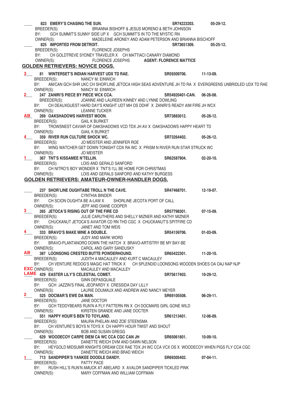|             | 823 EMERY'S CHASING THE SUN.                                |                                                                                                       | SR74223203.                    | $05 - 29 - 12.$  |
|-------------|-------------------------------------------------------------|-------------------------------------------------------------------------------------------------------|--------------------------------|------------------|
|             | BREEDER(S):                                                 | BRIANNA BISHOFF & JESUS MORENO & BETH JOHNSON                                                         |                                |                  |
|             | BY:                                                         | GCH SUMMIT'S SUNNY SIDE UP X   GCH SUMMIT'S IN TO THE MYSTIC RN                                       |                                |                  |
|             | OWNER(S):                                                   | MADELEINE ARONEY AND ADAM PETERSON AND BRIANNA BISCHOFF                                               |                                |                  |
|             | 825 IMPORTED FROM DETROIT.                                  |                                                                                                       | SR73651309.                    | $05 - 25 - 12$ . |
|             | BREEDER(S):                                                 | FLORENCE JOSEPHS                                                                                      |                                |                  |
|             | BY:                                                         | CH GOLDTREVE SYDNEY TRAVELER X CH MATTIACI CANARY DIAMOND                                             |                                |                  |
|             | OWNER(S):                                                   | <b>FLORENCE JOSEPHS</b>                                                                               | <b>AGENT: FLORENCE MATTICE</b> |                  |
|             | <b>GOLDEN RETRIEVERS: NOVICE DOGS.</b>                      |                                                                                                       |                                |                  |
|             |                                                             |                                                                                                       |                                |                  |
| 3           | 81 WINTERSET'S INDIAN HARVEST UDX TD RAE.                   |                                                                                                       | SR59309706.                    | 11-13-09.        |
|             | BREEDER(S):                                                 | NANCY M. EINWICH                                                                                      |                                |                  |
|             | BY:                                                         | AM/CAN GCH SHR UKC CH SHOR'LINE JETOCA HIGH SEAS ADVENTURE JH TD RA X EVERGREENS UNBRIDLED UDX TD RAE |                                |                  |
|             | OWNER(S):                                                   | NANCY M. EINWICH                                                                                      |                                |                  |
| $2^{\circ}$ | 247 ZANIRI'S PIECE BY PIECE WCX CCA.                        |                                                                                                       | SR54920401-CAN. 06-26-08.      |                  |
|             | BREEDER(S):                                                 | JOANNE AND LAUREEN KINNEY AND LYNNE DOWLING                                                           |                                |                  |
|             | BY:                                                         | CH DEAUXGUEST HARD DAY'S KNIGHT UDT MH OS DDHF X ZANIRI'S READY AIM FIRE JH WCX                       |                                |                  |
|             | OWNER(S):                                                   | <b>LEANNE TUCKER</b>                                                                                  |                                |                  |
| <b>AB</b>   | <b>269 OAKSHADOWS HARVEST MOON.</b>                         |                                                                                                       | SR73883012.                    | $05 - 28 - 12.$  |
|             | BREEDER(S):                                                 | <b>GAIL K BURKET</b>                                                                                  |                                |                  |
|             |                                                             | BY: TROWSNEST CAVIAR OF OAKSHADOWS VCD TDX JH AV X OAKSHADOWS HAPPY HEART TD                          |                                |                  |
|             |                                                             |                                                                                                       |                                |                  |
|             | OWNER(S):                                                   | <b>GIAIL K BURKET</b>                                                                                 |                                |                  |
|             | 359 RIVER RUN CULTURE SHOCK WC.                             |                                                                                                       | SR73264402.                    | $05-26-12.$      |
|             | BREEDER(S):                                                 | JO MEISTER AND JENNIFER ROE                                                                           |                                |                  |
|             |                                                             | BY: WING WATCHER GET DOWN TONIGHT CDX RA WC X PRISM N RIVER RUN STAR STRUCK WC                        |                                |                  |
|             | <b>JO MEISTER</b><br>OWNER(S):                              |                                                                                                       |                                |                  |
|             | 367 TNT'S KISSAMEE N'TELLIN.                                |                                                                                                       | SR62587904.                    | $02 - 20 - 10$ . |
|             | BREEDER(S): LOIS AND GERALD SANFORD                         |                                                                                                       |                                |                  |
|             | BY:                                                         | CH NITRO'S BOY WONDER X TNT'S I'LL BE HOME FOR CHRISTMAS                                              |                                |                  |
|             |                                                             | OWNER(S): LOIS AND GERALS SANFORD AND KATHY BURGESS                                                   |                                |                  |
|             |                                                             | <b>GOLDEN RETRIEVERS: AMATEUR-OWNER-HANDLER DOGS.</b>                                                 |                                |                  |
|             |                                                             |                                                                                                       |                                |                  |
|             | 237 SHOR'LINE OUGHTABE TROLL N THE CAVE.                    |                                                                                                       | SR47468701.                    | $12-19-07.$      |
|             | BREEDER(S):                                                 | <b>CYNTHIA BINDER</b>                                                                                 |                                |                  |
|             |                                                             |                                                                                                       |                                |                  |
|             |                                                             |                                                                                                       |                                |                  |
|             | BY: CH SCION OUGHTA BE A-LAW X SHORLINE JECOTA PORT OF CALL |                                                                                                       |                                |                  |
|             | OWNER(S):                                                   | JEFF AND DIANE COOPER                                                                                 |                                |                  |
| $3 \quad$   | 265 JETOCA'S RISING OUT OF THE FIRE CD                      |                                                                                                       | SR57798301.                    | $07-15-09.$      |
|             | BREEDER(S):                                                 | JULIE CARUTHERS AND SHELLY MIZNER AND KATHY MIZNER                                                    |                                |                  |
|             | BY:                                                         | CHUCKANUT JETOCA'S AVIATOR CD RN THD CGC X CHUCKANUT'S SPITFIRE CD                                    |                                |                  |
|             | OWNER(S):                                                   | JANET AND TOM WEIS                                                                                    |                                |                  |
|             | 333 BRAVO'S MAKE MINE A DOUBLE.                             |                                                                                                       | SR54159706.                    | $01-03-09.$      |
|             | BREEDER(S):                                                 | JUDY AND MARK WORD                                                                                    |                                |                  |
|             | BY:                                                         | BRAVO-PLANTANORO DOWN THE HATCH X BRAVO-ARTISTRY BE MY BAY-BE                                         |                                |                  |
|             | OWNER(S):                                                   | CAROL AND GARY SANDUSKY                                                                               |                                |                  |
| ABI         | 387 LOONSONG CRESTED BUTTE POWDERHOUND.                     |                                                                                                       | SR65422301.                    | 11-20-10.        |
|             | BREEDER(S):                                                 | JUDITH A MACAULEY AND KURT C MACAULEY                                                                 |                                |                  |
|             | BY:                                                         | CH VENTURE REDOG'S MAGIC HAT TRICK X CH SPLENDID LOONSONG WOODEN SHOES OA OAJ NAP NJP                 |                                |                  |
|             | <b>EXC OWNER(S):</b>                                        | MACAULEY AND MACAULEY                                                                                 |                                |                  |
|             | LAME 429 EASTER LILY'S CELESTIAL COMET.                     |                                                                                                       | SR75617403.                    | 10-29-12.        |
|             | BREEDER(S):                                                 | <b>GINN DEPASQUALE</b>                                                                                |                                |                  |
|             | BY: GCH JAZZIN'S FINAL JEOPARDY X CRESSIDA DAY LILLY        |                                                                                                       |                                |                  |
|             | OWNER(S):                                                   | LAURIE DOUMAUX AND ANDREW AND NANCY MEYER                                                             |                                |                  |
| $2^{\circ}$ | 525 DOCMAR'S EWE DA MAN.                                    |                                                                                                       | SR69105508.                    | $06-29-11.$      |
|             | BREEDER(S):                                                 | JANE DOCTOR                                                                                           |                                |                  |
|             | BY:                                                         | GCH TEDDYBEARS RUN'N A FLY PATTERN RN X CH DOCMARS GIRL GONE WILD                                     |                                |                  |
|             | OWNER(S):                                                   | KIRSTEN GRANDE AND JANE DOCTER                                                                        |                                |                  |
|             | 551 HAPPY HOUR'S BEN TO TOYLAND.                            |                                                                                                       | SR61213401.                    | 12-06-09.        |
|             | BREEDER(S):                                                 | MAURA PHELAN AND ZOE STEENSMA                                                                         |                                |                  |
|             | BY:                                                         | CH VENTURE'S BOYS N TOYS X CH HAPPY HOUR TWIST AND SHOUT                                              |                                |                  |
|             | OWNER(S):                                                   | <b>BOB AND SUSAN GREGG</b>                                                                            |                                |                  |
|             | 629 WOODECOY CARPE DIEM CA WC CCA CGC CAN JH                |                                                                                                       | SR65061801.                    | 10-09-10.        |
|             | BREEDER(S):                                                 | DANETTE WEICH DVM AND DAWN NELSON                                                                     |                                |                  |
|             | BY:                                                         | HEYGOLD MIDSUMR KNIGHTS DREAM CDX RAE TDX JH WC CCA VCX OS X WOODECOY WHEN PIGS FLY CCA CGC           |                                |                  |
|             | OWNER(S):                                                   | DANETTE WEICH AND BRAD WEICH                                                                          |                                |                  |
|             | 713 SANDPIPER'S YANKEE DOODLE DANDY.                        |                                                                                                       | SR69305402.                    | $07-04-11.$      |
|             | BREEDER(S):<br><b>PATTY PACE</b>                            |                                                                                                       |                                |                  |
|             | BY:                                                         | RUSH HILL'S RUN'N AMUCK AT ABELARD X AVALOR SANDPIPER TICKLED PINK                                    |                                |                  |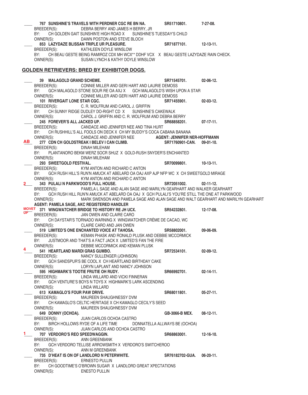|      |                                                | 767 SUNSHINE'S TRAVELS WITH PERDNER CGC RE BN NA.                                                                                       | SR51710801.                   | 7-27-08.         |
|------|------------------------------------------------|-----------------------------------------------------------------------------------------------------------------------------------------|-------------------------------|------------------|
|      |                                                | BREEDER(S): DEBRA BERRY AND JAMES H BERRY, JR                                                                                           |                               |                  |
|      | BY:                                            | CH GOLDEN GAIT SUNSHIN'E HIGH ROAD X SUNSHINE'S TUESDAY'S CHILD                                                                         |                               |                  |
|      |                                                | OWNER(S): DAWN POSTON AND STEVE BLOCH                                                                                                   |                               |                  |
|      |                                                | 853 LAZYDAZE BLISSAN TRIPLE UR PLEASURE.                                                                                                | SR71877101. 12-13-11.         |                  |
|      | BREEDER(S):                                    | KATHLEEN DOYLE WINSLOW                                                                                                                  |                               |                  |
|      |                                                | BY: CH BEAU GESTE BEING RAMIROZ CDX MH WCX** DDHF VCX X BEAU GESTE LAZYDAZE RAIN CHECK.                                                 |                               |                  |
|      | OWNER(S):                                      | SUSAN LYNCH & KATHY DOYLE WINSLOW                                                                                                       |                               |                  |
|      |                                                | <b>GOLDEN RETRIEVERS: BRED BY EXHIBITOR DOGS.</b>                                                                                       |                               |                  |
|      |                                                |                                                                                                                                         |                               |                  |
|      | 39 MALAGOLD GRAND SCHEME.                      |                                                                                                                                         | SR71545701.                   | $02 - 06 - 12$ . |
|      |                                                | BREEDER(S): CONNIE MILLER AND GERI HART AND LAURIE DEMOSS                                                                               |                               |                  |
|      |                                                | BY: GCH MALAGOLD STONE SOUR RE OA AXJ X GCH MALAGOLD'S WISH UPON A STAR                                                                 |                               |                  |
|      |                                                | OWNER(S): CONNIE MILLER AND GERI HART AND LAURIE DEMOSS                                                                                 |                               |                  |
|      | 101 RIVERGAIT LONE STAR CGC.                   |                                                                                                                                         | SR71455901.                   | $02 - 03 - 12$ . |
|      | BREEDER(S):                                    | C. R. WOLFRUM AND CAROL J. GRIFFIN                                                                                                      |                               |                  |
|      |                                                | BY: CH SUNNY RIDGE DUDLEY DO-RIGHT CD X SUNSHINE'S CAKEWALK                                                                             |                               |                  |
|      | 245 FOREVER'S ALL JACKED UP.                   | OWNER(S): CAROL J. GRIFFIN AND C. R. WOLFRUM AND DEBRA BERRY                                                                            |                               |                  |
|      |                                                | BREEDER(S): CANDACE AND JENNIFER NEE AND TINA HURT                                                                                      | SR68858201.                   | $07-17-11.$      |
|      | BY:                                            | CH RUSHHILL'S ALL FOOLS ON DECK X CH MY BUDDY'S COCA CABANA BANANA                                                                      |                               |                  |
|      |                                                |                                                                                                                                         |                               |                  |
| AB   |                                                | OWNER(S): CANDACE AND JENNIFER NEE AGENT: JENNIFER NER-HOFFMANN<br>277 CDN CH GOLDSTREAK I BELEV I CAN CLIMB. SR71760901-CAN. 09-01-10. |                               |                  |
|      | BREEDER(S):                                    | DINAH MILEHAM                                                                                                                           |                               |                  |
|      | BY:                                            | PLANTANORO BEKM WERZ SOCR SHUZ X GOLD-RUSH SNYDER'S ENCHANTED                                                                           |                               |                  |
|      | OWNER(S):                                      | DINAH MILEHAM                                                                                                                           |                               |                  |
|      | 293 SWEETGOLD FESTIVAL.                        |                                                                                                                                         | SR70099801. 10-13-11.         |                  |
|      | BREEDER(S):                                    | KYM ANTON AND RICHARD C ANTON                                                                                                           |                               |                  |
|      | BY:                                            | GCH RUSH HILL'S RUN'N AMUCK AT ABELARD OA OAJ AXP AJP NFP WC X CH SWEETGOLD MIRAGE                                                      |                               |                  |
|      |                                                | OWNER(S): KYM ANTON AND RICHARD C ANTON                                                                                                 |                               |                  |
|      |                                                | 343 PULALI N PARKWOOD'S FULL HOUSE.                                                                                                     | SR72051002.                   | $02 - 11 - 12$ . |
|      |                                                | BREEDER(S): PAMELA L SAGE AND ALAN SAGE AND MARILYN GEARHART AND WALKER GEARHART                                                        |                               |                  |
|      | BY:                                            | GCH RUSH HILL RUN'N AMUCK AT ABELARD OA OAJ X GCH PULALI'S YOU'RE STILL THE ONE AT PARKWOOD                                             |                               |                  |
|      | OWNER(S):                                      | MARK SWENSON AND PAMELA SAGE AND ALAN SAGE AND WALT GEARHART AND MARILYN GEARHART                                                       |                               |                  |
|      |                                                | AGENT: PAMELA SAGE, AKC REGISTERED HANDLER<br>MOVET 371 WINGWATCHER BRIDGE TO HISTORY RE JH UCX. SR54232801. 12-17-08.                  |                               |                  |
| UP T |                                                | BREEDER(S): JAN OWEN AND CLAIRE CARO                                                                                                    |                               |                  |
|      | BY:                                            | CH DAYSTAR'S TORNADO WARNING X WINGWATCHER CRÈME DE CACAO, WC                                                                           |                               |                  |
|      |                                                | OWNER(S): CLAIRE CARO AND JAN OWEN                                                                                                      |                               |                  |
|      |                                                | 519 LIMITED'S ONE ENCHANTED VOICE AT TAHOSA.                                                                                            | SR58802001.                   | 09-06-09.        |
|      |                                                | BREEDER(S): KEMAN PHASK AND RONALD PLUSK AND DEBBIE MCCORMICK                                                                           |                               |                  |
|      | BY:                                            | JUSTMOOR AND THAT'S A FACT JACK X LIMITED'S FAN THE FIRE                                                                                |                               |                  |
| 4    | OWNER(S):                                      | DEBBIE MCCORMICK AND KEMAN PLUSK                                                                                                        |                               |                  |
|      | 541 HEARTLAND MARDI GRAS GUMBO.<br>BREEDER(S): |                                                                                                                                         | SR72534101.                   | 02-09-12.        |
|      | BY:                                            | NANCY SULLENGER (JOHNSON)<br>GCH SANDSPUR'S BE COOL X CH HEARTLAND BIRTHDAY CAKE                                                        |                               |                  |
|      | OWNER(S):                                      | LORYN LAPLANT AND NANCY JOHNSON                                                                                                         |                               |                  |
|      | 595 HIGHMARK'S TOOTIE FRUTIE OH RUDY.          |                                                                                                                                         | SR66992701.                   | $02 - 14 - 11$ . |
|      | BREEDER(S):                                    | LINDA WILLARD AND VICKI FINNERAN                                                                                                        |                               |                  |
|      | BY:                                            | GCH VENTURE'S BOYS N TOYS X HIGHMARK'S LARK ASCENDING                                                                                   |                               |                  |
|      | OWNER(S):                                      | LINDA WILLARD                                                                                                                           |                               |                  |
|      | 613 KAMAGLO'S FOUR PAW DRIVE.                  |                                                                                                                                         | SR68011801.                   | $05-27-11.$      |
|      | BREEDER(S):                                    | MAUREEN SHAUGHNESSY DVM                                                                                                                 |                               |                  |
|      | BY:                                            | CH KAMAGLO'S CELTIC HERITAGE X CH KAMAGLO CECILY'S SEED                                                                                 |                               |                  |
|      | OWNER(S):                                      | MAUREEN SHAUGHNESSY DVM                                                                                                                 |                               |                  |
|      | 649 DONNY (OCHOA).                             |                                                                                                                                         | GB-3066-B MEX.                | $08-12-11.$      |
|      | BREEDER(S):                                    | JUAN CARLOS OCHOA CASTRO                                                                                                                |                               |                  |
|      | BY:                                            | BIRCH HOLLOWS RYDE OF A LIFE TIME                                                                                                       | DONNATELLA ALLWAYS BE (OCHOA) |                  |
|      | OWNER(S):<br>707 VERDORO'S REO SPEEDWAGGIN.    | JUAN CARLOS AND OCHOA CASTRO                                                                                                            |                               | $12 - 16 - 10$ . |
|      | BREEDER(S):                                    | ANN GREENBANK                                                                                                                           | SR68863001.                   |                  |
|      | BY:                                            | GCH VERDORO TELLISE ARROWSMITH X VERDORO'S SWITCHEROO                                                                                   |                               |                  |
|      | OWNER(S):                                      | ANN M GREENBANK                                                                                                                         |                               |                  |
|      |                                                | 735 D'HEAT IS ON OF LANDLORD N PETERWHITE.                                                                                              | SR76182702-GUA. 06-20-11.     |                  |
|      | BREEDER(S):                                    | <b>ERNESTO PULLIN</b>                                                                                                                   |                               |                  |
|      | BY:                                            | CH GOODTIME'S O'BROWN SUGAR X LANDLORD GREAT XPECTATIONS                                                                                |                               |                  |
|      | OWNER(S):                                      | <b>ENESTO PULLIN</b>                                                                                                                    |                               |                  |
|      |                                                |                                                                                                                                         |                               |                  |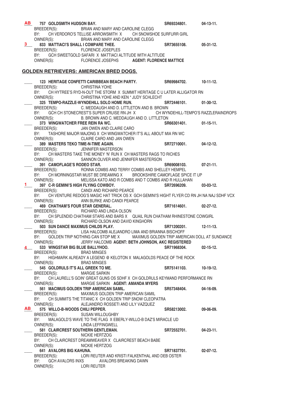| <b>AB</b> | 757 GOLDSMITH HUDSON BAY.                                                                        | SR69334801.                                         | $04-13-11.$                          |
|-----------|--------------------------------------------------------------------------------------------------|-----------------------------------------------------|--------------------------------------|
|           | BREEDER(S): BRIAN AND MARY AND CAROLINE CLEGG                                                    |                                                     |                                      |
|           | CH VERDORO'S TELLISE ARROWSMITH X CH SNOWSHOE SURFURR GIRL<br>BY:                                |                                                     |                                      |
|           | BRIAN AND MARY AND CAROLINE CLEGG<br>OWNER(S):                                                   |                                                     |                                      |
| 3.        | 833 MATTIACI'S SHALL I COMPARE THEE.                                                             | SR73655108.                                         | 05-31-12.                            |
|           | BREEDER(S): FLORENCE JOSEPLES                                                                    |                                                     |                                      |
|           | BY:<br>GCH SWEETGOLD SAFARI X MATTIACI ALTITUDE WITH ALTITUDE                                    |                                                     |                                      |
|           | OWNER(S):                                                                                        | FLORENCE JOSEPHS AGENT: FLORENCE MATTICE            |                                      |
|           |                                                                                                  |                                                     |                                      |
|           | <b>GOLDEN RETRIEVERS: AMERICAN BRED DOGS.</b>                                                    |                                                     |                                      |
|           |                                                                                                  |                                                     |                                      |
|           | 123 HERITAGE CONFETTI CARIBBEAN BEACH PARTY.                                                     | SR69984702.                                         | $10-11-12.$                          |
|           | BREEDER(S): CHRISTINA YOHE                                                                       |                                                     |                                      |
|           | CH HYTREE'S RYD-N-OUT THE STORM X SUMMIT HERITAGE C U LATER ALLIGATOR RN<br>BY:                  |                                                     |                                      |
|           | OWNER(S):<br>CHRISTINA YOHE AND KEN * JUDY SCHLECHT                                              |                                                     |                                      |
|           | 325 TEMPO-RAZZLE-WYNDEHILL SOLO HOME RUN.                                                        | SR72446101.                                         | $01-30-12.$                          |
|           | C. MEDDAUGH AND D. LITTLETON AND B. BROWN<br>BREEDER(S):                                         |                                                     |                                      |
|           | GCH CH STONECREST'S SUPER CRUISE RN JH X<br>BY:                                                  |                                                     | CH WYNDEHILL-TEMPO'S RAZZLERAINDROPS |
|           | B. BROWN AND C. MEDDAUGH AND D. LITTLETON<br>OWNER(S):                                           |                                                     |                                      |
|           | 373 WINGWATCHER FREE REIN RA WC.                                                                 | SR66301401. 01-15-11.                               |                                      |
|           | BREEDER(S):<br>JAN OWEN AND CLAIRE CARO                                                          |                                                     |                                      |
|           | TASHORE MAJOR MAJONG X CH WINGWATCHER IT'S ALL ABOUT MIA RN WC<br>BY:                            |                                                     |                                      |
|           | OWNER(S): CLAIRE CARO AND JAN OWEN                                                               |                                                     |                                      |
|           | 389 MASTERS TEKO TIME-N-TIME AGAIN.<br>INE-N-TIME AGAIN.<br>JENNIFER MASTERSON<br>F.T.I. LOCALE  | SR72710001.                                         | $04-12-12.$                          |
|           | BREEDER(S):                                                                                      |                                                     |                                      |
|           | CH MASTERS TAKE THE MONEY 'N' RUN X CH MASTERS RAGS TO RICHES<br>BY:                             |                                                     |                                      |
|           | SANNON OLIVER AND JENNIFER MASTERSON<br>OWNER(S):                                                |                                                     |                                      |
|           | 391 CAMOFLAGE'S RODEO STAR.                                                                      | SR69008103.                                         | $07-21-11.$                          |
|           | BREEDER(S):                                                                                      | RONNA COMBS AND TERRY COMBS AND SHELLEY HEMPEL      |                                      |
|           | BY:<br>CH MORNINGSTAR MUST BE DREAMING X BROOKSHIRE CAMOFLAGE SPICE IT UP                        |                                                     |                                      |
| $1 -$     | OWNER(S):                                                                                        | MELISSA KATO AND R COMBS AND T COMBS AND R HULLAHAN |                                      |
|           | 397 C-R GEMINI'S HIGH FLYING COWBOY.<br>BREEDER(S): CANDI AND RICHARD PEARCE                     | SR72696209.                                         | $03-03-12.$                          |
|           | BY:<br>CH VENTURE REDOG'S MAGIC HAT TRICK OS X GCH GEMINI'S HIGHT FLYER CD RN JH NA NAJ SDHF VCX |                                                     |                                      |
|           | OWNER(S):<br><b>JOG'S MAGIU HAT THIGH CE<br/>ANN BURKE AND CANDI PEARCE</b>                      |                                                     |                                      |
|           | 469 CHATHAM'S FOUR STAR GENERAL.                                                                 | SR71614601.                                         | $02 - 27 - 12$ .                     |
|           | RICHARD AND LINDA OLSON<br>BREEDER(S):                                                           |                                                     |                                      |
|           | CH SPLENDID CHATHAM STARS AND BARS X QUAIL RUN CHATHAM RHINESTONE COWGIRL<br>BY:                 |                                                     |                                      |
|           | OWNER(S):<br>RICHARD OLSON AND DAVID KINGHORN                                                    |                                                     |                                      |
|           | 503 SUN DANCE MAXIMUS CHILDS PLAY.                                                               | SR71200201.                                         | $12 - 11 - 13$ .                     |
|           | BREEDER(S): LISA HALCOMB ALEJANDRO LIMA AND BRIANNA BISCHOFF                                     |                                                     |                                      |
|           | GOLDEN TRIP NOTHING CAN STOP ME X MAXIMUS GOLDEN TRIP AMERICAN DOLL AT SUNDANCE<br>BY:           |                                                     |                                      |
|           | OWNER(S):                                                                                        | JERRY HALCOMB AGENT: BETH JOHNSON, AKC REGISTERED   |                                      |
|           | 533 WINGSTAR BIG BLUE BALLYHOO.                                                                  | SR71968304.                                         | $02 - 15 - 12$ .                     |
|           | BREEDER(S):<br><b>BRAD MINGES</b>                                                                |                                                     |                                      |
|           | BY:<br>HIGHMARK ALREADY A LEGEND @ KELOTON X MALAGOLDS PEACE OF THE ROCK                         |                                                     |                                      |
|           | OWNER(S):<br><b>BRAD MINGES</b>                                                                  |                                                     |                                      |
|           | 545 GOLDRULS IT'S ALL GREEK TO ME.                                                               | SR75141103.                                         | 10-19-12.                            |
|           | <b>MARGIE SARKIN</b><br>BREEDER(S):                                                              |                                                     |                                      |
|           | CH LAURELL'S GOIN' GREAT GUNS OS SDHF X CH GOLDRULS KEYMAND PERFORMANCE RN<br>BY:                |                                                     |                                      |
|           | OWNER(S):<br>MARGIE SARKIN AGENT: AMANDA MYERS                                                   |                                                     |                                      |
|           | 561 MACIMUS GOLDEN TRIP AMERICAN SAMIL.                                                          | SR57348404.                                         | 04-16-09.                            |
|           | MAXIMUS GOLDEN TRIP AMERICAN SAMIL<br>BREEDER(S):                                                |                                                     |                                      |
|           | CH SUMMITS THE TITANIC X CH GOLDEN TRIP SNOW CLEOPATRA<br>BY:                                    |                                                     |                                      |
|           | OWNER(S):<br>ALEJANDRO ROSSETI AND LILY VAZQUEZ                                                  |                                                     |                                      |
| AB        | 575 WILLO-B-WOODS CHILI PEPPER.                                                                  | SR58213002.                                         | $09-06-09.$                          |
|           | BREEDER(S):<br><b>SUSAN WILLOUGHBY</b>                                                           |                                                     |                                      |
|           | BY:<br>MALAGOLD'S WAVE TO THE FLAG X EBERLY-WILLO-B DAZ'S MIRACLE UD                             |                                                     |                                      |
|           | OWNER(S):<br><b>LINDA LEFFINGWELL</b><br>581 CLAIRCREST SOUTHERN GENTLEMAN.                      |                                                     |                                      |
|           | NICKIE HERTZOG                                                                                   | SR72552701.                                         | $04 - 23 - 11$ .                     |
|           | BREEDER(S):<br>BY:<br>CH CLAIRCREST DREAMWEAVER X CLAIRCREST BEACH BABE                          |                                                     |                                      |
|           | OWNER(S):<br>NICKIE HERTZOG                                                                      |                                                     |                                      |
|           | 641 AVALORS BIG KAHUNA.                                                                          | SR71837701.                                         | $02-07-12.$                          |
|           | BREEDER(S):                                                                                      | LORI REUTER AND KRISTI FALKENTHAL AND DEB OSTER     |                                      |
|           | BY:<br>GCH AVALORS INXS<br>AVALORS BREAKING DAWN                                                 |                                                     |                                      |
|           | <b>LORI REUTER</b><br>OWNER(S):                                                                  |                                                     |                                      |
|           |                                                                                                  |                                                     |                                      |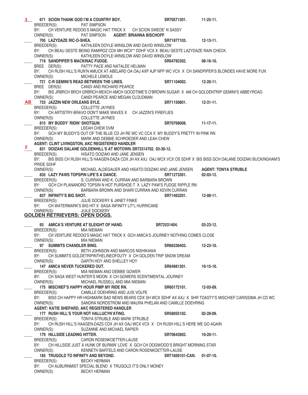\_\_\_\_ **671 SCION THANK GOD I'M A COUNTRY BOY. SR70571301. 11-25-11.**  BREEDER(S): PAT SIMPSON BY: CH VENTURE REDOG'S MAGIC HAT TRICK X CH SCION SWEDE'N SASSY OWNER(S): PAT SIMPSON **AGENT: BRIANNA BISCHOFF** \_\_\_\_ **705 LAZYDAZE RIC-O-SHEA. SR71877103. 12-13-11.**  BREEDER(S): KATHLEEN DOYLE-WINSLOW AND DAVID WINSLOW BY: CH BEAU GESTE BEING RAMIROZ CDX MH WCX\*\* DDHF VCX X BEAU GESTE LAZYDAZE RAIN CHECK. OWNER(S): KATHLEEN DOYLE-WINSLOW AND DAVID WINSLOW \_\_\_\_ **719 SANDPIPER'S MACKINAC FUDGE. SR64782302. 08-16-10.**  BREE DER(S): PATTY PACE AND NATALEE HELMAN BY: CH RUSH HILL'S RUN'N AMUCK AT ABELARD OA OAJ AXP AJP NFP WC VCX X CH SANDPIPER'S BLONDES HAVE MORE FUN OWNER(S): MICHELE LEMOLE \_\_\_\_ **721 C-R GEMINI'S READ BETWEEN THE LINES. SR71104002. 12-20-11.**  BREE DER(S): CANDI AND RICHARD PEARCE BY: BIS JRBRCH BRCH GRBRCH MEXCH AMCH GOODTIME'S O'BROWN SUGAR X AM CH GOLDENTRIP GEMINI'S ABBEYROAD OWNER(S): CANDI PEARCE AND MEGAN CLOUDMAN \_\_\_\_ **733 JAZZIN NEW ORLEANS SYLE. SR71150801. 12-31-11.**  BREEDER(S): COLLETTE JAYNES BY: CH ARTISTRY-BRAVO DON'T MAKE WAVES X CH JAZZIN'S FIREFLIES OWNER(S): COLLETTE JAYNES 815 MY BUDDY' RIDIN' SHOTGUN. **818 MY BUDDY' RIDIN'** SHOTGUN. BREEDER(S): LEEAH CHEW DVM BY: GCH MY BUDDY'S OUT OF THE BLUE CD JH RE WC VC CCA X MY BUDDY'S PRETTY IN PINK RN OWNER(S): MARK AND DEBBIE SCHROEDER AND LEAH CHEW **AGENT: CLINT LIVINGSTON, AKC REGISTERED HANDLER** \_\_\_\_ **831 DOIZAKI DALANE GOLDENHILL'S AT MOTOWN. SR73314702. 03-30-12.**  BREEDER(S): HISATO DOIZAKI AND JANE JENSEN BY: BIS BISS CH RUSH HILL'S HAAGEN-DAZA CDX JH AX AXJ OAJ WCX VCX OS SDHF X BIS BISS GCH DALANE DOIZAKI BUCKINGHAM'S PRIDE SDHF OWNER(S): MICHAEL ALDEGAUER AND HISATO DOIZAKI AND JANE JENSEN **AGENT: TONYA STRUBLE** 835 LAZY PAWS TOPSPIN LIFE'S A DANCE. **836 SR71273301.** 02-03-12. BREEDER(S): S. CURRAN AND K. CURRAN AND BARBARA BROWN BY: GCH CH PLANANORO TOPSIN N HOT PURSHOE-T X LAZY PAW'S FUDGE RIPPLE RN OWNER(S): BARBARA BROWN AND SHARI CURRAN AND KEVIN CURRAN 837 INFINITY'S BIG SHOT. **837 INFINITY'S BIG** SHOT. BREEDER(S): JULIE DOCKERY & JANET FINKE BY: CH WATERMARK'S BIG HIT X SAGA INFINITY LIT'L HURRICANE OWNER(S): JUILE DOCKERY **GOLDEN RETRIEVERS: OPEN DOGS.** \_\_\_\_ **93 AMICA'S VENTURE AT SLEIGHT OF HAND. SR72531404. 03-23-12.** BREEDER(S): MIA NIEMAN BY: CH VENTURE REDOG'S MAGIC HAT TRICK X GCH AMICA'S JOURNEY NOTHING COMES CLOSE OWNER(S): MIA NIEMAN 97 SUMMITS CHANDLER BING. **898 CHANGER 12-23-10.** SR66336403. 12-23-10. BREEDER(S): BETH JOHNSON AND MARCOS NISHIKAWA<br>BY: CH SUMMITS GOI DETRIPINTHEI INFOFDUTY X CH GOI DEN T BY: CH SUMMITS GOLDETRIPINTHELINEOFDUTY X CH GOLDEN TRIP SNOW DREAM OWNER(S): GARTH HOY AND SHELLEY HOY GARTH HOY AND SHELLEY HOY \_\_\_\_ **147 AMICA NEVER TUCKERED OUT. SR64981301. 10-15-10.**  BREEDER(S): MIA NIEMAN AND DEBBIE GOWER BY: CH SAGA WEST HUNTER'S MOON X CH GOWERS SCENTIMENTAL JOURNEY OWNER(S): MICHAEL RUSSELL AND MIA NIEMAN \_\_\_\_ **175 MISCHIEF'S HAPPY HOUR PIMP MY RIDE RN. SR60172101. 12-03-09.**  BREEDER(S): CAMILLE DOEHRING AND JUSI VOLPE BY: BISS CH HAPPY HR HIGHMARK BAD NEWS BEARS CDX SH WCX SDHF AX AXJ X SHR TOASTY'S MISCHIEF CARISSIMA JH CD WC OWNER(S): SANDRA NORDSTROM AND MAURA PHELAN AND CAMILLE DOEHRING  **AGENT: KATIE SHEPARD, AKC REGISTERED HANDLER** \_\_\_\_ **177 RUSH HILL'S YOUR NOT HALLUCYN'ATING. SR58055102. 02-28-09.**  BREEDER(S): TONYA STRUBLE AND MARK STRUBLE BY: CH RUSH HILL'S HAAGEN-DAZS CDX JH AX OAJ WCX VCX X CH RUSH HILL'S HERE WE GO AGAIN OWNER(S): SUZANNE AND MICHAEL RAPIER 179 HILLSIDE LEADING HITTER.<br>BREEDER(S): CARON ROSENKOETTER-LAUSE **SR70643902.** 10-20-11. CARON ROSENKOETTER-LAUSE BY: CH HILLSIDE JUST A HUNK OF BURNIN' LOVE X GCH CH DOGWOOD'S BRIGHT MORNING STAR OWNER(S): KENNETH BARTELS AND CARON ROSENKOETTER-LAUSE 185 TRUGOLD TO INFINITY AND BEYOND. **886 SR71609101-CAN.** 01-07-10. BREEDER(S): BECKY HERMAN BY: CH AUBURNMIST SPECIAL BLEND X TRUGOLD IT'S ONLY MONEY OWNER(S): BECKY HERMAN **3 AB 2**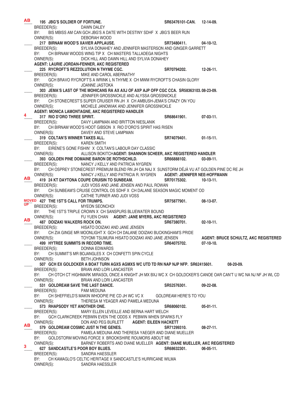**195 JBG'S SOLDIER OF FORTUNE.**<br>
BREEDER(S): DAWN DALEY **DAWN DALEY** DAWN DALEY BY: BIS MBISS AM CAN GCH JBG'S A DATE WITH DESTINY SDHF X JBG'S BEER RUN OWNER(S): DEBORAH WOOD \_\_\_\_ **217 BIRNAM WOOD'S XAVIER APPLAUSE. SR73480411. 04-10-12.**  BREEDER(S): SYLVIA DONAHEY AND JENNIFER MASTERSON AND GINGER GARRETT BY: CH BIRNAM WOODS WING TIP X CH MASTERS TALLADEGA NIGHTS OWNER(S): DICK HILL AND DAWN HILL AND SYLVIA DONAHEY **AGENT: LAURIE JORDAN-FENNER, AKC REGISTERED** \_\_\_\_ **225 RYCROFT'S REZZOLUTION N THYME CGC. SR70794202. 12-26-11.**  BREEDER(S): MIKE AND CAROL ABERNATHY BY: GCH BRAVO RYCROFT'S A WRINK L N THYME X CH MWM RYCROFT'S CHASIN GLORY OWNER(S): JOANNE JASTOKA \_\_\_\_ **303 JEMA'S LAST OF THE MOHICANS RA AX AXJ OF AXP AJP OFP CGC CCA. SR58363103. 08-23-09.**  BREEDER(S): JENNIFER GROSSNICKLE AND ALYSSA GROSSNICKLE BY: CH STONECREST'S SUPER CRUISER RN JH X CH AMBUSH-JEMA'S CRAZY ON YOU OWNER(S): MICHELE JANOWIAK AND JENNIFER GROSSNICKLE **AGENT: MONICA LAMONTAGNE, AKC REGISTERED HANDLER** 317 RIO D'ORO THREE SPIRIT.<br>BREEDER(S): DAVY LAMPMAN AND BRITTON NIESLANIK **BREEDER(S):** DAVY LAMPMAN AND BRITTON NIESLANIK DAVY LAMPMAN AND BRITTON NIESLANIK BY: CH BIRNAM WOOD'S HOOT GIBSON X RIO D'ORO'S SPIRIT HAS RISEN OWNER(S): DAVEY AND STEVE LAMPMAN \_\_\_\_ **319 COLTAN'S WINNER TAKES ALL. SR74079401. 01-15-11.**  BREEDER(S): KAREN SMITH BY: EIRENE'S GONE FISHIN' X COLTAN'S LABOUR DAY CLASSIC OWNER(S): ALLISON BOKITCH **AGENT: SHANNON SCHEER, AKC REGISTERED HANDLER** \_\_\_\_ **393 GOLDEN PINE DOMAINE BARON DE ROTHSCHILD. SR66888102. 03-09-11.**  BREEDER(S): NANCY J KELLY AND PATRICIA NYGREN BY: CH OSPREY STONECREST PREMIUM BLEND RN JH OA NAJ X SUNSTORM DÉJÀ VU AT GOLDEN PINE DC RE JH OWNER(S): NANCY J KELLY AND PATRICIA R. NYGREN \_\_\_\_ **419 24 KT DAYTONA COUPE CRUISIN TO SUNBEAM. SR70175302. 10-13-11.**  BREEDER(S): JUDI VOSS AND JANE JENSEN AND PAUL ROWAN BY: CH SUNBEAM'S CRUISE CONTROL OS SDHF X CH DALANE SEASON MAGIC MOMENT OD OWNER(S): CATHIE TURNER AND JUDI VOSS **MOVED** 427 THE 1ST'S CALL FOR TRUMPS. SHEPS SR75877901. 08-13-07. BREEDER(S): MYEON SEONCHOI BY: THE 1ST'S TRIPLE CROWN X CH SANSPURS BLUEWATER BOUND OWNER(S): FU YUEN CHAN **AGENT: JANE MYERS, AKC REGISTERED** ABT DOIZAKI WALKERS ROCK ON.<br>BREEDER(S): BREEDER(S): HISATO DOIZAKI AND JANE JENSEN HISATO DOIZAKI AND JANE JENSEN BY: CH ZIA GINGE MR MOONLIGHT X GCH CH DALANE DOIZAKI BUCKINGHAM'S PRIDE OWNER(S): TOYOMI TSUMURA HISATO DOIZAKI AND JANE JENSEN **AGENT: BRUCE SCHULTZ, AKC REGISTERED** \_\_\_\_ **499 HYTREE SUMMITS IN RECORD TIME. SR64075702. 07-10-10.**  BREEDER(S): DONNA EDWARDS BY: CH SUMMIT'S MR BOJANGLES X CH CONFETTI SPIN CYCLE OWNER(S): BETH JOHNSON \_\_\_\_ **507 GCH EX GOLDCKER A BOAT TURN AGXS AGMXS WC UTD TD RN NAP NJP NFP. SR62415601. 08-20-09.**  BREEDER(S): BRIAN AND LORI LANCASTER BY: CH OTCH CT HIGHMARK MIRASOL ONCE A KNIGHT JH MX BXJ WC X CH GOLDCKER'S CANOE OAR CAN'T U WC NA NJ NF JH WL CD OWNER(S): BRIAN AND LORI LANCASTER 531 GOLDREAM SAVE THE LAST DANCE. **821 SR52576301.** 09-22-08. BREEDER(S): PAM MEDUNA BY: CH SHEFFIELD'S MAKIN WHOOPIE PIE CD JH WC VC X GOLDREAM HERE'S TO YOU OWNER(S): THERESA M YEAGER AND PAMELA MEDUNA \_\_\_\_ **573 RHAPSODY YET ANOTHER ONE. SR68060102. 05-01-11.**  BREEDER(S): MARY ELLEN LEVEILLE AND BERNA HART WELCH BY: GCH CLARKCREEK PEBWIN EVEN THE ODDS X PEBWIN WHEN SPARKS FLY OWNER(S): DON AND PEG BURLETT **AGENT: EILEEN HACKETT** 579 GOLDREAM COSMIC JUST N THE GENES.  $\qquad \qquad$  SR71299310. 08-27-11. BREEDER(S): PAMELA MEDUNA AND THERESA YAEGER AND DIANE MUELLER BY: GOLDSTORM MOVING FORCE X BROOKSHIRE ROUMORS ABOUT ME OWNER(S): BARNEY ROBERTS AND DIANE MUELLER **AGENT: DIANE MUELLER, AKC REGISTERED**  $627$  SANDCASTLE'S POOR BOY BLUES.<br>BREEDER(S): SANDRA HAESSLER<br>**BREEDER(S):** SANDRA HAESSLER SANDRA HAESSLER BY: CH KAMAGLO'S CELTIC HERITAGE X SANDCASTLE'S HURRICANE WILMA OWNER(S): SANDRA HAESSLER **AB 4 AB UP AB AB 3**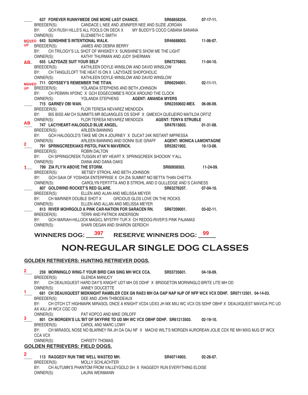|                 | 637 FOREVER RUNNYMEDE ONE MORE LAST CHANCE.                                                                                                 | SR68858204.           | $07-17-11.$      |
|-----------------|---------------------------------------------------------------------------------------------------------------------------------------------|-----------------------|------------------|
|                 | CANDACE L NEE AND JENNIFER NEE AND SUZIE JORDAN<br>BREEDER(S):<br>GCH RUSH HILLS'S ALL FOOLS ON DECK X MY BUDDY'S COCO CABANA BANANA<br>BY: |                       |                  |
|                 |                                                                                                                                             |                       |                  |
|                 | OWNER(S):<br>ELIZABETH C SMITH<br>NTIONAL WALK.<br>JAMES AND DEBRA BERRY<br>SHOT OF WILLOW<br>MOVED 643 SUNSHINE'S INTENTIONAL WALK.        |                       | 11-06-07.        |
| <b>UP</b>       |                                                                                                                                             | SR46688003.           |                  |
|                 | BREEDER(S):                                                                                                                                 |                       |                  |
|                 | CH TRILOGY'S LIL SHOT OF WHISKEY X SUNSHINE'S SHOW ME THE LIGHT<br>BY:                                                                      |                       |                  |
|                 | OWNER(S):<br>KATHY THURMAN AND JUDY SHERMAN                                                                                                 |                       |                  |
| AB <sub>2</sub> | 655 LAZYDAZE SUIT YOUR SELF                                                                                                                 | SR67276803. 11-04-10. |                  |
|                 | BREEDER(S):<br>KATHLEEN DOYLE-WINSLOW AND DAVID WINSLOW                                                                                     |                       |                  |
|                 | CH TANGLELOFT THE HEAT IS ON X LAZYDAZE SHOPOHOLIC<br>BY:                                                                                   |                       |                  |
|                 | KATHLEEN DOYLE-WINSLOW AND DAVID WINSLOW<br>OWNER(S):                                                                                       |                       |                  |
|                 | MOVED 711 ODYSSEY'S REMEMBER THE TITAN.                                                                                                     | SR66294001.           | $02 - 11 - 11$ . |
| <b>UP</b>       | BREEDER(S): YOLANDA STEPHENS AND BETH JOHNSON                                                                                               |                       |                  |
|                 | CH PEBWIN XPDNC X GCH EDGECOMBE'S ROCK AROUND THE CLOCK<br>BY:                                                                              |                       |                  |
|                 | OWNER(S): YOLANDA STEPHENS AGENT: AMANDA MYERS                                                                                              |                       |                  |
|                 | 715 GARNEV OBI WAN.                                                                                                                         | SR62350602-MEX.       | 06-06-09.        |
|                 | FLOR TERESA NEVAREZ MENDOZA<br>BREEDER(S):                                                                                                  |                       |                  |
|                 | BIS BISS AM CH SUMMITS MR BOJANGLES OS SDHF X GMEXCH QUEIJEIRO MATILDA ORTIZ<br>BY:                                                         |                       |                  |
|                 | OWNER(S): FLOR TERESA NEVAREZ MENDOZA AGENT: TONYA STRUBLE                                                                                  |                       |                  |
| AB.             | 747 LACYHEART-HALOGOLD BLUE ANGEL.                                                                                                          | SR47615603.           | $01-31-08.$      |
|                 | BREEDER(S): ARLEEN BANNING                                                                                                                  |                       |                  |
|                 | GCH HALOGOLD'S TAKE ME ON A JOURNEY X DUCAT 24K INSTANT IMPRESSA<br>BY:                                                                     |                       |                  |
|                 | ARLEEN BANNING AND DONNI SUE GRAFF AGENT: MONICA LAMONTAGNE<br>OWNER(S):                                                                    |                       |                  |
| $\mathbf{2}$    | 791 SPRINGCREEKIAKS PISTOL PAK'N MAVERICK.                                                                                                  | SR52821902.           | $10-13-08.$      |
|                 | BREEDER(S):<br><b>ROBIN DALTON</b>                                                                                                          |                       |                  |
|                 | CH SPRINGCREEK TUGGIN AT MY HEART X SPRINGCREEK SHOCKIN' Y'ALL<br>BY:                                                                       |                       |                  |
|                 | OWNER(S):<br>DIANA AND DANA OAKS                                                                                                            |                       |                  |
|                 | 799 ZIA FLY'N ABOVE THE STORM.                                                                                                              | SR60958503.           | 11-24-09.        |
|                 | BREEDER(S): BETSEY STROHL AND BETH JOHNSON                                                                                                  |                       |                  |
|                 | BY: GCH GAIA OF YOSHIDA ENTERPRISE X CH ZIA SUMMIT NO BETTA THAN CHETTA                                                                     |                       |                  |
|                 | OWNER(S):<br>CAROLYN FERTITTA AND B STROHL AND D GULLEDGE AND S CAVNESS                                                                     |                       |                  |
|                 | 807 GOLDWIND ROCKET'S RED GLARE.                                                                                                            | SR63276207.           | $07-04-10.$      |
|                 | ELLEN AND ALAN AND MELISSA MEYER<br>BREEDER(S):                                                                                             |                       |                  |
|                 | CH MARINER DOUBLE SHOT X GRCIOUS GLDS LOVE ON THE ROCKS<br>BY:                                                                              |                       |                  |
|                 | OWNER(S):<br>ELLEN AND ALLAN AND MELISSA MEYER                                                                                              |                       |                  |
|                 | 813 RIVER MOHRGOLD A PINK CAR-NATION FOR SARACEN RN.                                                                                        | SR67209001. 03-02-11. |                  |
|                 | TERRI AND PATRICK ANDERSON<br>BREEDER(S):                                                                                                   |                       |                  |
|                 | GCH MARIAH-HILLOCK MAGICL MYSTRY TUR X CH REDOG-RIVER'S PINK PAJAMAS<br>BY:                                                                 |                       |                  |
|                 | OWNER(S):<br>SHARI DEGAN AND SHARON GERDICH                                                                                                 |                       |                  |
|                 | $\sim$                                                                                                                                      |                       | 00               |

**WINNERS DOG: \_\_\_397 RESERVE WINNERS DOG: \_\_99** 

# **NON-REGULAR SINGLE DOG CLASSES**

## **GOLDEN RETRIEVERS: HUNTING RETRIEVER DOGS.**

- **\_\_\_\_ 259 MORNINGLO WING-T YOUR BIRD CAN SING MH WCX CCA. SR55735601. 04-18-09.** BREEDER(S): GLENDA MANUCY BY: CH DEAUXGUEST HARD DAY'S KNIGHT UDT MH OS DDHF X BRIDGETON MORNINGLO BRITE LITE MH OD OWNER(S): ANNEY DOUCETTE ANNEY DOUCETTE 681 CH DEAUXQUEST MIDKNIGHT RAMBLER CDX GN RAE3 MH OA OAP NAP NJP OF NFP WCX VCX DDHF. SR07112501. 04-14-03.<br>BREEDER(S): DEE AND JOHN THIBODEAUX DEE AND JOHN THIBODEAUX BY: CH OTCH CT HIGHMARK MIRASOL ONCE A KNIGHT VCD4 UDX3 JH MX MXJ WC VCX OS SDHF OBHF X DEAUXQUEST MAVICA PIC UD AX AXJ JH WCX CGC OD OWNER(S): PAT KOPCO AND MIKE ORLOFF 801 CH MORGEN'S LIL'BIT OF SKYFIRE TD UD MH WC VCX OBHF DDHF. SR61213503. 02-19-10.<br>BREEDER(S): CAROL AND MARC LOWY CAROL AND MARC LOWY BY: CH MIRASOL NOSE NO BLARNEY RA JH OA OAJ NF X MACH2 WILT'S MORGEN AUROREAN JOLIE CDX RE MH MXG MJG EF WCX CCA VCX<br>OWNER(S): CHRISTY THOMAS **GOLDEN RETRIEVERS: FIELD DOGS. 2 1 3**
- **\_\_\_\_ 113 RAGGEDY RUN TIME WELL WASTED MH. SR40714903. 02-26-07.** BREEDER(S): MOLLY SCHLACHTER BY: CH AUTUMN'S PHANTOM FROM VALLEYGOLD SH X RAGGEDY RUN EVERYTHING ELOISE OWNER(S): LAURA WEINMANN **2**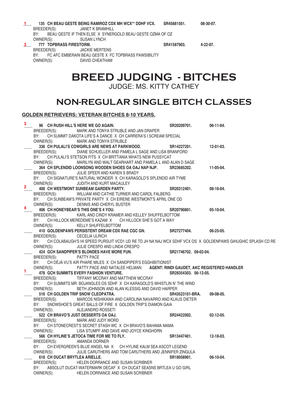|                                | 135 CH BEAU GESTE BEING RAMIROZ CDX MH WCX** DDHF VCX.    | SR45881501. | $08-30-07$ .    |
|--------------------------------|-----------------------------------------------------------|-------------|-----------------|
| BREEDER(S):                    | JANET K BRAMHILL                                          |             |                 |
| RY∙                            | BEAU GESTE IF THEN ELSE X SYNERGOLD BEAU GESTE OZMA OF OZ |             |                 |
| OWNER(S):                      | SUSAN LYNCH                                               |             |                 |
| <b>777 TOPBRASS FIRESTORM.</b> |                                                           | SR41587903. | $4 - 22 - 07$ . |
| BREEDER(S):                    | JACKIE MERTENS                                            |             |                 |

BY: FC AFC EMBERAIN BEAU GESTE X FC TOPBRASS PAWSIBILITY OWNER(S): DAVID CHEATHAM

# **BREED JUDGING - BITCHES**

JUDGE: MS. KITTY CATHEY

## **NON-REGULAR SINGLE BITCH CLASSES**

## **GOLDEN RETRIEVERS: VETERAN BITCHES 8-10 YEARS.**

| 3              | 96 CH RUSH HILL'S HERE WE GO AGAIN.                                                                               | SR20209701.           | 06-11-04.        |
|----------------|-------------------------------------------------------------------------------------------------------------------|-----------------------|------------------|
|                | BREEDER(S):<br>MARK AND TONYA STRUBLE AND JAN DRAPER                                                              |                       |                  |
|                | BY:<br>CH SUMMIT DAKOTA LIFE'S A DANCE X CH CARRERA'S I SCREAM SPECIAL                                            |                       |                  |
|                | OWNER(S): MARK AND TONYA STRUBLE                                                                                  |                       |                  |
|                | 336 CH PULALI'S COWGIRLS ARE NEWS AT PARKWOOD.                                                                    | SR14227201.           | 12-01-03.        |
|                | BREEDER(S):<br>DIANE SCHUELLER AND PAMELA L SAGE AND LISA BRANFORD                                                |                       |                  |
|                | BY:<br>CH PULALI'S STETSON FITS X CH BRITTANIA WHATS NEW PUSSYCAT                                                 |                       |                  |
|                | OWNER(S):<br>MARILYN AND WALT GEARHART AND PAMELA L AND ALAN D SAGE                                               |                       |                  |
|                | 364 CH SPLENDID LOONSONG WOODEN SHOES OA OAJ NAP NJP.                                                             | SR23685202.           | 11-05-04.        |
|                | BREEDER(S):<br>JULIE SPEER AND KAREN S BRADY                                                                      |                       |                  |
|                | BY: CH SIGNATURE'S NATURAL WONDER X CH KARAGOLD'S SPLENDID AIR TYME                                               |                       |                  |
| $\overline{2}$ | OWNER(S):<br>JUDITH AND KURT MACAULEY                                                                             |                       |                  |
|                | 400 CH WESTMONT SUNBEAM GARDEN PARTY.                                                                             | SR20312401.           | 08-16-04.        |
|                | BREEDER(S): WILLIAM AND CATHIE TURNER AND CAROL FALBERG                                                           |                       |                  |
|                | CH SUNBEAM'S PRIVATE PARTY X CH EIRENE WESTMONT'S APRIL ONE OD<br>BY:                                             |                       |                  |
| 4              | OWNER(S): DENNIS AND CHERYL BUSTER                                                                                |                       |                  |
|                | 406 CH HONEYBEAR'S THIS ONE'S 4 YOU.                                                                              | SR20790801.           | 05-10-04.        |
|                | BREEDER(S): KARL AND CINDY KRAMER AND KELLEY SHUFFELBOTTOM                                                        |                       |                  |
|                | BY:<br>CH HILLOCK MEREDEME'S KAZAM X CH HILLOCK SHE'S GOT A WAY                                                   |                       |                  |
|                | OWNER(S):<br>KELLY SHUFFELBOTTOM                                                                                  |                       |                  |
|                | 410 GOLDENPAWS PERSISTENT DREAM CDX RAE CGC GN.                                                                   | SR27277404.           | 06-25-05.        |
|                | BREEDER(S): CECELIA ULRICH                                                                                        |                       |                  |
|                | BY:<br>CH COLABAUGH'S HI SPEED PURSUIT VCD1 UD RE TD JH NA NAJ WCX SDHF VCX OS X GOLDENPAWS GIHUGHIC SPLASH CD RE |                       |                  |
|                | OWNER(S): JULIE CRESPO AND LINDA CRESPO                                                                           |                       |                  |
|                |                                                                                                                   |                       |                  |
|                | 424 GCH SANDPIPER'S BLONDES HAVE MORE FUN.                                                                        | SR21746702. 09-02-04. |                  |
|                | BREEDER(S): PATTY PACE                                                                                            |                       |                  |
|                | CH DÉJÀ VU'S AIR PHARE MILES X CH SANDPIPER'S EGGHIBITIONIST<br>BY:                                               |                       |                  |
| 1              | PATTY PACE AND NATALEE HELMAN AGENT: RINDI GAUDET, AKC REGISTERED HANDLER<br>OWNER(S):                            |                       |                  |
|                | <b>478 GCH SUMMITS EVERY FASHION VENTURE.</b>                                                                     | SR28354303, 06-12-05. |                  |
|                | BREEDER(S):<br>TIFFANY MCCRAY AND MATTHEW MCCRAY                                                                  |                       |                  |
|                | CH SUMMITS MR. BOJANGLES OS SDHF X CH KARAGOLD'S WHISTLIN N' THE WIND<br>BY: T                                    |                       |                  |
|                | OWNER(S):<br>BETH JOHNSON AND ALAN KLESSIG AND DAVID HARPER                                                       |                       |                  |
|                | 516 CH GOLDEN TRIP SNOW CLEOPATRA.                                                                                | SR43523101-BRA.       | 09-08-05.        |
|                | BREEDER(S):<br>MARCOS NISHIKAWA AND CAROLINA NAVARRO AND KLAUS DIETER                                             |                       |                  |
|                | SNOWSHOE'S GREAT BALLS OF FIRE X GOLDEN TRIP'S DIAMON GAIA<br>BY:                                                 |                       |                  |
|                | OWNER(S): ALEJANDRO ROSSETI                                                                                       |                       | $02 - 12 - 05$ . |
|                | 522 CH BRAVO'S JUST DESSERTS OA OAJ.                                                                              | SR24422002.           |                  |
|                | BREEDER(S):<br>MARK AND JUDY WORD<br>BY:                                                                          |                       |                  |
|                | CH STONECREST'S SECRET STASH WC X CH BRAVO'S BAHAMA MAMA<br>LISA STUMPF AND DAVE AND JOYCE KINGHORN               |                       |                  |
|                | OWNER(S):<br>566 CH HYLINE'S JETOCA TIME FOR ME TO FLY.                                                           | SR13447401.           | 12-18-03.        |
|                | <b>AMANDA DORNER</b>                                                                                              |                       |                  |
|                | BREEDER(S):<br>BY:<br>CH EVERGREEN'S BLUE ANGEL NA X CH HYLINE KALM SEA ASCOT LEGEND                              |                       |                  |
|                | OWNER(S):<br>JULIE CARUTHERS AND TOM CARUTHERS AND JENNIFER ZINGULA                                               |                       |                  |
|                | 618 CH DUCAT BRYTLEA ARIELLE.                                                                                     | SR18058901.           | 06-10-04.        |
|                | HELEN DORRANCE AND SUSAN SCRIBNER<br>BREEDER(S):                                                                  |                       |                  |
|                | BY:<br>ABSOLUT DUCAT-WATERMARK DECAF X CH DUCAT SEASNS BRTLEA U GO GIRL                                           |                       |                  |
|                | OWNER(S):<br>HELEN DORRANCE AND SUSAN SCRIBNER                                                                    |                       |                  |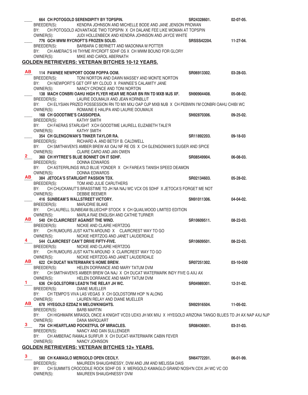|              |                               | 664 CH POTOGOLD SERENDIPITY BY TOPSPIN.                                                                      | SR24328601.        | $02 - 07 - 05$ . |
|--------------|-------------------------------|--------------------------------------------------------------------------------------------------------------|--------------------|------------------|
|              | BREEDER(S):                   | KENDRA JOHNSON AND MICHELLE BODE AND JANE JENSON PROWAN                                                      |                    |                  |
|              | BY:                           | CH POTOGOLD ADVANTAGE TWO TOPSPIN X CH DALANE FEE LIKE WOMAN AT TOPSPIN                                      |                    |                  |
|              | OWNER(S):                     | JUDI HOLLENBECK AND KENDRA JOHNSON AND JAYCE WHITE                                                           |                    |                  |
|              |                               | 776 GCH MWM RYCROFT'S FROZEN SOLID.                                                                          | <b>SRSSS42204.</b> | 11-27-04.        |
|              | BREEDER(S):                   | BARBARA C BERNETT AND MADONNA M POTTER                                                                       |                    |                  |
|              |                               | BY: CH AMERAC'S HI THYME RYCROFT SDHF OS X CH MWM BOUND FOR GLORY                                            |                    |                  |
|              | OWNER(S):                     | MIKE AND CAROL ABERNATH                                                                                      |                    |                  |
|              |                               | <b>GOLDEN RETRIEVERS: VETERAN BITCHES 10-12 YEARS.</b>                                                       |                    |                  |
| AB.          |                               |                                                                                                              |                    |                  |
|              | BREEDER(S):                   | 114 PAWNEE NEWPORT OOOM POPPA OOM.<br>TONI NORTON AND DAWN MASSEY AND MONTE NORTON                           | SR06913302.        | $03 - 28 - 03$ . |
|              | BY:                           | CH NEWPORT'S GET OFF MY CLOUD X PAWNEE'S CALAMITY JANE                                                       |                    |                  |
|              | OWNER(S):                     | NANCY CRONCE AND TONI NORTON                                                                                 |                    |                  |
|              |                               | 138 MACH CONBRI OAHU HIGH FLYER HEAR ME ROAR BN RN TD MXB MJS XF.                                            | SN90904408.        | 05-08-02.        |
|              |                               | BREEDER(S): LAURIE DOUMAUX AND JEAN KORNBLUT                                                                 |                    |                  |
|              |                               | BY: CH ELYSIAN PRIZED POSSESSION RN TD MX MXJ OAP OJP MXB MJB X CH PEBWIN I'M CONBRI OAHU CHIBI WC           |                    |                  |
|              | OWNER(S):                     | ROMAINE E HALIPA AND LAURIE DOUMAUX                                                                          |                    |                  |
|              | 168 CH GOODTIME'S CASSIOPEIA. |                                                                                                              | SN92870306.        | $09 - 25 - 02$ . |
|              | BREEDER(S):                   | KATHY SMITH                                                                                                  |                    |                  |
|              |                               | BY: CH FAERAS STARLIGHT XCH GOODTIME LAURELL ELIZABETH TALE'R                                                |                    |                  |
|              | OWNER(S):                     | <b>KATHY SMITH</b>                                                                                           |                    |                  |
|              |                               | 354 CH GLENGOWAN'S TINKER TAYLOR RA.                                                                         | SR11892203.        | 09-18-03         |
|              | BREEDER(S):                   | RICHARD A. AND BETSY B. CALDWELL                                                                             |                    |                  |
|              | BY:                           | CH SMITHAVEN'S AMBER BREW AX OAJ NF RE OS X CH GLENGOWAN'S SUGER AND SPICE                                   |                    |                  |
|              | OWNER(S):                     | CLAIRE CARO AND JAN OWEN                                                                                     |                    |                  |
| 2.           |                               | 360 CH HYTREE'S BLUE BONNET ON IT SDHF.                                                                      | SR08549904.        | 06-08-03.        |
|              | BREEDER(S):                   | DONNA EDWARDS                                                                                                |                    |                  |
|              | BY:<br>OWNER(S):              | CH ASTERRLINGS WILD BLUE YONDER X CH FAREA'S TANISH SPEED DEAMON<br>DONNA EDWARDS                            |                    |                  |
| AB           |                               | 384 JETOCA'S STARLIGHT PASSION TDX.                                                                          | SR02134603.        | $05 - 28 - 02.$  |
|              | BREEDER(S):                   | TOM AND JULIE CARUTHERS                                                                                      |                    |                  |
|              | BY:                           | CH CHUCKANUT'S BRASSTIME TD JH NA NAJ WC VCX OS SDHF X JETOCA'S FORGET ME NOT                                |                    |                  |
|              | OWNER(S):                     | <b>DEBBIE BEEMER</b>                                                                                         |                    |                  |
|              |                               |                                                                                                              |                    |                  |
|              |                               | 416 SUNBEAM'S WALLSTREET VICTORY.                                                                            | SN91011306.        | 04-04-02.        |
|              | BREEDER(S):                   | <b>MARJORIE BLAKE</b>                                                                                        |                    |                  |
|              |                               | BY: CH LAURELL SUNBEAM BLUECHIP STOCK X CH QUAILWOOD LIMITED EDITION                                         |                    |                  |
|              | OWNER(S):                     | MARLA RAE ENGLISH AND CATHIE TURNER                                                                          |                    |                  |
| AB I         |                               | 540 CH CLAIRCREST AGAINST THE WIND.                                                                          | SR10609511.        | $08 - 22 - 03$ . |
|              | BREEDER(S):                   | NICKIE AND CLAIRE HERTZOG                                                                                    |                    |                  |
|              |                               | BY: CH RUMOURS JUST KAT'N AROUND X CLAIRCREST WAY TO GO                                                      |                    |                  |
|              |                               | OWNER(S): NICKIE HERTZOG AND JANET LAUDERDALE                                                                |                    |                  |
| 4            |                               | 544 CLAIRCREST CAN'T DRIVE FIFTY-FIVE.                                                                       | SR10609501.        | $08 - 22 - 03$ . |
|              | BREEDER(S):                   | NICKIE AND CLAIRE HERTZOG                                                                                    |                    |                  |
|              | BY:                           | CH RUMOURS JUST KAT'N AROUND X CLAIRCREST WAY TO GO                                                          |                    |                  |
| AB —         | OWNER(S):                     | NICKIE HERTZOG AND JANET LAUDERDALE<br>622 CH DUCAT WATERMARK'S HOME BREW.                                   | SR07251302.        | 03-10-030        |
|              | BREEDER(S):                   | HELEN DORRANCE AND MARY TATUM DVM                                                                            |                    |                  |
|              | BY:                           | CH SMITHAVEN'S AMBER BREW OA NAJ X CH DUCAT WATERMARK INDY FIVE G AXJ AX                                     |                    |                  |
|              | OWNER(S):                     | HELEN DORRANCE AND MARY TATUM DVM                                                                            |                    |                  |
| $\mathbf{1}$ |                               | 636 CH GOLSTORM LEAD'N THE RELAY JH WC.                                                                      | SR04989301.        | $12 - 31 - 02$ . |
|              | BREEDER(S):                   | <b>DIANE MUELLER</b>                                                                                         |                    |                  |
|              | BY:                           | CH TEMPO'S VIVA LAS VEGAS X CH GOLDSTORM HOP 'N ALONG                                                        |                    |                  |
|              | OWNER(S):                     | LAUREN RELAY AND DIANE MUELLER                                                                               |                    |                  |
| AB —         |                               | 678 HYEGOLD EZDAZ N MELOWKNIGHTS.                                                                            | SN92916504.        | 11-05-02.        |
|              | BREEDER(S):                   | <b>BARB MARTIN</b>                                                                                           |                    |                  |
|              |                               | BY: CH HIGHMARK MIRASOL ONCE A KNIGHT VCD3 UDX3 JH MX MXJ X HYEGOLD ARIZONA TANGO BLUES TD JH AX NAP AXJ NJP |                    |                  |
| 3.           | OWNER(S):                     | DANA MARQUART                                                                                                |                    |                  |
|              |                               | 734 CH HEARTLAND POCKETFUL OF MIRACLES.                                                                      | SR08436001.        | $03-31-03.$      |
|              | BREEDER(S):                   | NANCY AND DAN SULLENGER                                                                                      |                    |                  |
|              | BY:                           | CH AMBERAC RAMALA SURFUR X CH DUCAT-WATERMARK CABIN FEVER<br>NANCY JOHNSON                                   |                    |                  |
|              | OWNER(S):                     |                                                                                                              |                    |                  |
|              |                               | <b>GOLDEN RETRIEVERS: VETERAN BITCHES 12+ YEARS.</b>                                                         |                    |                  |
| 3            |                               | 580 CH KAMAGLO MERIGOLD OPEN CECILY.                                                                         | SN64772201.        | $06-01-99.$      |
|              | BREEDER(S):                   | MAUREEN SHAUGHNESSY, DVM AND JIM AND MELISSA DAIS                                                            |                    |                  |
|              | BY:<br>OWNER(S):              | CH SUMMITS CROCODILE ROCK SDHF OS X MERIGOLD KAMAGLO GRAND NOSH'N CDX JH WC VC OD<br>MAUREEN SHAUGHNESSY DVM |                    |                  |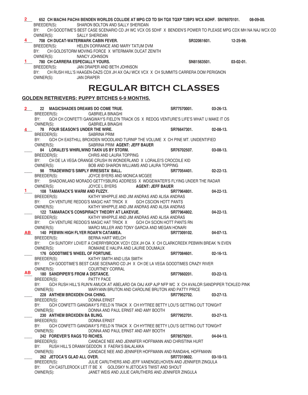| CH GOODTIME'S BEST CASE SCENARIO CD JH WC VCX OS SDHF X BENDEN'S POWER TO PLEASE MPG CDX MH NA NAJ WCX OD<br>BY:<br>OWNER(S):<br><b>SALLY SHERIDAN</b><br>708 CH DUCAT-WATERMARK CABIN FEVER.<br>SR32061601.<br>12-25-99.<br>BREEDER(S): HELEN DORRANCE AND MARY TATUM DVM<br>BY:<br>CH GOLDSTORM MOVING FORCE X WTERMARK DUCAT ZENITH<br>OWNER(S):<br>NANCY JOHNSON<br><b>780 CH CARRERA ESPECIALLY YOURS.</b><br>SN81563501.<br>$03-02-01.$<br>BREEDER(S):<br>JAN DRAPER AND BETH JOHNSON<br>BY: CH RUSH HILL'S HAAGEN-DAZS CDX JH AX OAJ WCX VCX X CH SUMMITS CARRERA DOM PERIGNON<br>OWNER(S):<br><b>JAN DRAPER</b><br><b>REGULAR BITCH CLASSES</b><br><b>GOLDEN RETRIEVERS: PUPPY BITCHES 6-9 MONTHS.</b><br>22 MAGICSHADES DREAMS DO COME TRUE.<br>SR77570001.<br>$03 - 26 - 13$ .<br>BREEDER(S):<br>GABRIELA BINAGHI<br>GCH CH CONFETTI GANGWAY'S FIELD'N TRACK OS X REDOG VENTURE'S LIFE'S WHAT U MAKE IT OS<br>BY:<br>OWNER(S):<br><b>GABRIELA BINAGHI</b><br>78 FOUR SEASON'S UNDER THE WIRE.<br>SR76647301.<br>$02 - 08 - 13$ .<br>BREEDER(S):<br>SABRINA PRIM<br>GCH CH EASTHILL BROXDEN WOODLAND TURNIP THE VOLUME X CH PINE MT. UNIDENTIFIED<br>BY:<br>OWNER(S):<br>SABRINA PRIM AGENT: JEFF BAUER<br>84 LORALEI'S WHIRLWIND TAKN US BY STORM.<br>SR76702507.<br>03-08-13.<br>BREEDER(S):<br>CHRIS AND LAURA TOPPING<br>CH DE LA VEGA ORANGE CRUSH IN WONDERLAND X LORALEI'S CROCDILE KID<br>BY:<br>BOB AND SHARON WILLIAMS AND LAURA TOPPING<br>OWNER(S):<br>98 TRADEWIND'S SIMPLY IRRESISTA' BALL.<br>SR77054401.<br>$02 - 22 - 13$ .<br>BREEDER(S):<br>JOYCE BYERS AND MONICA MCGEE<br>SHADOWLAND MORADO GETTYSBURG ADDRESS X WDGEWATER'S FLYING UNDER THE RADAR<br>BY:<br>JOYCE L BYERS <b>AGENT: JEFF BAUER</b><br>OWNER(S):<br>108 TAMARACK'S WARM AND FUZZY.<br>$04 - 22 - 13$ .<br>1.<br>SR77964801.<br>KATHY WHIPPLE AND JIM ANDRAS AND ALISA ANDRAS<br>BREEDER(S):<br>CH VENTURE REDOG'S MAGIC HAT TRICK X<br>BY:<br>GCH CSCION HOTT PANTS<br>KATHY WHIPPLE AND JIM ANDRAS AND ALISA ANDRAS<br>OWNER(S):<br>122 TAMARACK'S CONSPIRACY THEORY AT LAKEVUE.<br>$04 - 22 - 13$ .<br>SR77964802.<br>KATHY WHIPPLE AND JIM ANDRAS AND ALISA ANDRAS<br>BREEDER(S):<br>BY:<br>CH VENTURE REDOG'S MAGIC HAT TRICK X GCH CH SCION HOTT PANTS RN<br>MARCI MILLER AND TONY GARCIA AND MEGAN HONARI<br>OWNER(S):<br>140 PEBWIN HIGH FLYER ROAR'N CATAMEA.<br>SR77309102.<br>$04-07-13.$<br>$\overline{\mathbf{AB}}$<br>BREEDER(S):<br><b>BERNA HART WELCH</b><br>BY:<br>CH SUNTORY LOVEIT A CHERRYBROOK VCD1 CDX JH OA X CH CLARKCREEK PEBWIN BREAK 'N EVEN<br>OWNER(S):<br>ROMAINE E HALIPA AND LAURIE DOUMAUX<br>176 GOODTIME'S WHEEL OF FORTUNE.<br>SR77084601.<br>$02 - 16 - 13$ .<br>KATHY SMITH AND LISA SMITH<br>BREEDER(S):<br>CH GOODTIME'S BEST CASE SCENARIO CD JH X CH DE LA VEGA GOODTIMES CRAZY RIVER<br>BY:<br>OWNER(S):<br>COURTNEY CORRAL<br>ABI<br>180 SANDPIPER'S FROM A DISTANCE.<br>SR77660201.<br>$03-22-13.$<br>BREEDER(S):<br><b>PATTY PACE</b><br>BY:<br>GCH RUSH HILL'S RUN'N AMUCK AT ABELARD OA OAJ AXP AJP NFP WC X CH AVALOR SANDPIPER TICKLED PINK<br>MARYANN BRUTON AND CAROLINE BRUTON AND PATTY PRICE<br>OWNER(S):<br>228 ANTHEM BROXDEN CHA CHING.<br>SR77952702.<br>$03 - 27 - 13$ .<br>BREEDER(S):<br>DONNA ERNST<br>GCH CONFETTI GANGWAY'S FIELD N TRACK X CH HYTREE BETTY LOU'S GETTING OUT TONIGHT<br>BY:<br>DONNA AND PAUL ERNST AND AMY BOOTH<br>OWNER(S):<br>230 ANTHEM BROXDEN BA BLING.<br>SR77952701.<br>$03-27-13.$<br><b>DONNA ERNST</b><br>BREEDER(S):<br>GCH CONFETTI GANGWAY'S FIELD N TRACK X CH HYTREE BETTY LOU'S GETTING OUT TONIGHT<br>BY:<br>DONNA AND PAUL ERNST AND AMY BOOTH<br>OWNER(S):<br>242 FOREVER'S RAGS TO RICHES.<br>SR78579201.<br>$04 - 04 - 13$ .<br>CANDACE NEE AND JENNIFER HOFFMANN AND CHRISTINA HURT<br>BREEDER(S):<br>BY:<br>RUSH HILL'S DRAMA'GEDDON X FAERA'S BALALAIKA<br>OWNER(S):<br>CANDACE NEE AND JENNIFER HOFFMANN AND RANDAHL HOFFMANN | 2. | 652 CH MACH4 PACH4 BENDEN WORLDS COLLIDE AT MPG CD TD SH TQX TQXP T2BP3 WCX ADHF. SN78970101. |  | 08-09-00. |
|-------------------------------------------------------------------------------------------------------------------------------------------------------------------------------------------------------------------------------------------------------------------------------------------------------------------------------------------------------------------------------------------------------------------------------------------------------------------------------------------------------------------------------------------------------------------------------------------------------------------------------------------------------------------------------------------------------------------------------------------------------------------------------------------------------------------------------------------------------------------------------------------------------------------------------------------------------------------------------------------------------------------------------------------------------------------------------------------------------------------------------------------------------------------------------------------------------------------------------------------------------------------------------------------------------------------------------------------------------------------------------------------------------------------------------------------------------------------------------------------------------------------------------------------------------------------------------------------------------------------------------------------------------------------------------------------------------------------------------------------------------------------------------------------------------------------------------------------------------------------------------------------------------------------------------------------------------------------------------------------------------------------------------------------------------------------------------------------------------------------------------------------------------------------------------------------------------------------------------------------------------------------------------------------------------------------------------------------------------------------------------------------------------------------------------------------------------------------------------------------------------------------------------------------------------------------------------------------------------------------------------------------------------------------------------------------------------------------------------------------------------------------------------------------------------------------------------------------------------------------------------------------------------------------------------------------------------------------------------------------------------------------------------------------------------------------------------------------------------------------------------------------------------------------------------------------------------------------------------------------------------------------------------------------------------------------------------------------------------------------------------------------------------------------------------------------------------------------------------------------------------------------------------------------------------------------------------------------------------------------------------------------------------------------------------------------------------------------------------------------------------------------------------------------------------------------------------------------------------------------------------------------------------------------------------------------|----|-----------------------------------------------------------------------------------------------|--|-----------|
|                                                                                                                                                                                                                                                                                                                                                                                                                                                                                                                                                                                                                                                                                                                                                                                                                                                                                                                                                                                                                                                                                                                                                                                                                                                                                                                                                                                                                                                                                                                                                                                                                                                                                                                                                                                                                                                                                                                                                                                                                                                                                                                                                                                                                                                                                                                                                                                                                                                                                                                                                                                                                                                                                                                                                                                                                                                                                                                                                                                                                                                                                                                                                                                                                                                                                                                                                                                                                                                                                                                                                                                                                                                                                                                                                                                                                                                                                                                                           |    | BREEDER(S):<br>SHARON BOLTON AND SALLY SHERIDAN                                               |  |           |
|                                                                                                                                                                                                                                                                                                                                                                                                                                                                                                                                                                                                                                                                                                                                                                                                                                                                                                                                                                                                                                                                                                                                                                                                                                                                                                                                                                                                                                                                                                                                                                                                                                                                                                                                                                                                                                                                                                                                                                                                                                                                                                                                                                                                                                                                                                                                                                                                                                                                                                                                                                                                                                                                                                                                                                                                                                                                                                                                                                                                                                                                                                                                                                                                                                                                                                                                                                                                                                                                                                                                                                                                                                                                                                                                                                                                                                                                                                                                           |    |                                                                                               |  |           |
|                                                                                                                                                                                                                                                                                                                                                                                                                                                                                                                                                                                                                                                                                                                                                                                                                                                                                                                                                                                                                                                                                                                                                                                                                                                                                                                                                                                                                                                                                                                                                                                                                                                                                                                                                                                                                                                                                                                                                                                                                                                                                                                                                                                                                                                                                                                                                                                                                                                                                                                                                                                                                                                                                                                                                                                                                                                                                                                                                                                                                                                                                                                                                                                                                                                                                                                                                                                                                                                                                                                                                                                                                                                                                                                                                                                                                                                                                                                                           |    |                                                                                               |  |           |
|                                                                                                                                                                                                                                                                                                                                                                                                                                                                                                                                                                                                                                                                                                                                                                                                                                                                                                                                                                                                                                                                                                                                                                                                                                                                                                                                                                                                                                                                                                                                                                                                                                                                                                                                                                                                                                                                                                                                                                                                                                                                                                                                                                                                                                                                                                                                                                                                                                                                                                                                                                                                                                                                                                                                                                                                                                                                                                                                                                                                                                                                                                                                                                                                                                                                                                                                                                                                                                                                                                                                                                                                                                                                                                                                                                                                                                                                                                                                           |    |                                                                                               |  |           |
|                                                                                                                                                                                                                                                                                                                                                                                                                                                                                                                                                                                                                                                                                                                                                                                                                                                                                                                                                                                                                                                                                                                                                                                                                                                                                                                                                                                                                                                                                                                                                                                                                                                                                                                                                                                                                                                                                                                                                                                                                                                                                                                                                                                                                                                                                                                                                                                                                                                                                                                                                                                                                                                                                                                                                                                                                                                                                                                                                                                                                                                                                                                                                                                                                                                                                                                                                                                                                                                                                                                                                                                                                                                                                                                                                                                                                                                                                                                                           |    |                                                                                               |  |           |
|                                                                                                                                                                                                                                                                                                                                                                                                                                                                                                                                                                                                                                                                                                                                                                                                                                                                                                                                                                                                                                                                                                                                                                                                                                                                                                                                                                                                                                                                                                                                                                                                                                                                                                                                                                                                                                                                                                                                                                                                                                                                                                                                                                                                                                                                                                                                                                                                                                                                                                                                                                                                                                                                                                                                                                                                                                                                                                                                                                                                                                                                                                                                                                                                                                                                                                                                                                                                                                                                                                                                                                                                                                                                                                                                                                                                                                                                                                                                           |    |                                                                                               |  |           |
|                                                                                                                                                                                                                                                                                                                                                                                                                                                                                                                                                                                                                                                                                                                                                                                                                                                                                                                                                                                                                                                                                                                                                                                                                                                                                                                                                                                                                                                                                                                                                                                                                                                                                                                                                                                                                                                                                                                                                                                                                                                                                                                                                                                                                                                                                                                                                                                                                                                                                                                                                                                                                                                                                                                                                                                                                                                                                                                                                                                                                                                                                                                                                                                                                                                                                                                                                                                                                                                                                                                                                                                                                                                                                                                                                                                                                                                                                                                                           |    |                                                                                               |  |           |
|                                                                                                                                                                                                                                                                                                                                                                                                                                                                                                                                                                                                                                                                                                                                                                                                                                                                                                                                                                                                                                                                                                                                                                                                                                                                                                                                                                                                                                                                                                                                                                                                                                                                                                                                                                                                                                                                                                                                                                                                                                                                                                                                                                                                                                                                                                                                                                                                                                                                                                                                                                                                                                                                                                                                                                                                                                                                                                                                                                                                                                                                                                                                                                                                                                                                                                                                                                                                                                                                                                                                                                                                                                                                                                                                                                                                                                                                                                                                           |    |                                                                                               |  |           |
|                                                                                                                                                                                                                                                                                                                                                                                                                                                                                                                                                                                                                                                                                                                                                                                                                                                                                                                                                                                                                                                                                                                                                                                                                                                                                                                                                                                                                                                                                                                                                                                                                                                                                                                                                                                                                                                                                                                                                                                                                                                                                                                                                                                                                                                                                                                                                                                                                                                                                                                                                                                                                                                                                                                                                                                                                                                                                                                                                                                                                                                                                                                                                                                                                                                                                                                                                                                                                                                                                                                                                                                                                                                                                                                                                                                                                                                                                                                                           |    |                                                                                               |  |           |
|                                                                                                                                                                                                                                                                                                                                                                                                                                                                                                                                                                                                                                                                                                                                                                                                                                                                                                                                                                                                                                                                                                                                                                                                                                                                                                                                                                                                                                                                                                                                                                                                                                                                                                                                                                                                                                                                                                                                                                                                                                                                                                                                                                                                                                                                                                                                                                                                                                                                                                                                                                                                                                                                                                                                                                                                                                                                                                                                                                                                                                                                                                                                                                                                                                                                                                                                                                                                                                                                                                                                                                                                                                                                                                                                                                                                                                                                                                                                           |    |                                                                                               |  |           |
|                                                                                                                                                                                                                                                                                                                                                                                                                                                                                                                                                                                                                                                                                                                                                                                                                                                                                                                                                                                                                                                                                                                                                                                                                                                                                                                                                                                                                                                                                                                                                                                                                                                                                                                                                                                                                                                                                                                                                                                                                                                                                                                                                                                                                                                                                                                                                                                                                                                                                                                                                                                                                                                                                                                                                                                                                                                                                                                                                                                                                                                                                                                                                                                                                                                                                                                                                                                                                                                                                                                                                                                                                                                                                                                                                                                                                                                                                                                                           |    |                                                                                               |  |           |
|                                                                                                                                                                                                                                                                                                                                                                                                                                                                                                                                                                                                                                                                                                                                                                                                                                                                                                                                                                                                                                                                                                                                                                                                                                                                                                                                                                                                                                                                                                                                                                                                                                                                                                                                                                                                                                                                                                                                                                                                                                                                                                                                                                                                                                                                                                                                                                                                                                                                                                                                                                                                                                                                                                                                                                                                                                                                                                                                                                                                                                                                                                                                                                                                                                                                                                                                                                                                                                                                                                                                                                                                                                                                                                                                                                                                                                                                                                                                           |    |                                                                                               |  |           |
|                                                                                                                                                                                                                                                                                                                                                                                                                                                                                                                                                                                                                                                                                                                                                                                                                                                                                                                                                                                                                                                                                                                                                                                                                                                                                                                                                                                                                                                                                                                                                                                                                                                                                                                                                                                                                                                                                                                                                                                                                                                                                                                                                                                                                                                                                                                                                                                                                                                                                                                                                                                                                                                                                                                                                                                                                                                                                                                                                                                                                                                                                                                                                                                                                                                                                                                                                                                                                                                                                                                                                                                                                                                                                                                                                                                                                                                                                                                                           |    |                                                                                               |  |           |
|                                                                                                                                                                                                                                                                                                                                                                                                                                                                                                                                                                                                                                                                                                                                                                                                                                                                                                                                                                                                                                                                                                                                                                                                                                                                                                                                                                                                                                                                                                                                                                                                                                                                                                                                                                                                                                                                                                                                                                                                                                                                                                                                                                                                                                                                                                                                                                                                                                                                                                                                                                                                                                                                                                                                                                                                                                                                                                                                                                                                                                                                                                                                                                                                                                                                                                                                                                                                                                                                                                                                                                                                                                                                                                                                                                                                                                                                                                                                           |    |                                                                                               |  |           |
|                                                                                                                                                                                                                                                                                                                                                                                                                                                                                                                                                                                                                                                                                                                                                                                                                                                                                                                                                                                                                                                                                                                                                                                                                                                                                                                                                                                                                                                                                                                                                                                                                                                                                                                                                                                                                                                                                                                                                                                                                                                                                                                                                                                                                                                                                                                                                                                                                                                                                                                                                                                                                                                                                                                                                                                                                                                                                                                                                                                                                                                                                                                                                                                                                                                                                                                                                                                                                                                                                                                                                                                                                                                                                                                                                                                                                                                                                                                                           |    |                                                                                               |  |           |
|                                                                                                                                                                                                                                                                                                                                                                                                                                                                                                                                                                                                                                                                                                                                                                                                                                                                                                                                                                                                                                                                                                                                                                                                                                                                                                                                                                                                                                                                                                                                                                                                                                                                                                                                                                                                                                                                                                                                                                                                                                                                                                                                                                                                                                                                                                                                                                                                                                                                                                                                                                                                                                                                                                                                                                                                                                                                                                                                                                                                                                                                                                                                                                                                                                                                                                                                                                                                                                                                                                                                                                                                                                                                                                                                                                                                                                                                                                                                           |    |                                                                                               |  |           |
|                                                                                                                                                                                                                                                                                                                                                                                                                                                                                                                                                                                                                                                                                                                                                                                                                                                                                                                                                                                                                                                                                                                                                                                                                                                                                                                                                                                                                                                                                                                                                                                                                                                                                                                                                                                                                                                                                                                                                                                                                                                                                                                                                                                                                                                                                                                                                                                                                                                                                                                                                                                                                                                                                                                                                                                                                                                                                                                                                                                                                                                                                                                                                                                                                                                                                                                                                                                                                                                                                                                                                                                                                                                                                                                                                                                                                                                                                                                                           |    |                                                                                               |  |           |
|                                                                                                                                                                                                                                                                                                                                                                                                                                                                                                                                                                                                                                                                                                                                                                                                                                                                                                                                                                                                                                                                                                                                                                                                                                                                                                                                                                                                                                                                                                                                                                                                                                                                                                                                                                                                                                                                                                                                                                                                                                                                                                                                                                                                                                                                                                                                                                                                                                                                                                                                                                                                                                                                                                                                                                                                                                                                                                                                                                                                                                                                                                                                                                                                                                                                                                                                                                                                                                                                                                                                                                                                                                                                                                                                                                                                                                                                                                                                           |    |                                                                                               |  |           |
|                                                                                                                                                                                                                                                                                                                                                                                                                                                                                                                                                                                                                                                                                                                                                                                                                                                                                                                                                                                                                                                                                                                                                                                                                                                                                                                                                                                                                                                                                                                                                                                                                                                                                                                                                                                                                                                                                                                                                                                                                                                                                                                                                                                                                                                                                                                                                                                                                                                                                                                                                                                                                                                                                                                                                                                                                                                                                                                                                                                                                                                                                                                                                                                                                                                                                                                                                                                                                                                                                                                                                                                                                                                                                                                                                                                                                                                                                                                                           |    |                                                                                               |  |           |
|                                                                                                                                                                                                                                                                                                                                                                                                                                                                                                                                                                                                                                                                                                                                                                                                                                                                                                                                                                                                                                                                                                                                                                                                                                                                                                                                                                                                                                                                                                                                                                                                                                                                                                                                                                                                                                                                                                                                                                                                                                                                                                                                                                                                                                                                                                                                                                                                                                                                                                                                                                                                                                                                                                                                                                                                                                                                                                                                                                                                                                                                                                                                                                                                                                                                                                                                                                                                                                                                                                                                                                                                                                                                                                                                                                                                                                                                                                                                           |    |                                                                                               |  |           |
|                                                                                                                                                                                                                                                                                                                                                                                                                                                                                                                                                                                                                                                                                                                                                                                                                                                                                                                                                                                                                                                                                                                                                                                                                                                                                                                                                                                                                                                                                                                                                                                                                                                                                                                                                                                                                                                                                                                                                                                                                                                                                                                                                                                                                                                                                                                                                                                                                                                                                                                                                                                                                                                                                                                                                                                                                                                                                                                                                                                                                                                                                                                                                                                                                                                                                                                                                                                                                                                                                                                                                                                                                                                                                                                                                                                                                                                                                                                                           |    |                                                                                               |  |           |
|                                                                                                                                                                                                                                                                                                                                                                                                                                                                                                                                                                                                                                                                                                                                                                                                                                                                                                                                                                                                                                                                                                                                                                                                                                                                                                                                                                                                                                                                                                                                                                                                                                                                                                                                                                                                                                                                                                                                                                                                                                                                                                                                                                                                                                                                                                                                                                                                                                                                                                                                                                                                                                                                                                                                                                                                                                                                                                                                                                                                                                                                                                                                                                                                                                                                                                                                                                                                                                                                                                                                                                                                                                                                                                                                                                                                                                                                                                                                           |    |                                                                                               |  |           |
|                                                                                                                                                                                                                                                                                                                                                                                                                                                                                                                                                                                                                                                                                                                                                                                                                                                                                                                                                                                                                                                                                                                                                                                                                                                                                                                                                                                                                                                                                                                                                                                                                                                                                                                                                                                                                                                                                                                                                                                                                                                                                                                                                                                                                                                                                                                                                                                                                                                                                                                                                                                                                                                                                                                                                                                                                                                                                                                                                                                                                                                                                                                                                                                                                                                                                                                                                                                                                                                                                                                                                                                                                                                                                                                                                                                                                                                                                                                                           |    |                                                                                               |  |           |
|                                                                                                                                                                                                                                                                                                                                                                                                                                                                                                                                                                                                                                                                                                                                                                                                                                                                                                                                                                                                                                                                                                                                                                                                                                                                                                                                                                                                                                                                                                                                                                                                                                                                                                                                                                                                                                                                                                                                                                                                                                                                                                                                                                                                                                                                                                                                                                                                                                                                                                                                                                                                                                                                                                                                                                                                                                                                                                                                                                                                                                                                                                                                                                                                                                                                                                                                                                                                                                                                                                                                                                                                                                                                                                                                                                                                                                                                                                                                           |    |                                                                                               |  |           |
|                                                                                                                                                                                                                                                                                                                                                                                                                                                                                                                                                                                                                                                                                                                                                                                                                                                                                                                                                                                                                                                                                                                                                                                                                                                                                                                                                                                                                                                                                                                                                                                                                                                                                                                                                                                                                                                                                                                                                                                                                                                                                                                                                                                                                                                                                                                                                                                                                                                                                                                                                                                                                                                                                                                                                                                                                                                                                                                                                                                                                                                                                                                                                                                                                                                                                                                                                                                                                                                                                                                                                                                                                                                                                                                                                                                                                                                                                                                                           |    |                                                                                               |  |           |
|                                                                                                                                                                                                                                                                                                                                                                                                                                                                                                                                                                                                                                                                                                                                                                                                                                                                                                                                                                                                                                                                                                                                                                                                                                                                                                                                                                                                                                                                                                                                                                                                                                                                                                                                                                                                                                                                                                                                                                                                                                                                                                                                                                                                                                                                                                                                                                                                                                                                                                                                                                                                                                                                                                                                                                                                                                                                                                                                                                                                                                                                                                                                                                                                                                                                                                                                                                                                                                                                                                                                                                                                                                                                                                                                                                                                                                                                                                                                           |    |                                                                                               |  |           |
|                                                                                                                                                                                                                                                                                                                                                                                                                                                                                                                                                                                                                                                                                                                                                                                                                                                                                                                                                                                                                                                                                                                                                                                                                                                                                                                                                                                                                                                                                                                                                                                                                                                                                                                                                                                                                                                                                                                                                                                                                                                                                                                                                                                                                                                                                                                                                                                                                                                                                                                                                                                                                                                                                                                                                                                                                                                                                                                                                                                                                                                                                                                                                                                                                                                                                                                                                                                                                                                                                                                                                                                                                                                                                                                                                                                                                                                                                                                                           |    |                                                                                               |  |           |
|                                                                                                                                                                                                                                                                                                                                                                                                                                                                                                                                                                                                                                                                                                                                                                                                                                                                                                                                                                                                                                                                                                                                                                                                                                                                                                                                                                                                                                                                                                                                                                                                                                                                                                                                                                                                                                                                                                                                                                                                                                                                                                                                                                                                                                                                                                                                                                                                                                                                                                                                                                                                                                                                                                                                                                                                                                                                                                                                                                                                                                                                                                                                                                                                                                                                                                                                                                                                                                                                                                                                                                                                                                                                                                                                                                                                                                                                                                                                           |    |                                                                                               |  |           |
|                                                                                                                                                                                                                                                                                                                                                                                                                                                                                                                                                                                                                                                                                                                                                                                                                                                                                                                                                                                                                                                                                                                                                                                                                                                                                                                                                                                                                                                                                                                                                                                                                                                                                                                                                                                                                                                                                                                                                                                                                                                                                                                                                                                                                                                                                                                                                                                                                                                                                                                                                                                                                                                                                                                                                                                                                                                                                                                                                                                                                                                                                                                                                                                                                                                                                                                                                                                                                                                                                                                                                                                                                                                                                                                                                                                                                                                                                                                                           |    |                                                                                               |  |           |
|                                                                                                                                                                                                                                                                                                                                                                                                                                                                                                                                                                                                                                                                                                                                                                                                                                                                                                                                                                                                                                                                                                                                                                                                                                                                                                                                                                                                                                                                                                                                                                                                                                                                                                                                                                                                                                                                                                                                                                                                                                                                                                                                                                                                                                                                                                                                                                                                                                                                                                                                                                                                                                                                                                                                                                                                                                                                                                                                                                                                                                                                                                                                                                                                                                                                                                                                                                                                                                                                                                                                                                                                                                                                                                                                                                                                                                                                                                                                           |    |                                                                                               |  |           |
|                                                                                                                                                                                                                                                                                                                                                                                                                                                                                                                                                                                                                                                                                                                                                                                                                                                                                                                                                                                                                                                                                                                                                                                                                                                                                                                                                                                                                                                                                                                                                                                                                                                                                                                                                                                                                                                                                                                                                                                                                                                                                                                                                                                                                                                                                                                                                                                                                                                                                                                                                                                                                                                                                                                                                                                                                                                                                                                                                                                                                                                                                                                                                                                                                                                                                                                                                                                                                                                                                                                                                                                                                                                                                                                                                                                                                                                                                                                                           |    |                                                                                               |  |           |
|                                                                                                                                                                                                                                                                                                                                                                                                                                                                                                                                                                                                                                                                                                                                                                                                                                                                                                                                                                                                                                                                                                                                                                                                                                                                                                                                                                                                                                                                                                                                                                                                                                                                                                                                                                                                                                                                                                                                                                                                                                                                                                                                                                                                                                                                                                                                                                                                                                                                                                                                                                                                                                                                                                                                                                                                                                                                                                                                                                                                                                                                                                                                                                                                                                                                                                                                                                                                                                                                                                                                                                                                                                                                                                                                                                                                                                                                                                                                           |    |                                                                                               |  |           |
|                                                                                                                                                                                                                                                                                                                                                                                                                                                                                                                                                                                                                                                                                                                                                                                                                                                                                                                                                                                                                                                                                                                                                                                                                                                                                                                                                                                                                                                                                                                                                                                                                                                                                                                                                                                                                                                                                                                                                                                                                                                                                                                                                                                                                                                                                                                                                                                                                                                                                                                                                                                                                                                                                                                                                                                                                                                                                                                                                                                                                                                                                                                                                                                                                                                                                                                                                                                                                                                                                                                                                                                                                                                                                                                                                                                                                                                                                                                                           |    |                                                                                               |  |           |
|                                                                                                                                                                                                                                                                                                                                                                                                                                                                                                                                                                                                                                                                                                                                                                                                                                                                                                                                                                                                                                                                                                                                                                                                                                                                                                                                                                                                                                                                                                                                                                                                                                                                                                                                                                                                                                                                                                                                                                                                                                                                                                                                                                                                                                                                                                                                                                                                                                                                                                                                                                                                                                                                                                                                                                                                                                                                                                                                                                                                                                                                                                                                                                                                                                                                                                                                                                                                                                                                                                                                                                                                                                                                                                                                                                                                                                                                                                                                           |    |                                                                                               |  |           |
|                                                                                                                                                                                                                                                                                                                                                                                                                                                                                                                                                                                                                                                                                                                                                                                                                                                                                                                                                                                                                                                                                                                                                                                                                                                                                                                                                                                                                                                                                                                                                                                                                                                                                                                                                                                                                                                                                                                                                                                                                                                                                                                                                                                                                                                                                                                                                                                                                                                                                                                                                                                                                                                                                                                                                                                                                                                                                                                                                                                                                                                                                                                                                                                                                                                                                                                                                                                                                                                                                                                                                                                                                                                                                                                                                                                                                                                                                                                                           |    |                                                                                               |  |           |
|                                                                                                                                                                                                                                                                                                                                                                                                                                                                                                                                                                                                                                                                                                                                                                                                                                                                                                                                                                                                                                                                                                                                                                                                                                                                                                                                                                                                                                                                                                                                                                                                                                                                                                                                                                                                                                                                                                                                                                                                                                                                                                                                                                                                                                                                                                                                                                                                                                                                                                                                                                                                                                                                                                                                                                                                                                                                                                                                                                                                                                                                                                                                                                                                                                                                                                                                                                                                                                                                                                                                                                                                                                                                                                                                                                                                                                                                                                                                           |    |                                                                                               |  |           |
|                                                                                                                                                                                                                                                                                                                                                                                                                                                                                                                                                                                                                                                                                                                                                                                                                                                                                                                                                                                                                                                                                                                                                                                                                                                                                                                                                                                                                                                                                                                                                                                                                                                                                                                                                                                                                                                                                                                                                                                                                                                                                                                                                                                                                                                                                                                                                                                                                                                                                                                                                                                                                                                                                                                                                                                                                                                                                                                                                                                                                                                                                                                                                                                                                                                                                                                                                                                                                                                                                                                                                                                                                                                                                                                                                                                                                                                                                                                                           |    |                                                                                               |  |           |
|                                                                                                                                                                                                                                                                                                                                                                                                                                                                                                                                                                                                                                                                                                                                                                                                                                                                                                                                                                                                                                                                                                                                                                                                                                                                                                                                                                                                                                                                                                                                                                                                                                                                                                                                                                                                                                                                                                                                                                                                                                                                                                                                                                                                                                                                                                                                                                                                                                                                                                                                                                                                                                                                                                                                                                                                                                                                                                                                                                                                                                                                                                                                                                                                                                                                                                                                                                                                                                                                                                                                                                                                                                                                                                                                                                                                                                                                                                                                           |    |                                                                                               |  |           |
|                                                                                                                                                                                                                                                                                                                                                                                                                                                                                                                                                                                                                                                                                                                                                                                                                                                                                                                                                                                                                                                                                                                                                                                                                                                                                                                                                                                                                                                                                                                                                                                                                                                                                                                                                                                                                                                                                                                                                                                                                                                                                                                                                                                                                                                                                                                                                                                                                                                                                                                                                                                                                                                                                                                                                                                                                                                                                                                                                                                                                                                                                                                                                                                                                                                                                                                                                                                                                                                                                                                                                                                                                                                                                                                                                                                                                                                                                                                                           |    |                                                                                               |  |           |
|                                                                                                                                                                                                                                                                                                                                                                                                                                                                                                                                                                                                                                                                                                                                                                                                                                                                                                                                                                                                                                                                                                                                                                                                                                                                                                                                                                                                                                                                                                                                                                                                                                                                                                                                                                                                                                                                                                                                                                                                                                                                                                                                                                                                                                                                                                                                                                                                                                                                                                                                                                                                                                                                                                                                                                                                                                                                                                                                                                                                                                                                                                                                                                                                                                                                                                                                                                                                                                                                                                                                                                                                                                                                                                                                                                                                                                                                                                                                           |    |                                                                                               |  |           |
|                                                                                                                                                                                                                                                                                                                                                                                                                                                                                                                                                                                                                                                                                                                                                                                                                                                                                                                                                                                                                                                                                                                                                                                                                                                                                                                                                                                                                                                                                                                                                                                                                                                                                                                                                                                                                                                                                                                                                                                                                                                                                                                                                                                                                                                                                                                                                                                                                                                                                                                                                                                                                                                                                                                                                                                                                                                                                                                                                                                                                                                                                                                                                                                                                                                                                                                                                                                                                                                                                                                                                                                                                                                                                                                                                                                                                                                                                                                                           |    |                                                                                               |  |           |
|                                                                                                                                                                                                                                                                                                                                                                                                                                                                                                                                                                                                                                                                                                                                                                                                                                                                                                                                                                                                                                                                                                                                                                                                                                                                                                                                                                                                                                                                                                                                                                                                                                                                                                                                                                                                                                                                                                                                                                                                                                                                                                                                                                                                                                                                                                                                                                                                                                                                                                                                                                                                                                                                                                                                                                                                                                                                                                                                                                                                                                                                                                                                                                                                                                                                                                                                                                                                                                                                                                                                                                                                                                                                                                                                                                                                                                                                                                                                           |    |                                                                                               |  |           |
|                                                                                                                                                                                                                                                                                                                                                                                                                                                                                                                                                                                                                                                                                                                                                                                                                                                                                                                                                                                                                                                                                                                                                                                                                                                                                                                                                                                                                                                                                                                                                                                                                                                                                                                                                                                                                                                                                                                                                                                                                                                                                                                                                                                                                                                                                                                                                                                                                                                                                                                                                                                                                                                                                                                                                                                                                                                                                                                                                                                                                                                                                                                                                                                                                                                                                                                                                                                                                                                                                                                                                                                                                                                                                                                                                                                                                                                                                                                                           |    |                                                                                               |  |           |
|                                                                                                                                                                                                                                                                                                                                                                                                                                                                                                                                                                                                                                                                                                                                                                                                                                                                                                                                                                                                                                                                                                                                                                                                                                                                                                                                                                                                                                                                                                                                                                                                                                                                                                                                                                                                                                                                                                                                                                                                                                                                                                                                                                                                                                                                                                                                                                                                                                                                                                                                                                                                                                                                                                                                                                                                                                                                                                                                                                                                                                                                                                                                                                                                                                                                                                                                                                                                                                                                                                                                                                                                                                                                                                                                                                                                                                                                                                                                           |    |                                                                                               |  |           |
|                                                                                                                                                                                                                                                                                                                                                                                                                                                                                                                                                                                                                                                                                                                                                                                                                                                                                                                                                                                                                                                                                                                                                                                                                                                                                                                                                                                                                                                                                                                                                                                                                                                                                                                                                                                                                                                                                                                                                                                                                                                                                                                                                                                                                                                                                                                                                                                                                                                                                                                                                                                                                                                                                                                                                                                                                                                                                                                                                                                                                                                                                                                                                                                                                                                                                                                                                                                                                                                                                                                                                                                                                                                                                                                                                                                                                                                                                                                                           |    |                                                                                               |  |           |
|                                                                                                                                                                                                                                                                                                                                                                                                                                                                                                                                                                                                                                                                                                                                                                                                                                                                                                                                                                                                                                                                                                                                                                                                                                                                                                                                                                                                                                                                                                                                                                                                                                                                                                                                                                                                                                                                                                                                                                                                                                                                                                                                                                                                                                                                                                                                                                                                                                                                                                                                                                                                                                                                                                                                                                                                                                                                                                                                                                                                                                                                                                                                                                                                                                                                                                                                                                                                                                                                                                                                                                                                                                                                                                                                                                                                                                                                                                                                           |    |                                                                                               |  |           |
|                                                                                                                                                                                                                                                                                                                                                                                                                                                                                                                                                                                                                                                                                                                                                                                                                                                                                                                                                                                                                                                                                                                                                                                                                                                                                                                                                                                                                                                                                                                                                                                                                                                                                                                                                                                                                                                                                                                                                                                                                                                                                                                                                                                                                                                                                                                                                                                                                                                                                                                                                                                                                                                                                                                                                                                                                                                                                                                                                                                                                                                                                                                                                                                                                                                                                                                                                                                                                                                                                                                                                                                                                                                                                                                                                                                                                                                                                                                                           |    |                                                                                               |  |           |
|                                                                                                                                                                                                                                                                                                                                                                                                                                                                                                                                                                                                                                                                                                                                                                                                                                                                                                                                                                                                                                                                                                                                                                                                                                                                                                                                                                                                                                                                                                                                                                                                                                                                                                                                                                                                                                                                                                                                                                                                                                                                                                                                                                                                                                                                                                                                                                                                                                                                                                                                                                                                                                                                                                                                                                                                                                                                                                                                                                                                                                                                                                                                                                                                                                                                                                                                                                                                                                                                                                                                                                                                                                                                                                                                                                                                                                                                                                                                           |    |                                                                                               |  |           |
|                                                                                                                                                                                                                                                                                                                                                                                                                                                                                                                                                                                                                                                                                                                                                                                                                                                                                                                                                                                                                                                                                                                                                                                                                                                                                                                                                                                                                                                                                                                                                                                                                                                                                                                                                                                                                                                                                                                                                                                                                                                                                                                                                                                                                                                                                                                                                                                                                                                                                                                                                                                                                                                                                                                                                                                                                                                                                                                                                                                                                                                                                                                                                                                                                                                                                                                                                                                                                                                                                                                                                                                                                                                                                                                                                                                                                                                                                                                                           |    |                                                                                               |  |           |
|                                                                                                                                                                                                                                                                                                                                                                                                                                                                                                                                                                                                                                                                                                                                                                                                                                                                                                                                                                                                                                                                                                                                                                                                                                                                                                                                                                                                                                                                                                                                                                                                                                                                                                                                                                                                                                                                                                                                                                                                                                                                                                                                                                                                                                                                                                                                                                                                                                                                                                                                                                                                                                                                                                                                                                                                                                                                                                                                                                                                                                                                                                                                                                                                                                                                                                                                                                                                                                                                                                                                                                                                                                                                                                                                                                                                                                                                                                                                           |    |                                                                                               |  |           |
|                                                                                                                                                                                                                                                                                                                                                                                                                                                                                                                                                                                                                                                                                                                                                                                                                                                                                                                                                                                                                                                                                                                                                                                                                                                                                                                                                                                                                                                                                                                                                                                                                                                                                                                                                                                                                                                                                                                                                                                                                                                                                                                                                                                                                                                                                                                                                                                                                                                                                                                                                                                                                                                                                                                                                                                                                                                                                                                                                                                                                                                                                                                                                                                                                                                                                                                                                                                                                                                                                                                                                                                                                                                                                                                                                                                                                                                                                                                                           |    |                                                                                               |  |           |
| 262 JETOCA'S GLAD ALL OVER.<br>SR77310602.<br>$03-10-13.$                                                                                                                                                                                                                                                                                                                                                                                                                                                                                                                                                                                                                                                                                                                                                                                                                                                                                                                                                                                                                                                                                                                                                                                                                                                                                                                                                                                                                                                                                                                                                                                                                                                                                                                                                                                                                                                                                                                                                                                                                                                                                                                                                                                                                                                                                                                                                                                                                                                                                                                                                                                                                                                                                                                                                                                                                                                                                                                                                                                                                                                                                                                                                                                                                                                                                                                                                                                                                                                                                                                                                                                                                                                                                                                                                                                                                                                                                 |    |                                                                                               |  |           |
| JULIE CARUTHERS AND JEFF VANENGELHOVEN AND JENNIFER ZINGULA<br>BREEDER(S):<br>BY:                                                                                                                                                                                                                                                                                                                                                                                                                                                                                                                                                                                                                                                                                                                                                                                                                                                                                                                                                                                                                                                                                                                                                                                                                                                                                                                                                                                                                                                                                                                                                                                                                                                                                                                                                                                                                                                                                                                                                                                                                                                                                                                                                                                                                                                                                                                                                                                                                                                                                                                                                                                                                                                                                                                                                                                                                                                                                                                                                                                                                                                                                                                                                                                                                                                                                                                                                                                                                                                                                                                                                                                                                                                                                                                                                                                                                                                         |    |                                                                                               |  |           |
| CH CASTLEROCK LET IT BE X GOLDSKY N JETOCA'S TWIST AND SHOUT<br>OWNER(S):<br>JANET WEIS AND JULIE CARUTHERS AND JENNIFER ZINGULA                                                                                                                                                                                                                                                                                                                                                                                                                                                                                                                                                                                                                                                                                                                                                                                                                                                                                                                                                                                                                                                                                                                                                                                                                                                                                                                                                                                                                                                                                                                                                                                                                                                                                                                                                                                                                                                                                                                                                                                                                                                                                                                                                                                                                                                                                                                                                                                                                                                                                                                                                                                                                                                                                                                                                                                                                                                                                                                                                                                                                                                                                                                                                                                                                                                                                                                                                                                                                                                                                                                                                                                                                                                                                                                                                                                                          |    |                                                                                               |  |           |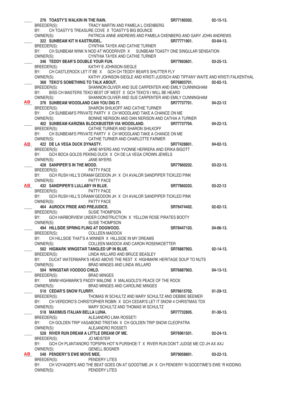|           | 276 TOASTY'S WALKIN IN THE RAIN.                                                                  | SR77180302. | $02 - 15 - 13$ . |
|-----------|---------------------------------------------------------------------------------------------------|-------------|------------------|
|           | BREEDER(S): TRACY MARTIN AND PAMELA LOXENBERG                                                     |             |                  |
|           | CH TOASTY'S TREASURE COVE X TOASTY'S BIG BOUNCE<br>BY:                                            |             |                  |
|           | PATRICIA ANNE ANDREWS AND PAMELA OXENBERG AND GARY JOHN ANDREWS<br>OWNER(S):                      |             |                  |
|           | 322 SUNBEAM KIT N KASTRUDEL.                                                                      | SR77771901. | $03-04-13.$      |
|           | BREEDER(S):<br>CYNTHIA TAYEK AND CATHIE TURNER                                                    |             |                  |
|           | CH SUNBEAM WINK N NOD AT WOODRIVER X SUNBEAM TOASTY ONE SINGULAR SENSATION<br>BY:                 |             |                  |
|           | CYNTHIA TAYEK AND CATHIE TURNER<br>OWNER(S):                                                      |             |                  |
|           | 346 TEDDY BEAR'S DOUBLE YOUR FUN.                                                                 | SR77693601. | $03 - 25 - 13$ . |
|           | KATHY E JOHNSON-SIEGLE<br>BREEDER(S):                                                             |             |                  |
|           | CH CASTLEROCK LET IT BE X GCH CH TEDDY BEAR'S SHUTTER FLY<br>BY:                                  |             |                  |
|           | OWNER(S):<br>KATHY JOHNSON-SIEGLE AND KRISTI JUDISCH AND TIFFANY WAITE AND KRISTI FALKENTHAL      |             |                  |
|           | 368 TEKO'S SOMETHING TO TALK ABOUT.                                                               | SR76803701. | $02 - 02 - 13$ . |
|           | BREEDER(S): SHANNON OLIVER AND SUE CARPENTER AND EMILY CUNNINGHAM                                 |             |                  |
|           | BISS CH MASTERS TEKO BEST OF WEST X GCH TEKO'S I WILL BE HEARD<br>BY:                             |             |                  |
|           | OWNER(S):<br>SHANNON OLIVER AND SUE CARPENTER AND EMILY CUNNINGHAM                                |             |                  |
| AB        | 376 SUNBEAM WOODLAND CAN YOU DIG IT.                                                              | SR77737701. | 04-22-13         |
|           | SHARON SHILKOFF AND CATHIE TURNER<br>BREEDER(S):                                                  |             |                  |
|           | CH SUNBEAM'S PRIVATE PARTY X CH WOODLAND TAKE A CHANCE ON ME<br>BY:                               |             |                  |
|           | OWNER(S):<br>BONNIE NERISON AND DAN NERISON AND CATHIA A TURNER                                   |             |                  |
|           | 402 SUNBEAM KARIZMA BLOCKBUSTER VIA WOODLAND.                                                     | SR77737704. | $04 - 22 - 13$ . |
|           | BREEDER(S): CATHIE TURNER AND SHARON SHILKOFF                                                     |             |                  |
|           | CH SUNBEAM'S PRIVATE PARTY X CH WOODLAND TAKE A CHANCE ON ME<br>BY:                               |             |                  |
|           | OWNER(S): CATHIE TURNER AND CHARLOTTE FARMER                                                      |             |                  |
| <b>AB</b> | 422 DE LA VEGA DUCK DYNASTY.                                                                      | SR77428801. | $04 - 02 - 13$ . |
|           | JANE MYERS AND YVONNE HERRERA AND ERIKA BIGOTT<br>BREEDER(S):                                     |             |                  |
|           | BY:<br>GCH BOCA GOLDS PEKING DUCK X CH DE LA VEGA CROWN JEWELS                                    |             |                  |
|           | OWNER(S):<br>JANE MYERS                                                                           |             |                  |
|           | 428 SANPIPER'S IN THE MOOD.                                                                       | SR77660202. | $03 - 22 - 13$ . |
|           | PATTY PACE<br>BREEDER(S):                                                                         |             |                  |
|           | GCH RUSH HILL'S DRAMA'GEDDON JH X CH AVALOR SANDPIPER TICKLED PINK<br>BY:                         |             |                  |
|           | OWNER(S):<br><b>PATTY PACE</b>                                                                    |             |                  |
| AB        | 432 SANDPIPER'S LULLABY IN BLUE.                                                                  | SR77660203. | $03 - 22 - 13$   |
|           | BREEDER(S):<br>PATTY PACE                                                                         |             |                  |
|           | GCH RUSH HILL'S DRAMA'GEDDON JH X CH AVALOR SANDPIPER TICKLED PINK<br>BY:                         |             |                  |
|           | OWNER(S):<br>PATTY PACE                                                                           |             |                  |
|           | 464 AUROCK PRIDE AND PREJUDICE.                                                                   | SR76474402. | $02 - 02 - 13$ . |
|           | <b>SUSIE THOMPSON</b><br>BREEDER(S):                                                              |             |                  |
|           | GCH HARBORVIEW UNDER CONSTRUCTION X YELLOW ROSE PIRATES BOOTY<br>BY:                              |             |                  |
|           | <b>SUSIE THOMPSON</b><br>OWNER(S):                                                                |             |                  |
|           | 494 HILLSIDE SPRING FLING AT DOGWOOD.                                                             | SR78447103. | 04-06-13.        |
|           | BREEDER(S):<br><b>COLLEEN MADDOX</b>                                                              |             |                  |
|           | CH HILLSIDE THAT'S A WINNER X HILLSIDE IN MY DREAMS<br>BY:                                        |             |                  |
|           | COLLEEN MADDOX AND CARON ROSENKOETTER<br>OWNER(S):                                                |             |                  |
|           | 502 HIGMARK WINGSTAR TANGLED UP IN BLUE.                                                          | SR76887903. | $02 - 14 - 13$ . |
|           | LINDA WILLARD AND BRUCE BEASLEY<br>BREEDER(S):                                                    |             |                  |
|           | DUCAT WATERMARK'S HEAD ABOVE THE REST X HIGHMARK HERITAGE SOUP TO NUTS<br>BY:                     |             |                  |
|           | OWNER(S):<br>BRAD MINGES AND LINDA WILLARD                                                        |             |                  |
|           | 504 WINGSTAR VOODOO CHILD.                                                                        | SR76887903. | 04-13-13.        |
|           | BREEDER(S):<br>BRAD MINGES                                                                        |             |                  |
|           | BY:<br>MWM HIGHMARK'S PADDY MALONE X MALAGOLD'S PEACE OF THE ROCK                                 |             |                  |
|           | OWNER(S):<br>BRAD MINGES AND CAROLINE MINGES                                                      |             |                  |
|           | 510 CEDAR'S SNOW FLURRY.                                                                          | SR76615702. | $01-29-12.$      |
|           | BREEDER(S):<br>THOMAS W SCHULTZ AND MARY SCHULTZ AND DEBBIE BEEMER                                |             |                  |
|           | CH VERDORO'S CHRISTOPHER ROBIN X GCH CEDAR'S LET IT SNOW 4 CHRISTMAS TDX<br>BY:                   |             |                  |
|           | OWNER(S):<br>MARY SCHULTZ AND THOMAS W SCHULTZ                                                    |             |                  |
|           | 518 MAXIMUS ITALIAN BELLA LUNA.                                                                   | SR77732805. | $01-30-13.$      |
|           | ALEJANDRO LIMA ROSSETI<br>BREEDER(S):                                                             |             |                  |
|           | CH GOLDEN TRIP VAGABOND TRISTAN X CH GOLDEN TRIP SNOW CLEOPATRA<br>BY:                            |             |                  |
|           | OWNER(S):<br>ALEJANDRO ROSSETI                                                                    |             |                  |
|           | 528 RIVER RUN DREAM A LITTLE DREAM OF ME.                                                         | SR76961501. | $02 - 24 - 13$ . |
|           | <b>JO MEISTER</b><br>BREEDER(S):                                                                  |             |                  |
|           | GCH CH PLANTANORO TOPSPIN HOT N PURSHOE-T X RIVER RUN DON'T JUDGE ME CD JH AX AXJ<br>BY:          |             |                  |
|           | OWNER(S):<br><b>GENELL BOGNER</b>                                                                 |             |                  |
| <b>AB</b> | 548 PENDERY'S EWE MOVE MEE.                                                                       | SR79058801. | $03 - 22 - 13$ . |
|           | BREEDER(S):<br>PENDERY LITES                                                                      |             |                  |
|           | BY:<br>CH VOYAGER'S AND THE BEAT GOES ON AT GOODTIME JH X CH PENDERY 'N GOODTIME'S EWE 'R KIDDING |             |                  |
|           | OWNER(S):<br>PENDERY LITES                                                                        |             |                  |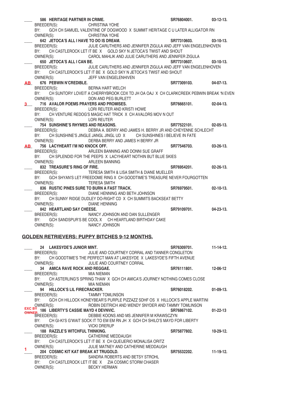|           | 586 HERITAGE PARTNER IN CRIME.              |                                                                                                                                       | SR76804001.           | $03-12-13.$      |
|-----------|---------------------------------------------|---------------------------------------------------------------------------------------------------------------------------------------|-----------------------|------------------|
|           | BREEDER(S): CHRISTINA YOHE                  |                                                                                                                                       |                       |                  |
|           | BY:                                         | GCH CH SAMUEL VALENTINE OF DOGWOOD X SUMMIT HERITAGE C U LATER ALLIGATOR RN                                                           |                       |                  |
|           | OWNER(S):                                   | CHRISTINA YOHE                                                                                                                        |                       |                  |
|           | 642 JETOCA'S ALL I HAVE TO DO IS DREAM.     | $S$ R77310603.                                                                                                                        |                       | $03-10-13.$      |
|           |                                             | BREEDER(S): JULIE CARUTHERS AND JENNIFER ZIGULA AND JEFF VAN ENGELENHOVEN                                                             |                       |                  |
|           | BY:                                         | CH CASTLEROCK LET IT BE X GOLD SKY N JETOCA'S TWIST AND SHOUT                                                                         |                       |                  |
|           | OWNER(S):                                   | CAROL MAHLIK AND JULIE CARUTHERS AND JENNIFER ZIGULA                                                                                  |                       |                  |
|           | 650 JETOCA'S ALL I CAN BE.                  |                                                                                                                                       | SR77310607.           | $03-10-13.$      |
|           |                                             |                                                                                                                                       |                       |                  |
|           |                                             | BREEDER(S): JULIE CARUTHERS AND JENNIFER ZIGULA AND JEFF VAN ENGELENHOVEN                                                             |                       |                  |
|           | BY:                                         | CH CASTLEROCK'S LET IT BE X GOLD SKY N JETOCA'S TWIST AND SHOUT                                                                       |                       |                  |
|           | OWNER(S): JEFF VAN ENGELENHIVEN             |                                                                                                                                       |                       |                  |
| <b>AB</b> | 676 PEBWIN N'CREDIBLE.                      |                                                                                                                                       | SR77309103.           | $04-07-13.$      |
|           | BREEDER(S): BERNA HART WELCH                |                                                                                                                                       |                       |                  |
|           |                                             | BY: CH SUNTORY LOVEIT A CHERRYBROOK CDX TD JH OA OAJ X CH CLARKCREEK PEBWIN BREAK 'N EVEN                                             |                       |                  |
|           |                                             |                                                                                                                                       |                       |                  |
|           |                                             | BY: CH SUNTORY LOVED A VIRTUAL CONSUMER(S):<br>DON AND PEG BURLETT<br>CONNER(S): CHEAP DEAVERS AND PROMISES.<br>SR76665101. 02-04-13. |                       |                  |
|           |                                             | LORI REUTER AND KRISTI HOWE                                                                                                           |                       |                  |
|           |                                             | BY: CH VENTURE REDOG'S MAGIC HAT TRICK X CH AVALORS MOV NOUT                                                                          |                       |                  |
|           | OWNER(S): LORI REUTER                       |                                                                                                                                       |                       |                  |
|           |                                             |                                                                                                                                       |                       |                  |
|           |                                             |                                                                                                                                       | SR77522101.           | $02-05-13.$      |
|           |                                             | BREEDER(S): DEBRA A. BERRY AND JAMES H. BERRY JR AND CHEYENNE SCHLECHT                                                                |                       |                  |
|           | BY:                                         | CH SUNSHINE'S JINGLE JANGL JINGL UD X CH SUNSHINES I BELIEVE IN FATE                                                                  |                       |                  |
|           |                                             | OWNER(S): DERBA BERRY AND JAMES H BERRY JR                                                                                            |                       |                  |
|           | AB 756 LACYHEART I'M NO KNOCK OFF.          |                                                                                                                                       | SR77546703. 03-26-13. |                  |
|           |                                             | BREEDER(S): ARLEEN BANNING AND DONNI SUE GRAFF                                                                                        |                       |                  |
|           |                                             | BY: CH SPLENDID FOR THE PEEPS X LACYHEART NOTHIN BUT BLUE SKIES                                                                       |                       |                  |
|           | OWNER(S):                                   | ARLEEN BANNING                                                                                                                        |                       |                  |
|           | 832 TREASURE'S RING OF FIRE.                |                                                                                                                                       | SR76954201. 02-26-13. |                  |
|           |                                             | BREEDER(S): TERESA SMITH & LISA SMITH & DIANE MUELLER                                                                                 |                       |                  |
|           | BY:                                         | GCH SHYAN'S LET FREEDOME RING X CH GOODTIME'S TREASURE NEVER FOURGOTTEN                                                               |                       |                  |
|           | OWNER(S): TERESA SMITH                      |                                                                                                                                       |                       |                  |
|           |                                             |                                                                                                                                       |                       |                  |
|           |                                             | 836 RUSTIC PINES SURE TO BURN A FAST TRACK.                                                                                           | SR76979501.           | $02 - 10 - 13$ . |
|           |                                             | BREEDER(S): DIANE HENNING AND BETH JOHNSON                                                                                            |                       |                  |
|           |                                             | BY: CH SUNNY RIDGE DUDLEY DO-RIGHT CD X CH SUMMITS BACKSEAT BETTY                                                                     |                       |                  |
|           | OWNER(S):                                   | DIANE HENNING                                                                                                                         |                       |                  |
|           | 842 HEARTLAND SAY CHEESE.                   |                                                                                                                                       | SR79109701. 04-23-13. |                  |
|           | BREEDER(S):                                 | NANCY JOHNSON AND DAN SULLENGER                                                                                                       |                       |                  |
|           | BY:                                         | GCH SANDSPUR'S BE COOL X CH HEARTLAND BIRTHDAY CAKE                                                                                   |                       |                  |
|           | OWNER(S):                                   | NANCY JOHNSON                                                                                                                         |                       |                  |
|           |                                             |                                                                                                                                       |                       |                  |
|           |                                             | <u>GOLDEN RETRIEVERS: PUPPY BITCHES 9-12 MONTHS.</u>                                                                                  |                       |                  |
|           |                                             |                                                                                                                                       |                       |                  |
|           |                                             |                                                                                                                                       |                       |                  |
|           | 24 LAKESYDE'S JUNIOR MINT.                  |                                                                                                                                       | SR76309701.           | $11 - 14 - 12$ . |
|           | BREEDER(S):                                 | JULIE AND COURTNEY CORRAL AND TANNER CONGLETON                                                                                        |                       |                  |
|           | BY:                                         | CH GOODTIME'S THE PERFECT MAN AT LAKESYDE X LAKESYDE'S FIFTH AVENUE                                                                   |                       |                  |
|           | OWNER(S):                                   | JULIE AND COURTNEY CORRAL                                                                                                             |                       |                  |
|           | 34 AMICA RAVE ROCK AND REGGAE.              |                                                                                                                                       | SR76111801.           | 12-06-12         |
|           | BREEDER(S):                                 | <b>MIA NIEMAN</b>                                                                                                                     |                       |                  |
|           | BY:                                         | CH ASTERLING'S SPRING THAW X GCH CH AMICA'S JOURNEY NOTHING COMES CLOSE                                                               |                       |                  |
|           | OWNER(S):                                   | MIA NIEMAN                                                                                                                            |                       |                  |
|           | 94 HILLOCK'S LIL FIRECRACKER.               |                                                                                                                                       | SR76018202.           | $01-09-13.$      |
|           | BREEDER(S):                                 | <b>TAMMY TOMLINSON</b>                                                                                                                |                       |                  |
|           | BY:                                         | GCH CH HILLOCK HONEYBEAR'S PURPLE PIZZAZZ SDHF OS X HILLOCK'S APPLE MARTINI                                                           |                       |                  |
|           |                                             |                                                                                                                                       |                       |                  |
|           | OWNER(S):                                   | ROBIN DEITRICH AND WENDY SNYDER AND TAMMY TOMLINSON                                                                                   |                       |                  |
|           | EXC BY 186 LIBERTY'S CASSIE MAYD 4 DEVNVIC. |                                                                                                                                       | SR76867102.           | $01 - 22 - 13$   |
|           | owner<br>BREEDER(S):                        | DEBBIE KOONS AND MS JENNIFER M KRAWSCZYN                                                                                              |                       |                  |
|           | BY:                                         | CH GI-KI'S G'WAIT SOCK IT TO EM EM RN JH X GCH CH SHILO'S MAYD FOR LIBERTY                                                            |                       |                  |
|           | OWNER(S):                                   | <b>VICKI DRERUP</b>                                                                                                                   |                       |                  |
|           | 188 RAZZLE'S WITCHFUL THINKING.             |                                                                                                                                       | SR75877802.           | $10 - 29 - 12$ . |
|           | BREEDER(S):                                 | CATHERINE MEDDAUGH                                                                                                                    |                       |                  |
|           | BY:                                         | CH CASTLEROCK'S LET IT BE X CH QUEIJERIO MONALISA ORITZ                                                                               |                       |                  |
|           | OWNER(S):                                   | JULIE MATNEY AND CATHERINE MEDDAUGH                                                                                                   |                       |                  |
| 1         | 204 COSMIC KIT KAT BREAK AT TRUGOLD.        |                                                                                                                                       | SR75532202.           | 11-19-12.        |
|           | BREEDER(S):                                 | SANDRA ROBERTS AND BETSY STROHL                                                                                                       |                       |                  |
|           | BY:                                         | CH CASTLEROCK LET IT BE X ZIA COSMIC STORM CHASER                                                                                     |                       |                  |
|           | OWNER(S):                                   | <b>BECKY HERMAN</b>                                                                                                                   |                       |                  |
|           |                                             |                                                                                                                                       |                       |                  |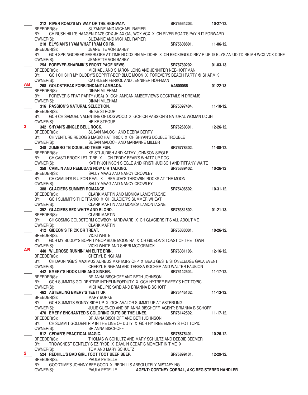|                |                                             | 212 RIVER ROAD'S MY WAY OR THE HIGHWAY.                                                                       | SR75564203.                                          | $10 - 27 - 12$ . |
|----------------|---------------------------------------------|---------------------------------------------------------------------------------------------------------------|------------------------------------------------------|------------------|
|                | BREEDER(S):                                 | SUZANNE AND MICHAEL RAPIER                                                                                    |                                                      |                  |
|                | BY:                                         | CH RUSH HILL'S HAAGEN-DAZS CDX JH AX OAJ WCX VCX X CH RIVER ROAD'S PAY'N IT FORWARD                           |                                                      |                  |
|                | OWNER(S):                                   | SUZANNE AND MICHAEL RAPIER                                                                                    |                                                      |                  |
|                | 218 ELYSIAN'S I YAM WHAT I YAM CD RN.       |                                                                                                               | SR75608801.                                          | 11-06-12.        |
|                | BREEDER(S):                                 | JEANETTE VON BARBY                                                                                            |                                                      |                  |
|                | BY:                                         | GCH SPRINGCREEK EVERLORE AT TIME HI CDX RN MH DDHF X CH BECKSGOLD REV R UP @ ELYSIAN UD TD RE MH WCX VCX DDHF |                                                      |                  |
|                | OWNER(S):                                   | JEANETTE VON BARBY                                                                                            |                                                      |                  |
|                | 254 FOREVER-SHARMIK'S FRONT PAGE NEWS.      |                                                                                                               | SR76780202.                                          | $01-03-13.$      |
|                | BREEDER(S):                                 | MICHAEL AND SHARON LONG AND JENNIFER NEE-HOFFMAN                                                              |                                                      |                  |
|                | BY:                                         | GCH CH SHR MY BUDDY'S BOPPITY-BOP BLUE MOON X FOREVER'S BEACH PARTY @ SHARMIK                                 |                                                      |                  |
|                | OWNER(S):                                   | CATHLEEN FERKOL AND JENNIFER HOFFMAN                                                                          |                                                      |                  |
| ABI            | 268 GOLDSTREAK FORBIDNDANZ LAMBADA.         |                                                                                                               | AA500086                                             | $01 - 22 - 13$   |
|                | BREEDER(S):                                 | DINAH MILEHAM                                                                                                 |                                                      |                  |
|                | BY:                                         | FOREVER'S FRAT PARTY (USA) X GCH AM/CAN AMBERVIEWS COCKTAILS N DREAMS                                         |                                                      |                  |
|                | OWNER(S):                                   | DINAH MILEHAM                                                                                                 |                                                      |                  |
|                | 316 PASSION'S NATURAL SELECTION.            |                                                                                                               | SR75397404.                                          | $11 - 10 - 12$ . |
|                | BREEDER(S):                                 | <b>HEIKE STROUP</b>                                                                                           |                                                      |                  |
|                | BY:                                         | GCH CH SAMUEL VALENTINE OF DOGWOOD X GCH CH PASSION'S NATURAL WOMAN UD JH                                     |                                                      |                  |
|                | OWNER(S):                                   | <b>HEIKE STROUP</b>                                                                                           |                                                      |                  |
| 3 <sub>1</sub> | 342 SHYAN'S JINGLE BELL ROCK.               |                                                                                                               | SR76260301.                                          | 12-26-12.        |
|                | BREEDER(S):                                 | SUSAN MALOCH AND DEBRA BERRY                                                                                  |                                                      |                  |
|                | BY:                                         | CH VENTURE REDOG'S MAGIC HAT TRICK X CH SHYAN'S DOUBLE TROUBLE                                                |                                                      |                  |
|                | OWNER(S):                                   | SUSAN MALOCH AND MARIANNE MILLER                                                                              |                                                      |                  |
|                | 348 ZUMBRO TB DOUBLED THEIR FUN.            |                                                                                                               | SR76778302.                                          | $11-08-12.$      |
|                | BREEDER(S):                                 | KRISTI JUDISH AND KATHY JOHNSON SIEGLE                                                                        |                                                      |                  |
|                | BY:                                         | CH CASTLEROCK LET IT BE X CH TEDDY BEAR'S WHATZ UP DOC                                                        |                                                      |                  |
|                | OWNER(S):                                   | KATHY JOHNSON SIEGLE AND KRISTI JUDISCH AND TIFFANY WAITE                                                     |                                                      |                  |
|                |                                             | 358 CAMLIN AND REMUDA'S NOW U'R TALKING.                                                                      | SR75389402.                                          | 10-26-12         |
|                | BREEDER(S):                                 | SALLY MAAG AND NANCY CROWLEY                                                                                  |                                                      |                  |
|                | BY:                                         | CH CAMLIN'S R U FOR REAL X REMUDA'S THROWIN' ROCKS AT THE MOON                                                |                                                      |                  |
|                | OWNER(S):                                   | SALLY MAAG AND NANCY CROWLEY                                                                                  |                                                      |                  |
|                | 388 GLACIERS SUMMER ROMANCE.                |                                                                                                               | SR75406502.                                          | $10-31-12.$      |
|                | BREEDER(S):                                 | CLARK MARTIN AND MONICA LAMONTAGNE                                                                            |                                                      |                  |
|                | BY:<br>OWNER(S):                            | GCH SUMMIT'S THE TITANIC X CH GLACIER'S SUMMER WHEAT<br>CLARK MARTIN AND MONICA LAMONTAGNE                    |                                                      |                  |
|                | 392 GLACIERS RED WHITE AND BLOND.           |                                                                                                               | SR76381502.                                          | $01-21-13.$      |
|                | BREEDER(S): CLARK MARTIN                    |                                                                                                               |                                                      |                  |
|                | BY:                                         | CH COSMIC GOLDSTORM COWBOY HARDWARE X CH GLACIERS IT'S ALL ABOUT ME                                           |                                                      |                  |
|                | OWNER(S):                                   | <b>CLARK MARTIN</b>                                                                                           |                                                      |                  |
|                | 412 GIDEON'S TRICK OR TREAT.                |                                                                                                               | SR75383001.                                          | 10-26-12.        |
|                | BREEDER(S):                                 | <b>VICKI WHITE</b>                                                                                            |                                                      |                  |
|                |                                             | BY: GCH MY BUDDY'S BOPPITY-BOP BLUE MOON RA X CH GIDEON'S TOAST OF THE TOWN                                   |                                                      |                  |
|                | OWNER(S):                                   | VICKI WHITE AND SHERI MCCORMICK                                                                               |                                                      |                  |
| ABI            | 440 WILDROSE RUNNIN' AN ELITE ERIN.         |                                                                                                               | SR76381106.                                          | 12-16-12.        |
|                | BREEDER(S):                                 | <b>CHERYL BINGHAM</b>                                                                                         |                                                      |                  |
|                | BY:                                         | CH DAUNINGE'S MAXIMUS AUREUS MXP MJP2 OFP X BEAU GESTE STONELEDGE GALA EVENT                                  |                                                      |                  |
|                | OWNER(S):                                   | CHERYL BINGHAM AND TERESA KOCHER AND WALTER FAUBION                                                           |                                                      |                  |
|                | 442 EMERY'S HOOK LINE AND SINKER.           |                                                                                                               | SR76142504.                                          | $11 - 17 - 12$ . |
|                | BREEDER(S):<br>BY:                          | BRIANNA BISCHOFF AND BETH JOHNSON<br>GCH SUMMITS GOLDENTRIP INTHELINEOFDUTY X GCH HYTREE EMERY'S HOT TOPIC    |                                                      |                  |
|                | OWNER(S):                                   | MICHAEL PICKARD AND BRIANNA BISCHOFF                                                                          |                                                      |                  |
|                | 462 ASTERLING EMERY'S TEE IT UP.            |                                                                                                               | SR75445102.                                          | $11 - 13 - 12$ . |
|                | BREEDER(S):                                 | <b>MARY BURKE</b>                                                                                             |                                                      |                  |
|                | BY:                                         | GCH SUMMITS SONNY SIDE UP X GCH AVALOR SUMMIT UP AT ASTERLING                                                 |                                                      |                  |
|                | OWNER(S):                                   | JULIE CUENOD AND BRIANNA BISCHOFF AGENT: BRIANNA BISCHOFF                                                     |                                                      |                  |
|                |                                             | 470 EMERY ENCHANTED'S COLORING OUTSIDE THE LINES.                                                             | SR76142502.                                          | $11 - 17 - 12$ . |
|                | BREEDER(S):                                 | BRIANNA BISCHOFF AND BETH JOHNSON                                                                             |                                                      |                  |
|                | BY:                                         | CH SUMMIT GOLDENTRIP IN THE LINE OF DUTY X GCH HYTREE EMERY'S HOT TOPIC                                       |                                                      |                  |
|                | OWNER(S):                                   | <b>BRIANNA BISCHOFF</b>                                                                                       |                                                      |                  |
|                | 512 CEDAR'S PRACTICAL MAGIC.                |                                                                                                               | SR76875401.                                          | $10 - 26 - 12$ . |
|                | BREEDER(S):                                 | THOMAS W SCHULTZ AND MARY SCHULTZ AND DEBBIE BEEMER                                                           |                                                      |                  |
|                | BY:                                         | TROWSNEST BENTLEY'S EZ RYDE X DAVLIN CEDAR'S MOMENT IN TIME X                                                 |                                                      |                  |
| $\mathbf{2}$   | OWNER(S):                                   | TOM AND MARY SCHULTZ                                                                                          |                                                      |                  |
|                | 524 REDHILL'S BAD GIRL TOOT TOOT BEEP BEEP. |                                                                                                               | SR75899101.                                          | 12-29-12.        |
|                | BREEDER(S):                                 | <b>PAULA PETELLE</b>                                                                                          |                                                      |                  |
|                | BY:<br>OWNER(S):                            | GOODTIME'S JOHNNY BEE GOOD X REDHILLS ABSOLUTELY MISTAFYING<br>PAULA PETELLE                                  |                                                      |                  |
|                |                                             |                                                                                                               | <b>AGENT: CORTNEY CORRAL, AKC REGISTERED HANDLER</b> |                  |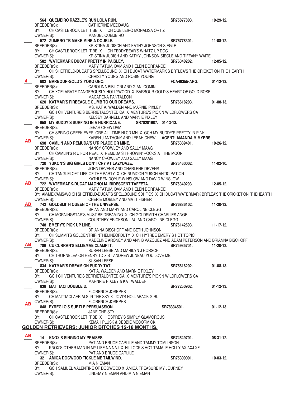564 QUEIJEIRO RAZZLE'S RUN LOLA RUN.<br>BREEDER(S): CATHERINE MEDDAUGH **SALEMAN SECTION** SATED BREEDER(S): CATHERINE MEDDAUGH BY: CH CASTLEROCK LET IT BE X CH QUEIJEIRO MONALISA ORTIZ OWNER(S): MANUEL QUEIJEIRO \_\_\_\_ **572 ZUMBRO TB MAKE MINE A DOUBLE. SR76778301. 11-08-12.**  KRISTINA JUDISCH AND KATHY JOHNSON-SIEGLE BY: CH CASTLEROCK LET IT BE X CH TEDDYBEAR'S WHATZ UP DOC<br>COWNER(S): KRISTINA JUDISH AND KATHY JOHNSON-SIEG KRISTINA JUDISH AND KATHY JOHNSON-SIEGLE AND TIFFANY WAITE 582 WATERMARK DUCAT PRETTY IN PAISLEY. SR76340202. SRT6340202. 12-05-12.<br>BREEDER(S): MARY TATUM, DVM AND HELEN DORRANCE MARY TATUM, DVM AND HELEN DORRANCE BY: CH SHEFFIELD-DUCAT'S SPELLBOUND X CH DUCAT WATERMARK'S BRTLEA'S THE CRICKET ON THE HEARTH OWNER(S): CHRISTY YOUNG AND ROBIN YOUNG CHRISTY YOUNG AND ROBIN YOUNG 602 BARBOUR-GOLD'S YOKO ONO. **EXALG ARGAL BARBOUR-GOLD'S** YOKO ONO. **CAROLINA BIBILONI AND GIANI COMINI** CAROLINA BIBILONI AND GIANI COMINI BY: CH XCELARATE DANGEROUSLY HOLLYWOOD X BARBOUR-GOLD'S HEART OF GOLD ROSE OWNER(S): MACARENA PANTALEON 620 **KATMAR'S FIREEAGLE CLIMB TO OUR DREAMS.** SR76618203. 01-08-13.<br>BREEDER(S): MS. KAT A. WALDEN AND MARNIE PIXLEY MS. KAT A. WALDEN AND MARNIE PIXLEY BY: GCH CH VENTURE'S BERRIETALONTED CA X VENTURE'S PICK'N WILDFLOWERS CA OWNER(S): KELSEY DARNELL AND MARNIE PIXLEY **658 MY BUDDY'S SURFING IN A HURRICANE.** SR78201607. 01-13-13.<br>BREEDER(S): LEEAH CHEW DVM LEEAH CHEW DVM BY: CH SPRING CREEK EVERLORE ALL TIME HI CD MH X GCH MY BUDDY'S PRETTY IN PINK OWNER(S): KAREN J'ANTHONY AND LEEAH CHEW **AGENT: AMANDA M MYERS**<br>698 CAMLIN AND REMUDA'S U'R PLACE OR MINE. SR75389401. 10-26-12. \_\_\_\_ **698 CAMLIN AND REMUDA'S U'R PLACE OR MINE. SR75389401. 10-26-12.**  NANCY CROWLEY AND SALLY MAAG BY: CH CAMLIN'S R U FOR REAL X REMUDA'S THROWIN' ROCKS AT THE MOON OWNER(S): NANCY CROWLEY AND SALLY MAAG \_\_\_\_ **720 YUKON'S BIG GIRLS DON'T CRY AT LAZYDAZE. SR75460002. 11-02-10.**  JOHN DEVENS AND CHARLENE DEVENS BY: CH TANGLELOFT LIFE OF THE PARTY X CH NUMOON YUKON ANTICIPATION OWNER(S): KATHLEEN DOYLE-WINSLOW AND DAVID WINSLOW \_\_\_\_ **722 WATERMARK-DUCAT MAGNOLIA IRIDESCENT TAFFETA. SR76340203. 12-05-12.**  MARY TATUM, DVM AND HELEN DORRANCE BY: AM/MEX/AMS/WC CH SHEFFIELD-DUCAT'S SPELLBOUND SDHF OS X CH DUCAT WATERMARK BRTLEA'S THE CRICKET ON THEHEARTH OWNER(S): CHERIE MOBLEY AND MATT FISHER THE UNIVERSE. SALDSMITH QUEEN OF THE UNIVERSE.<br>BREEDER(S): BRIAN AND MARY AND CAROLINE CLEGG BRIAN AND MARY AND CAROLINE CLEGG BY: CH MORNINGSTAR'S MUST BE DREAMING X CH GOLDSMITH CHARLIES ANGEL OWNER(S): COURTNEY ERICKSON LAU AND CAROLINE CLEGG **748 EMERY'S PICK UP LINE. BRIGGT BETH JOHNSON SR76142503.** 11-17-12.<br>BREEDER(S): BRIANNA BISCHOFF AND BETH JOHNSON BRIANNA BISCHOFF AND BETH JOHNSON BY: CH SUMMITS GOLDENTRIPINTHELINEOFDUTY X CH HYTREE EMERY'S HOT TOPIC<br>MADELINE ARONEY AND ANN B VAZQUEZ AND ADAM PETER MADELINE ARONEY AND ANN B VAZQUEZ AND ADAM PETERSON AND BRIANNA BISCHOFF **786 CU CURRAN'S ELLIEMAE CLAMP IT. CLAMP IT. SR75935701. SR75935701.** 11-20-12.<br>BREEDER(S): SUSAN LEESE AND MARILYN J HORSCH SUSAN LEESE AND MARILYN J HORSCH BY: CH THORNELEA OH HENRY TD X ST ANDREW JUNEAU YOU LOVE ME<br>OWNER(S): SUSAN LEESE SUSAN LEESE 834 KATMAR'S DREAM ON PUDDY TAT. **A CONSEGUT A CONSTRANT SHOW SR76618202.** 01-08-13. BREEDER(S): KAT A. WALDEN AND MARNIE PIXLEY BY: GCH CH VENTURE'S BERRIETALONTED CA X VENTURE'S PICK'N WILDFLOWERS CA OWNER(S): MARNNIE PIXLEY & KAT WALDEN \_\_\_\_ **838 MATTIACI DOUBLE D. SR77250902. 01-12-13.**  BREEDER(S): BY: CH MATTIACI AERIALS IN THE SKY X JOVI'S HOLLABACK GIRL **AB** OWNER(S): FLORENCE JOSEPHS **\_\_\_\_ 848 FYREGLO'S SUBTLE PERSUASSION. SR78334501. 01-12-13. JANE CHRISTY** BY: CH CASTLEROCK LET IT BE X OSPREY'S SIMPLY GLAMOROUS OWNER(S): KEMAH PLUSK & DEBBIE MCCORMICK **GOLDEN RETRIEVERS: JUNIOR BITCHES 12-18 MONTHS.** \_\_\_\_ **14 KNOX'S SINGING MY PRAISES. SR74549701. 08-31-12.**  PAT AND BRUCE CARLILE AND TAMMY TOMLINSON BY: KNOX'S OTHER MAN IN MY LIFE NA NAJ X HILLOCK'S HOT TAMALE HOLLY AX AXJ XF OWNER(S): PAT AND BRUCE CARLILE \_\_\_\_ **32 AMICA DOGWOOD TICKLE ME TAILWIND. SR75309001. 10-03-12.**  BREEDER(S): MIA NIEMAN BY: GCH SAMUEL VALENTINE OF DOGWOOD X AMICA TREASURE MY JOURNEY OWNER(S): LINDSAY NIEMAN AND MIA NIEMAN **4 AB AB AB AB AB**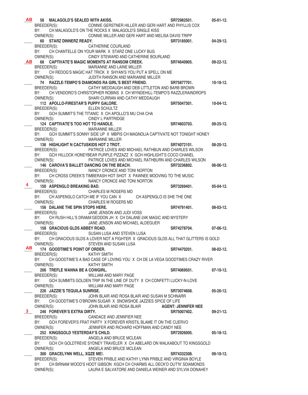| <b>AB</b> | 58 MALAGOLD'S SEALED WITH AKISS.          |                                                                                                      | SR72982501.                | $05-01-12.$      |
|-----------|-------------------------------------------|------------------------------------------------------------------------------------------------------|----------------------------|------------------|
|           | BREEDER(S):                               | CONNIE GERSTNER HILLER AND GERI HART AND PHYLLIS COX                                                 |                            |                  |
|           | BY:                                       | CH MALAGOLD'S ON THE ROCKS X MALAGOLD'S SINGLE KISS                                                  |                            |                  |
|           | OWNER(S):                                 | CONNIE MILLER AND GERI HART AND MELISA DAVIS TRIPP                                                   |                            |                  |
|           | 60 STARZ DINNERZ READY.                   |                                                                                                      | SR73185001.                | $04 - 29 - 12.$  |
|           | BREEDER(S):                               | CATHERINE COURLAND                                                                                   |                            |                  |
|           | BY:                                       | CH CHANTELLE ON YOUR MARK X STARZ ONE LUCKY BUG                                                      |                            |                  |
|           | OWNER(S):                                 | CINDY STEWARD AND CATHERINE BOURLAND                                                                 |                            |                  |
| <b>AB</b> |                                           | 68 CAPTIVATE'S MAGIC MOMENTS AT RANSOM CREEK.                                                        | SR74640905.                | $09-22-12.$      |
|           | BREEDER(S):                               | MARIANNE AND LAINE MILLER                                                                            |                            |                  |
|           | BY:                                       | CH REDOG'S MAGIC HAT TRICK X SHYAN'S YOU PUT A SPELL ON ME                                           |                            |                  |
|           | OWNER(S):                                 | JUDITH RANSON AND MARIANNE MILLER                                                                    |                            |                  |
|           | BREEDER(S):                               | 74 RAZZLE-TEMPO'S DIAMONDS RA GIRL'S BEST FRIEND.<br>CATHY MEDDAUGH AND DEB LITTLETON AND BARB BROWN | SR75877701.                | $10-18-12.$      |
|           | BY:                                       | CH VENDORO'S CHRISTOPHER ROBINS X CH WYNDEHILL-TEMPO'S RAZZLERAINDROPS                               |                            |                  |
|           | OWNER(S):                                 | SHARI CURRAN AND CATHY MEDDAUGH                                                                      |                            |                  |
|           | 112 APOLLO-FIRESTAR'S PUPPY GALORE.       |                                                                                                      | SR75047301.                | 10-04-12.        |
|           | BREEDER(S):                               | ELLEN SCHULTZ                                                                                        |                            |                  |
|           | BY:                                       | GCH SUMMIT'S THE TITANIC X CH APOLLO'S MU CHA CHA                                                    |                            |                  |
|           | OWNER(S):                                 | CINDY L PARTRIDGE                                                                                    |                            |                  |
|           | 124 CAPTIVATE'S TOO HOT TO HANDLE.        |                                                                                                      | SR74603703.                | $09-25-12.$      |
|           | BREEDER(S):                               | <b>MARIANNE MILLER</b>                                                                               |                            |                  |
|           | BY:                                       | GCH SUMMIT'S SONNY SIDE UP X MBPIS CH MAGNOLIA CAPTIVATE NOT TONIGHT HONEY                           |                            |                  |
|           | OWNER(S):                                 | MARIANNE MILLER                                                                                      |                            |                  |
|           | 136 HIGHLIGHT N CACTUSKIDS HOT 2 TROT.    |                                                                                                      | SR74072101.                | $08 - 20 - 12$ . |
|           | BREEDER(S):                               | PATRICE LOVES AND MICHAEL RATHBUN AND CHARLES WILSON                                                 |                            |                  |
|           | BY:                                       | GCH HILLOCK HONEYBEAR PURPLE PIZZAZZ X GCH HIGHLIGHT'S COCO CHANEL                                   |                            |                  |
|           | OWNER(S):                                 | PATRICE LOVES AND MICHAEL RATHBURN AND CHARLES WILSON                                                |                            |                  |
|           | 146 CAROVA'S BALLET DANCING ON THE BEACH. | <b>SR73236802.</b>                                                                                   |                            | 06-06-12.        |
|           | BREEDER(S):                               | NANCY CRONCE AND TONI NORTON                                                                         |                            |                  |
|           | BY:                                       | CH CROSS CREEK'S TIMBERASH HOT SHOT X PAWNEE MOOVING TO THE MUSIC                                    |                            |                  |
| 4         | 150 ASPENGLO BREAKING BAD.                | OWNER(S): NANCY CRONCE AND TONI NORTON                                                               |                            | $05-04-12.$      |
|           | BREEDER(S):                               | CHARLES M ROGERS MD                                                                                  | SR73269401.                |                  |
|           | BY:                                       | CH ASPENGLO CATCH ME IF YOU CAN X CH ASPENGLO IS SHE THE ONE                                         |                            |                  |
|           | OWNER(S):                                 | <b>CHARLES M ROGERS MD</b>                                                                           |                            |                  |
|           | 156 DALANE THE SPIN STOPS HERE.           |                                                                                                      | SR74791401.                | 08-03-12.        |
|           | BREEDER(S):                               | JANE JENSON AND JUDI VOSS                                                                            |                            |                  |
|           | BY:                                       | CH RUSH HILL'S DRAMA'GEDDON JH X CH DALANE-24K MAGIC AND MYSTERY                                     |                            |                  |
|           | OWNER(S):                                 | JANE JENSON AND MICHAEL ALDEGUER                                                                     |                            |                  |
|           | 158 GRACIOUS GLDS ABBEY ROAD.             |                                                                                                      | SR74278704.                | 07-06-12.        |
|           | BREEDER(S):                               | SUSAN LUSA AND STEVEN LUSA                                                                           |                            |                  |
|           | BY:                                       | CH GRACIOUS GLDS A LOVER NOT A FIGHTER X GRACIOUS GLDS ALL THAT GLITTERS IS GOLD                     |                            |                  |
|           | OWNER(S):                                 | STEVEN AND SUSAN LUSA                                                                                |                            |                  |
| AВ        | 174 GOODTIME'S POINT OF ORDER.            |                                                                                                      | SR74470201.                | $08-02-12.$      |
|           | BREEDER(S):                               | <b>KATHY SMITH</b>                                                                                   |                            |                  |
|           | BY:                                       | CH GOODTIME'S A BAD CASE OF LOVING YOU X CH DE LA VEGA GOODTIMES CRAZY RIVER                         |                            |                  |
|           | OWNER(S):                                 | <b>KATHY SMITH</b>                                                                                   |                            |                  |
|           | 206 TREFLE WANNA BE A COWGIRL.            |                                                                                                      | SR74069501.                | $07-10-12.$      |
|           | BREEDER(S):<br>BY:                        | WILLIAM AND MARY PAGE<br>GCH SUMMITS GOLDEN TRIP IN THE LINE OF DUTY X CH CONFETTI LUCKY-N-LOVE      |                            |                  |
|           | OWNER(S):                                 | WILLIAM AND MARY PAGE                                                                                |                            |                  |
|           | 226 JAZZIE'S TEQUILA SUNRISE.             |                                                                                                      | SR73074608.                | $05-26-12.$      |
|           | BREEDER(S):                               | JOHN BLAIR AND ROSA BLAIR AND SUSAN M SCHNARR                                                        |                            |                  |
|           | BY:                                       | CH GOODTIME'S O'BROWN SUGAR X SNOWSHOE JAZZIES SPICE OF LIFE                                         |                            |                  |
|           | OWNER(S):                                 | JOHN BLAIR AND ROSA BLAIR                                                                            | <b>AGENT: JENNIFER NEE</b> |                  |
| 3         | 246 FOREVER'S EXTRA DIRTY.                |                                                                                                      | SR75007402.                | $09-21-12.$      |
|           | BREEDER(S):                               | CANDACE AND JENNFIER NEE                                                                             |                            |                  |
|           | BY:                                       | GCH FOREVER'S FRAT PARTY X FOREVER KRISTIL BLAME IT ON THE CUERVO                                    |                            |                  |
|           | OWNER(S):                                 | JENNIFER AND RICHARD HOFFMAN AND CANDY NEE                                                           |                            |                  |
|           | 252 KINGSGOLD YESTERDAY'S CHILD.          |                                                                                                      | SR72926005.                | $05-18-12.$      |
|           | BREEDER(S):                               | ANGELA AND BRUCE MCLEAN                                                                              |                            |                  |
|           | BY:                                       | GCH CH GOLDTREVE SYDNEY TRAVELER X CH ABELARD ON WALKABOUT TO KINGSGOLD                              |                            |                  |
|           | OWNER(S):                                 | ANGELA AND BRUCE MCLEAN                                                                              |                            |                  |
|           | 300 GRACELYNN WELL, XQZE ME!.             |                                                                                                      | SR74332308.                | $09-10-12.$      |
|           | BREEDER(S):                               | STEVEN PRIBLE AND KATHY LYNN PRIBLE AND VIRGINIA BOYLE                                               |                            |                  |
|           | BY:                                       | CH BIRNAM WOOD'S HOOT GIBSON XGCH CH CHARMS ALL DECK'D OUT'N' SDIAMONDS                              |                            |                  |
|           | OWNER(S):                                 | LAURA E SALVATORE AND DANIELA WEINER AND SYLVIA DONAHEY                                              |                            |                  |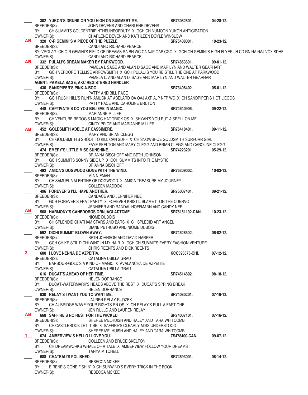|              |                                            | 302 YUKON'S DRUNK ON YOU HIGH ON SUMMERTIME.                                                                               | SR73082801.               | 04-28-12.       |
|--------------|--------------------------------------------|----------------------------------------------------------------------------------------------------------------------------|---------------------------|-----------------|
|              | BREEDER(S):                                | JOHN DEVENS AND CHARLENE DEVENS                                                                                            |                           |                 |
|              |                                            | BY: CH SUMMITS GOLDENTRIPINTHELINEOFDUTY X GCH CH NUMOON YUKON ANTICIPATION                                                |                           |                 |
|              | OWNER(S):                                  | CHARLENE DEVEN AND KATHLEEN DOYLE WINSLOW                                                                                  |                           |                 |
| AB I         | 320 C-R GEMINI'S A PIECE OF THE PUZZLE.    |                                                                                                                            | SR75408001.               | 10-23-12.       |
|              | BREEDER(S):                                | CANDI AND RICHARD PEARCE                                                                                                   |                           |                 |
|              |                                            | BY: VROI AGI CH C-R GEMINI'S FIELD OF DREAMS RA BN WC CA NJP OAP CGC X GCH CH GEMINI'S HIGH FLYER JH CD RN NA NAJ VCX SDHF |                           |                 |
|              |                                            |                                                                                                                            |                           |                 |
|              | OWNER(S):                                  | CANDI AND RICHARD PEARCE                                                                                                   |                           |                 |
| <b>AB</b>    | 332 PULALI'S DREAM MAKER BY PARKWOOD.      |                                                                                                                            | SR74853601.               | $09-01-12.$     |
|              | BREEDER(S):                                | PAMELA L SAGE AND ALAN D SAGE AND MARILYN AND WALTER GEARHART                                                              |                           |                 |
|              | BY:                                        | GCH VERDORO TELLISE ARROWSMITH X GCH PULALI'S YOU'RE STILL THE ONE AT PARKWOOD                                             |                           |                 |
|              | OWNER(S):                                  | PAMELA L. AND ALAN D. SAGE AND MARILYN AND WALTER GEARHART                                                                 |                           |                 |
|              | AGENT: PAMELA SAGE, AKC REGISTERED HANDLER |                                                                                                                            |                           |                 |
|              | 430 SANDPIPER'S PINK-A-BOO.                |                                                                                                                            | SR73408402.               | $05-01-12.$     |
|              | BREEDER(S):                                | PATTY AND BILL PACE                                                                                                        |                           |                 |
|              | BY:                                        | GCH RUSH HILL'S RUN'N AMUCK AT ABELARD OA OAJ AXP AJP NFP WC X CH SANDPIPER'S HOT L'EGGS                                   |                           |                 |
|              |                                            |                                                                                                                            |                           |                 |
|              | OWNER(S):                                  | PATTY PACE AND CAROLINE BRUTON                                                                                             |                           |                 |
|              | 448 CAPTIVATE'S DO YOU BELIEVE IN MAGIC.   |                                                                                                                            | SR74640906.               | $09-22-12.$     |
|              | BREEDER(S):                                | <b>MARIANNE MILLER</b>                                                                                                     |                           |                 |
|              |                                            | BY: CH VENTURE REDOG'S MAGIC HAT TRICK OS X SHYAN'S YOU PUT A SPELL ON ME                                                  |                           |                 |
|              | OWNER(S):                                  | CINDY PRICE AND MARIANNE MILLER                                                                                            |                           |                 |
| <b>AB</b>    | 452 GOLDSMITH ADELE AT CASSIMERE.          |                                                                                                                            | SR76418401.               | $09-11-12.$     |
|              | BREEDER(S):                                | MARY AND BRIAN CLEGG                                                                                                       |                           |                 |
|              |                                            | BY: CH GOLDSMITH'S SHOOT TO KILL CAN SDHF X CH SNOWSHOE GOLDSMITH SURFURR GIRL                                             |                           |                 |
|              | OWNER(S):                                  | FAYE SKELTON AND MARY CLEGG AND BRIAN CLEGG AND CAROLINE CLEGG                                                             |                           |                 |
|              | 474 EMERY'S LITTLE MISS SUNSHINE.          |                                                                                                                            | SR74223201.               | $05 - 29 - 12.$ |
|              |                                            |                                                                                                                            |                           |                 |
|              | BREEDER(S):                                | BRIANNA BISCHOFF AND BETH JOHNSON                                                                                          |                           |                 |
|              | BY:                                        | GCH SUMMITS SONNY SIDE UP X GCH SUMMITS INTO THE MYSTIC                                                                    |                           |                 |
|              | OWNER(S):                                  | <b>BRIANNA BISCHOFF</b>                                                                                                    |                           |                 |
|              | 492 AMICA'S DOGWOOD GONE WITH THE WIND.    |                                                                                                                            | SR75309002.               | $10-03-12.$     |
|              | BREEDER(S):                                | MIA NIEMAN                                                                                                                 |                           |                 |
|              | BY:                                        | CH SAMUEL VALENTINE OF DOGWOOD X AMICA TREASURE MY JOURNEY                                                                 |                           |                 |
|              | OWNER(S):                                  | <b>COLLEEN MADDOX</b>                                                                                                      |                           |                 |
|              | 496 FOREVER'S I'LL HAVE ANOTHER.           |                                                                                                                            | SR75007401.               | $09-21-12.$     |
|              | BREEDER(S):                                | CANDACE AND JENNIFER NEE                                                                                                   |                           |                 |
|              | BY:                                        | GCH FOREVER'S FRAT PARTY X FOREVER KRISTIL BLAME IT ON THE CUERVO                                                          |                           |                 |
|              |                                            |                                                                                                                            |                           |                 |
| ABI          | OWNER(S):                                  | JENNIFER AND RANDAL HOFFMANN AND CANDY NEE                                                                                 |                           |                 |
|              | 568 HARMONY'S CANEDOROS ORNJAGLADTCME.     |                                                                                                                            | SR78151102-CAN. 10-23-12. |                 |
|              | BREEDER(S):                                | NIOME DUBOIS                                                                                                               |                           |                 |
|              | BY:                                        | CH SPLENDID CHATHAM STARS AND BARS X CH SPLEDID ART ANGEL                                                                  |                           |                 |
|              | OWNER(S):                                  | DIANE PETRUSO AND NIOME DUBOIS                                                                                             |                           |                 |
|              | 592 DICHI SUMMIT BLOWN AWAY.               |                                                                                                                            | SR74628502.               | $06-02-12.$     |
|              | BREEDER(S):                                | BETH JOHNSON AND DAVID HARPER                                                                                              |                           |                 |
|              | BY:                                        | GCH CH KRISTIL DICHI WIND IN MY HAIR X GCH CH SUMMITS EVERY FASHION VENTURE                                                |                           |                 |
|              | OWNER(S):                                  | CHRIS REENTS AND DICK REENTS                                                                                               |                           |                 |
| $2 \quad$    | 600 I LOVE NENNA DE AZPEITIA.              |                                                                                                                            | <b>KCC393875-CHI.</b>     | $07-12-12.$     |
|              | BREEDER(S):                                | CATALINA UBILLA GRAU                                                                                                       |                           |                 |
|              | BY:                                        | BARBOUR-GOLD'S A KIND OF MAGIC X AVALANCHA DE AZPEITIE                                                                     |                           |                 |
|              |                                            |                                                                                                                            |                           |                 |
|              | OWNER(S):                                  | CATALINA UBILLA GRAU                                                                                                       |                           |                 |
|              | 616 DUCAT'S AHEAD OF HER TIME.             |                                                                                                                            | SR74514802.               | 08-18-12.       |
|              | BREEDER(S):                                | <b>HELEN DORRANCE</b>                                                                                                      |                           |                 |
|              | BY:                                        | DUCAT-WATERMARK'S HEADS ABOVE THE REST X DUCAT'S SPRING BREAK                                                              |                           |                 |
|              | OWNER(S):                                  | <b>HELEN DORRANCE</b>                                                                                                      |                           |                 |
|              | 630 RELAY'S I WANT YOU TO WANT ME.         |                                                                                                                            | SR74080201.               | $07-16-12.$     |
|              | BREEDER(S):                                | LAUREN RELAY-RUDZEK                                                                                                        |                           |                 |
|              | BY:                                        | CH AUBRIDGE WAVE YOUR RIGHTS RN OS X CH RELAY'S PULL A FAST ONE                                                            |                           |                 |
|              | OWNER(S):                                  | JEN RULLO AND LAUREN RELAY                                                                                                 |                           |                 |
| AB           | 668 SAFFIRE'S NO REST FOR THE WICKED.      |                                                                                                                            | SR74007101.               | $07-16-12.$     |
|              |                                            |                                                                                                                            |                           |                 |
|              | BREEDER(S):                                | SHEREE MELHUISH AND HALEY AND TARA WHITCOMB                                                                                |                           |                 |
|              |                                            | BY: CH CASTLEROCK LET IT BE X SAFFIRE'S CLEARLY MISS UNDERSTOOD                                                            |                           |                 |
|              | OWNER(S):                                  | SHEREE MELHUISH AND HALEY AND TARA WHITCOMB                                                                                |                           |                 |
| $\mathbf{1}$ | 674 AMBERVIEW'S HELLO I LOVE YOU.          |                                                                                                                            | ZS478400-CAN.             | $09-07-12.$     |
|              | BREEDER(S):                                | COLLEEN AND BRUCE SKELTON                                                                                                  |                           |                 |
|              | BY:                                        | CH DREAMWORKS WHALE OF A TALE X AMBERVIEW FOLLOW YOUR DREAMS                                                               |                           |                 |
|              | OWNER(S):                                  | <b>TANYA MITCHELL</b>                                                                                                      |                           |                 |
|              | <b>688 CHATEAU'S POLISHED.</b>             |                                                                                                                            | SR74693001.               | $08-14-12.$     |
|              | BREEDER(S):                                | REBECCA MCKEE                                                                                                              |                           |                 |
|              | BY:                                        | EIRENE'S GONE FISHIN' X CH SUNWIND'S EVERY TRICK IN THE BOOK                                                               |                           |                 |
|              | OWNER(S):                                  | REBECCA MCKEE                                                                                                              |                           |                 |
|              |                                            |                                                                                                                            |                           |                 |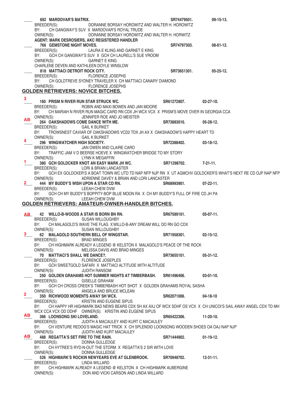|             | 692 MARDOVAR'S MATRIX.                                                                                                       | SR74479501. | $09-15-13.$      |
|-------------|------------------------------------------------------------------------------------------------------------------------------|-------------|------------------|
|             | BREEDER(S):<br>DORANNE BORSAY HOROWITZ AND WALTER H. HOROWITZ                                                                |             |                  |
|             | CH GANGWAY'S SUV X MARDOVAR'S ROYAL TRUDE<br>BY:                                                                             |             |                  |
|             | OWNER(S):<br>DORANNE BORSAY HOROWITZ AND WALTER H. HORWITZ                                                                   |             |                  |
|             | AGENT: MARK DESROSIERS, AKC REGISTERED HANDLER                                                                               |             |                  |
|             | <b>766 GEMSTONE NIGHT MOVES.</b>                                                                                             | SR74797303. | $08-01-12.$      |
|             | BREEDER(S):<br>LAURA E KLING AND GARNET E KING                                                                               |             |                  |
|             | BY:<br>GCH CH GANGWAY'S SUV X GCH CH LAURELL'S SUE VROOM                                                                     |             |                  |
|             | OWNER(S):<br><b>GARNET E KING</b>                                                                                            |             |                  |
|             | CHARLENE DEVEN AND KATHLEEN DOYLE WINSLOW                                                                                    |             |                  |
|             | 818 MATTIACI DETROIT ROCK CITY.                                                                                              | SR73651301. | $05 - 25 - 12.$  |
|             | BREEDER(S):<br><b>FLORENCE JOSEPHS</b>                                                                                       |             |                  |
|             | CH GOLDTREVE SYDNEY TRAVELER X CH MATTIACI CANARY DIAMOND<br>BY:                                                             |             |                  |
|             | OWNER(S):<br><b>FLORENCE JOSEPHS</b>                                                                                         |             |                  |
|             | GOLDEN RETRIEVERS: NOVICE BITCHES.                                                                                           |             |                  |
| 3           |                                                                                                                              | SR61272807. | $02 - 27 - 10$ . |
|             | 160 PRISM N RIVER RUN STAR STRUCK WC.<br>ROBIN AND MAXI BOWEN AND JAN MOORE                                                  |             |                  |
|             | BREEDER(S):<br>BY:<br>CH MARIAH N RIVER RUN MAGIC CARD RN CDX JH WCX VCX X PRISM'S MOVE OVER IN GEORGIA CCA                  |             |                  |
|             | OWNER(S):<br>JENNIFER ROE AND JO MEISTER                                                                                     |             |                  |
| AB          | 264 OAKSHADOWS COME DANCE WITH ME.                                                                                           | SR73883010. | $05 - 28 - 12.$  |
|             | BREEDER(S):<br><b>GAIL K BURKET</b>                                                                                          |             |                  |
|             | TROWSNEST CAVIAR OF OAKSHADOWS VCD2 TDX JH AX X OAKSHADOW'S HAPPY HEART TD<br>BY:                                            |             |                  |
|             | OWNER(S):<br><b>GAIL K BURKET</b>                                                                                            |             |                  |
| 4           | 296 WINGWATCHER HIGH SOCIETY.                                                                                                | SR72388402. | $03-18-12.$      |
|             | JAN OWEN AND CLAIRE CARO<br>BREEDER(S):                                                                                      |             |                  |
|             | TRAFFIC JAM V D BEERSE HOEVE X WINGWATCHER BRIDGE TO MY STORY<br>BY:                                                         |             |                  |
|             | OWNER(S):<br>LYNN K MEGAFFIN                                                                                                 |             |                  |
| 1.          | 380 GCH GOLDCKER KNOT AN EASY MARK JH WC.                                                                                    | SR71298702. | $7 - 21 - 11$ .  |
|             | BREEDER(S):<br>LORI & BRIAN LANCASTER                                                                                        |             |                  |
|             | GCH EX GOLDCKER'S A BOAT TOWN WC UTD TD NAP NFP NJP RN X UT AGMCHV GOLDCKER'S WHAT'S NEXT RE CD OJP NAP NFP<br>BY:           |             |                  |
|             | OWNER(S):<br>ADRIENNE DAVEY & BRIAN AND LORI LANCASTER                                                                       |             |                  |
| $2^{\circ}$ | 444 MY BUDDY'S WISH UPON A STAR CD RN.                                                                                       | SR68993901. | $07-22-11.$      |
|             | BREEDER(S):<br>LEEAH CHEW DVM                                                                                                |             |                  |
|             | BY:<br>GCH CH MY BUDDY'S BOPPITY-BOP BLUE MOON RA X CH MY BUDDY'S FULL OF FIRE CD JH PA                                      |             |                  |
|             | <b>LEEAH CHEW DVM</b><br>OWNER(S):                                                                                           |             |                  |
|             | GOLDEN RETRIEVERS: AMATEUR-OWNER-HANDLER BITCHES.                                                                            |             |                  |
|             |                                                                                                                              |             |                  |
| AB_         | 42 WILLO-B-WOODS A STAR IS BORN BN RN.<br>BREEDER(S):<br><b>SUSAN WILLOUGHBY</b>                                             | SR67589101. | $05-07-11.$      |
|             | BY:<br>CH MALAGOLD'S WAVE THE FLAG XWILLO-B-ANY DREAM WILL DO RN GO CDX                                                      |             |                  |
|             | OWNER(S):<br>SUSAN WILLOUGHBY                                                                                                |             |                  |
|             | 3 62 MALAGOLD SOUTHERN BELL OF WINGSTAR.                                                                                     | SR71958301. | $02 - 15 - 12$ . |
|             | BREEDER(S):<br><b>BRAD MINGES</b>                                                                                            |             |                  |
|             | BY:<br>CH HIGHMARK ALREADY A LEGEND @ KELSTON X MALAGOLD'S PEACE OF THE ROCK                                                 |             |                  |
|             | OWNER(S):<br>MELISSA DAVIS AND BRAD MINGES                                                                                   |             |                  |
|             | 70 MATTIACI'S SHALL WE DANCE?.                                                                                               | SR73655101. | $05-31-12.$      |
|             | BREEDER(S):<br><b>FLORENCE JOSEPLES</b>                                                                                      |             |                  |
|             | GCH SWEETGOLD SAFARI X MATTIACI ALTITUDE WITH ALTITUDE<br>BY:                                                                |             |                  |
|             | OWNER(S):<br><b>JUDITH RANSOM</b>                                                                                            |             |                  |
|             | 250 GOLDEN GRAHAMS HOT SUMMER NIGHTS AT TIMBERBASH.                                                                          | SR61496406. | $03-01-10.$      |
|             | <b>GISELLE GRAHAM</b><br>BREEDER(S):                                                                                         |             |                  |
|             | GCH CH CROSS CREEK'S TIMBERBASH HOT SHOT X GOLDEN GRAHAMS ROYAL SASHA<br>BY:                                                 |             |                  |
| 2           | OWNER(S):<br>ANGELA AND BRUCE MCLEAN<br>350 RICHWOOD MOMENTS AWAY SH WCX.                                                    | SR62071006. | $04-18-10$       |
|             | BREEDER(S):<br>KRISTIN AND EUGENE SIPUS                                                                                      |             |                  |
|             | CH HAPPY HR HIGHMARK BAD NEWS BEARS CDX SH AX AXJ OF WCX SDHF OS VCX X CH UNICOI'S SAIL AWAY ANGEL CDX TD MH<br>BY:          |             |                  |
|             | WCX CCA VCX OD DDHF OWNER(S): KRISTIN AND EUGENE SIPUS                                                                       |             |                  |
| AB          | 366 LOONSONG SKI LOVELAND.                                                                                                   | SR65422306. | 11-20-10.        |
|             | BREEDER(S):<br>JUDITH A MACAULEY AND KURT C MACAULEY                                                                         |             |                  |
|             | BY:<br>CH VENTURE REDOG'S MAGIC HAT TRICK X CH SPLENDID LOONSONG WOODEN SHOES OA OAJ NAP NJP                                 |             |                  |
|             | OWNER(S):<br>JUDITH AND KURT MACAULEY                                                                                        |             |                  |
| AB .        | 488 REGATTA'S SET FIRE TO THE RAIN.                                                                                          | SR71444902. | $01-19-12.$      |
|             | BREEDER(S):<br>DONNA GULLEDGE                                                                                                |             |                  |
|             | CH HYTREE'S RYD-N-OUT THE STORM X REGATTA'S 2 SIR WITH LOVE<br>BY:                                                           |             |                  |
|             | OWNER(S):<br>DONNA GULLEDGE                                                                                                  |             |                  |
|             | 526 HIGHMARK'S ROCKIN NEWYEARS EVE AT GLENBROOK.                                                                             | SR70948702. | $12 - 31 - 11$ . |
|             | LINDA WILLARD<br>BREEDER(S):                                                                                                 |             |                  |
|             | CH HIGHMARK ALREADY A LEGEND @ KELSTON X CH HIGHMARK AUBERGINE<br>BY:<br>OWNER(S):<br>DON AND VICKI CARSON AND LINDA WILLARD |             |                  |
|             |                                                                                                                              |             |                  |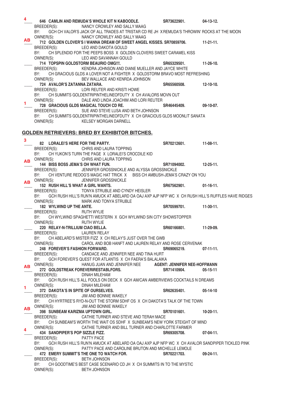| 4              |                                                                                                                                    |                       |                  |
|----------------|------------------------------------------------------------------------------------------------------------------------------------|-----------------------|------------------|
|                | 646 CAMLIN AND REMUDA'S WHOLE KIT N KABOODLE.                                                                                      | SR73622901.           | 04-13-12.        |
|                | BREEDER(S):<br>NANCY CROWLEY AND SALLY MAAG                                                                                        |                       |                  |
|                | GCH CH VALOR'S JACK OF ALL TRADES AT TRISTAR CD RE JH XREMUDA'S THROWIN' ROCKS AT THE MOON<br>BY:                                  |                       |                  |
| ΑВ             | OWNER(S):<br>NANCY CROWLEY AND SALLY MAAG                                                                                          |                       |                  |
|                | 712 GOLDEN CLOVER'S I WANNA DREAM OF SWEET ANGEL KISSES. SR70859706. 11-21-11.                                                     |                       |                  |
|                | LEO AND DAKOTA GOULD<br>BREEDER(S):                                                                                                |                       |                  |
|                | CH SPLENDID FOR THE PEEPS BOSS X GOLDEN CLOVERS SWEET CARAMEL KISS<br>BY:                                                          |                       |                  |
|                | OWNER(S):<br>LEO AND SAVANNAH GOULD                                                                                                |                       |                  |
|                | 714 TOPSPIN GOLDSTORM BEAURIO OMG !!!.                                                                                             | SR65329501.           | 11-26-10.        |
|                | BREEDER(S): KENDRA JOHNSON AND DIANE MUELLER AND JAYCE WHITE                                                                       |                       |                  |
|                | BY: CH GRACIOUS GLDS A LOVER NOT A FIGHTER X GOLDSTORM BRAVO MOST REFRESHING                                                       |                       |                  |
|                | OWNER(S):<br>BEV WALLACE AND KENRDA JOHNSON                                                                                        |                       |                  |
|                | 724 AVALOR'S ZATANNA ZATARA.                                                                                                       | SR65560508.           | $12-10-10.$      |
|                | LORI REUTER AND KRISTI HOWE<br>BREEDER(S):                                                                                         |                       |                  |
|                | CH SUMMITS GOLDENTRIPINTHELINEOFDUTY X CH AVALORS MOVN OUT<br>BY:                                                                  |                       |                  |
|                | DALE AND LINDA JOACHIM AND LORI REUTER<br>OWNER(S):                                                                                |                       |                  |
|                | 728 GRACIOUS GLDS MAGICAL TOUCH CD RE.                                                                                             | SR46445409.           | 09-10-07.        |
|                | BREEDER(S):<br>SUE AND STEVE LUSA AND BETH JOHNSON                                                                                 |                       |                  |
|                | CH SUMMITS GOLDENTRIPINTHELINEOFDUTY X CH GRACIOUS GLDS MOONLIT SANATA<br>BY:                                                      |                       |                  |
|                | OWNER(S):<br><b>KELSEY MORGAN DARNELL</b>                                                                                          |                       |                  |
|                |                                                                                                                                    |                       |                  |
|                | <b>GOLDEN RETRIEVERS: BRED BY EXHIBITOR BITCHES.</b>                                                                               |                       |                  |
| 3              |                                                                                                                                    |                       |                  |
|                | 82 LORALEI'S HERE FOR THE PARTY.                                                                                                   | SR70212601.           | $11-08-11.$      |
|                | BREEDER(S): CHRIS AND LAURA TOPPING                                                                                                |                       |                  |
|                | CH YUKON'S TURN THE PAGE X LORALEI'S CROCDILE KID<br>BY:                                                                           |                       |                  |
| ΑВ             | OWNER(S):<br>CHRIS AND LAURA TOPPING                                                                                               |                       |                  |
|                | 144 BISS BOSS JEMA'S OH WHAT FUN.                                                                                                  | SR71094002.           | $12 - 25 - 11$ . |
|                | BREEDER(S):<br>JENNIFER GROSSNICKLE AND ALYSSA GROSSNICKLE                                                                         |                       |                  |
|                | CH VENTURE REDOG'S MAGIC HAT TRICK X BISS CH AMBUSH-JEMA'S CRAZY ON YOU<br>BY:                                                     |                       |                  |
|                | AB OWNER(S):<br>JENNIFER GROSSNICKLE                                                                                               |                       |                  |
|                | 152 RUSH HILL'S WHAT A GIRL WANTS.                                                                                                 | SR67562901.           | $01-16-11.$      |
|                | BREEDER(S): TONYA STRUBLE AND CYNDY HEISLER                                                                                        |                       |                  |
|                | BY: GCH RUSH HILL'S RUN'N AMUCK AT ABELARD OA OAJ AXP AJP NFP WC X CH RUSH HILL'S RUFFLES HAVE RIDGES                              |                       |                  |
|                | OWNER(S):<br>MARK AND TONYA STRUBLE                                                                                                |                       |                  |
|                | 182 WYLWIND UP THE ANTE.                                                                                                           | SR70599701. 11-30-11. |                  |
|                | BREEDER(S):<br><b>RUTH WYLIE</b>                                                                                                   |                       |                  |
|                | CH WYLWIND SPAGHETTI WESTERN X GCH WYLWIND SIN CITY SHOWSTOPPER<br>BY:                                                             |                       |                  |
|                | OWNER(S):<br><b>RUTH WYLIE</b>                                                                                                     |                       |                  |
|                | 220 RELAY-N-TRILLIUM CIAO BELLA.                                                                                                   | SR60166801.           | 11-29-09.        |
|                | BREEDER(S): LAUREN RELAY                                                                                                           |                       |                  |
|                | CH ABELARD'S MISTER FIZZ X CH RELAY'S JUST OVER THE GWB<br>BY:                                                                     |                       |                  |
|                | OWNER(S):<br>CAROL AND BOB HANFT AND LAUREN RELAY AND ROSE CERVENAK                                                                |                       |                  |
|                | 248 FOREVER'S FASHION FORWARD.                                                                                                     | SR69065219. 07-11-11. |                  |
|                | BREEDER(S): CANDACE AND JENNIFER NEE AND TINA HURT                                                                                 |                       |                  |
|                | GCH FOREVER'S QUEST FOR ATLANTIS X CH FAERA'S BALALAIKA<br>BY:                                                                     |                       |                  |
|                | AB OWNER(S): HANUG JUAN AND JENNIFER NEE AGENT: JENNIFER NEE-HOFFMANN                                                              |                       |                  |
|                | 272 GOLDSTREAK FOREVERIRESTABLFORS.                                                                                                | SR71410904.           | $05-15-11$       |
|                | BREEDER(S):<br>DINAH MILEHAM                                                                                                       |                       |                  |
|                | BY:<br>GCH RUSH HILL'S ALL FOOLS ON DECK X GCH AM/CAN AMBERVIEWS COCKTAILS N DREAMS                                                |                       |                  |
| $\blacksquare$ | OWNER(S):<br>DINAH MILEHAM                                                                                                         |                       |                  |
|                | 372 DAKOTA'S IN SPITE OF OURSELVES.                                                                                                | SR62635401. 05-14-10  |                  |
|                | JIM AND BONNIE WAKELY<br>BREEDER(S):                                                                                               |                       |                  |
|                | BY: CH HYRTREE'S RYD-N-OUT THE STORM SDHF OS X CH DAKOTA'S TALK OF THE TOWN                                                        |                       |                  |
| AВ             | OWNER(S):<br>JIM AND BONNIE WAKELY<br>398 SUNBEAM KARIZMA UPTOWN GIRL.                                                             |                       |                  |
|                |                                                                                                                                    | SR70101601.           | $10-20-11$ .     |
|                | BREEDER(S): CATHIE TURNER AND STEVE AND TERAH MACE<br>BY: CH SUNBEAM'S WORTH THE WAIT OS SDHF X SUNBEAM'S NEW YORK STEIGHT OF MIND |                       |                  |
|                |                                                                                                                                    |                       |                  |
| 4              | OWNER(S): CATHIE TURNER AND BILL TURNER AND CHARLOTTE FARMER                                                                       |                       |                  |
|                | 434 SANDPIPER'S POP SIZZLE FIZZ.                                                                                                   | SR69305708.           | $07-04-11.$      |
|                | BREEDER(S):<br>PATTY PACE                                                                                                          |                       |                  |
|                | GCH RUSH HILL'S RUN'N AMUCK AT ABELARD OA OAJ AXP AJP NFP WC X CH AVALOR SANDPIPER TICKLED PINK<br>BY:                             |                       |                  |
|                | OWNER(S):<br>PATTY PACE AND CAROLINE BRUTON AND MICHELLE LEMOLE                                                                    |                       |                  |
|                | 472 EMERY SUMMIT'S THE ONE TO WATCH FOR.                                                                                           | SR70221703. 09-24-11. |                  |
|                | BREEDER(S):<br><b>BETH JOHNSON</b><br>CH GOODTIME'S BEST CASE SCENARIO CD JH X CH SUMMITS IN TO THE MYSTIC<br>BY:                  |                       |                  |
|                | OWNER(S): BETH JOHNSON                                                                                                             |                       |                  |
|                |                                                                                                                                    |                       |                  |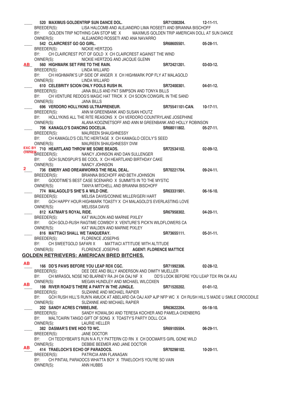|               | 520 MAXIMUS GOLDENTRIP SUN DANCE DOL.                                                                    | SR71200204.                             | $12 - 11 - 11$ . |  |
|---------------|----------------------------------------------------------------------------------------------------------|-----------------------------------------|------------------|--|
|               | BREEDER(S):<br>LISA HALCOMB AND ALEJANDRO LIMA ROSEETI AND BRIANNA BISCHOFF                              |                                         |                  |  |
|               | BY: GOLDEN TRIP NOTHING CAN STOP MEX MAXIMUS GOLDEN TRIP AMERICAN DOLL AT SUN DANCE                      |                                         |                  |  |
|               | OWNER(S):<br>ALEJANDRO ROSSETI AND ANA NAVARRO                                                           |                                         |                  |  |
|               | 542 CLAIRCREST GO GO GIRL.                                                                               | SR68605501.                             | 05-28-11.        |  |
|               |                                                                                                          |                                         |                  |  |
|               | BREEDER(S):<br>NICKIE HERTZOG                                                                            |                                         |                  |  |
|               | BY: CH CLAIRCREST POT OF GOLD X CH CLAIRCREST AGAINST THE WIND                                           |                                         |                  |  |
|               | OWNER(S):<br>NICKIE HERTZOG AND JACQUE GLENN                                                             |                                         |                  |  |
| <b>AB</b>     | 560 HIGHMARK SET FIRE TO THE RAIN.                                                                       | SR72421201.                             | 03-03-12.        |  |
|               | BREEDER(S):<br>LINDA WILLARD                                                                             |                                         |                  |  |
|               | BY: CH HIGHMARK'S UP SIDE OF ANGER X CH HIGHMARK POP FLY AT MALAGOLD                                     |                                         |                  |  |
|               | OWNER(S):<br>LINDA WILLARD                                                                               |                                         |                  |  |
|               | 610 CELEBRITY SCION ONLY FOOLS RUSH IN.                                                                  | SR72400301.                             | 04-01-12.        |  |
|               | BREEDER(S):<br>JANA BILLS AND PAT SIMPSON AND TONYA BILLS                                                |                                         |                  |  |
|               |                                                                                                          |                                         |                  |  |
|               | BY: CH VENTURE REDOG'S MAGIC HAT TRICK X CH SCION COWGIRL IN THE SAND                                    |                                         |                  |  |
|               | OWNER(S):<br>JANA BILLS                                                                                  |                                         |                  |  |
|               | 696 VERDORO HOLLYKINS ULTRAPRENEUR.                                                                      | SR75541101-CAN.                         | $10-17-11.$      |  |
|               | BREEDER(S):<br>ANN M GREENBANK AND SUSAN HOUTZ                                                           |                                         |                  |  |
|               | BY: HOLLYKINS ALL THE RITE REASONS X CH VERDORO COUNTRYLANE JOSEPHINE                                    |                                         |                  |  |
|               | OWNER(S):<br>ALANA KOOZNETSOFF AND ANN M GREENBANK AND HOLLY ROBINSON                                    |                                         |                  |  |
|               | 706 KANAGLO'S DANCING DOCELIA.                                                                           | SR68011802.                             | 05-27-11.        |  |
|               | BREEDER(S):<br>MAUREEN SHAUGHNESSY                                                                       |                                         |                  |  |
|               | BY: CH KAMAGLO'S CELTIC HERITAGE X CH KAMAGLO CECILY'S SEED                                              |                                         |                  |  |
|               |                                                                                                          |                                         |                  |  |
|               | OWNER(S):<br>MAUREEN SHAUGHNESSY DVM                                                                     |                                         |                  |  |
|               | EXC BY 710 HEARTLAND THROW ME SOME BEADS.                                                                | SR72534102.                             | 02-09-12.        |  |
|               | <b>OWNER</b><br>REEDER(S):<br>NANCY JOHNSON AND DAN SULLENGER                                            |                                         |                  |  |
|               | BY: GCH SUNDSPUR'S BE COOL X CH HEARTLAND BIRTHDAY CAKE                                                  |                                         |                  |  |
|               | OWNER(S):<br>NANCY JOHNSON                                                                               |                                         |                  |  |
| $\mathbf{2}$  | 736 EMERY AND DREAMWORKS THE REAL DEAL.                                                                  | SR70221704.                             | $09-24-11.$      |  |
|               | BREEDER(S):<br>BRIANNA BISCHOFF AND BETH JOHNSON                                                         |                                         |                  |  |
|               | BY: GOODTIME'S BEST CASE SCENARIO X SUMMITS IN TO THE MYSTIC                                             |                                         |                  |  |
|               | OWNER(S):<br>TANYA MITCHELL AND BRIANNA BISCHOFF                                                         |                                         |                  |  |
|               | 774 MALAGOLD'S SHE'S A WILD ONE.                                                                         | SR63331901.                             | 06-16-10.        |  |
|               |                                                                                                          |                                         |                  |  |
|               | BREEDER(S):<br>MELISA DAVIS/CONNIE MILLER/GERI HART                                                      |                                         |                  |  |
|               | BY: GCH HAPPY HOUR HIGHMARK TOASTY X CH MALAGOLD'S EVERLASTING LOVE                                      |                                         |                  |  |
|               | OWNER(S):<br>MELISSA DAVIS                                                                               |                                         |                  |  |
|               | 812 KATMAR'S ROYAL RIDE.                                                                                 | SR67958302.                             | 04-20-11.        |  |
|               | BREEDER(S):<br>KAT WALDON AND MARNIE PIXLEY                                                              |                                         |                  |  |
|               | BY: GCH GOLD-RUSH RAGTIME COWBOY X VENTURE'S PICK'N WILDFLOWERS CA                                       |                                         |                  |  |
|               | OWNER(S):<br>KAT WALDEN AND MARNIE PIXLEY                                                                |                                         |                  |  |
|               | 816 MATTIACI SHALL WE TANQUERAY.                                                                         | SR73655111.                             | 05-31-11.        |  |
|               |                                                                                                          |                                         |                  |  |
|               | BREEDER(S):<br><b>FLORENCE JOSEPHS</b>                                                                   |                                         |                  |  |
|               | BY: CH SWEETGOLD SAFARIX MATTIACI ATTITUDE WITH ALTITUDE                                                 |                                         |                  |  |
|               | OWNER(S):<br><b>FLORENCE JOSEPHS</b><br><b>AGENT: FLORENCE MATTICE</b>                                   |                                         |                  |  |
|               | <b>GOLDEN RETRIEVERS: AMERICAN BRED BITCHES.</b>                                                         |                                         |                  |  |
|               |                                                                                                          |                                         |                  |  |
| AB            | 166 DD'S PAWS BEFORE YOU LEAP RDX CGC.                                                                   | SR71992306.                             | 02-28-12.        |  |
| $\frac{1}{1}$ | BREEDER(S):<br>DEE DEE AND BILLY ANDERSON AND DIMITY MUELLER                                             |                                         |                  |  |
|               | BY: CH MIRASOL NOSE NO BLARNEY RA JH OA OAJ NF X                                                         | DD'S LOOK BEFORE YOU LEAP TDX RN OA AXJ |                  |  |
|               |                                                                                                          |                                         |                  |  |
| <b>AB</b>     | OWNER(S):<br>MEGAN HUNDLEY AND MICHAEL WILCOXEN                                                          |                                         |                  |  |
|               | 198 RIVER ROAD'S THERE A PARTY IN THE JUNGLE.                                                            | SR71520202.                             | $01-01-12.$      |  |
|               | BREEDER(S):<br>SUZANNE AND MICHAEL RAPIER                                                                |                                         |                  |  |
|               | BY: GCH RUSH HILL'S RUN'N AMUCK AT ABELARD OA OAJ AXP AJP NFP WC X CH RUSH HILL'S MADE U SMILE CROCODILE |                                         |                  |  |
|               | OWNER(S):<br>SUZANNE AND MICHAEL RAPIER                                                                  |                                         |                  |  |
|               | 202 SANDY ACRES CYMBELINE.                                                                               | SR63622204.                             | $05-18-10.$      |  |
|               | BREEDER(S):<br>SANDY KOWALSKI AND TERESA KOCHER AND PAMELA OXENBERG                                      |                                         |                  |  |
|               | BY: MALTCAIRN TANGO GIFT OF SONG X TOASTY'S PARTY DOLL CCA                                               |                                         |                  |  |
|               |                                                                                                          |                                         |                  |  |
|               | OWNER(S):<br><b>LAURIE HELLER</b>                                                                        |                                         |                  |  |
|               | 382 DASMAR'S EWE HOO TD WC.                                                                              | SR69105504.                             | $06-29-11.$      |  |
|               | BREEDER(S):<br>JANE DOCTOR                                                                               |                                         |                  |  |
|               | BY: CH TEDDYBEAR'S RUN N A FLY PATTERN CD RN X CH DOCMAR'S GIRL GONE WILD                                |                                         |                  |  |
|               | OWNER(S):<br>DEBBIE BEEMER AND JANE DOCTOR                                                               |                                         |                  |  |
| AB            | 414 TRAELOCH'S ECHO OF PARADOCS.                                                                         | SR70298102.                             | 10-20-11.        |  |
|               | BREEDER(S):<br>PATRICIA ANN FLANAGAN                                                                     |                                         |                  |  |
|               | BY: CH PINTAIL PARADOCS WHATTA BOY X TRAELOCH'S YOU'RE SO VAIN                                           |                                         |                  |  |
|               | OWNER(S):<br>ANN HUBBS                                                                                   |                                         |                  |  |
|               |                                                                                                          |                                         |                  |  |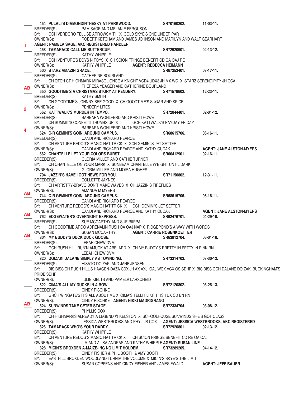|                | 454 PULALI'S DIAMONDINTHESKY AT PARKWOOD.                                                                                                    |                               | SR70160202.                         | $11-03-11.$                                                                     |
|----------------|----------------------------------------------------------------------------------------------------------------------------------------------|-------------------------------|-------------------------------------|---------------------------------------------------------------------------------|
|                | BREEDER(S):<br>PAM SAGE AND MELANIE FERGUSON                                                                                                 |                               |                                     |                                                                                 |
|                | BY:<br>GCH VERDORO TELLISE ARROWSMITH X GOLD SKYE'S ONE UNDER PAR                                                                            |                               |                                     |                                                                                 |
|                | OWNER(S):<br>ROBERT KETCHAM AND JAMES JOHNSON AND MARILYN AND WALT GEARHART                                                                  |                               |                                     |                                                                                 |
| $\blacksquare$ | AGENT: PAMELA SAGE, AKC REGISTERED HANDLER                                                                                                   |                               |                                     |                                                                                 |
|                | 458 TAMARACK CALL ME BUTTERCUP.                                                                                                              |                               | SR72920901.                         | $02 - 13 - 12$ .                                                                |
|                | BREEDER(S):<br>KATHY WHIPPLE                                                                                                                 |                               |                                     |                                                                                 |
|                | BY:<br>GCH VENTURE'S BOYS N TOYS X CH SCION FRINGE BENEFIT CD OA OAJ RE                                                                      |                               |                                     |                                                                                 |
|                | OWNER(S):<br><b>KATHY WHIPPLE</b>                                                                                                            | <b>AGENT: REBECCA HEIMANN</b> |                                     |                                                                                 |
|                | 500 STARZ AMAZIN GRACE.                                                                                                                      |                               | SR67253401.                         | $03-17-11.$                                                                     |
|                | CATHERINE BOURLAND<br>BREEDER(S):                                                                                                            |                               |                                     |                                                                                 |
|                | CH OTCH CT HIGHMARK MIRASOL ONCE A KNIGHT VCD4 UDX3 JH MX WC X STARZ SERENDIPITY JH CCA<br>BY:                                               |                               |                                     |                                                                                 |
|                | AB OWNER(S):<br>THERESA YEAGER AND CATHERINE BOURLAND                                                                                        |                               |                                     |                                                                                 |
|                | 550 GOODTIME'S A CHRISTMAS STORY AT PENDERY.                                                                                                 |                               | SR71579602.                         | $12 - 23 - 11$ .                                                                |
|                | BREEDER(S):<br><b>KATHY SMITH</b>                                                                                                            |                               |                                     |                                                                                 |
|                | CH GOODTIME'S JOHNNY BEE GOOD X CH GOODTIME'S SUGAR AND SPICE<br>BY:                                                                         |                               |                                     |                                                                                 |
|                |                                                                                                                                              |                               |                                     |                                                                                 |
| $\overline{2}$ | OWNER(S):<br>PENDERY LITES                                                                                                                   |                               |                                     |                                                                                 |
|                | 562 KATTWALK'S MURDER IN TEMPO.                                                                                                              |                               | SR72044401.                         | $02 - 01 - 12$ .                                                                |
|                | BARBARA WOHLFERD AND KRISTI HOWE<br>BREEDER(S):                                                                                              |                               |                                     |                                                                                 |
|                | BY:<br>CH SUMMIT'S CONFETTI THUMBS UP X                                                                                                      |                               | <b>GCH KATTWALK'S PAYDAY FRIDAY</b> |                                                                                 |
| 4              | OWNER(S):<br>BARBARA WOHLFERD AND KRISTI HOWE                                                                                                |                               |                                     |                                                                                 |
|                | 624 C-R GEMINI'S GOIN' AROUND CAMPUS.                                                                                                        |                               | SR68615706.                         | $06-16-11.$                                                                     |
|                | BREEDER(S):<br>CANDI AND RICHARD PEARCE                                                                                                      |                               |                                     |                                                                                 |
|                | CH VENTURE REDOG'S MAGIC HAT TRICK X GCH GEMINI'S JET SETTER<br>BY:                                                                          |                               |                                     |                                                                                 |
|                | OWNER(S):<br>CANDI AND RICHARD PEARCE AND KATHY CUDAK                                                                                        |                               |                                     | <b>AGENT: JANE ALSTON-MYERS</b>                                                 |
|                | 662 CHANTELLE LET YOUR COLORS BURST.                                                                                                         |                               | SR66412901.                         | $02 - 16 - 11$ .                                                                |
|                | <b>GLORIA MILLER AND CATHIE TURNER</b><br>BREEDER(S):                                                                                        |                               |                                     |                                                                                 |
|                | BY:<br>CH CHANTELLE ON YOUR MARK X SUNBEAM CHANTELLE W'EIGHT UNTIL DARK                                                                      |                               |                                     |                                                                                 |
|                | OWNER(S):<br><b>GLORIA MILLER AND MOIRA HUGHES</b>                                                                                           |                               |                                     |                                                                                 |
|                | 704 JAZZIN'S HAVE I GOT NEWS FOR YOU.                                                                                                        |                               | SR71150802.                         | $12-31-11.$                                                                     |
|                | BREEDER(S):<br><b>COLLETTE JAYNES</b>                                                                                                        |                               |                                     |                                                                                 |
|                | CH ARTISTRY-BRAVO DON'T MAKE WAVES X CH JAZZIN'S FIREFLIES<br>BY:                                                                            |                               |                                     |                                                                                 |
|                | OWNER(S):<br>AMANDA M MYERS                                                                                                                  |                               |                                     |                                                                                 |
| <b>AB</b>      | 744 C-R GEMINI'S GOIN' AROUND CAMPUS.                                                                                                        |                               | SR68615706.                         | 06-16-11.                                                                       |
|                | BREEDER(S):<br>CANDI AND RICHARD PEARCE                                                                                                      |                               |                                     |                                                                                 |
|                | CH VENTURE REDOG'S MAGIC HAT TRICK X   GCH GEMINI'S JET SETTER<br>BY:                                                                        |                               |                                     |                                                                                 |
|                | CANDI AND RICHARD PEARCE AND KATHY CUDAK<br>OWNER(S):                                                                                        |                               |                                     | <b>AGENT: JANE ALSTON-MYERS</b>                                                 |
| AB             | 762 EDGEWATER'S OVERNIGHT EXPRESS.                                                                                                           |                               | SR62476701.                         | $04 - 29 - 10$ .                                                                |
|                | BREEDER(S):<br>SUE MCCARTHY AND SUE RIIPPA                                                                                                   |                               |                                     |                                                                                 |
|                | CH GOODTIME ARGO ADRENALIN RUSH OA OAJ NAP X RIDGEPOND'S A WAY WITH WORDS<br>BY:                                                             |                               |                                     |                                                                                 |
|                | <b>SUSAN MCCARTHY</b><br>OWNER(S):                                                                                                           |                               | <b>AGENT: CARRIE ROSENKOETTER</b>   |                                                                                 |
| AB             | 804 MY BUDDY'S DUCK DUCK GOOSE.                                                                                                              |                               | SR63812704.                         | $06-01-10.$                                                                     |
|                | LEEAH CHEW DVM<br>BREEDER(S):                                                                                                                |                               |                                     |                                                                                 |
|                | BY:<br>GCH RUSH HILL RUN'N AMUCK AT ABELARD X CH MY BUDDY'S PRETTY IN PETTY IN PINK RN                                                       |                               |                                     |                                                                                 |
|                | OWNER(S):<br>LEEAH CHEW DVM                                                                                                                  |                               |                                     |                                                                                 |
|                | 820 DOIZAKI DALANE SIMPLY AS TOWNDING.                                                                                                       |                               | SR73314703.                         | $03-30-12.$                                                                     |
|                | BREEDER(S):<br>HISATO DOIZAKI AND JANE JENSEN                                                                                                |                               |                                     |                                                                                 |
|                | BY:<br>BIS BISS CH RUSH HILL'S HAAGEN-DAZA CDX JH AX AXJ OAJ WCX VCX OS SDHF X BIS BISS GCH DALANE DOIZAKI BUCKINGHAM'S                      |                               |                                     |                                                                                 |
|                | PRIDE SDHF                                                                                                                                   |                               |                                     |                                                                                 |
|                | OWNER(S):<br>JULIE KIELTS AND PAMELA LARSCHEID                                                                                               |                               |                                     |                                                                                 |
|                | 822 CIMA'S ALL MY DUCKS IN A ROW.                                                                                                            |                               | SR72120802.                         | $03 - 25 - 13$ .                                                                |
|                | BREEDER(S):<br><b>CINDY PISCHKE</b>                                                                                                          |                               |                                     |                                                                                 |
|                | GRCH WINGATE'S IT'S ALL ABOUT ME X CIMA'S TELLIT LIKIT IT IS TDX CD BN RN<br>BY:                                                             |                               |                                     |                                                                                 |
|                | OWNER(S):<br>CINDY PISCHKE AGENT: NIKKI MADRIGRANO                                                                                           |                               |                                     |                                                                                 |
| AB.            | 824 SUNWINDS TAKE CETER STAGE.                                                                                                               |                               | SR72334704.                         | $03-08-12.$                                                                     |
|                | BREEDER(S):<br>PHYLLIS COX                                                                                                                   |                               |                                     |                                                                                 |
|                | BY:<br>CH HIGHMARKS ALREADY A LEGEND @ KELSTON X SCHOOLHOUSE SUNWINDS SHE'S GOT CLASS                                                        |                               |                                     |                                                                                 |
|                | OWNER(S):                                                                                                                                    |                               |                                     | JESSICA WESTBROOKS AND PHYLLIS COX    AGENT: JESSICA WESTBROOKS, AKC REGISTERED |
|                | 826 TAMARACK WHO'S YOUR DADDY.                                                                                                               |                               | SR72920801.                         | $02 - 13 - 12$ .                                                                |
|                |                                                                                                                                              |                               |                                     |                                                                                 |
|                |                                                                                                                                              |                               |                                     |                                                                                 |
|                | BREEDER(S):<br><b>KATHY WHIPPLE</b>                                                                                                          |                               |                                     |                                                                                 |
|                | CH VENTURE REDOG'S MAGIC HAT TRICK X CH SCION FRINGE BENEFIT CD RE OA OAJ<br>BY:                                                             |                               |                                     |                                                                                 |
|                | OWNER(S):<br>JIM AND ALISA ANDRAS AND KATHY WHIPPLE AGENT: SUSAN LINE                                                                        |                               |                                     |                                                                                 |
|                | 828 MICIN'S BROXDEN A-MAIZE-ING NO LIMIT HOLDEM.                                                                                             |                               | SR73289205.                         | $04 - 14 - 12$ .                                                                |
|                | CINDY FISHER & PHIL BOOTH & AMY BOOTH<br>BREEDER(S):                                                                                         |                               |                                     |                                                                                 |
|                | BY:<br>EASTHILL BROXDEN WOODLAND TURNIP THE VOLUME X MICIN'S SKYE'S THE LIMIT<br>OWNER(S):<br>SUSAN COPPENS AND CINDY FISHER AND JAMES EWALD |                               |                                     | <b>AGENT: JEFF BAUER</b>                                                        |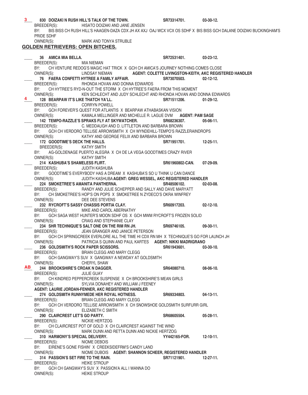830 DOIZAKI N RUSH HILL'S TALK OF THE TOWN. SR73314701. 03-30-12.<br>BREEDER(S): HISATO DOIZAKI AND JANE JENSEN HISATO DOIZAKI AND JANE JENSEN BY: BIS BISS CH RUSH HILL'S HAAGEN-DAZA CDX JH AX AXJ OAJ WCX VCX OS SDHF X BIS BISS GCH DALANE DOIZAKI BUCKINGHAM'S PRIDE SDHF OWNER(S): MARK AND TONYA STRUBLE **GOLDEN RETRIEVERS: OPEN BITCHES.** \_\_\_\_ **36 AMICA MIA BELLA. SR72531401. 03-23-12.**  BREEDER(S): MIA NIEMAN BY: CH VENTURE REDOG'S MAGIC HAT TRICK X GCH CH AMICA'S JOURNEY NOTHING COMES CLOSE OWNER(S): LINDSAY NIEMAN **AGENT: COLETTE LIVINGSTON-KEITH, AKC REGISTERED HANDLER** \_\_\_\_ **76 FAERA CONFETTI HYTREE A FAMILY AFFAIR. SR73070503. 02-12-12.**  BREEDER(S): RHONDA HOVAN AND DONNA EDWARDS BY: CH HYTREE'S RYD-N-OUT THE STORM X CH HYTREE'S FAERA FROM THIS MOMENT OWNER(S): KEN SCHLECHT AND JUDY SCHLECHT AND RHONDA HOVAN AND DONNA EDWARDS \_\_\_\_ **128 BEARPAW IT'S LIKE THATCH YA'LL. SR71511206. 01-29-12.**  CORRYN POWELL BY: GCH FOREVER'S QUEST FOR ATLANTIS X BEARPAW ATHABASKAN VISION OWNER(S): KAMALA MELLINGER AND MICHELLE R. LAGUE DVM **AGENT: PAM SAGE** \_\_\_\_ **142 TEMPO-RAZZLE'S SPRAKS FLY AT SKYWATCHER. SR68236307. 05-06-11.**  BREEDER(S): C. MEDDAUGH AND D. LITTLETON AND BARBARA BROWN BY: GCH CH VERDORO TELLISE ARROWSMITH X CH WYNDEHILL-TEMPO'S RAZZLERAINDROPS OWNER(S): KATHY AND GEORGE FELIX AND BARBARA BROWN 172 GOODTIME'S DECK THE HALLS. **8871951701. 12-25-11.** BREEDER(S): KATHY SMITH BY: AG-GOLDENAGE PUERTO ALEGRA X CH DE LA VEGA GOODTIMES CRAZY RIVER OWNER(S): KATHY SMITH \_\_\_\_ **214 KASHUBA'S SHAMELESS FLIRT. SR61960802-CAN. 07-29-09.**  BREEDER(S): JUDITH KASHUBA BY: GOODTIME'S EVERYBODY HAS A DREAM X KASHUBA'S SO U THINK U CAN DANCE OWNER(S): JUDITH KASHUBA **AGENT: GREG WESSEL, AKC REGISTERED HANDLER** \_\_\_\_ **224 SMOKETREE'S AMANITA PANTHERNA. SR48506102. 02-03-08.**  BREEDER(S): RANDY AND JULIE SCHEPPER AND SALLY AND DAVE MARYATT BY: CH SMOKETREE'S HOP'S ON POPS X SMOKETREE N ZYDECO'S OKRA WINFREY OWNER(S): DEE DEE STEVENS \_\_\_\_ **232 RYCROFT'S SASSY CHASSIS PORTIA CLAY. SR60917203. 02-12-10.**  BREEDER(S): MIKE AND CAROL ABERNATHY BY: GCH SAGA WEST HUNTER'S MOON SDHF OS X GCH MWM RYCROFT'S FROZEN SOLID OWNER(S): CRAIG AND STEPHANIE CLAY \_\_\_\_ **234 SHR TECHNIQUE'S SALT ONE ON THE RIM RN JH. SR69746105. 09-30-11.**  BREEDER(S): JEAN GRANGER AND JANICE PETERSON BY: GCH CH SPRINGCREEK EVERLORE ALL THE TIME HI CDX RN MH X TECHNIQUE'S GO FOR LAUNCH JH OWNER(S): PATRICIA S QUINN AND PAUL KARTES **AGENT: NIKKI MADRIGRANO** \_\_\_\_ **236 GOLDSMITH'S ROCK PAPER SCISSORS. SR61943601. 03-30-10.**  BREEDER(S): BRIAN CLEGG AND MARY CLEGG BY: GCH GANGWAY'S SUV X GANGWAY A NEWDAY AT GOLDSMITH OWNER(S): CHERYL SHAW \_\_\_\_ **244 BROOKSHIRE'S CROAK N DAGGER. SR64080710. 08-06-10.**  BREEDER(S): JULIE GUAY BY: CH KINDRED PEPPERCREEK SUSPENSE X CH BROOKSHIRE'S MEAN GIRLS OWNER(S): SYLVIA DONAHEY AND WILLIAM J FEENEY **AGENT: LAURIE JORDAN-FENNER, AKC REGISTERED HANDLER** \_\_\_\_ **274 GOLDSMITH RUNNYMEDE HER ROYAL HOTNESS. SR69334803. 04-13-11.**  BREEDER(S): BRIAN CLEGG AND MARY CLEGG BY: GCH CH VERDORO TELLISE ARROWSMITH X CH SNOWSHOE GOLDSMITH SURFURR GIRL OWNER(S): ELIZABETH C SMITH \_\_\_\_ **290 CLAIRCREST LET'S GO PARTY. SR68605504. 05-28-11.**  BREEDER(S): NICKIE HERTZOG BY: CH CLAIRCREST POT OF GOLD X CH CLAIRCREST AGAINST THE WIND OWNER(S): MARK DUNN AND RETTA DUNN AND NICKIE HERTZOG \_\_\_\_ **310 HARMONY'S SPECIAL DELIVERY. YY442165-FOR. 12-10-11.**  BREEDER(S): NIOME DEBOIS BY: EIRENE'S GONE FISHIN' X CREEKSIDEFRM'S CANDY LAND OWNER(S): NIOME DUBOIS **AGENT: SHANNON SCHEER, REGISTERED HANDLER** \_\_\_\_ **314 PASSION'S SET FIRE TO THE RAIN. SR71121901. 12-27-11.**  BREEDER(S): HEIKE STROUP BY: GCH CH GANGWAY'S SUV X PASSION'A ALL I WANNA DO OWNER(S): HEIKE STROUP **3 4 AB**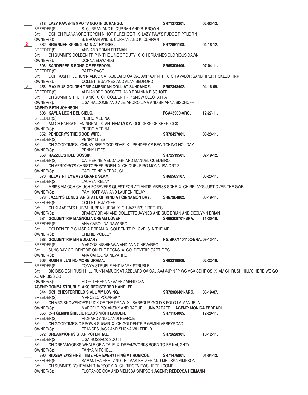\_\_\_\_ **318 LAZY PAWS-TEMPO TANGO IN DURANGO. SR71273301. 02-03-12.**  BREEDER(S): S. CURRAN AND K. CURRAN AND B. BROWN BY: GCH CH PLANANORO TOPSIN N HOT PURSHOE-T X LAZY PAW'S FUDGE RIPPLE RN OWNER(S): B. BROWN AND S. CURRAN AND K. CURRAN \_\_\_\_ **362 BRIANNES-SPRING RAIN AT HYTREE. SR72661108. 04-16-12.**  BREEDER(S): ANN AND BRIAN PITTMAN BY: CH SUMMITS GOLDEN TRIP IN THE LINE OF DUTY X CH BRIANNES GLORIOUS DAWN OWNER(S): DONNA EDWARDS \_\_\_\_ **396 SANDPIPER'S SONG OF FREEDOM. SR69305406. 07-04-11.**  BREEDER(S): PATTY PACE BY: GCH RUSH HILL HUN'N AMUCK AT ABELARD OA OAJ AXP AJP NFP X CH AVALOR SANDPIPER TICKLED PINK OWNER(S): COLLETTE JAYNES AND ALAN BEDFORD \_\_\_\_ **456 MAXIMUS GOLDEN TRIP AMERICAN DOLL AT SUNDANCE. SR57348402. 04-16-09.**  BREEDER(S): ALEJANDRO ROSSETTI AND BRIANNA BISCHOFF BY: CH SUMMITS THE TITANIC X CH GOLDEN TRIP SNOW CLEOPATRA OWNER(S): LISA HALCOMB AND ALEJANDRO LIMA AND BRIANNA BISCHOFF **AGENT: BETH JOHNSON** \_\_\_\_ **508 KAYLA LEON DEL CIELO. FCA45939-ARG. 12-27-11.**  BREEDER(S): PEDRO MEDINA BY: AM CH FAERA'S LENINGRAD X ANTHEM MOON GODDESS OF SHERLOCK OWNER(S): PEDRO MEDINA \_\_\_\_ **552 PENDERY'S THE GOOD WIFE. SR70437801. 08-23-11.**  BREEDER(S): PENNY LITES BY: CH GOODTIME'S JOHNNY BEE GOOD SDHF X PENDERY'S BEWITCHING HOLIDAY OWNER(S): PENNY LITES \_\_\_\_ **558 RAZZLE'S IDLE GOSSIP. SR72519501. 02-19-12.**  BREEDER(S): CATHERINE MEDDAUGH AND MANUEL QUEIJEIRO BY: CH VERDORO'S CHRISTOPHER ROBIN X CH QUEIJEIRO MONALISA ORTIZ OWNER(S): CATHERINE MEDDAUGH \_\_\_\_ **570 RELAY N FLYWAYS GRAND SLAM. SR69565107. 08-23-11.**  BREEDER(S): LAUREN RELAY BY: MBISS AM GCH CH UCH FOREVERS QUEST FOR ATLANTIS MBPISS SDHF X CH RELAY'S JUST OVER THE GWB OWNER(S): PAM HOFFMAN AND LAUREN RELAY \_\_\_\_ **578 JAZZIN'S LONESTAR STATE OF MIND AT CINNAMON BAY. SR67964802. 05-19-11.**  BREEDER(S): COLLETTE JAYNES BY: CH KLAASEM'S HUBBA HUBBA HUBBA X CH JAZZIN'S FIREFLIES<br>OWNER(S): BRANDY BRIAN AND COLLETTE JAYNES AND S BRANDY BRIAN AND COLLETTE JAYNES AND SUE BRIAN AND DECLYNN BRIAN 584 GOLDENTRIP MAGNOLIA DREAM LOVER. SR68309701-BRA. 11-30-10. BREEDER(S): ANA CAROLINA NAVARRO BY: GOLDEN TRIP CHASE A DREAM X GOLDEN TRIP LOVE IS IN THE AIR OWNER(S): CHERIE MOBLEY \_\_\_\_ **588 GOLDENTRIP MN BULGARY. RG/SPX/1104102-BRA. 09-13-11.**  BREEDER(S): MARCOS NISHIKAWA AND ANA C NEVARRO BY: SUNS BAY GOLDENTRIP ON THE ROCKS X GOLDENTRIP CARTIE BC OWNER(S): ANA CAROLINA NEVARRO \_\_\_\_ **606 RUSH HILL'S NO MORE DRAMA. SR62219806. 02-22-10.**  BREEDER(S): TONYA STRUBLE AND MARK STRUBLE BY: BIS BISS GCH RUSH HILL RUN'N AMUCK AT ABELARD OA OAJ AXJ AJP NFP WC VCX SDHF OS X AM CH RUSH HILL'S HERE WE GO AGAIN BISS OD OWNER(S): FLOR TERESA NEVAREZ MENDOZA **AGENT: TONYA STRUBLE, AKC REGISTERED HANDLER** \_\_\_\_ **644 GCH CHESTERFIELD'S ALL MY LOVING. SR70980401-ARG. 06-19-07.**  BREEDER(S): MARCELO POLANSKY BY: CH ARG SNOWSHOE'S LUCK OF THE DRAW X BARBOUR-GOLD'S POLO LA MANUELA OWNER(S): MARCELO POLANSKY AND RAQUEL LUNA ZARATE **AGENT: MONICA FERRARI** \_\_\_\_ **656 C-R GEMINI GHILLIE READS NIGHTLANDER. SR71104005. 12-20-11.**  BREEDER(S): RICHARD AND CANDI PEARCE BY: CH GOODTIME'S O'BROWN SUGAR X CH GOLDENTRIP GEMINI ABBEYROAD<br>OWNER(S): FRANCES JACK AND SHONA WHITFIELD FRANCES JACK AND SHONA WHITFIELD \_\_\_\_ **672 DREAMWORKS STAR POTENTIAL. SR72628301. 10-12-11.**  BREEDER(S): LISA HOSSACK SCOTT BY: CH DREAMWORKS WHALE OF A TALE X DREAMWORKS BORN TO BE NAUGHTY OWNER(S): TANYA MITCHELL \_\_\_\_ **690 RIDGEVIEWS FIRST TIME FOR EVERYTHING AT RUBICON. SR71476801. 01-04-12.**  BREEDER(S): SAMANTHA PEET AND THOMAS BETZER AND MELISSA SIMPSON BY: CH SUMMITS BOHEMIAN RHAPSODY X CH RIDGEVIEWS HERE I COME OWNER(S): FLORANCE COX AND MELISSA SIMPSON **AGENT: REBECCA HEIMANN 2 3**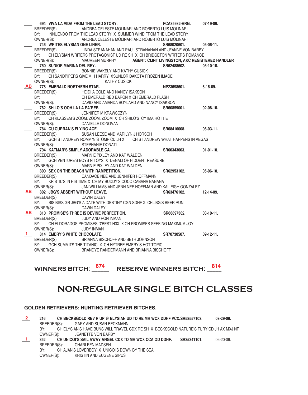|           |                                                           | 694 VIVA LA VIDA FROM THE LEAD STORY.                                                   | <b>FCA35932-ARG.</b> | 07-19-09.        |
|-----------|-----------------------------------------------------------|-----------------------------------------------------------------------------------------|----------------------|------------------|
|           |                                                           | BREEDER(S): ANDREA CELESTE MOLINARI AND ROBERTO LUIS MOLINARI                           |                      |                  |
|           | BY:                                                       | INNUENDO FROM THE LEAD STORY X SUMMER WIND FROM THE LEAD STORY                          |                      |                  |
|           |                                                           | OWNER(S): ANDREA CELESTE MOLINARI AND ROBERTO LUIS MOLINARI                             |                      |                  |
|           | 746 WRITES ELYSIAN ONE LINER.                             |                                                                                         | SR68020601.          | $05-06-11.$      |
|           | BREEDER(S):                                               | LINDA STRANAHAN AND PAUL STRANAHAN AND JEANNE VON BARBY                                 |                      |                  |
|           | BY:                                                       | CH ELYSIAN WRITERS PROTAGONIST UD RE SH X CH BRIDGETON WRITERS ROMANCE                  |                      |                  |
|           |                                                           | OWNER(S): MAUREEN MURPHY AGENT: CLINT LIVINGSTON, AKC REGISTERED HANDLER                |                      |                  |
|           | 750 SUNIOR MARINA DEL REY.                                |                                                                                         | SR62488602.          | $05-10-10.$      |
|           |                                                           | BREEDER(S): BONNIE WAKELY AND KATHY CUSICK                                              |                      |                  |
|           | BY:                                                       | CH SANDPIPERS GIVE'M H HARRY XSUNLOR DAKOTA FROZEN IMAGE                                |                      |                  |
|           | OWNER(S):                                                 | <b>KATHY CUSICK</b>                                                                     |                      |                  |
|           | AB 778 EMERALD NORTHERN STAR.                             |                                                                                         | NP23698601. 6-16-09. |                  |
|           |                                                           | BREEDER(S): HEIDI A COLE AND NANCY ISAKSON<br>BY: CHEMERALD RED BARON X CHEMERALD FLASH |                      |                  |
|           |                                                           |                                                                                         |                      |                  |
|           |                                                           | OWNER(S): DAVID AND AMANDA BOYLARD AND NANCY ISAKSON                                    |                      |                  |
|           | 782 SHILO'S OOH LA LA PA'REE.                             |                                                                                         | SR60859001.          | $02 - 08 - 10$ . |
|           |                                                           | BREEDER(S): JENNIFER M KRAWSCZYN                                                        |                      |                  |
|           | BY:                                                       | CH KLASSEM'S ZOOM, ZOOM, ZOOM X CH SHILO'S CY IMA HOTT E                                |                      |                  |
|           | OWNER(S): DANIELLE DONOVAN<br>784 CU CURRAN'S FLYING ACE. |                                                                                         | SR68416008.          | 06-03-11.        |
|           |                                                           | BREEDER(S): SUSAN LEESE AND MARILYN J HORSCH                                            |                      |                  |
|           | BY:                                                       | GCH ST ANDREW ROMP 'N STOMP CD JH X CH ST ANDREW WHAT HAPPENS IN VEGAS                  |                      |                  |
|           | OWNER(S):                                                 | STEPHANIE DONATI                                                                        |                      |                  |
|           | 794 KATMAR'S SIMPLY ADORABLE CA.                          | STEPHANIE DONATI<br>Y ADORABLE CA.<br>MARNIE PIXLEY AND KAT WALDEN                      | SR60343003.          | $01-01-10.$      |
|           | BREEDER(S):                                               |                                                                                         |                      |                  |
|           | BY:                                                       | GCH VENTURE'S BOYS N TOYS X DENALI OF HIDDEN TREASURE                                   |                      |                  |
|           |                                                           | OWNER(S): MARNIE PIXLEY AND KAT WALDEN                                                  |                      |                  |
|           |                                                           | 800 SEX ON THE BEACH WITH RAMPETITION.                                                  | SR62953102.          | $05-06-10.$      |
|           |                                                           | BREEDER(S): CANDACE NEE AND JENNIFER HOFFMANN                                           |                      |                  |
|           | BY:                                                       | KRISTIL'S IN HIS TIME X CH MY BUDDY'S COCO CABANA BANANA                                |                      |                  |
|           | OWNER(S):                                                 | JAN WILLIAMS AND JENN NEE HOFFMAN AND KAILEIGH GONZALEZ                                 |                      |                  |
| <b>AB</b> | 802 JBG'S ABSENT WITHOUT LEAVE.                           |                                                                                         | SR63476102.          | 12-14-09.        |
|           | BREEDER(S):                                               | DAWN DALEY                                                                              |                      |                  |
|           | BY:                                                       | BIS BISS GR JBG'S A DATE WITH DESTINY CGN SDHF X CH JBG'S BEER RUN                      |                      |                  |
|           | OWNER(S):                                                 | DAWN DALEY                                                                              |                      |                  |
| <b>AB</b> |                                                           | 810 PROMISE'S THREE IS DEVINE PERFECTION.                                               | SR66897302.          | $03-10-11.$      |
|           | BREEDER(S):                                               | JUDY AND RON INMAN                                                                      |                      |                  |
|           | BY:                                                       | CH ELDORADOS PROMISES D'BEST H3X X CH PROMISES SEEKING MAXIMUM JOY                      |                      |                  |
|           | OWNER(S):                                                 | JUDY INMAN                                                                              |                      |                  |
| 1         | 814 EMERY'S WHITE CHOCOLATE.                              |                                                                                         | SR70730507.          | $09-12-11.$      |
|           |                                                           | BREEDER(S): BRIANNA BISCHOFF AND BETH JOHNSON                                           |                      |                  |
|           | BY:                                                       | GCH SUMMITS THE TITANIC X CH HYTREE EMERY'S HOT TOPIC                                   |                      |                  |
|           | OWNER(S):                                                 | BRANDYE RANDERMANN AND BRIANNA BISCHOFF                                                 |                      |                  |

WINNERS BITCH:  $\frac{674}{2}$  RESERVE WINNERS BITCH:  $\frac{814}{2}$ 

# **NON-REGULAR SINGLE BITCH CLASSES**

## **GOLDEN RETRIEVERS: HUNTING RETRIEVER BITCHES.**

**\_\_\_\_ 216 CH BECKSGOLD REV R UP @ ELYSIAN UD TD RE MH WCX DDHF VCX. SR58557103. 08-29-09.** BREEDER(S): GARY AND SUSAN BECKMANN BY: CH ELYSIAN'S HAVE BUNS WILL TRAVEL CDX RE SH X BECKSGOLD NATURE'S FURY CD JH AX MXJ NF OWNER(S): JEANETTE VON BARBY **352 CH UNICOI'S SAIL AWAY ANGEL CDX TD MH WCX CCA OD DDHF. SR35341101.** 06-20-06.<br>BREEDER(S): CHARLEEN MADSEN CHARLEEN MADSEN **2 1**

BY: CH AJAN'S LOVERBOY X UNICOI'S DOWN BY THE SEA OWNER(S): KRISTIN AND EUGENE SIPUS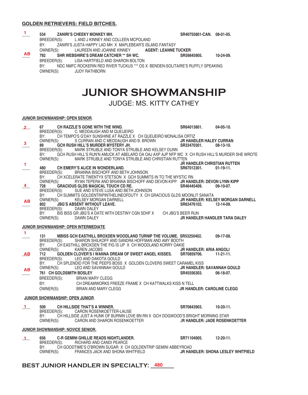#### **GOLDEN RETRIEVERS: FIELD BITCHES.**

| -1.                  | 534<br><b>ZANIRI'S CHEEKY MONKEY MH.</b><br>BREEDER(S):<br>L AND J KINNEY AND COLLEEN MCPOLAND<br>BY:<br>ZANIRI'S JUSTA HAPPY LAD MH X MAPLEBEAR'S ISLAND FANTASY                                                                                                        | SR40755801-CAN. 08-01-05.                           |                                                       |
|----------------------|--------------------------------------------------------------------------------------------------------------------------------------------------------------------------------------------------------------------------------------------------------------------------|-----------------------------------------------------|-------------------------------------------------------|
| AB                   | OWNER(S):<br>LAUREEN AND JOANNE KINNEY AGENT: LEANNE TUCKER<br>792<br>SHR WEBSHIRE'S DREAM CATCHER ** SH WC.<br>LISA HARTFIELD AND SHARON BOLTON<br>BREEDER(S):                                                                                                          | SR59845905.                                         | 10-24-09.                                             |
|                      | BY:<br>NDC NMFC ROCKERIN RED RIVER TUCKUS *** OS X BENDEN-SOLITAIRE'S RUFFLY SPEAKING<br>OWNER(S):<br><b>JUDY RATHBORN</b>                                                                                                                                               |                                                     |                                                       |
|                      | <b>JUNIOR SHOWMANSHIP</b>                                                                                                                                                                                                                                                |                                                     |                                                       |
|                      | <b>JUDGE: MS. KITTY CATHEY</b>                                                                                                                                                                                                                                           |                                                     |                                                       |
|                      | JUNIOR SHOWMANSHIP: OPEN SENIOR.                                                                                                                                                                                                                                         |                                                     |                                                       |
| $\mathbf{2}$         | CH RAZZLE'S GONE WITH THE WIND.<br>67 —<br>BREEDER(S): C. MEDDAUGH AND M QUEIJEIRO<br>CH TEMPO'S G'DAY SUNSHINE AT RAZZLE X CH QUEIJEIRO MONALISA ORTIZ<br>BY:                                                                                                           | SR64013801. 04-05-10.                               |                                                       |
| $\mathbf{3}$         | S CURRAN AND C MEDDAUGH AND B. BROWN<br>OWNER(S):<br>GCH RUSH HILL'S MURDER MYSTERY JH.<br>89<br>MARK STRUBLE AND TONYA STRUBLE AND KELSEY DUNN<br>BREEDER(S):                                                                                                           | JR HANDLER HALEY CURRAN<br>SR33470301.              | $08-13-10.$                                           |
|                      | GCH RUSH HILL'S RUN'N AMUCK AT ABELARD OA OAJ AXP AJP NFP WC X CH RUSH HILL'S MURDER SHE WROTE<br>BY:<br>OWNER(S):<br>MARK STRUBLE AND TONYA STRUBLE AND CHRISTIAN RUTTEN                                                                                                |                                                     |                                                       |
| $\blacksquare$       | 480<br>CH EMERY'S ALICE IN WONDERLAND.<br>BREEDER(S):<br>BRIANNA BISCHOFF AND BETH JOHNSON                                                                                                                                                                               | <b>JR HANDLER CHRISTIAN RUTTEN</b><br>SR67012301.   | $01-19-11.$                                           |
| $\frac{4}{}$         | BY:<br>CH XCELERATE TWENTYX STETSON X GCH SUMMITS IN TO THE MYSTIC RN<br>OWNER(S):<br>RYAN TEPERA AND BRIANNA BISCHOFF AND DEVON KIPP JR HANDLER: DEVON LYNN KIPP<br>728<br><b>GRACIOUS GLDS MAGICAL TOUCH CD RE.</b><br>BREEDER(S): SUE AND STEVE LUSA AND BETH JOHNSON | SR46445409.                                         | $09-10-07$ .                                          |
| <b>AB</b>            | CH SUMMITS GOLDENTRIPINTHELINEOFDUTY X CH GRACIOUS GLDS MOONLIT SANATA<br>BY:<br>OWNER(S):<br>KELSEY MORGAN DARNELL<br><b>JBG'S ABSENT WITHOUT LEAVE.</b><br>802                                                                                                         | SR63476102.                                         | <b>JR HANDLER: KELSEY MORGAN DARNELL</b><br>12-14-09. |
|                      | DAWN DALEY<br>BREEDER(S):<br>BIS BISS GR JBG'S A DATE WITH DESTINY CGN SDHF X CH JBG'S BEER RUN<br>BY:<br>OWNER(S):<br>DAWN DALEY                                                                                                                                        | <b>JR HANDLER HANDLER TARA DALEY</b>                |                                                       |
|                      | <b>JUNIOR SHOWMANSHIP: OPEN INTERMEDIATE.</b>                                                                                                                                                                                                                            |                                                     |                                                       |
| $\blacktriangleleft$ | 131<br><b>MBISS GCH EASTHILL BROXDEN WOODLAND TURNIP THE VOLUME. SR53250402.</b><br>BREEDER(S):<br>SHARON SHILKOFF AND SANDRA HOFFMAN AND AMY BOOTH<br>CH EASTHILL BROXDEN THE FIG IS UP X CH WOODLAND KORRY OAKIE<br>BY:                                                |                                                     | $09-17-08.$                                           |
| <u>AB</u>            | OWNER(S):<br><b>KAREN JACOBS</b><br>GOLDEN CLOVER'S I WANNA DREAM OF SWEET ANGEL KISSES. SR70859706.<br>712<br>BREEDER(S):<br>LEO AND DAKOTA GOULD                                                                                                                       | <b>JR HANDLER: ARIA ANGOLI</b>                      | $11-21-11.$                                           |
| AB                   | CH SPLENDID FOR THE PEEPS BOSS X GOLDEN CLOVERS SWEET CARAMEL KISS<br>BY:<br>OWNER(S):<br>LEO AND SAVANNAH GOULD<br><b>761 CH GOLDSMITH BOSLEY</b>                                                                                                                       | <b>JR HANDLER: SAVANNAH GOULD</b><br>SR45556303.    | 06-18-07.                                             |
|                      | <b>BRIAN MARY CLEGG</b><br>BREEDER(S):<br>CH DREAMWORKS FREEZE FRAME X CH KATTWALKS KISS N TELL<br>BY:<br>OWNER(S):<br>BRIAN AND MARY CLEGG                                                                                                                              | <b>JR HANDLER: CAROLINE CLEGG</b>                   |                                                       |
|                      | JUNIOR SHOWMANSHIP: OPEN JUNIOR.                                                                                                                                                                                                                                         |                                                     |                                                       |
| $\mathbf{1}$         | 509<br>CH HILLSIDE THAT'S A WINNER.<br>CARON ROSENKOETTER-LAUSE<br>BREEDER(S):<br>BY:<br>CH HILLSIDE JUST A HUNK OF BURNIN LOVE BN RN X GCH DOGWOOD'S BRIGHT MORNING STAR<br>OWNER(S):<br>CARON AND SHARON ROSENKOETTER                                                  | SR70843903.<br><b>JR HANDLER: JADE ROSENKOETTER</b> | $10-20-11.$                                           |
|                      | <b>JUNIOR SHOWMANSHIP: NOVICE SENIOR.</b>                                                                                                                                                                                                                                |                                                     |                                                       |
| $\mathbf{1}$         | 656<br>C-R GEMINI GHILLIE READS NIGHTLANDER.<br>BREEDER(S):<br>RICHARD AND CANDI PEARCE                                                                                                                                                                                  | SR71104005.                12-20-11.                |                                                       |
|                      | BY:<br>CH GOODTIME'S O'BROWN SUGAR X CH GOLDENTRIP GEMINI ABBEYROAD<br>OWNER(S): FRANCES JACK AND SHONA WHITFIELD <b>JR HANDLER: SHONA LESLEY WHITFIELD</b>                                                                                                              |                                                     |                                                       |

## **BEST JUNIOR HANDLER IN SPECIALTY: \_\_\_\_\_\_\_\_ 480**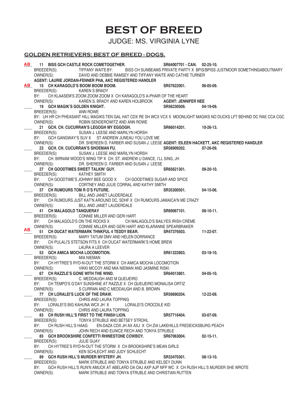# **BEST OF BREED**

JUDGE: MS. VIRGINIA LYNE

### **GOLDEN RETRIEVERS: BEST OF BREED - DOGS.**

\_\_\_\_ **11 BISS GCH CASTLE ROCK COMETOGETHER. SR64007701 - CAN. 02-25-10.**  BREEDER(S): TIFFANY WAITE BY: BISS CH SUNBEAMS PRIVATE PARTY X BPIS/BPISS JUSTMOOR SOMETHINGABOUTMARY OWNER(S): DAVID AND DEBBIE RAMSEY AND TIFFANY WAITE AND CATHIE TURNER  **AGENT: LAURIE JORDAN-FENNER PHA, AKC REGISTERED HANDLER** 15 CH KARAGOLD'S BOOM BOOM BOOM. SR57622001. 06-05-09. BREEDER(S): KAREN S BRADY BY: CH KLAASEM'S ZOOM ZOOM ZOOM X CH KARAGOLD'S A-PHAIR OF THE HEART OWNER(S): KAREN S. BRADY AND KAREN HOLBROOK **AGENT: JENNIFER NEE** 19 **GCH MAGIK'S GOLDEN KNIGHT. 19 SR56230509.** 04-19-09. BREEDER(S): ANN ROWE BY: UH HR CH PHEASANT HILL MAGIKS TEN GAL HAT CDX RE SH WCX VCX X MOONLIGHT MAGIKS NO DUCKS LFT BEHIND DC RAE CCA CGC ROBIN SENDEROWITZ AND ANN ROWE 21 **GCH. CH. CUCURRAN'S LEGOGH MY EGGOGH.** SR66014201. 10-26-13. BREEDER(S): SUSAN J. LEESE AND MARILYN HORSH BY: GCH GANGWAY'S SUV X ST ANDREW JUNEAU YOU LOVE ME<br>OWNER(S): DR. SHEREEN D. FARBER AND SUSAN J. LEES OWNER(S): DR. SHEREEN D. FARBER AND SUSAN J. LEESE **AGENT: EILEEN HACKETT, AKC REGISTERED HANDLER** 23 **GCH. CH. CUCURRAN'S SHOEMAN FU.** SR58909202. 07-26-09.<br>BREEDER(S): SUSAN J. LEESE AND MARILYN HORSH SUSAN J. LEESE AND MARILYN HORSH BY: CH. BIRNAM WOOD'S WING TIP X CH. ST. ANDREW U DANCE, I'LL SING, JH OWNER(S): DR. SHEREEN D. FARBER AND SUSAN J. LEESE DR. SHEREEN D. FARBER AND SUSAN J. LEESE **27 CH GOODTIMES SWEET TALKIN' GUY. 27 CH GOODTIMES SWEET TALKIN' GUY. 88 CHEET** SMITH KATHEY SMITH BY: CH GOODTIME'S JOHNNY BEE GOOD X CH GOODTIMES SUGAR AND SPICE OWNER(S): CORTNEY AND JULIE CORRAL AND KATHY SMITH 37 CH RUMOURS TOM R O'S FUTURE. **But a state of the SAS5300501.** 04-15-06. BREEDER(S): BILL AND JANET LAUDERDALE BY: CH RUMOURS JUST KAT'N AROUND DC, SDHF X CH RUMOURS JAMAICA'N ME CRAZY<br>OWNER(S): BILL AND JANET LAUDERDALE BILL AND JANET LAUDERDALE \_\_\_\_ **41 CH MALAGOLD TANQUERAY SR69067101. 08-10-11.**  BREEDER(S): CONNIE MILLER AND GERI HART BY: CH MALAGOLD'S ON THE ROCKS X CH MALAGOLD'S BAILYES IRISH CRÈME OWNER(S): CONNIE MILLER AND GERI HART AND KLARANNE SPEARBRAKER \_\_\_\_ **51 CH DUCAT WATERMARK THNKFUL 4 TEDDY BEAR. SR47376503. 11-22-07.**  BREEDER(S): MARY TATUM DMV AND HELEN DORRANCE BY: CH PULALI'S STETSON FITS X CH DUCAT WATERMARK'S HOME BREW OWNER(S): LAURA A LEEVER 53 **GCH AMICA MOCHA LOCOMOTION. 53 661322803.** 03-18-10. BREEDER(S): MIA NIEMAN BY: CH HYTREE'S RYD-N-OUT THE STORM X CH AMICA MOCHA LOCOMOTION OWNER(S): VIKKI MCCOY AND MIA NIEMAN AND JASMINE RISKI 67 CH RAZZLE'S GONE WITH THE WIND.<br>BREEDER(S): C. MEDDAUGH AND M QUEIJEIRO C. MEDDAUGH AND M QUEIJEIRO BY: CH TEMPO'S G'DAY SUNSHINE AT RAZZLE X CH QUEIJEIRO MONALISA ORTIZ OWNER(S): S CURRAN AND C MEDDAUGH AND B. BROWN **77 CH LORALEI'S LUCK OF THE DRAW. CHOREAD SR59890204.** 12-22-09.<br>BREEDER(S): CHRIS AND LAURA TOPPING CHRIS AND LAURA TOPPING BY: LORALEI'S BIG KAHUNA WCX JH X<br>
OWNER(S): CHRIS AND LAURA TOPPING CHRIS AND LAURA TOPPING \_\_\_\_ **83 CH RUSH HILL'S FIRST TO THE FINISH LION. SR57716404. 03-07-09.**  BREEDER(S): TONYA STRUBLE AND BETSEY STROHL BY: CH RUSH HILL'S HAAG EN-DAZA CDX JH AX AXJ X CH ZIA LAKEHILLS FREDEICKSBURG PEACH<br>OWNERISI: JOHN RECH AND EUNICE RECH AND TONYA STRUBLE JOHN RECH AND EUNICE RECH AND TONYA STRUBLE \_\_\_\_ **85 GCH BROOKSHIRE CONFETTI RHINESTONE COWBOY. SR67063004. 02-15-11.**  BREEDER(S): JULIE GUAY BY: CH HYTREE'S RYD-N-OUT THE STORM X CH BROOKSHIRE'S MEAN GIRLS OWNER(S): KEN SCHLECHT AND JUDY SCHLECHT 89 GCH RUSH HILL'S MURDER MYSTERY JH. SR33470301. 08-13-10.<br>BREEDER(S): MARK STRUBLE AND TONYA STRUBLE AND KELSEY DUNN MARK STRUBLE AND TONYA STRUBLE AND KELSEY DUNN BY: GCH RUSH HILL'S RUN'N AMUCK AT ABELARD OA OAJ AXP AJP NFP WC X CH RUSH HILL'S MURDER SHE WROTE OWNER(S): MARK STRUBLE AND TONYA STRUBLE AND CHRISTIAN RUTTEN **AB AB AB**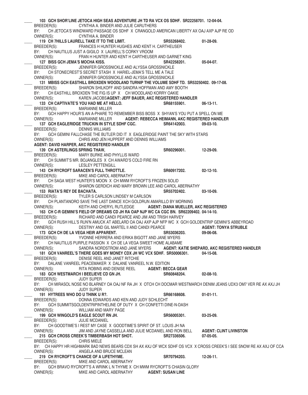103 GCH SHOR'LINE JETOCA HIGH SEAS ADVENTURE JH TD RA VCX OS SDHF. SR22258701. 12-04-04.<br>BREEDER(S): CYNTHIA A. BINDER AND JULIE CARUTHERS CYNTHIA A. BINDER AND JULIE CARUTHERS BY: CH JETOCA'S WINDWARD PASSAGE OS SDHF X CRANGOLD AMERICAN LIBERTY AX OAJ AXP AJP RE OD OWNER(S): CYNTHIA A. BINDER CYNTHIA A. BINDER \_\_\_\_ **119 CH 7HILLS LAURELL TAKE IT TO THE LIMIT. SR55268402. 01-28-09.**  BREEDER(S): FRANCES H HUNTER HUGHES AND KENT H. CARTHEUSER BY: CH NAUTILUS JUST A GIGILO X LAURELL'S CORKY VROOM OWNER(S): FRAN H HUNTER AND KENT H CARTHEUSER AND GARNET KING 127 BISS GCH JEMA'S MOCHA KISS. **800 CHACK STATES SATES** SR42258201. 05-04-07. BREEDER(S): JENNIFER GROSSNICKLE AND ALYSSA GROSSNICKLE BY: CH STONECREST'S SECRET STASH X HARIEL-JEMA'S TELL ME A TALE OWNER(S): JENNIFER GROSSNICKLE AND ALYSSA GROSSNICKLE 131 MBISS GCH EASTHILL BROXDEN WOODLAND TURNIP THE VOLUME SDHF TD. SR53250402. 09-17-08.<br>BREEDER(S): SHARON SHILKOFF AND SANDRA HOFFMAN AND AMY BOOTH SHARON SHILKOFF AND SANDRA HOFFMAN AND AMY BOOTH BY: CH EASTHILL BROXDEN THE FIG IS UP X CH WOODLAND KORRY OAKIE OWNER(S): KAREN JACOBS **AGENT: JEFF BAUER, AKC REGISTERED HANDLER** \_\_\_\_ **133 CH CAPTIVATE'S YOU HAD ME AT HELLO. SR68155901. 06-13-11.**  MARIANNE MILLER BY: GCH HAPPY HOUR'S AN A-PHARE TO REMEMBER BISS BOSS X SHYAN'S YOU PUT A SPELL ON ME OWNER(S): MARIANNE MILLER **AGENT: REBECCA HEIMANN, AKC REGISTERED HANDLER** \_\_\_\_ **137 GCH EAGLERIDGE TRUCKIN IN STYLE SDHF CGC. SR64142003. 09-03-10.**  BREEDER(S): DENNIS WILLIAMS BY: GCH GEMINI FALLCHASE THE BUTLER DID IT X EAGLERIDGE PAINT THE SKY WITH STARS OWNER(S): CHRIS AND JEN HUPPERT AND DENNIS WILLIAMS  **AGENT: DAVID HARPER, AKC REGISTERED HANDLER** 139 CH ASTERLINGS SPRING THAW, **A CHAULT AND STAGE SPRING** THAW, **SR60296001.** 12-29-09. BREEDER(S): MARY BURKE AND PHYLLIS WARD BY: CH SUMMIT'S MR. BOJANGLES X CH AWARD'S COLD FIRE RN OWNER(S): LESLEY PETTENGILL \_\_\_\_ **143 CH RYCROFT SARACEN'S FULL THROTTLE. SR60917202. 02-12-10.**  BREEDER(S): MIKE AND CAROL ABERNATHY BY: CH SAGA WEST HUNTER'S MOON X CH MWM RYCROFT'S FROZEN SOLID<br>OWNER(S): SHARON GERDICH AND MARY BROWN LEE AND CAROL A SHARON GERDICH AND MARY BROWN LEE AND CAROL ABERNATHY \_\_\_\_ **153 RIATA'S REY DE BACHATA. SR55702402. 03-10-09.** BREEDER(S): TYLER S CARLSON LINDSEY M CARLSON BY: CH PLANTANORO SAVE THE LAST DANCE XCH GOLDRUN AMARILLO BY MORNING OWNER(S): KEITH AND CHERYL RUTLEDGE **AGENT: DIANA MUELLER, AKC REGISTERED** \_\_\_\_ **163 CH C-R GEMINI'S FIELD OF DREAMS CD JH RA OAP NJP WC CA CGC BN. SR62209402. 04-14-10.**  BREEDER(S): RICHARD AND CANDI PEARCE AND JIM AND TRISH HARVEY BY: GCH RUSH HILL'S RUN'N AMUCK AT ABELARD OA OAJ AXP AJP NFP WC X GCH GOLDENTRIP GEMINI'S ABBEYROAD OWNER(S): DESTINY AND GIL MARTEL II AND CANDI PEARCE **AGENT: TONYA STRUBLE** 173 GCH CH DE LA VEGA HEIR APPARENT. SR53036203. 09-06-08.<br>BRFFDFR(S): YVONNE HERRERA AND ERIKA BIGOTT AND JANE MYERS YVONNE HERRERA AND ERIKA BIGOTT AND JANE MYERS BY: CH NAUTILUS PURPLE PASSION X CH DE LA VEGA SWEET HOME ALABAME<br>
OWNER(S): SANDRA NORDSTROM AND JANE MYERS AGENT: KA OWNER(S): SANDRA NORDSTROM AND JANE MYERS **AGENT: KATIE SHEPARD, AKC REGISTERED HANDLER** \_\_\_\_ **181 GCH VANREEL'S THERE GOES MY MONEY CDX JH WC VCX SDHF. SR50006301. 04-15-08.**  BREEDER(S): DENISE REEL AND JANET RITCHIE BY: DALANE VANREEL PEACEMAKER X DALANE VANREEL N.W. EDITION<br>
OWNER(S): RITA ROBINS AND DENISE REEL **AGENT: BEC**  OWNER(S): RITA ROBINS AND DENISE REEL **AGENT: BECCA GEAR** \_\_\_\_ **183 GCH WESTMARCH I BEELIEVE CD GN JH. SR60848204. 02-08-10.**  BREEDER(S): JUDY SUPER BY: CH MIRASOL NOSE NO BLARNEY OA OAJ NF RA JH X OTCH CH DOCMAR WESTMARCH DENIM JEANS UDX3 OM7 VER RE AX AXJ JH<br>OWNER(S): JUDY SUPER JUDY SUPER \_\_\_\_ **191 HYTREES WHO DO U THINK U R?. SR66168608. 01-01-11.**  BREEDER(S): DONNA EDWARDS AND KEN AND JUDY SCHLECHT BY: GCH SUMMITSGOLDENTRIPINTHELINE OF DUTY X CH CONFETTI DINE-N-DASH OWNER(S): WILLIAM AND MARY PAGE \_\_\_\_ **199 GCH WINGOLD'S EAGLE SCOUT RN JH. SR56005301. 03-25-09.**  BREEDER(S): JULIE MCDANIEL BY: CH GOODTIME'S I REST MY CASE X GOODTIME'S SPIRIT OF ST. LOUIS JH NA OWNER(S): JIM AND JAYNE CASSELLA AND JULIE MCDANIEL AND RON BELL **AGENT: CLINT LIVINSTON** \_\_\_\_ **215 GCH CROSS CREEK'S TIMBERBASH HOT SHOT. SR27336506. 07-05-05.**  BREEDER(S): CHRIS MIELE BY: CH HAPPY HR HIGHMARK BAD NEWS BEARS CDX SH AX AXJ OF WCX SDHF OS VCX X CROSS CREEK'S I SEE SNOW RE AX AXJ OF CCA OWNER(S): ANGELA AND BRUCE MCLEAN \_\_\_\_ **219 CH RYCROFT'S CHANCE OF A LIFETHYME. SR70794203. 12-26-11.**  BREEDER(S): MIKE AND CAROL ABERNATHY BY: GCH BRAVO RYCROFT'S A WRINK L N THYME X CH MWM RYCROFT'S CHASIN GLORY OWNER(S): MIKE AND CAROL ABERNATHY **AGENT: SUSAN LINE**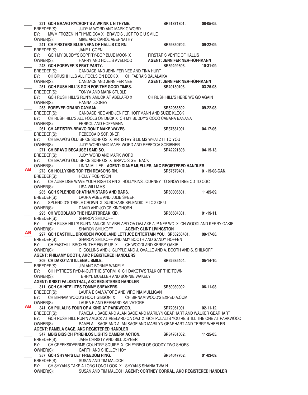\_\_\_\_ **221 GCH BRAVO RYCROFT'S A WRINK L N THYME. SR51871801. 08-05-05.**  BREEDER(S): JUDY M WORD AND MARK C WORD BY: MWM FROZEN IN THYME CCA X BRAVO'S JUST TO C U SMILE OWNER(S): MIKE AND CAROL ABERNATHY \_\_\_\_ **241 CH FIRSTARS BLUE VEPA OF HALLIS CD RN. SR59350702. 09-22-09.**  BREEDER(S): JANE L COEN BY: GCH MY BUDDY'S BOPPITY-BOP BLUE MOON X FIRSTAR'S VENTE OF HALLIS OWNER(S): HARRY AND HOLLIS AVELROD **AGENT: JENNIFER NER-HOFFMANN** \_\_\_\_ **243 GCH FOREVER'S FRAT PARTY. SR59492603. 10-31-09.**  BREEDER(S): CANDACE AND JENNIFER NEE AND TINA HURT BY: CH BRUSHHILLS ALL FOOLS ON DECK X CH FAERA'S BALALAIKA OWNER(S): CANDACE AND JENNIFER NEE **AGENT: JENNIFER NER-HOFFMANN** \_\_\_\_ **251 GCH RUSH HILL'S GO'N FOR THE GOOD TIMES. SR49130103. 03-25-08.**  BREEDER(S): TONYA AND MARK STUBLE BY: GCH RUSH HILL'S RUN'N AMUCK AT ABELARD X CH RUSH HILL'S HERE WE GO AGAIN OWNER(S): HANNA LOONEY \_\_\_\_ **253 FOREVER GRAND CAYMAN. SR52068502. 09-22-08.**  BREEDER(S): CANDACE NEE AND JENIFER HOFFMANN AND SUZIE KLECK BY: CH RUSH HILL'S ALL FOOLS ON DECK X CH MY BUDDY'S COCO CABANA BANANA OWNER(S): FERKOL AND HOFFMANN \_\_\_\_ **261 CH ARTISTRY-BRAVO DON'T MAKE WAVES. SR37681001. 04-17-06.** BREEDER(S): REBECCA D SCRIBNER BY: CH BRAVO'S OLD SPICE SDHF OS X ARTISTRY'S LIL MS WHATZ IT TO YOU OWNER(S): JUDY WORD AND MARK WORD AND REBECCA SCRIBNER 271 CH BRAVO BECAUSE I SAID SO. **271 CH** BRAVO BECAUSE I SAID SO. BREEDER(S): JUDY WORD AND MARK WORD BY: CH BRAVO'S OLD SPICE SDHF OS X BRAVO'S GET BACK OWNER(S): LINDA MILLER **AGENT: DIANE MUELLER, AKC REGISTERED HANDLER** \_\_\_\_ **273 CH HOLLYKINS TOP TEN REASONS RN. SR57579401. 01-15-08-CAN.**  BREEDER(S): HOLLY ROBINSON BY: CH AUBRIDGE WAVE YOUR RIGHTS RN X HOLLYKINS JOURNEY TO SNOWTREE CD TD CGC OWNER(S): LISA WILLIAMS LISA WILLIAMS \_\_\_\_ **285 GCH SPLENDID CHATHAM STARS AND BARS. SR60006601. 11-05-09.**  BREEDER(S): LAURA AGEE AND JULIE SPEER BY: SPLENDID'S TRIPLE CROWN X SUNCHASE SPLENDID IF I C 2 OF U OWNER(S): DAVID AND JOYCE KINGHORN \_\_\_\_ **295 CH WOODLAND THE HEARTBREAK KID. SR66604301. 01-19-11.** BREEDER(S): SHARON SHILKOFF BY: GCH RUSH HILL'S RUN'N AMUCK AT ABELARD OA OAJ AXP AJP NFP WC X CH WOODLAND KERRY OAKIE OWNER(S): SHARON SHILKOFF **AGENT: CLINT LIVINGSTON** \_\_\_\_ **297 GCH EASTHILL BROXDEN WOODLAND LETTUCE ENTERTAIN YOU. SR53250401. 09-17-08.**  BREEDER(S): SHARON SHILKOFF AND AMY BOOTH AND SANDY HOFFEN BY: CH EASTHILL BROXEN THE FIG IS UP X CH WOODLAND KERRY OAKIE OWNER(S): C. COLLINS AND J. SUPPLE AND J. OVALLE AND A. BOOTH AND S. SHILKOFF  **AGENT: PHIL/AMY BOOTH, AKC REGISTERED HANDLERS** \_\_\_\_ **309 CH DAKOTA'S ILLEGAL SMILE. SR62635404. 05-14-10.**  BREEDER(S): JIM AND BONNIE WAKELY BY: CH HYTREE'S RYD-N-OUT THE STORM X CH DAKOTA'S TALK OF THE TOWN OWNER(S): TERRYL MUELLER AND BONNIE WAKELY  **AGENT: KRISTI FALKENTHAL, AKC REGISTERED HANDLER** 311 GCH CH NITELITES TOMMY SNEAKERS. SR50939002. 06-11-08. BREEDER(S): LAURA E SALVATORE AND VIRGINIA MULLIGAN BY: CH BIRNAM WOOD'S HOOT GIBSON X CH BIRNAM WOOD'S EXPEDIA.COM OWNER(S): LAURA E AND BERNARD SALVATORE \_\_\_\_ **341 CH PULALI'S FOUR OF A KIND AT PARKWOOD. SR72051001. 02-11-12.**  BREEDER(S): PAMELA L SAGE AND ALAN SAGE AND MARILYN GEARHART AND WALKER GEARHART BY: GCH RUSH HILL RUN'N AMUCK AT ABELARD OA OAJ X GCH PULALI'S YOU'RE STILL THE ONE AT PARKWOOD OWNER(S): PAMELA L SAGE AND ALAN SAGE AND MARILYN GEARHART AND TERRY WHEELER  **AGENT: PAMELA SAGE, AKC REGISTERED HANDLER** \_\_\_\_ **347 MBIS BISS CH FYREHLOS LIGHTS CAMERA ACTION. SR34761002. 11-25-05.**  BREEDER(S): JANE CHRISTY AND BILL JOYNER BY: CH CREEKSIDEFRMS COUNTRY SQUIRE X CH FYREGLOS GOODY TWO SHOES OWNER(S): GARTH AND SHELLEY HOY \_\_\_\_ **357 GCH SHYAN'S LET FREEDOM RING. SR54047702. 01-03-09.** BREEDER(S): SUSAN AND TIM MALOCH BY: CH SHYAN'S TAKE A LONG LONG LOOK X SHYAN'S SHANIA TWAIN OWNER(S): SUSAN AND TIM MALOCH **AGENT: CORTNEY CORRAL, AKC REGISTERED HANDLER AB AB AB**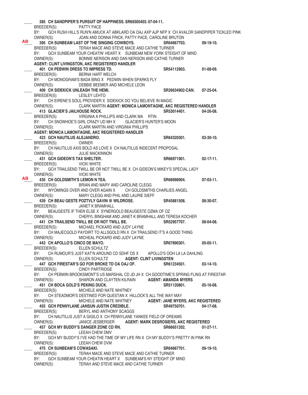\_\_\_\_ **385 CH SANDPIPER'S PURSUIT OF HAPPINESS. SR69305403. 07-04-11.**  BREEDER(S): PATTY PACE BY: GCH RUSH HILL'S RUN'N AMUCK AT ABKLARD OA OAJ AXP AJP NFP X CH AVALOR SANDPIPER TICKLED PINK<br>OWNER(S): JOAN AND DONNA FRICK, PATTY PACE, CAROLINE BRUTON JOAN AND DONNA FRICK, PATTY PACE, CAROLINE BRUTON \_\_\_\_ **395 CH SUNBEAM LAST OF THE SINGING COWBOYS. SR64667703. 09-19-10.**  BREEDER(S): TERAH MACE AND STEVE MACE AND CATHIE TURNER BY: GCH SUNBEAM YOUR CHEATIN' HEART X SUNBEAM NEW YORK STEIGHT OF MIND OWNER(S): BONNIE NERISON AND DAN NERISON AND CATHIE TURNER  **AGENT: CLINT LIVINGSTON, AKC REGISTERED HANDLER** \_\_\_\_ **401 CH PEBWIN DRESS TO IMPRESS TD. SR54112903. 01-08-09.**  BREEDER(S): BERNA HART WELCH BY: CH MONOGRAM'S BADA BING X PEDWIN WHEN SPARKS FLY<br>OWNER(S): DEBBIE BEEMER AND MICHELE LEON DEBBIE BEEMER AND MICHELE LEON \_\_\_\_ **409 CH SIDEKICK UNLEASH THE HEMI. SR26634902-CAN. 07-25-04.**  BREEDER(S): LESLEY LEHTO BY: CH EIRENE'S SOUL PROVIDER X SIDEKICK DO YOU BELIEVE IN MAGIC OWNER(S): CLARK MARTIN **AGENT: MONICA LAMONTAGNE, AKC REGISTERED HANDLER 413 GLACIER'S JAILHOUSE ROCK.** BREEDER(S): VIRGINIA A PHILLIPS AND CLARK MA RTIN BY: CH SNOWHOE'S GIRL CRAZY UD MH X GLACIER'S HUNTER'S MOON OWNER(S): CLARK MARTIN AND VIRGINIA PHILLIPS **AGENT: MONICA LAMONTAGNE, AKC REGISTERED HANDLER** \_\_\_\_ **423 GCH NAUTILUS ALEJANDRO. SR64320301. 03-30-10.**  BREEDER(S): OWNER BY: CH NAUTILUS AXIS BOLD AS LOVE X CH NAUTILUS INDECENT PROPOSAL OWNER(S): JULIE MACKINNON \_\_\_\_ **431 GCH GIDEON'S TAX SHELTER. SR66971901. 02-17-11.**  BREEDER(S): VICKI WHITE BY: GCH TRAILSEND TWILL BE OR NOT TWILL BE X CH GIDEON'S MIKEY'S SPECIAL LADY OWNER(S): VICKI WHITE \_\_\_\_ **435 CH GOLDSMITH'S LEMON N TEA. SR68998904. 07-03-11.**  BREEDER(S): BRIAN AND MARY AND CAROLINE CLEGG BY: WYOMINGS OVER AND OVER AGAIN X CH GOLDSMITHS CHARLIES ANGEL OWNER(S): MARY CLEGG AND PHIL AND LAURIE SIEFF \_\_\_\_ **439 CH BEAU GESTE POZTVLY GAVIN @ WILDROSE. SR45881508. 08-30-07.**  BREEDER(S): JANET K BRAMHALL BY: BEAUGESTE IF THEN ELSE X SYNERGOLD BEAUGESTE OZMA OF OZ OWNER(S): CHERYL BINGHAM AND JANET K BRAMHALL AND TERESA KOCHER \_\_\_\_ **441 CH TRAILSEND TWILL BE OR NOT TWILL BE. SR52957707. 08-04-08.**  BREEDER(S): MICHAEL PICKARD AND JUDY LAYNE BY: CH MAJECGOLD PAYDIRT TO ALLSGOLD RN X CH TRAILSEND IT'S A GOOD THING OWNER(S): MICHEAL PICKARD AND JUDY LAYNE \_\_\_\_ **443 CH APOLLO'S CINCO DE MAYO. SR67890301. 05-05-11.** BREEDER(S): ELLEN SCHULTZ BY: CH RUMOUR'S JUST KAT'N AROUND CD SDHF OS X APOLLO'S OOH LA LA DAHLING OWNER(S): ELLEN SCHULTZ **AGENT: CLINT LIVINGSTEN**<br>447 GCH FIRESTAR'S GO FOR BROKE TD OA OAJ OF. SR61234501. \_\_\_\_ **447 GCH FIRESTAR'S GO FOR BROKE TD OA OAJ OF. SR61234501. 03-14-10.**  BREEDER(S): CINDY PARTRIDGE BY: CH PEBWIN BROOKSMONT'S US MARSHAL CD JD JH X CH GOODTIME'S SPRING FLING AT FIRESTAR OWNER(S): SHARON AND CLAYTEN KILRAIN **AGENT: AMANDA MYERS** \_\_\_\_ **451 CH BOCA GOLD'S PEKING DUCK. SR51120801. 05-16-08.**  BREEDER(S): MICHELE AND NATE WHITNEY BY: CH STEADMOR'S DESTINED FOR QUESTAN X HILLOCK'S ALL THE WAY MAY OWNER(S): MICHELE AND NATE WHITNEY **AGENT: JANE MYERS, AKC REGISTERED**  $SR49750701.$  04-17-08. BREEDER(S): BERYL AND ANTHONY SCAGGS BY: CH NAUTILUS JUST A GIGILO X CH PENNYLANE YANKEE FIELD OF DREAMS OWNER(S): JANICE JESBERGER **AGENT: MARK DESROSIERS, AKC REGISTERED** \_\_\_\_ **457 GCH MY BUDDY'S DANGER ZONE CD RN. SR66651202. 01-27-11.**  BREEDER(S): LEEAH CHEW DMV BY: GCH MY BUDDY'S I'VE HAD THE TIME OF MY LIFE RN X CH MY BUDDY'S PRETTY IN PINK RN OWNER(S): LEEAH CHEW DVM \_\_\_\_ **475 CH SUNBEAM'S COWASAKI. SR64667701. 09-19-10.**  BREEDER(S): TERAH MACE AND STEVE MACE AND CATHIE TURNER BY: GCH SUNBEAM YOUR CHEATIN HEART X SUNBEAM'S NY STEIGHT OF MIND OWNER(S): TERAH AND STEVE MACE AND CATHIE TURNER **AB AB**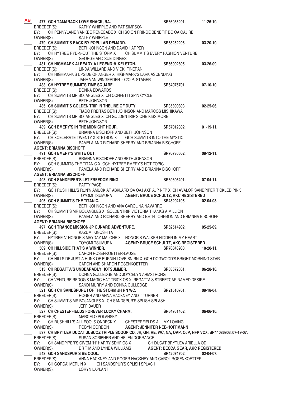| AB |                                           | 477 GCH TAMARACK LOVE SHACK, RA.                                                                                                       |                                     | SR66053201.                                 | $11-26-10.$      |
|----|-------------------------------------------|----------------------------------------------------------------------------------------------------------------------------------------|-------------------------------------|---------------------------------------------|------------------|
|    |                                           | BREEDER(S): KATHY WHIPPLE AND PAT SIMPSON                                                                                              |                                     |                                             |                  |
|    | BY:                                       | CH PENNYLANE YANKEE RENEGADE X CH SCION FRINGE BENEFIT DC OA OAJ RE                                                                    |                                     |                                             |                  |
|    | OWNER(S): KATHY WHIPPLE                   |                                                                                                                                        |                                     |                                             |                  |
|    |                                           | 479 CH SUMMIT'S BACK BY POPULAR DEMAND.                                                                                                |                                     | SR63252206.                                 | $03-20-10.$      |
|    | BREEDER(S):                               | BETH JOHNSON AND DAVID HARPER                                                                                                          |                                     |                                             |                  |
|    |                                           | BY: CH HYTREE RYD-N-OUT THE STORM X CH SUMMIT'S EVERY FASHION VENTURE                                                                  |                                     |                                             |                  |
|    | OWNER(S):                                 | GEORGE AND SUE DINGES<br>481 CH HIGHMARK ALREADY A LEGEND @ KELSTON.                                                                   |                                     | SR56002805.                                 | $03-26-09.$      |
|    | BREEDER(S):                               | LINDA WILLARD AND VICKI FINERAN                                                                                                        |                                     |                                             |                  |
|    |                                           | BY: CH HIGHMARK'S UPSIDE OF ANGER X HIGHMARK'S LARK ASCENDING                                                                          |                                     |                                             |                  |
|    | OWNER(S):                                 | JANE VAN WINGERDEN - C/O P. STAGER                                                                                                     |                                     |                                             |                  |
|    | <b>483 CH HYTREE SUMMITS TIME SQUARE.</b> |                                                                                                                                        |                                     | SR64075701.                                 | $07-10-10.$      |
|    | BREEDER(S): DONNA EDWARDS                 |                                                                                                                                        |                                     |                                             |                  |
|    | BY:                                       | CH SUMMITS MR BOJANGLES X CH CONFETTI SPIN CYCLE                                                                                       |                                     |                                             |                  |
|    | OWNER(S):                                 | <b>BETH JOHNSON</b>                                                                                                                    |                                     |                                             |                  |
|    |                                           | 485 CH SUMMIT'S GOLDEN TRIP IN THELINE OF DUTY. SR35890803.                                                                            |                                     |                                             | $02 - 25 - 06$ . |
|    |                                           | BREEDER(S): TIAGO FREITAS BETH JOHNSON AND MARCOS MISHIKAWA                                                                            |                                     |                                             |                  |
|    | BY:                                       | CH SUMMITS MR BOJANGLES X CH GOLDENTRIP'S ONE KISS MORE                                                                                |                                     |                                             |                  |
|    | OWNER(S):                                 | <b>BETH JOHNSON</b>                                                                                                                    |                                     |                                             |                  |
|    |                                           | 489 GCH EMERY'S IN THE MIDNIGHT HOUR.                                                                                                  |                                     | SR67012302.                                 | $01-19-11.$      |
|    | BREEDER(S):                               | BRIANNA BISCHOFF AND BETH JOHNSON<br>CH XCELERATE TWENTY X STETSON X GCH SUMMITS INTO THE MYSTIC                                       |                                     |                                             |                  |
|    | BY:                                       | OWNER(S): PAMELA AND RICHARD SHERRY AND BRIANNA BISCHOFF                                                                               |                                     |                                             |                  |
|    | <b>AGENT: BRIANNA BISCHOFF</b>            |                                                                                                                                        |                                     |                                             |                  |
|    | 491 GCH EMERY'S WHITE OUT.                |                                                                                                                                        |                                     | SR70730502.                                 | $09-12-11$ .     |
|    | BREEDER(S):                               | BRIANNA BISCHOFF AND BETH JOHNSON                                                                                                      |                                     |                                             |                  |
|    |                                           | BY: GCH SUMMITS THE TITANIC X GCH HYTREE EMERY'S HOT TOPIC                                                                             |                                     |                                             |                  |
|    | OWNER(S):                                 | PAMELA AND RICHARD SHERRY AND BRIANNA BISCHOFF                                                                                         |                                     |                                             |                  |
|    | <b>AGENT: BRIANNA BISCHOFF</b>            |                                                                                                                                        |                                     |                                             |                  |
|    |                                           | 493 GCH SANDPIPER'S LET FREEDOM RING.                                                                                                  |                                     | SR69305401.                                 | $07-04-11.$      |
|    | BREEDER(S): PATTY PACE                    |                                                                                                                                        |                                     |                                             |                  |
|    | BY:                                       | GCH RUSH HILL'S RUN'N AMUCK AT ABKLARD OA OAJ AXP AJP NFP X CH AVALOR SANDPIPER TICKLED PINK                                           |                                     |                                             |                  |
|    |                                           | OWNER(S): TOYOMI TSUMURA                                                                                                               |                                     | <b>AGENT: BRUCE SCHULTZ, AKC REGISTERED</b> |                  |
|    |                                           | 495 GCH SUMMIT'S THE TITANIC.                                                                                                          |                                     | SR48204105.                                 | $02 - 04 - 08$ . |
|    |                                           | BREEDER(S): BETH JOHNSON AND ANA CAROLINA NAVARRO                                                                                      |                                     |                                             |                  |
|    | OWNER(S):                                 | BY: CH SUMMIT'S MR BOJANGLES X GOLDENTRIP VICTORIA THANKS A MILLION<br>PAMELA AND RICHARD SHERRY AND BETH JOHNSON AND BRIANNA BISCHOFF |                                     |                                             |                  |
|    | <b>AGENT: BRIANNA BISCHOFF</b>            |                                                                                                                                        |                                     |                                             |                  |
|    |                                           | 497 GCH TRANCE MISSION JP CUNARD ADVENTURE. SR62514902.                                                                                |                                     |                                             | $05 - 25 - 09.$  |
|    | BREEDER(S): KAZUMI KINOSHITA              |                                                                                                                                        |                                     |                                             |                  |
|    |                                           | BY: HYTREE N' HONOR'S MAYDAY MALONE X HONOR'S WALKER HIDDEN IN MY HEART                                                                |                                     |                                             |                  |
|    | OWNER(S):                                 | TOYOMI TSUMURA AGENT: BRUCE SCHULTZ, AKC REGISTERED                                                                                    |                                     |                                             |                  |
|    | 509 CH HILLSIDE THAT'S A WINNER.          |                                                                                                                                        |                                     | SR70843903.                                 | $10 - 20 - 11$ . |
|    | BREEDER(S):                               | CARON ROSENKOETTER-LAUSE                                                                                                               |                                     |                                             |                  |
|    | BY:                                       | CH HILLSIDE JUST A HUNK OF BURNIN LOVE BN RN X GCH DOGWOOD'S BRIGHT MORNING STAR                                                       |                                     |                                             |                  |
|    | OWNER(S):                                 | CARON AND SHARON ROSENKOETTER                                                                                                          |                                     |                                             |                  |
|    |                                           | 513 CH REGATTA'S UNBEARABLY HOTSUMMER.                                                                                                 |                                     | SR63672301.                                 | $06-28-10.$      |
|    | BREEDER(S):                               | DONNA GULLEDGE AND JOYCELYN ARMSTRONG                                                                                                  |                                     |                                             |                  |
|    | BY:                                       | CH VENTURE REDOG'S MAGIC HAT TRICK OS X REGATTA'S STREETCAR NAMED DESIRE<br>SANDI MURRY AND DONNA GULLEDGE                             |                                     |                                             |                  |
|    | OWNER(S):                                 | 521 GCH CH SANDSPURE I OF THE STORM JH RN WC.                                                                                          |                                     | SR21510701.                                 | 09-18-04.        |
|    | BREEDER(S):                               | ROGER AND ANNA HACKNEY AND T TURNER                                                                                                    |                                     |                                             |                  |
|    | BY:                                       | CH SUMMIT'S MR BOJANGLES X CH SANDSPUR'S SPLISH SPLASH                                                                                 |                                     |                                             |                  |
|    | OWNER(S):                                 | <b>JEFF BAUER</b>                                                                                                                      |                                     |                                             |                  |
|    |                                           | 527 CH CHESTERFIELDS FOREVER LUCKY CHARM.                                                                                              |                                     | SR64951402.                                 | $06-06-10.$      |
|    | BREEDER(S):                               | <b>MARCELO POLANSKY</b>                                                                                                                |                                     |                                             |                  |
|    | BY:                                       | CH RUSHHILL'S ALL FOOLS ONDECK X CHESTERFIELDS ALL MY LOVING                                                                           |                                     |                                             |                  |
|    | OWNER(S):                                 | ROBYN GORDON                                                                                                                           | <b>AGENT: JENNIFER NEE-HOFFMANN</b> |                                             |                  |
|    |                                           | 537 CH BRYTLEA DUCAT JUSCOZ TRIPLE SCOOP CD, JH, GN, RE, WC, NA, OAP, OJP, NFP VCX. SR44086903. 07-19-07.                              |                                     |                                             |                  |
|    |                                           | BREEDER(S): SUSAN SCRIBNER AND HELEN DORRANCE                                                                                          |                                     |                                             |                  |
|    | BY:                                       | CH SANDPIPER'S GIVEM "H" HARRY SDHF OS X                                                                                               |                                     | CH DUCAT BRYTLEA ARIELLA OD                 |                  |
|    | OWNER(S):                                 | DR TIM AND LYNDA WILLIAMS AGENT: BECCA GEAR, AKC REGISTERED                                                                            |                                     |                                             |                  |
|    | 543 GCH SANDSPUR'S BE COOL.               |                                                                                                                                        |                                     | SR42074702.                                 | $02 - 04 - 07$ . |
|    | BREEDER(S):<br>BY:                        | ANNA HACKNEY AND ROGER HACKNEY AND CAROL ROSENKOETTER<br>CH GORCA' MERLIN X CH SANDSPUR'S SPLISH SPLASH                                |                                     |                                             |                  |
|    | OWNER(S):                                 | <b>LORYN LAPLANT</b>                                                                                                                   |                                     |                                             |                  |
|    |                                           |                                                                                                                                        |                                     |                                             |                  |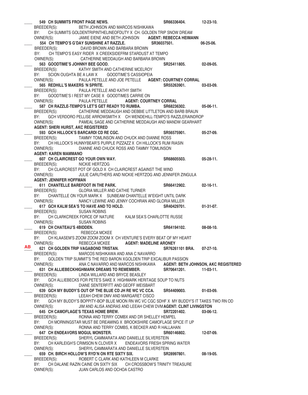\_\_\_\_ **549 CH SUMMITS FRONT PAGE NEWS. SR66336404. 12-23-10.** BREEDER(S): BETH JOHNSON AND MARCOS NISHIKAWA BY: CH SUMMITS GOLDENTRIPINTHELINEOFDUTY X CH. GOLDEN TRIP SNOW DREAM OWNER(S): JAMIE EIENE AND BETH JOHNSON **AGENT: REBECCA HEIMANN** \_\_\_\_ **554 CH TEMPO'S G'DAY SUNSHINE AT RAZZLE. SR36037501. 06-25-06.**  BREEDER(S): DAVID BROWN AND BARBARA BROWN BY: CH TEMPO'S EASY RIDER X CREEKSIDEFRM STARDUST AT TEMPO OWNER(S): CATHERINE MEDDAUGH AND BARBARA BROWN \_\_\_\_ **563 GOODTIME'S JOHNNY BEE GOOD. SR25411805. 02-09-05.**  BREEDER(S): KATHY SMITH AND CATHERINE MCELROY BY: SCION OUGHTA BE A LAW X GOODTIME'S CASSIOPEIA OWNER(S): PAULA PETELLE AND JOE PETELLE **AGENT: COURTNEY CORRAL** \_\_\_\_ **565 REDHILL'S MAKERS 'N SPRITE. SR55263901. 03-03-09.**  BREEDER(S): PAULA PETELLE AND KATHY SMITH BY: GOODTIME'S I REST MY CASE X GOODTIMES CARRIE ON OWNER(S): PAULA PETELLE **AGENT: COURTNEY CORRAL** \_\_\_\_ **587 CH RAZZLE-TEMPO'S LET'S GET READY TO RUMBA. SR68236302. 05-06-11.**  BREEDER(S): CATHERINE MEDDAUGH AND DEBBIE LITTLETON AND BARB BRAUN BY: GCH VERDORO PELLISE ARROWSMITH X CH WENDEHILL-TEMPO'S RAZZLERAINDROP OWNER(S): PAMEAL SAGE AND CATHERINE MEDDAUGH AND MANDW GEARHART  **AGENT: SHERI HURST, AKC REGISTERED** \_\_\_\_ **593 GCH HILLOCK'S BARCARDI CD RE CGC. SR56575901. 05-27-09.**  BREEDER(S): TAMMY TOMLINSON AND CHUCK AND DIANNE ROSS BY: CH HILLOCK'S HUNNYBEAR'S PURPLE PIZZAZZ X CH HILLOCK'S RUM RIASIN OWNER(S): DIANNE AND CHUCK ROSS AND TAMMY TOMLINSON **AGENT: KAREN MAMMANO** \_\_\_\_ **607 CH CLAIRCREST GO YOUR OWN WAY. SR68605503. 05-28-11.**  BREEDER(S): NICKIE HERTZOG BY: CH CLAIRCREST POT OF GOLD X CH CLAIRCREST AGAINST THE WIND OWNER(S): JULIE CARUTHERS AND NICKIE HERTZOG AND JENNIFER ZINGULA  **AGENT: JENNIFER HOFFMAN** \_\_\_\_ **611 CHANTELLE BAREFOOT IN THE PARK. SR66412902. 02-16-11.**  BREEDER(S): GLORIA MILLER AND CATHIE TURNER BY: CHANTELLE ON YOUR MARK X SUNBEAM CHANTELLE W'EIGHT UNTIL DARK OWNER(S): NANCY LEWINE AND JENNY COCHRAN AND GLORIA MILLER \_\_\_\_ **617 GCH KALM SEA'S TO HAVE AND TO HOLD. SR40429701. 01-31-07.** BREEDER(S): SUSAN ROBINS BY: CH CLARKCREEK FORCE OF NATURE KALM SEA'S CHARLOTTE RUSSE OWNER(S): SUSAN ROBINS \_\_\_\_ **619 CH CHATEAU'S 4BIDDEN. SR64194102. 08-08-10.**  BREEDER(S): REBECCA MCKEE BY: CH KLAASEM'S ZOOM ZOOM ZOOM X CH VENTURE'S EVERY BEAT OF MY HEART OWNER(S): REBECCA MCKEE **AGENT: MADELINE ARONEY** \_\_\_\_ **621 CH GOLDEN TRIP VAGABOND TRISTAN. SR76261101 BRA. 07-27-10.**  BREEDER(S): MARCOS NISHIKAWA AND ANA C NAVARRO BY: GOLDEN TRIP SUMMIT'S THE RED BARON XGOLDEN TRIP EXCALIBUR PASSION OWNER(S): ANA C NAVARRO AND MARCOS NISHIKAWA **AGENT: BETH JOHNSON, AKC REGISTERED** 631 CH ALLIEBECKHIGHMARK DREAMS TO REMEMBER. SR70641201. 11-03-11. BREEDER(S): LINDA WILLARD AND BRYCE BEASLEY BY: GCH ALLIEBECKS FOR PETE'S SAKE X HIGHMARK HERITAGE SOUP TO NUTS OWNER(S): DIANE SENTERFITT AND GEOFF WEISBART \_\_\_\_ **639 GCH MY BUDDY'S OUT OF THE BLUE CD JH RE WC VC CCA. SR54409003. 01-03-09.**  BREEDER(S): LEEAH CHEW DMV AND MARGARET CISCO BY: GCH MY BUDDY'S BOPPITY-BOP BLUE MOON RN WC VC CGC SDHF X MY BUDDY'S IT TAKES TWO RN OD OWNER(S): JIM AND ALISA ANDRAS AND LEEAH CHEW DVM **AGENT: CLINT LIVINGSTON** \_\_\_\_ **645 CH CAMOFLAGE'S TEXAS HOME BREW. SR72201402. 03-06-12.**  BREEDER(S): RONNA AND TERRY COMBX AND DR SHELLEY HEMPEL BY: CH MORNINGSTAR MUST BE DREAMING X BROOKSHIRE CAMOFLAGE SPICE IT UP OWNER(S): RONNA AND TERRY COMBS, K BECKER AND R HALLAHAN \_\_\_\_ **647 CH ENDEAVORS MOGUL MONSTER. SR60146802. 12-07-09.**  BREEDER(S): SHERYL CAMMARATA AND DANIELLE SILVERSTEIN BY: CH KARLEIGH'S CRIMSON N CLOVER X ENDEAVORS FRESH SPRING WATER OWNER(S): SHERYL CAMMARATA AND DANIELLE SILVERSTEIN \_\_\_\_ **659 CH. BIRCH HOLLOW'S RYD'N ON RTE SIXTY SIX. SR28997801. 08-19-05.**  BREEDER(S): ROBERT C CLARK AND KATHLEEN M CLARKE BY: CH DALANE RAZIN CAINE ON SIXTY SIX CH CROSSBOW'S TRINITY TREASURE OWNER(S): JUAN CARLOS AND OCHOA CASTRO  **AB**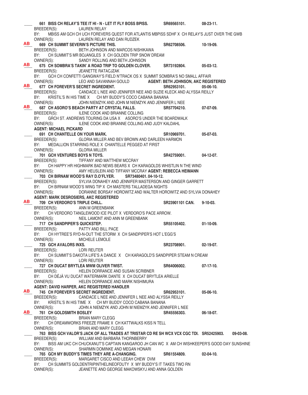\_\_\_\_ **661 BISS CH RELAY'S TEE IT HI - N - LET IT FLY BOSS BPISS. SR69565101. 08-23-11.**  BREEDER(S): LAUREN RELAY BY: MBISS AM GCH CH UCH FOREVERS QUEST FOR ATLANTIS MBPISS SDHF X CH RELAY'S JUST OVER THE GWB OWNER(S): LAUREN RELAY AND DAN RUDZEK LAUREN RELAY AND DAN RUDZEK \_\_\_\_ **669 CH SUMMIT SEVERIN'S PICTURE THIS. SR62708506. 10-19-09.**  BREEDER(S): BETH JOHNSON AND MARCOS NISHIKAWA BY: CH SUMMIT'S MR BOJANGLES X CH GOLDEN TRIP SNOW DREAM OWNER(S): SANDY ROLLING AND BETH JOHNSON \_\_\_\_ **675 CH SOMBRA'S TAKIN' A ROAD TRIP TO GOLDEN CLOVER. SR73192804. 05-03-12.**  BREEDER(S): JEANETTE RATACJZAK BY: GCH CH CONFETTI GANGWAY'S FIELD N'TRACK OS X SUMMIT SOMBRA'S NO SMALL AFFAIR<br>OWNER(S): LEO AND SAVANNAH GOULD **AGENT: BETH JOHNSON, AKC REGI**  OWNER(S): LEO AND SAVANNAH GOULD **AGENT: BETH JOHNSON, AKC REGISTERED** \_\_\_\_ **677 CH FOREVER'S SECRET INGREDIENT. SR62953101. 05-06-10.**  CANDACE L NEE AND JENNIFER NEE AND SUZIE KLECK AND ALYSSA REILLY BY: KRISTIL'S IN HIS TIME X CH MY BUDDY'S COCO CABANA BANANA OWNER(S): JOHN NIEMZYK AND JOHN M NIEMZYK AND JENNIFER L NEE \_\_\_\_ **687 CH ASORO'S BEACH PARTY AT CRYSTAL FALLS. SR57704210. 07-07-09.**  BREEDER(S): ILENE COOK AND BRIANNE COLLING BY: GRCH ST. ANDREWS TOURING DA USA X ASORO'S UNDER THE BOARDWALK OWNER(S): ILENE COOK AND BRIANNE COLLING AND JUDY KALDAHL **AGENT: MICHAEL PICKARD** 691 CH CHANTELLE ON YOUR MARK. SR10969701. 05-07-03. BREEDER(S): GLORIA MILLER AND BEV BROWN AND DARLEEN HARMON BY: MEDALLION STARRING ROLE X CHANTELLE PEGGED AT FIRST OWNER(S): GLORIA MILLER **701 GCH VENTURES BOYS N TOYS.**<br>BREEDER(S): TIFFANY AND MATTHEW MCCRAY **SR42759001.** 04-12-07. TIFFANY AND MATTHEW MCCRAY BY: CH HAPPY HR HIGHMARK BAD NEWS BEARS X CH KARAGOLDS WHISTLIN N THE WIND OWNER(S): AMY HEUSLEIN AND TIFFANY MCCRAY **AGENT: REBECCA HEIMANN** \_\_\_\_ **703 CH BIRNAM WOOD'S RAY D.O'FLYER. SR73480401. 04-10-12.** BREEDER(S): SYLVIA DONAHEY AND JENNIFER MASTERSON AND GINGER GARRETT BY: CH BIRNAM WOOD'S WING TIP X CH MASTERS TALLADEGA NIGHTS OWNER(S): DORANNE BORSAY HOROWITZ AND WALTER HOROWITZ AND SYLVIA DONAHEY  **AGENT: MARK DESROSIERS, AKC REGISTERED** \_\_\_\_ **709 CH VERDORO'S TRIPLE CHILL. SR23901101 CAN. 9-10-03.**  BREEDER(S): ANN M GREENBANK BY: CH VERDORO TANGLEWOOD ICE PILOT X VERDORO'S PACE ARROW. OWNER(S): NEIL LAMONT AND ANN M GREENBANK \_\_\_\_ **717 CH SANDPIPER'S QUICKSTEP. SR55105402. 01-10-09.**  BREEDER(S): PATTY AND BILL PACE BY: CH HYTREE'S RYD-N-OUT THE STORM X CH SANDPIPER'S HOT L'EGG'S OWNER(S): MICHELE LEMOLE **725 GCH AVALORS INXS. 125 SR23708901.** 02-19-07. BREEDER(S): LORI REUTER BY: CH SUMMIT'S DAKOTA LIFE'S A DANCE X CH KARAGOLD'S SANDPIPER STEAM N CREAM OWNER(S): LORI REUTER \_\_\_\_ **727 CH DUCAT BRYTLEA MWM OLIVER TWIST. SR64006002. 07-17-10.**  BREEDER(S): HELEN DORRANCE AND SUSAN SCRIBNER BY: CH DÉJÀ VU DUCAT WATERMARK DANTE X CH DUCAT BRYTLEA ARIELLE OWNER(S): HELEN DORRANCE AND MARK NISHIMURA **AGENT: DAVID HARPER, AKC REGISTERED HANDLER** \_\_\_\_ **745 CH FOREVER'S SECRET INGREDIENT. SR62953101. 05-06-10.**  BREEDER(S): CANDACE L NEE AND JENNIFER L NEE AND ALYSSA REILLY BY: KRISTIL'S IN HIS TIME X CH MY BUDDY COCO CABANA BANANA OWNER(S): JOHN A NIEMZYK AND JOHN M NIEMZYK AND JENNIFER L NEE **761 CH GOLDSMITH BOSLEY BOSLEY BOST SR45556303. 06-18-07.**<br> **BREEDER(S):** BRIAN MARY CLEGG BRIAN MARY CLEGG BY: CH DREAMWORKS FREEZE FRAME X CH KATTWALKS KISS N TELL OWNER(S): BRIAN AND MARY CLEGG \_\_\_\_ **763 BISS GCH VALOR'S JACK OF ALL TRADES AT TRISTAR CD RE SH WCX VCX CGC TDI. SR52425903. 09-03-08.**  BREEDER(S): WILLIAM AND BARBARA THORNBERRY BY: BISS AM UKC CH CHUCKANUT'S CAPTAIN KANGAROO JH CAN WC X AM CH WISHKEEPER'S GOOD DAY SUNSHINE OWNER(S): SHARMIN DOMINKE AND MEGAN HONARI \_\_\_\_ **765 GCH MY BUDDY'S TIMES THEY ARE A-CHANGING. SR61554809. 02-04-10.**  BREEDER(S): MARGARET CISCO AND LEEAH CHEW DVM BY: CH SUMMITS GOLDENTRIPINTHELINEOFDUTY X MY BUDDY'S IT TAKES TWO RN OWNER(S): JEANETTE AND GEORGE MAKOWSKYJ AND ANNA GOLDEN **AB AB AB AB AB AB AB**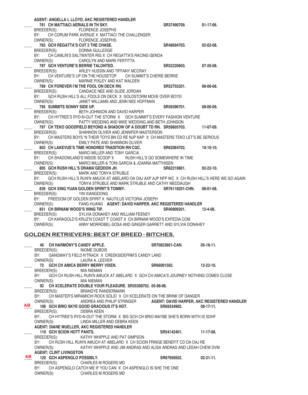| AGENT: ANGELLA L LLOYD, AKC REGISTERED HANDLER                                                                   |                 |                  |
|------------------------------------------------------------------------------------------------------------------|-----------------|------------------|
| 781 CH MATTIACI AERIALS IN TH SKY.                                                                               | SR37490709.     | $01-17-06.$      |
| BREEDER(S): FLORENCE JOSEPHS                                                                                     |                 |                  |
| CH CORUM PARK AVENUE X MATTIACI THE CHALLENGER<br>BY:                                                            |                 |                  |
| OWNER(S): FLORENCE JOSEPHS                                                                                       |                 |                  |
| 783 GCH REGATTA'S CUT 2 THE CHASE.                                                                               | SR48694703.     | 02-02-08.        |
| BREEDER(S):<br><b>DONNA GULLEDGE</b>                                                                             |                 |                  |
| BY:<br>CH CAMLIN'S SALTWATER RIG X CH REGATTA'S RACING GENOA                                                     |                 |                  |
| CAROLYN AND MARK FERTITTA<br>OWNER(S):                                                                           |                 |                  |
| 787 GCH VENTURE'S BERRIE TALONTED.                                                                               | SR52220603.     | $07-26-08.$      |
| BREEDER(S): ARLEY HUSSIN AND TIFFANY MCCRAY                                                                      |                 |                  |
| CH VENTURE'S UP ON THE HOUSETOP CH SUMMIT'S CHERIE BERRIE<br>BY:                                                 |                 |                  |
| OWNER(S): MARNIE PIXLEY AND KAT WALDEN                                                                           |                 |                  |
| 789 CH FOREVER I'M THE FOOL ON DECK RN.                                                                          | SR52755201.     | 08-06-08.        |
| BREEDER(S): CANDACE NEE AND SUZIE JORDAN<br>GCH RUSH HILL'S ALL FOOLS ON DECK X GOLDSTORM MOVE OVER BOYS!<br>BY: |                 |                  |
| JANET WILLIAMS AND JENN NEE HOFFMAN<br>OWNER(S):                                                                 |                 |                  |
| 795 SUMMITS SONNY SIDE UP.                                                                                       | SR59396701.     | 08-06-09.        |
| BREEDER(S): BETH JOHNSON AND DAVID HARPER                                                                        |                 |                  |
| CH HYTREE'S RYD-N-OUT THE STORM X GCH SUMMIT'S EVERY FASHION VENTURE<br>BY:                                      |                 |                  |
| OWNER(S): PATTY WEDDING AND MIKE WEDDING AND BETH JOHNSON                                                        |                 |                  |
| 797 CH TEKO GOODFIELD BEYOND A SHADOW OF A DOUBT TD RN. SR59605703.                                              |                 | 11-07-09.        |
| BREEDER(S):<br>SHANNON OLIVER AND JENNIFER MASTERSON                                                             |                 |                  |
| CH MASTERS BOYS 'N THEIR TOYS BN CD RE NJP NAP X CH MASTERS TEKO LET'S BE SERIOUS<br>BY:                         |                 |                  |
| EMILY PATE AND SHANNON OLIVER<br>OWNER(S):                                                                       |                 |                  |
| 803 CH LAKEVUE'S TIME HONORED TRADITION RN CGC.                                                                  | SR62064702.     | $10-10-10.$      |
| BREEDER(S): MARCI MILLER AND TONY GARCIA                                                                         |                 |                  |
| CH SHADOWLAND'S INSIDE SCOOP X RUSH HILL'S GO SOMEWHERE IN TIME<br>BY:                                           |                 |                  |
| OWNER(S): MARCI MILLER & TONI GARCIA & JOANNA MATTHISEN                                                          |                 |                  |
| 805 GCH RUSH HILL'S DRAMA'GEDDON JH.                                                                             | SR62219801.     | $02 - 22 - 10$ . |
| BREEDER(S): MARK AND TONYA STRUBLE                                                                               |                 |                  |
| BY:<br>GCH RUSH HILL'S RUN'N AMUCK AT ABELARD OA OAJ AXP AJP NFP WC X CH RUSH HILL'S HERE WE GO AGAIN            |                 |                  |
| TONYA STRUBLE AND MARK STRUBLE AND CATHY MEDDAUGH<br>OWNER(S):                                                   |                 |                  |
| 839 GCH XING YUAN GOLDEN SPIRIT'S TOMMY.                                                                         | SR76118201-CHN. | $08-01-08.$      |
| BREEDER(S): YIN XIANGDONG                                                                                        |                 |                  |
| BY:<br>FREEDOM OF GOLDEN SPIRIT X NAUTILUS VICTORIA JOSEPH                                                       |                 |                  |
| OWNER(S): FANG HUANG AGENT: DAVID HARPER, AKC REGISTERED HANDLER                                                 |                 |                  |
| 851 CH BIRNAM WOOD'S WING TIP.                                                                                   | SR40909201.     | $12 - 4 - 06.$   |
| BREEDER(S):<br>SYLVIA DONAHEY AND WILLIAM FEENEY                                                                 |                 |                  |
| BY:<br>CH KARAGOLD'S KRUZ'N COAST T' COAST X CH BIRNAM WOOD'S EXPEDIA.COM                                        |                 |                  |
| ANNY MORROBEL-SOSA AND GINGER GARRETT AND SYLVIA DONAHEY<br>OWNER(S):                                            |                 |                  |
|                                                                                                                  |                 |                  |
| <b>GOLDEN RETRIEVERS: BEST OF BREED - BITCHES.</b>                                                               |                 |                  |
| 46 CH HARMONY'S CANDY APPLE.                                                                                     | SR70823601-CAN. | $05-16-11.$      |
| NIOME DUBOIS<br>BREEDER(S):                                                                                      |                 |                  |
| GANGWAY'S FIELD N'TRACK X CREEKSIDEFRM'S CANDY LAND<br>BY:                                                       |                 |                  |
| OWNER(S):<br>LAURA A. LEEVER                                                                                     |                 |                  |
| 72 GCH CH AMICA BERRY MERRY VIXEN.                                                                               | SR66091502.     | $12 - 22 - 10$ . |
| BREEDER(S):<br><b>MIA NIEMAN</b>                                                                                 |                 |                  |

BY: GCH CH RUSH HILL RUN'N AMUCK AT ABELARD X GCH CH AMICA'S JOURNEY NOTHING COMES CLOSE OWNER(S): MIA NIEMAN \_\_\_\_ **92 CH XCELERATE DOUBLE YOUR PLEASURE. SR35308702. 05-08-06.** 

BREEDER(S): BRANDYE RANDERMANN

BY: CH MASTER'S MIRAMICHI ROCK SOLID X CH XCELERATE ON THE BRINK OF DANGER

 OWNER(S): ANDREA AND PHILIP STRINGER **AGENT: DAVID HARPER, AKC REGISTERED HANDLER** 106 GCH BRIO SKYE GOOD GRACIOUS IT'S HOT. SR69334902. 08-17-11. BREEDER(S): DEBRA KEEN  **AB**

BY: CH HYTREE'S RYD-N-OUT THE STORM X BIS GCH CH BRIO MAYBE SHE'S BORN WITH IS SDHF OWNER(S): LINDA MILLER AND DEBRA KEEN LINDA MILLER AND DEBRA KEEN

**AGENT: DIANE MUELLER, AKC REGISTERED HANDLER**

110 GCH SCION HOTT PANTS. **8.12 11-17-08.** SR54142401. **11-17-08.** BREEDER(S): KATHY WHIPPLE AND PAT SIMPSON

BY: CH RUSH HILL RUN'N AMUCH AT ABELARD X CH SCION FRINGE BENEFIT CD OA OAJ RE OWNER(S): KATHY WHIPPLE AND JIM ANDRAS AND ALISA ANDRAS AND LEEAH CHEW DVM  **AGENT: CLINT LIVINGSTON**

#### **120 GCH ASPENGLO POSSIBLY. SR67959502. 02-21-11. BREEDER(S): CHARLES** M ROGERS MD CHARLES M ROGERS MD BY: CH ASPENGLO CATCH ME IF YOU CAN X CH ASPENGLO IS SHE THE ONE OWNER(S): CHARLES M ROGERS MD  **AB**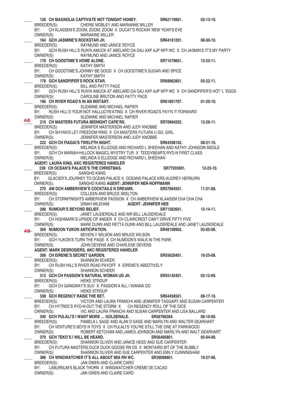126 CH MAGNOLIA CAPTIVATE NOT TONIGHT HONEY. SR62119901. 03-13-10. BREEDER(S): CHERIE MOBLEY AND MARIANNE MILLER BY: CH KLASSEM'S ZOOM, ZOOM, ZOOM X DUCAT'S ROCKIN' NEW YEAR'S EVE OWNER(S): MARIANNE MILLER **MARIANNE MILLER** 164 GCH JASMINE'S ROCKSTAR JH. **164 SR64161201.** 08-30-10. BREEDER(S): RAYMUND AND JANICE ROYCE BY: GCH RUSH HILL'S RUN'N AMUCK AT ABELARD OA OAJ AXP AJP NFP WC X CH JASMIN'S IT'S MY PARTY OWNER(S): RAYMUND AND JANICE ROYCE 170 CH GOODTIME'S HOME ALONE. **89 COOPS ALONE 12-23-11.** SR71579601. **12-23-11.** BREEDER(S): KATHY SMITH BY: CH GOODTIME'S JOHNNY BE GOOD X CH GOODTIME'S SUGAR AND SPICE OWNER(S): KATHY SMITH 178 GCH SANDPIPER'S ROCK STAR. **178** SR68962801. 03-22-11. BREEDER(S): BILL AND PATTY PACE BY: GCH RUSH HILL'S RUN'N AMUCK AT ABELARD OA OAJ AXP AJP NFP WC X CH SANDPIPER'S HOT 'L 'EGGS OWNER(S): CAROLINE BRUTON AND PATTY PACE \_\_\_\_ **196 CH RIVER ROAD'S IN AN INSTANT. SR61801707. 01-20-10.**  BREEDER(S): SUZANNE AND MICHAEL RAPIER BY: RUSH HILL'S YOUR NOT HALLUCYN'ATING X CH RIVER ROAD'S PAY'N IT FORWARD OWNER(S): SUZANNE AND MICHAEL RAPIER \_\_\_\_ **210 CH MASTERS FUTURA MIDNIGHT CAPE'RS. SR70994202. 12-26-11.**  BREEDER(S): JENNIFER MASTERSON AND JUDY KNOBBE BY: CH SHYAN'S LET FREEDOM RING X CH MASTERS FUTURA U GO, GIRL OWNER(S): JENNIFER MASTERSON AND JUDY KNOBBE \_\_\_\_ **222 GCH CH FIAGAI'S TWELFTH NIGHT. SR64298102. 08-21-10.**  BREEDER(S): MELINDA S ELLEDGE AND RICHARD L SHEEHAN AND KATHY JOHNSON-SIEGLE BY: GCH CH MARIAH-HILLOCK MAGICL MYSTRY TUR X TEDDYBEAR'S RYD-N FIRST CLASS OWNER(S): MELINDA S ELLEDGE AND RICHARD L SHEEHAN  **AGENT: LAURA KING, AKC REGISTERED HANDLER** \_\_\_\_ **239 CH OCEAN'S PALACE'S THE CHRISTMAS. SR77035901. 12-25-10.**  BREEDER(S): SANGHO KANG BY: GLACIER'S JOURNEY TO OCEAN PALACE X OCEANS PALACE KRS-AUDREY HEPBURN OWNER(S): SANGHO KANG **AGENT: JENNIFER NER-HOFFMANN** \_\_\_\_ **270 AM GCH AMBERVIEW'S COCKTAILS N DREAMS. SR57664501. 11-21-08.**  BREEDER(S): COLLEEN AND BRUCE SKELTON BY: CH STORMYNIGHTS AMBERVIEW PASSION X CH AMBERVIEW KLAASEM CHA CHA CHA OWNER(S): DINAH MILEHAM **AGENT: JENNIFER NEE** \_\_\_\_ **288 RUMOUR'S BEYOND BELIEF. SR71562601. 12-14-11.**  BREEDER(S): JANET LAUDERDALE AND MR BILL LAUDERDALE BY: CH HIGHMARK'S UPSIDE OF ANGER X CH CLAIRCREST CAN'T DRIVE FIFTY FIVE OWNER(S): MARK DUNN AND RETTA DUNN AND BILL LAUDERDALE AND JANET LAUDERDALE AND JANET LAUDERDALE CHEMICLE AND SPEAK AND SPEAK ON A NUMOON YUKON ANTICIPATION. **304 NUMOON YUKON ANTICIPATION. 1200 CONDUCTS AND STAGE 1000 STA8108902.** 03-05-08. BREEDER(S): BEVERLY WILSON AND BRUCE WILSON BY: GCH YUKON'S TURN THE PAGE X CH NUMOON'S WALK IN THE PARK OWNER(S): JOHN DEVENS AND CHARLENE DEVENS **AGENT: MARK DESROSIERS, AKC REGISTERED HANDLER** \_\_\_\_ **308 CH EIRENE'S SECRET GARDEN. SR55620401. 10-25-08.**  BREEDER(S): SHANNON SCHEER BY: CH RUSH HILL'S RIVER ROAD PAYOFF X EIRENE'S ABSOTIVELY OWNER(S): SHANNON SCHEER \_\_\_\_ **312 GCH CH PASSION'S NATURAL WOMAN UD JH. SR55142401. 03-12-09.**  BREEDER(S): HEIKE STROUP BY: GCH CH GANGWAY'S SUV X PASSION'A ALL I WANNA DO OWNER(S): HEIKE STROUP 338 GCH REGENCY RAISE THE BET. **828 SEMILLE SR64458501.** 08-17-10. BREEDER(S): VICTOR AND LAURA FRANCHI AND JENNIFER TAGGART AND SUSAN CARPENTER BY: CH HYTREE'S RYD-N-OUT THE STORM X CH REGENCY ROLL OF THE DICE OWNER(S): VIC AND LAURA FRANCHI AND SUSAN CARPENTER AND LISA BALLARD \_\_\_\_ **340 GCH PULALI'S I WANT MORE … GOLDENALE. SR56766304. 06-10-09.**  BREEDER(S): PAMELA L SAGE AND ALAN D SAGE AND MARILYN AND WALTER GEARHART BY: CH VENTURE'S BOYS N TOYS X CH PULALI'S YOU'RE STILL THE ONE AT PARKWOOD OWNER(S): ROBERT KETCHAM AND JAMES JOHNSON AND MARILYN AND WALT GEARHART \_\_\_\_ **370 GCH TEKO'S I WILL BE HEARD. SR56495801. 05-04-09.**  BREEDER(S): SHANNON OLIVER AND JANICE HESS AND SUE CARPENTER BY: CH FUTURA MASTERS DUCK DUCK GOOSE RN OS X MONTAIRS BIT OF THE BUBBLY OWNER(S): SHANNON OLIVER AND SUE CARPENTER AND EMILY CUNNINGHAM \_\_\_\_ **386 CH WINGWATCHER IT'S ALL ABOUT MIA RN WC. SR39098801. 10-27-06.**  BREEDER(S): JAN OWEN AND CLAIRE CARO BY: LABURNUM'S BLACK THORN X WINGWATCHER CRÈME DE CACAO OWNER(S): JAN OWEN AND CLAIRE CARO **AB AB**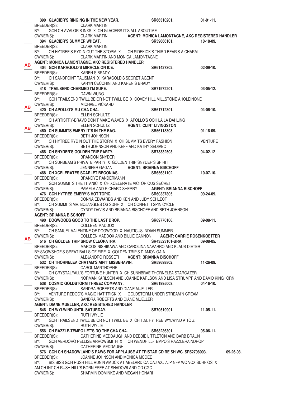|    | 390 GLACIER'S RINGING IN THE NEW YEAR.                                                                                                                   |                                                                        | SR66310201.                                                                       | $01-01-11.$      |
|----|----------------------------------------------------------------------------------------------------------------------------------------------------------|------------------------------------------------------------------------|-----------------------------------------------------------------------------------|------------------|
|    | BREEDER(S): CLARK MARTIN                                                                                                                                 |                                                                        |                                                                                   |                  |
|    | BY:                                                                                                                                                      | GCH CH AVALOR'S INXS X CH GLACIERS IT'S ALL ABOUT ME                   |                                                                                   |                  |
|    | OWNER(S): CLARK MARTIN AGENT: MONICA LAMONTAGNE, AKC REGISTERED HANDLER<br>394 GLACIER'S SUMMER WHEAT. SR59666101. 10-18-09.<br>BREEDER(S): CLARK MARTIN |                                                                        |                                                                                   |                  |
|    |                                                                                                                                                          |                                                                        |                                                                                   |                  |
|    | BREEDER(S):                                                                                                                                              |                                                                        |                                                                                   |                  |
|    | BY:                                                                                                                                                      |                                                                        | CH HYTREE'S RYD-N-OUT THE STORM X CH SIDEKICK'S THIRD BEAR'S A CHARM              |                  |
|    | OWNER(S):                                                                                                                                                | CLARK MARTIN AND MONICA LAMONTAGNE                                     |                                                                                   |                  |
|    | AGENT: MONICA LAMONTAGNE, AKC REGISTERED HANDLER                                                                                                         |                                                                        |                                                                                   |                  |
| AВ | 404 GCH KARAGOLD'S MIRACLE ON ICE.                                                                                                                       |                                                                        | SR61427302.                                                                       | $02-09-10.$      |
|    | BREEDER(S): KAREN S BRADY                                                                                                                                |                                                                        |                                                                                   |                  |
|    | BY:                                                                                                                                                      | CH SANDPOINT TALISMAN X KARAGOLD'S SECRET AGENT                        |                                                                                   |                  |
|    | OWNER(S): KARYN CECCHINI AND KAREN S BRADY                                                                                                               |                                                                        |                                                                                   |                  |
|    | 418 TRAILSEND CHARMED I'M SURE.                                                                                                                          |                                                                        | SR71972201.                                                                       | $03-05-12.$      |
|    | BREEDER(S):                                                                                                                                              | DAWN WUNG                                                              |                                                                                   |                  |
|    | BY: GCH TRAILSEND TWILL BE OR NOT TWILL BE X COVEY HILL MILLSTONE AHOLEINONE                                                                             |                                                                        |                                                                                   |                  |
|    | OWNER(S):                                                                                                                                                | MICHAEL PICKARD                                                        |                                                                                   |                  |
| AВ | 420 CH APOLLO'S MU CHA CHA.                                                                                                                              |                                                                        | SR61712301.                                                                       | $04-06-10.$      |
|    | BREEDER(S):                                                                                                                                              | ELLEN SCHULTZ                                                          |                                                                                   |                  |
|    | BY:                                                                                                                                                      | CH ARTISTRY-BRAVO DON'T MAKE WAVES X APOLLO'S OOH LA LA DAHLING        |                                                                                   |                  |
|    | OWNER(S):                                                                                                                                                | ELLEN SCHULTZ <b>AGENT: CLINT LIVINGSTON</b>                           |                                                                                   |                  |
| AВ | 460 CH SUMMITS EMERY IT'S IN THE BAG.                                                                                                                    |                                                                        | SR56118303.                                                                       | $01-18-09.$      |
|    | BREEDER(S):                                                                                                                                              | <b>BETH JOHNSON</b>                                                    |                                                                                   |                  |
|    | BY: CH HYTREE RYD N OUT THE STORM X CH SUMMITS EVERY FASHION                                                                                             |                                                                        |                                                                                   | <b>VENTURE</b>   |
|    | OWNER(S):                                                                                                                                                | BETH JOHNSON AND KEFF AND KATHY SEDIVEC                                |                                                                                   |                  |
|    | 466 CH SNYDER'S GOLDEN TRIP PARTY.                                                                                                                       |                                                                        | <b>SR73332503.</b>                                                                | 04-02-12         |
|    | BREEDER(S):                                                                                                                                              | <b>BRANDON SNYDER</b>                                                  |                                                                                   |                  |
|    | BY: CH SUNBEAM'S PRIVATE PARTY X GOLDEN TRIP SNYDER'S SPIRIT                                                                                             |                                                                        |                                                                                   |                  |
|    | OWNER(S):                                                                                                                                                | JENNIFER GAGAN AGENT: BRIANNA BISCHOFF                                 |                                                                                   |                  |
|    | <b>468 CH XCELERATES SCARLET BEGONIAS.</b>                                                                                                               |                                                                        | SR65631102.                                                                       | $10-07-10.$      |
|    | BREEDER(S):                                                                                                                                              | BRANDYE RANDERMANN                                                     |                                                                                   |                  |
|    | BY:                                                                                                                                                      | GCH SUMMITS THE TITANIC X CH XCELERATE VICTORIOUS SECRET               |                                                                                   |                  |
|    | OWNER(S): PAMELA AND RICHARD SHERRY AGENT: BRIANNA BISCHOFF                                                                                              |                                                                        |                                                                                   |                  |
|    | 476 GCH HYTREE EMERY'S HOT TOPIC.                                                                                                                        |                                                                        | SR60337805.                                                                       | 09-24-09.        |
|    | BREEDER(S):                                                                                                                                              | DONNA EDWARDS AND KEN AND JUDY SCHLECT                                 |                                                                                   |                  |
|    | BY:                                                                                                                                                      | CH SUMMITS MR. BOJANGLES OS SDHF X CH CONFETTI SPIN CYCLE              |                                                                                   |                  |
|    | OWNER(S):                                                                                                                                                | CYNDY DAVIS AND BRIANNA BISCHOFF AND BETH JOHNSON                      |                                                                                   |                  |
|    | <b>AGENT: BRIANNA BISCHOFF</b>                                                                                                                           |                                                                        |                                                                                   |                  |
|    | 490 DOGWOODS GOOD TO THE LAST DROP.                                                                                                                      |                                                                        | SR69770106.                                                                       | 09-08-11.        |
|    | BREEDER(S): COLLEEN MADDOX                                                                                                                               |                                                                        |                                                                                   |                  |
|    | BY:                                                                                                                                                      | CH SAMUEL VALENTINE OF DOGWOOD X NAUTICUS INDIAN SUMMER                |                                                                                   |                  |
| AВ | OWNER(S): COLLEEN MADDOX AND BILLIE CANNON AGENT: CARRIE ROSENKOETTER                                                                                    |                                                                        |                                                                                   |                  |
|    | 516 CH GOLDEN TRIP SNOW CLEOPATRA. SR43523101-BRA.                                                                                                       |                                                                        |                                                                                   | 09-08-05.        |
|    | BREEDER(S):                                                                                                                                              |                                                                        | MARCOS NISHIKAWA AND CAROLINA NAVARRO AND KLAUS DIETER                            |                  |
|    | BY: SNOWSHOE'S GREAT BALLS OF FIRE X GOLDEN TRIP'S DIAMON GAIA                                                                                           |                                                                        |                                                                                   |                  |
|    | OWNER(S): ALEJANDRO ROSSETI AGENT: BRIANNA BISCHOFF                                                                                                      |                                                                        |                                                                                   |                  |
|    | 532 CH THORNELEA CHATAM'S AIN'T MISBEHAVIN.                                                                                                              |                                                                        | SR59698802.                                                                       | 11-26-09.        |
|    | BREEDER(S): CAROL MANTHORNE                                                                                                                              |                                                                        |                                                                                   |                  |
|    | BY:                                                                                                                                                      |                                                                        | CH CRYSTALFALL'S FORTUNE HUNTER X CH SUNNBRAE THORNELEA STARGAZER                 |                  |
|    | OWNER(S):                                                                                                                                                |                                                                        | NORMAN KARLSON AND JOANNE KARLSON AND LISA STRUMPF AND DAVID KINGHORN             |                  |
|    | 538 COSMIC GOLDSTORM THREEZ COMPANY.                                                                                                                     |                                                                        | SR61995003.                                                                       | $04-16-10.$      |
|    | BREEDER(S):                                                                                                                                              | SANDRA ROBERTS AND DIANE MUELLER                                       |                                                                                   |                  |
|    | BY: VENTURE REDOG'S MAGIC HAT TRICK X GOLDSTORM UNDER STREAM'N CREAM                                                                                     |                                                                        |                                                                                   |                  |
|    | OWNER(S):                                                                                                                                                | SANDRA ROBERTS AND DIANE MUELLER                                       |                                                                                   |                  |
|    | AGENT: DIANE MUELLER, AKC REGISTERED HANDLER                                                                                                             |                                                                        |                                                                                   |                  |
|    | 546 CH WYLWIND UNTIL SATURDAY.                                                                                                                           |                                                                        | SR70519901.<br>$11-05-11.$                                                        |                  |
|    | BREEDER(S): RUTH WYLIE                                                                                                                                   |                                                                        |                                                                                   |                  |
|    | BY:                                                                                                                                                      | GCH TRAILSEND TWILL BE OR NOT TWILL BE X CH T.M. HYTREE WYLWIND A TO Z |                                                                                   |                  |
|    | OWNER(S): RUTH WYLIE<br>556 CH RAZZLE-TEMPO LET'S DO THE CHA CHA. SR68236301.                                                                            |                                                                        |                                                                                   | $05-06-11.$      |
|    | BREEDER(S): CATHERINE MEDDAUGH AND DEBBIE LITTLETON AND BARB BRAUN                                                                                       |                                                                        |                                                                                   |                  |
|    | BY:                                                                                                                                                      |                                                                        | GCH VERDORO PELLISE ARROWSMITH X CH WENDHILL-TEMPO'S RAZZLERAINDROP               |                  |
|    | OWNER(S):                                                                                                                                                | CATHERINE MEDDAUGH                                                     |                                                                                   |                  |
|    |                                                                                                                                                          |                                                                        | 576 GCH CH SHADOWLAND'S PAWS FOR APPLAUSE AT TRISTAR CD RE SH WC. SR52798003.     | $09 - 26 - 08$ . |
|    | BREEDER(S):                                                                                                                                              | JOANNE JOHNSON AND MONICA MCGEE                                        |                                                                                   |                  |
|    | BY:                                                                                                                                                      |                                                                        | BIS BISS GCH RUSH HILL RUN'N AMUCK AT ABELARD OA OAJ AXJ AJP NFP WC VCX SDHF OS X |                  |
|    | AM CH INT CH RUSH HILL'S BORN FREE AT SHADOWLAND OD CGC                                                                                                  |                                                                        |                                                                                   |                  |
|    | OWNER(S): SHARMIN DOMINKE AND MEGAN HONARI                                                                                                               |                                                                        |                                                                                   |                  |
|    |                                                                                                                                                          |                                                                        |                                                                                   |                  |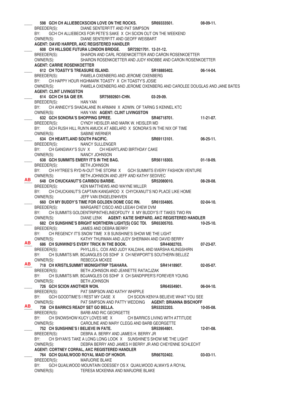\_\_\_\_ **598 GCH CH ALLIEBECKSCION LOVE ON THE ROCKS. SR69333501. 08-09-11.**  BREEDER(S): DIANE SENTERFITT AND PAT SIMPSON BY: GCH CH ALLIEBECKS FOR PETE'S SAKE X CH SCION OUT ON THE WEEKEND OWNER(S): DIANE SENTERFITT AND GEOFF WEISBART **AGENT: DAVID HARPER, AKC REGISTERED HANDLER** \_\_\_\_ **608 CH HILLSIDE FUTURA LONDON BRIDGE. SR72921701. 12-31-12.**  BREEDER(S): SHARON AND CARL ROSENKOETTER AND CARON ROSENKOETTER OWNER(S): SHARON ROSENKOETTER AND JUDY KNOBBE AND CARON ROSENKOETTER  **AGENT: CARRIE ROSENKOETTER** 612 CH TOASTY'S TREASURE ISLAND. SR18885402. 612 CH TOASTY'S TREASURE ISLAND.<br>BREEDER(S): PAMELA OXENBERG AND JEROME OXENBERG PAMELA OXENBERG AND JEROME OXENBERG BY: CH HAPPY HOUR HIGHMARK TOASTY X CH TOASTY'S JOSIE OWNER(S): PAMELA OXENBERG AND JEROME OXENBERG AND CAROLEE DOUGLAS AND JANE BATES  **AGENT: CLINT LIVINGSTON** 614 GCH CH SA QIE ER. SR75692601-CHN. 03-29-09. BREEDER(S): HAN YAN BY: CH ANNECY'S SHADALANE IN ARMANIX ADWIN. OF TARNG SKENNEL KTC OWNER(S): HAN YAN **AGENT: CLINT LIVINGSTON** 632 GCH SONORA'S SHOPPING SPREE. SR46718701. 11-21-07. BREEDER(S): CYNDY HEISLER AND MARK W. HEISLER MD BY: GCH RUSH HILL RUN'N AMUCK AT ABELARD X SONORA'S IN THE NIX OF TIME OWNER(S): SABINE WERNER 634 CH HEARTLAND SOUTH PACIFIC. SR69113101. 06-25-11. BREEDER(S): NANCY SULLENGER BY: CH GANGWAY'S SUV X CH HEARTLAND BIRTHDAY CAKE OWNER(S): NANCY JOHNSON \_\_\_\_ **638 GCH SUMMITS EMERY IT'S IN THE BAG. SR56118303. 01-18-09.**  BREEDER(S): BETH JOHNSON BY: CH HYTREE'S RYD-N-OUT THE STORM X GCH SUMMITS EVERY FASHION VENTURE OWNER(S): BETH JOHNSON AND JEFF AND KATHY SEDIVEC \_\_\_\_ **648 CH CHUCKANUT'S CARIBOU BARBIE. SR52080010. 08-28-08.**  BREEDER(S): KEN MATTHEWS AND WAYNE MILLER BY: CH CHUCKANUT'S CAPTAIN KANGAROO X CHYCKANUT'S NO PLACE LIKE HOME OWNER(S): JEFF VAN ENGELENHIVEN \_\_\_\_ **660 CH MY BUDDY'S TIME FOR GOLDEN DOME CGC RN. SR61554805. 02-04-10.**  BREEDER(S): MARGARET CISCO AND LEEAH CHEW DVM BY: CH SUMMITS GOLDENTRIPINTHELINEOFDUTY X MY BUDDY'S IT TAKES TWO RN OWNER(S): DIANE LENK **AGENT: KATIE SHEPARD, AKC REGISTERED HANDLER** \_\_\_\_ **682 CH SUNSHINE'S BRIGHT NORTHERN LIGHT(S) CGC TDI. SR65305703. 10-25-10.**  BREEDER(S): JAMES AND DEBRA BERRY BY: CH REGENCY IT'S SNOW TIME X B SUNSHINE'S SHOW ME THE LIGHT OWNER(S): KATHY THURMAN AND JUDY SHERMAN AND DAVID BERRY \_\_\_\_ **686 CH SUNWIND'S EVERY TRICK IN THE BOOK. SR44082703. 07-23-07.**  BREEDER(S): PHYLLIS L. COX AND JUDY KALDAHL AND MARSHA KLINGSHIRN BY: CH SUMMITS MR. BOJANGLES OS SDHF X CH NEWPORT'S SOUTHERN BELLEZ OWNER(S): REBECCA MCKEE \_\_\_\_ **718 CH KRISTILSUMMIT MIDNIGHTRIP TSAHARA. SR41418907. 02-05-07.**  BREEDER(S): BETH JOHNSON AND JEANETTE RATACJZAK BY: CH SUMMITS MR. BOJANGLES OS SDHF X CH SANDPIPER'S FOREVER YOUNG OWNER(S): BETH JOHNSON **726 GCH SCION ANOTHER WON. SR64554901. 06-04-10. BREEDER(S): PAT SIMPSON AND KATHY WHIPPLE** PAT SIMPSON AND KATHY WHIPPLE BY: GCH GOODTIME'S I REST MY CASE X CH SCION KENYA BELIEVE WHAT YOU SEE OWNER(S): PAT SIMPSON AND PATTY WEDDING **AGENT: BRIANNA BISCHOFF** \_\_\_\_ **738 CH BARRICS READY SET GO BELLA. SR53252203. 10-05-08.**  BREEDER(S): BARB AND RIC GEORGETTE BY: CH SNOWSHOW KUCY LOVES ME X CH BARRICS LIVING WITH ATTITUDE OWNER(S): CAROLINE AND MARY CLEGG AND BARB GEORGETTE \_\_\_\_ **752 CH SUNSHINE'S I BELIEVE IN FATE. SR53954801. 12-01-08.**  BREEDER(S): DEBRA A. BERRY AND JAMES H. BERRY JR BY: CH SHYAN'S TAKE A LONG LONG LOOK X SUNSHINE'S SHOW ME THE LIGHT OWNER(S): DEBRA BERRY AND JAMES H BERRY JR AND CHEYENNE SCHLECHT  **AGENT: CORTNEY CORRAL, AKC REGISTERED HANDLER** \_\_\_\_ **764 GCH QUAILWOOD ROYAL MAID OF HONOR. SR66702402. 03-03-11.**  BREEDER(S): MARJORIE BLAKE BY: GCH QUAILWOOD MOUNTAIN ODESSEY OS X QUAILWOOD ALWAYS A ROYAL OWNER(S): TERESA MCKENNA AND MARJORIE BLAKE **AB AB AB AB**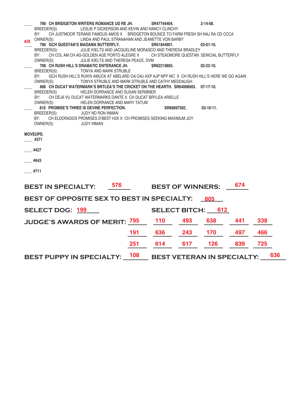|           | 790 CH BRIDGETON WRITERS ROMANCE UD RE JH.                                                            |     | SR47744404.                            |     | $2 - 14 - 08$ .  |     |     |     |
|-----------|-------------------------------------------------------------------------------------------------------|-----|----------------------------------------|-----|------------------|-----|-----|-----|
|           | BREEDER(S):<br>LESLIE P DICKERSON AND KEVIN AND NANCY CLINCHY                                         |     |                                        |     |                  |     |     |     |
|           | BY:<br>CH JUSTMOOR TERANS FAMOUS AMOS X BRIDGETON BOUNCE TO FARM FRESH SH NAJ RA OD CCCA              |     |                                        |     |                  |     |     |     |
| <b>AB</b> | OWNER(S):<br>LINDA AND PAUL STRANAHAN AND JEANETTE VON BARBY                                          |     |                                        |     |                  |     |     |     |
|           | 796 GCH QUESTAN'S MADAMA BUTTERFLY.                                                                   |     | SR61844801.                            |     | $03 - 01 - 10.$  |     |     |     |
|           | BREEDER(S):<br>JULIE KIELTS AND JACQUELINE MORASCO AND THERESA BRADLEY                                |     |                                        |     |                  |     |     |     |
|           | BY:<br>CH COL AM CH AG-GOLDEN AGE PORTO ALEGRE X                                                      |     | CH STEADMORE QUESTAN SEWCIAL BUTTERFLY |     |                  |     |     |     |
|           | OWNER(S):<br>JULIE KIELTS AND THERESA PEACE, DVM<br>798 CH RUSH HILL'S DRAMATIC ENTERANCE JH.         |     | SR62219805.                            |     | $02 - 22 - 10$ . |     |     |     |
|           | BREEDER(S):<br>TONYA AND MARK STRUBLE                                                                 |     |                                        |     |                  |     |     |     |
|           | BY:<br>GCH RUSH HILL'S RUN'N AMUCK AT ABELARD OA OAJ AXP AJP NFP WC X CH RUSH HILL'S HERE WE GO AGAIN |     |                                        |     |                  |     |     |     |
|           | OWNER(S):<br>TONYA STRUBLE AND MARK STRUBLE AND CATHY MEDDAUGH                                        |     |                                        |     |                  |     |     |     |
|           | 806 CH DUCAT WATERMARK'S BRTLEA'S THE CRICKET ON THE HEARTH. SR64006003. 07-17-10.                    |     |                                        |     |                  |     |     |     |
|           | HELEN DORRANCE AND SUSAN SERIBNER<br>BREEDER(S):                                                      |     |                                        |     |                  |     |     |     |
|           | CH DÉJÀ VU DUCAT WATERMARKS DANTE X CH DUCAT BRYLEA ARIELLE<br>BY:                                    |     |                                        |     |                  |     |     |     |
|           | OWNER(S):<br>HELEN DORRANCE AND MARY TATUM                                                            |     |                                        |     |                  |     |     |     |
|           | 810 PROMISE'S THREE IS DEVINE PERFECTION.                                                             |     | SR66897302.                            |     | $03-10-11.$      |     |     |     |
|           | BREEDER(S):<br><b>JUDY ND RON INMAN</b>                                                               |     |                                        |     |                  |     |     |     |
|           | CH ELDORADOS PROMISES D'BEST H3X X CH PROMISES SEEKING MAXIMUM JOY<br>BY:                             |     |                                        |     |                  |     |     |     |
|           | OWNER(S):<br><b>JUDY INMAN</b>                                                                        |     |                                        |     |                  |     |     |     |
|           |                                                                                                       |     |                                        |     |                  |     |     |     |
|           | <b>MOVEUPS:</b>                                                                                       |     |                                        |     |                  |     |     |     |
|           | #371                                                                                                  |     |                                        |     |                  |     |     |     |
|           | #427                                                                                                  |     |                                        |     |                  |     |     |     |
|           |                                                                                                       |     |                                        |     |                  |     |     |     |
|           | #643                                                                                                  |     |                                        |     |                  |     |     |     |
|           |                                                                                                       |     |                                        |     |                  |     |     |     |
|           | #711                                                                                                  |     |                                        |     |                  |     |     |     |
|           |                                                                                                       |     |                                        |     |                  |     |     |     |
|           |                                                                                                       |     |                                        |     |                  |     |     |     |
|           | 576<br><b>BEST IN SPECIALTY:</b>                                                                      |     | <b>BEST OF WINNERS:</b>                |     |                  | 674 |     |     |
|           |                                                                                                       |     |                                        |     |                  |     |     |     |
|           | BEST OF OPPOSITE SEX TO BEST IN SPECIALTY:                                                            |     |                                        |     | 805              |     |     |     |
|           |                                                                                                       |     |                                        |     |                  |     |     |     |
|           | <b>SELECT DOG: 199</b>                                                                                |     | <b>SELECT BITCH:</b>                   |     | 612              |     |     |     |
|           | <b>JUDGE'S AWARDS OF MERIT: 795</b>                                                                   |     | <b>110</b>                             | 493 | 638              | 441 | 338 |     |
|           |                                                                                                       |     |                                        |     |                  |     |     |     |
|           |                                                                                                       | 191 | 636                                    | 243 | 170              | 497 | 466 |     |
|           |                                                                                                       |     |                                        |     |                  |     |     |     |
|           |                                                                                                       | 251 | 614                                    | 617 | 126              | 839 | 725 |     |
|           |                                                                                                       |     |                                        |     |                  |     |     |     |
|           | <b>BEST PUPPY IN SPECIALTY:</b>                                                                       | 108 | <b>BEST VETERAN IN SPECIALTY:</b>      |     |                  |     |     | 636 |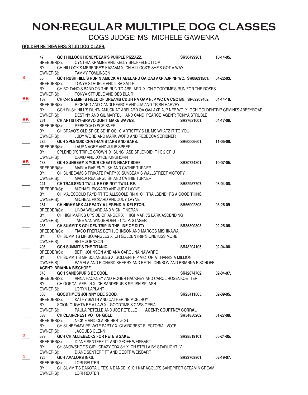# **NON-REGULAR MULTIPLE DOG CLASSES**

DOGS JUDGE: MS. MICHELE GAWENKA

## **GOLDEN RETRIEVERS: STUD DOG CLASS.**

|              | 47 —                           | GCH HILLOCK HONEYBEAR'S PURPLE PIZZAZZ.                                                          | SR30499901. 10-14-05. |                  |
|--------------|--------------------------------|--------------------------------------------------------------------------------------------------|-----------------------|------------------|
|              |                                | BREEDER(S): CYNTHIA KRAMEE AND KELLY SHUFFELBOTTOM                                               |                       |                  |
|              | BY:                            | CH HILLOCK'S MEREDRE'S KAZAAM X CH HILLOCK'S SHE'S GOT A WAY                                     |                       |                  |
|              |                                | OWNER(S): TAMMY TOMLINSON                                                                        |                       |                  |
| 3            | 65                             | GCH RUSH HILL'S RUN'N AMUCK AT ABELARD OA OAJ AXP AJP NF WC. SR08631501. 04-22-03.               |                       |                  |
|              |                                | BREEDER(S): TONYA STRUBLE AND LISA SMITH                                                         |                       |                  |
|              | BY:                            | CH BOITANO'S BAND ON THE RUN TO ABELARD X CH GOODTIME'S RUN FOR THE ROSES                        |                       |                  |
|              | OWNER(S):                      | TONYA STRUBLE AND DEB BLAIR                                                                      |                       |                  |
| <b>AB</b>    | 163                            | CH C-R GEMINI'S FIELD OF DREAMS CD JH RA OAP NJP WC CA CGC BN. SR62209402. 04-14-10.             |                       |                  |
|              | BREEDER(S):                    | RICHARD AND CANDI PEARCE AND JIM AND TRISH HARVEY                                                |                       |                  |
|              | BY:                            | GCH RUSH HILL'S RUN'N AMUCK AT ABELARD OA OAJ AXP AJP NFP WC X GCH GOLDENTRIP GEMINI'S ABBEYROAD |                       |                  |
|              | OWNER(S):                      | DESTINY AND GIL MARTEL II AND CANDI PEARCE AGENT: TONYA STRUBLE                                  |                       |                  |
| AB.          | 261                            | CH ARTISTRY-BRAVO DON'T MAKE WAVES.                                                              | SR37681001.           | 04-17-06.        |
|              | BREEDER(S):                    | REBECCA D SCRIBNER                                                                               |                       |                  |
|              | BY:                            | CH BRAVO'S OLD SPICE SDHF OS X ARTISTRY'S LIL MS WHATZ IT TO YOU                                 |                       |                  |
|              | OWNER(S):                      | JUDY WORD AND MARK WORD AND REBECCA SCRIBNER                                                     |                       |                  |
|              | 285                            | GCH SPLENDID CHATHAM STARS AND BARS.                                                             | SR60006601.           | 11-05-09.        |
|              |                                | BREEDER(S): LAURA AGEE AND JULIE SPEER                                                           |                       |                  |
|              | BY:                            | SPLENDID'S TRIPLE CROWN X SUNCHASE SPLENDID IF I C 2 OF U                                        |                       |                  |
|              | OWNER(S):                      | DAVID AND JOYCE KINGHORN                                                                         |                       |                  |
| <b>AB</b>    | 433                            | GCH SUNBEAM'S YOUR CHEATIN HEART SDHF.                                                           | SR30724801.           | 10-07-05.        |
|              | BREEDER(S):                    | MARLA RAE ENGLISH AND CATHIE TURNER                                                              |                       |                  |
|              | BY:                            | CH SUNBEAMS'S PRIVATE PARTY X SUNBEAM'S WALLSTREET VICTORY                                       |                       |                  |
|              |                                | OWNER(S): MARLA REA ENGLISH AND CATHIE TURNER                                                    |                       |                  |
|              | 441                            | CH TRAILSEND TWILL BE OR NOT TWILL BE.                                                           | SR52957707.           | 08-04-08.        |
|              |                                | BREEDER(S): MICHAEL PICKARD AND JUDY LAYNE                                                       |                       |                  |
|              | BY:                            | CH MAJECGOLD PAYDIRT TO ALLSGOLD RN X CH TRAILSEND IT'S A GOOD THING                             |                       |                  |
|              |                                | OWNER(S): MICHEAL PICKARD AND JUDY LAYNE                                                         |                       |                  |
|              | 481                            | CH HIGHMARK ALREADY A LEGEND @ KELSTON.                                                          | SR56002805.           | $03 - 26 - 09$ . |
|              | BREEDER(S):                    | LINDA WILLARD AND VICKI FINERAN                                                                  |                       |                  |
|              | BY:                            | CH HIGHMARK'S UPSIDE OF ANGER X HIGHMARK'S LARK ASCENDING                                        |                       |                  |
|              | OWNER(S):                      | JANE VAN WINGERDEN - C/O P. STAGER                                                               |                       |                  |
|              | 485                            | CH SUMMIT'S GOLDEN TRIP IN THELINE OF DUTY.                                                      | SR35890803.           | $02 - 25 - 06$ . |
|              |                                | BREEDER(S): TIAGO FREITAS BETH JOHNSON AND MARCOS MISHIKAWA                                      |                       |                  |
|              | BY:                            | CH SUMMITS MR BOJANGLES X CH GOLDENTRIP'S ONE KISS MORE                                          |                       |                  |
|              | OWNER(S): BETH JOHNSON         |                                                                                                  |                       |                  |
|              | 495                            | <b>GCH SUMMIT'S THE TITANIC.</b>                                                                 | SR48204105.           | 02-04-08.        |
|              | BREEDER(S):                    | BETH JOHNSON AND ANA CAROLINA NAVARRO                                                            |                       |                  |
|              | BY:                            | CH SUMMIT'S MR BOJANGLES X GOLDENTRIP VICTORIA THANKS A MILLION                                  |                       |                  |
|              | OWNER(S):                      | PAMELA AND RICHARD SHERRY AND BETH JOHNSON AND BRIANNA BISCHOFF                                  |                       |                  |
|              | <b>AGENT: BRIANNA BISCHOFF</b> |                                                                                                  |                       |                  |
|              | 543 GCH SANDSPUR'S BE COOL.    |                                                                                                  | SR42074702.           | 02-04-07.        |
|              | BREEDER(S):                    | ANNA HACKNEY AND ROGER HACKNEY AND CAROL ROSENKOETTER                                            |                       |                  |
|              | BY:                            | CH GORCA' MERLIN X CH SANDSPUR'S SPLISH SPLASH                                                   |                       |                  |
|              | OWNER(S):                      | LORYN LAPLANT                                                                                    |                       |                  |
|              | 563                            | <b>GOODTIME'S JOHNNY BEE GOOD.</b>                                                               | SR25411805.           | $02 - 09 - 05$ . |
|              | BREEDER(S):                    | KATHY SMITH AND CATHERINE MCELROY                                                                |                       |                  |
|              | BY:                            | SCION OUGHTA BE A LAW X GOODTIME'S CASSIOPEIA                                                    |                       |                  |
|              | OWNER(S):                      | PAULA PETELLE AND JOE PETELLE AGENT: COURTNEY CORRAL                                             |                       |                  |
|              | 583                            | CH CLAIRCREST POT OF GOLD.                                                                       | SR54850202.           | $01-27-09.$      |
|              |                                | BREEDER(S): NICKIE AND CLAIRE HERTZOG                                                            |                       |                  |
|              | BY:                            | CH SUNBEAM'A PRIVATE PARTY X CLAIRCREST ELECTORIAL VOTE                                          |                       |                  |
|              | OWNER(S):                      | <b>JACQUES GLENN</b>                                                                             |                       |                  |
| $\mathbf{2}$ | 633                            | <b>GCH CH ALLIEBECKS FOR PETE'S SAKE.</b>                                                        | SR28519101.           | $05 - 24 - 05$ . |
|              | BREEDER(S):                    | DIANE SENTERFITT AND GEOFF WEISBART                                                              |                       |                  |
|              | BY:                            | CH SNOWSHOE'S GIRL CRAZY CDX SH X CH STELLA BY STARLIGHT IV                                      |                       |                  |
|              | OWNER(S):                      | DIANE SENTERFITT AND GEOFF WEISBART                                                              |                       |                  |
|              | 725                            | <b>GCH AVALORS INXS.</b>                                                                         | SR23708901.           | $02 - 19 - 07$ . |
|              | BREEDER(S): LORI REUTER        |                                                                                                  |                       |                  |
|              | BY:                            | CH SUMMIT'S DAKOTA LIFE'S A DANCE X CH KARAGOLD'S SANDPIPER STEAM N CREAM                        |                       |                  |
|              | OWNER(S):                      | LORI REUTER                                                                                      |                       |                  |
|              |                                |                                                                                                  |                       |                  |